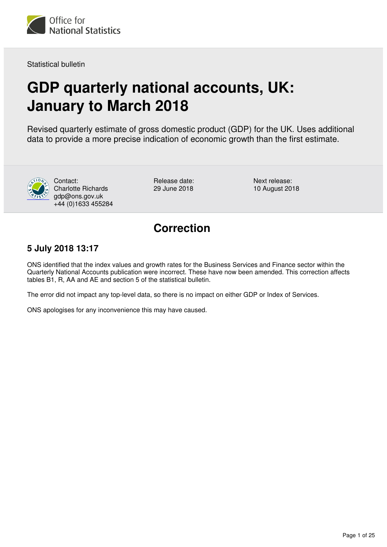

Statistical bulletin

# **GDP quarterly national accounts, UK: January to March 2018**

Revised quarterly estimate of gross domestic product (GDP) for the UK. Uses additional data to provide a more precise indication of economic growth than the first estimate.



Contact: Charlotte Richards gdp@ons.gov.uk +44 (0)1633 455284

Release date: 29 June 2018

Next release: 10 August 2018

# **Correction**

## **5 July 2018 13:17**

ONS identified that the index values and growth rates for the Business Services and Finance sector within the Quarterly National Accounts publication were incorrect. These have now been amended. This correction affects tables B1, R, AA and AE and section 5 of the statistical bulletin.

The error did not impact any top-level data, so there is no impact on either GDP or Index of Services.

ONS apologises for any inconvenience this may have caused.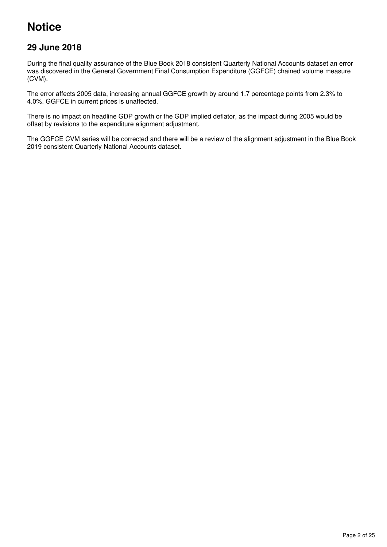# **Notice**

## **29 June 2018**

During the final quality assurance of the Blue Book 2018 consistent Quarterly National Accounts dataset an error was discovered in the General Government Final Consumption Expenditure (GGFCE) chained volume measure (CVM).

The error affects 2005 data, increasing annual GGFCE growth by around 1.7 percentage points from 2.3% to 4.0%. GGFCE in current prices is unaffected.

There is no impact on headline GDP growth or the GDP implied deflator, as the impact during 2005 would be offset by revisions to the expenditure alignment adjustment.

The GGFCE CVM series will be corrected and there will be a review of the alignment adjustment in the Blue Book 2019 consistent Quarterly National Accounts dataset.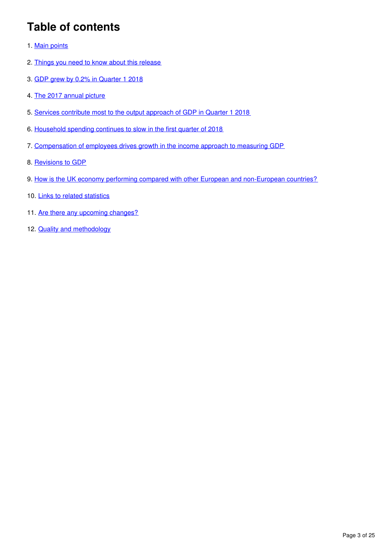# **Table of contents**

- 1. [Main points](#page-3-0)
- 2. [Things you need to know about this release](#page-3-1)
- 3. [GDP grew by 0.2% in Quarter 1 2018](#page-4-0)
- 4. [The 2017 annual picture](#page-8-0)
- 5. [Services contribute most to the output approach of GDP in Quarter 1 2018](#page-9-0)
- 6. [Household spending continues to slow in the first quarter of 2018](#page-12-0)
- 7. [Compensation of employees drives growth in the income approach to measuring GDP](#page-14-0)
- 8. [Revisions to GDP](#page-16-0)
- 9. [How is the UK economy performing compared with other European and non-European countries?](#page-19-0)
- 10. [Links to related statistics](#page-20-0)
- 11. [Are there any upcoming changes?](#page-21-0)
- 12. **[Quality and methodology](#page-22-0)**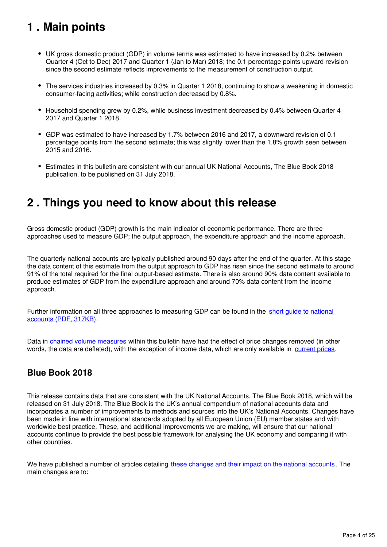# <span id="page-3-0"></span>**1 . Main points**

- UK gross domestic product (GDP) in volume terms was estimated to have increased by 0.2% between Quarter 4 (Oct to Dec) 2017 and Quarter 1 (Jan to Mar) 2018; the 0.1 percentage points upward revision since the second estimate reflects improvements to the measurement of construction output.
- The services industries increased by 0.3% in Quarter 1 2018, continuing to show a weakening in domestic consumer-facing activities; while construction decreased by 0.8%.
- Household spending grew by 0.2%, while business investment decreased by 0.4% between Quarter 4 2017 and Quarter 1 2018.
- GDP was estimated to have increased by 1.7% between 2016 and 2017, a downward revision of 0.1 percentage points from the second estimate; this was slightly lower than the 1.8% growth seen between 2015 and 2016.
- Estimates in this bulletin are consistent with our annual UK National Accounts, The Blue Book 2018 publication, to be published on 31 July 2018.

# <span id="page-3-1"></span>**2 . Things you need to know about this release**

Gross domestic product (GDP) growth is the main indicator of economic performance. There are three approaches used to measure GDP; the output approach, the expenditure approach and the income approach.

The quarterly national accounts are typically published around 90 days after the end of the quarter. At this stage the data content of this estimate from the output approach to GDP has risen since the second estimate to around 91% of the total required for the final output-based estimate. There is also around 90% data content available to produce estimates of GDP from the expenditure approach and around 70% data content from the income approach.

Further information on all three approaches to measuring GDP can be found in the short quide to national [accounts \(PDF, 317KB\)](http://webarchive.nationalarchives.gov.uk/20160105160709/http:/www.ons.gov.uk/ons/guide-method/method-quality/specific/economy/national-accounts/articles/2011-present/a-short-guide-to-the-uk-national-accounts.pdf).

Data in [chained volume measures](https://www.ons.gov.uk/economy/nationalaccounts/uksectoraccounts/methodologies/glossaryofeconomicterms#a-to-c) within this bulletin have had the effect of price changes removed (in other words, the data are deflated), with the exception of income data, which are only available in current prices.

## **Blue Book 2018**

This release contains data that are consistent with the UK National Accounts, The Blue Book 2018, which will be released on 31 July 2018. The Blue Book is the UK's annual compendium of national accounts data and incorporates a number of improvements to methods and sources into the UK's National Accounts. Changes have been made in line with international standards adopted by all European Union (EU) member states and with worldwide best practice. These, and additional improvements we are making, will ensure that our national accounts continue to provide the best possible framework for analysing the UK economy and comparing it with other countries.

We have published a number of articles detailing [these changes and their impact on the national accounts](https://www.ons.gov.uk/economy/nationalaccounts/uksectoraccounts/articles/nationalaccountsarticles/previousReleases). The main changes are to: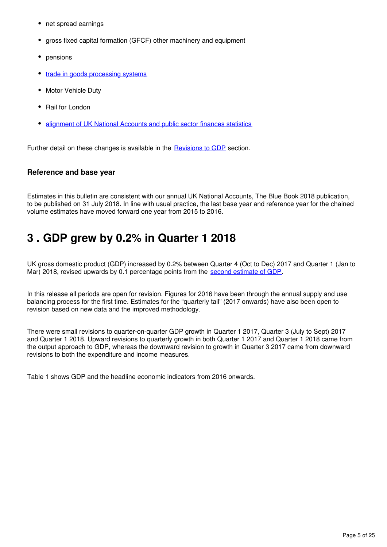- net spread earnings
- gross fixed capital formation (GFCF) other machinery and equipment
- pensions
- [trade in goods processing systems](https://www.ons.gov.uk/economy/nationalaccounts/uksectoraccounts/articles/nationalaccountsarticles/uktradedataimpactassessmentfromnewdevelopments1997to2016)
- Motor Vehicle Duty
- Rail for London
- [alignment of UK National Accounts and public sector finances statistics](https://www.ons.gov.uk/releases/nationalaccountsarticlesalignmentbetweenpublicsectorfinancesandnationalaccountsjune2018)

Further detail on these changes is available in the **Revisions to GDP** section.

#### **Reference and base year**

Estimates in this bulletin are consistent with our annual UK National Accounts, The Blue Book 2018 publication, to be published on 31 July 2018. In line with usual practice, the last base year and reference year for the chained volume estimates have moved forward one year from 2015 to 2016.

# <span id="page-4-0"></span>**3 . GDP grew by 0.2% in Quarter 1 2018**

UK gross domestic product (GDP) increased by 0.2% between Quarter 4 (Oct to Dec) 2017 and Quarter 1 (Jan to Mar) 2018, revised upwards by 0[.](https://www.ons.gov.uk/economy/grossdomesticproductgdp/bulletins/secondestimateofgdp/januarytomarch2018)1 percentage points from the second estimate of GDP.

In this release all periods are open for revision. Figures for 2016 have been through the annual supply and use balancing process for the first time. Estimates for the "quarterly tail" (2017 onwards) have also been open to revision based on new data and the improved methodology.

There were small revisions to quarter-on-quarter GDP growth in Quarter 1 2017, Quarter 3 (July to Sept) 2017 and Quarter 1 2018. Upward revisions to quarterly growth in both Quarter 1 2017 and Quarter 1 2018 came from the output approach to GDP, whereas the downward revision to growth in Quarter 3 2017 came from downward revisions to both the expenditure and income measures.

Table 1 shows GDP and the headline economic indicators from 2016 onwards.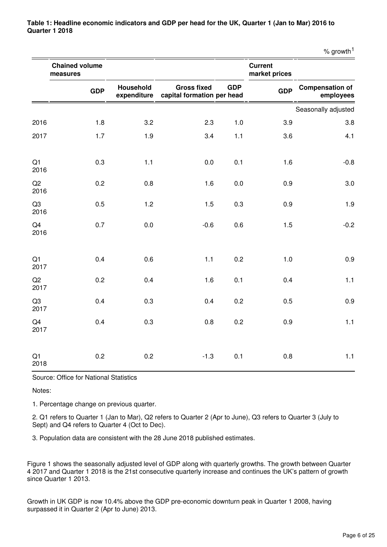**Table 1: Headline economic indicators and GDP per head for the UK, Quarter 1 (Jan to Mar) 2016 to Quarter 1 2018**

|                        |                                   |                                 |                                                  |            |                                 | $%$ growth <sup>1</sup>             |
|------------------------|-----------------------------------|---------------------------------|--------------------------------------------------|------------|---------------------------------|-------------------------------------|
|                        | <b>Chained volume</b><br>measures |                                 |                                                  |            | <b>Current</b><br>market prices |                                     |
|                        | <b>GDP</b>                        | <b>Household</b><br>expenditure | <b>Gross fixed</b><br>capital formation per head | <b>GDP</b> | <b>GDP</b>                      | <b>Compensation of</b><br>employees |
|                        |                                   |                                 |                                                  |            |                                 | Seasonally adjusted                 |
| 2016                   | 1.8                               | 3.2                             | 2.3                                              | 1.0        | 3.9                             | 3.8                                 |
| 2017                   | 1.7                               | 1.9                             | 3.4                                              | 1.1        | 3.6                             | 4.1                                 |
| Q <sub>1</sub><br>2016 | 0.3                               | 1.1                             | 0.0                                              | 0.1        | 1.6                             | $-0.8$                              |
| Q2<br>2016             | 0.2                               | 0.8                             | 1.6                                              | 0.0        | 0.9                             | 3.0                                 |
| Q <sub>3</sub><br>2016 | 0.5                               | 1.2                             | 1.5                                              | 0.3        | 0.9                             | 1.9                                 |
| Q4<br>2016             | 0.7                               | 0.0                             | $-0.6$                                           | 0.6        | 1.5                             | $-0.2$                              |
| Q1<br>2017             | 0.4                               | 0.6                             | 1.1                                              | 0.2        | $1.0$                           | 0.9                                 |
| Q2<br>2017             | 0.2                               | 0.4                             | 1.6                                              | 0.1        | 0.4                             | 1.1                                 |
| Q <sub>3</sub><br>2017 | 0.4                               | 0.3                             | 0.4                                              | 0.2        | 0.5                             | 0.9                                 |
| Q4<br>2017             | 0.4                               | 0.3                             | 0.8                                              | 0.2        | 0.9                             | 1.1                                 |

Source: Office for National Statistics

Notes:

Q1 2018

1. Percentage change on previous quarter.

2. Q1 refers to Quarter 1 (Jan to Mar), Q2 refers to Quarter 2 (Apr to June), Q3 refers to Quarter 3 (July to Sept) and Q4 refers to Quarter 4 (Oct to Dec).

0.2 0.2 **-1.3** 0.1 0.8 1.1

3. Population data are consistent with the 28 June 2018 published estimates.

Figure 1 shows the seasonally adjusted level of GDP along with quarterly growths. The growth between Quarter 4 2017 and Quarter 1 2018 is the 21st consecutive quarterly increase and continues the UK's pattern of growth since Quarter 1 2013.

Growth in UK GDP is now 10.4% above the GDP pre-economic downturn peak in Quarter 1 2008, having surpassed it in Quarter 2 (Apr to June) 2013.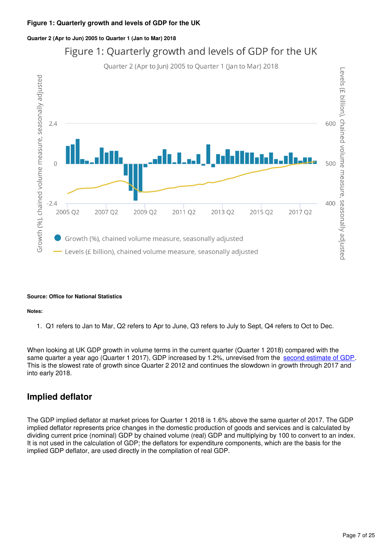#### **Figure 1: Quarterly growth and levels of GDP for the UK**

#### **Quarter 2 (Apr to Jun) 2005 to Quarter 1 (Jan to Mar) 2018**



# Figure 1: Quarterly growth and levels of GDP for the UK

#### **Source: Office for National Statistics**

#### **Notes:**

1. Q1 refers to Jan to Mar, Q2 refers to Apr to June, Q3 refers to July to Sept, Q4 refers to Oct to Dec.

When looking at UK GDP growth in volume terms in the current quarter (Quarter 1 2018) compared with the same quarter a year ago (Quarter 1 2017), GDP increased by 1.2%, unrevised from the [second estimate of GDP](https://www.ons.gov.uk/economy/grossdomesticproductgdp/bulletins/secondestimateofgdp/januarytomarch2018). This is the slowest rate of growth since Quarter 2 2012 and continues the slowdown in growth through 2017 and into early 2018.

#### **Implied deflator**

The GDP implied deflator at market prices for Quarter 1 2018 is 1.6% above the same quarter of 2017. The GDP implied deflator represents price changes in the domestic production of goods and services and is calculated by dividing current price (nominal) GDP by chained volume (real) GDP and multiplying by 100 to convert to an index. It is not used in the calculation of GDP; the deflators for expenditure components, which are the basis for the implied GDP deflator, are used directly in the compilation of real GDP.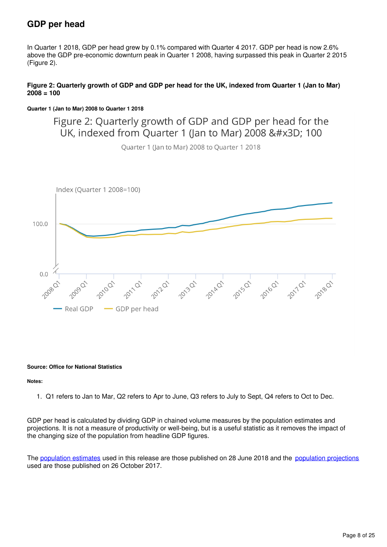## **GDP per head**

In Quarter 1 2018, GDP per head grew by 0.1% compared with Quarter 4 2017. GDP per head is now 2.6% above the GDP pre-economic downturn peak in Quarter 1 2008, having surpassed this peak in Quarter 2 2015 (Figure 2).

#### **Figure 2: Quarterly growth of GDP and GDP per head for the UK, indexed from Quarter 1 (Jan to Mar) 2008 = 100**

#### **Quarter 1 (Jan to Mar) 2008 to Quarter 1 2018**

Figure 2: Quarterly growth of GDP and GDP per head for the UK, indexed from Ouarter 1 (Jan to Mar) 2008 = 100

Quarter 1 (Jan to Mar) 2008 to Quarter 1 2018



#### **Source: Office for National Statistics**

#### **Notes:**

1. Q1 refers to Jan to Mar, Q2 refers to Apr to June, Q3 refers to July to Sept, Q4 refers to Oct to Dec.

GDP per head is calculated by dividing GDP in chained volume measures by the population estimates and projections. It is not a measure of productivity or well-being, but is a useful statistic as it removes the impact of the changing size of the population from headline GDP figures.

The [population estimates](https://www.ons.gov.uk/releases/populationestimatesforukenglandandwalesscotlandandnorthernirelandmid2017) used in this release are those published on 28 June 2018 and the [population projections](https://www.ons.gov.uk/peoplepopulationandcommunity/populationandmigration/populationprojections/bulletins/nationalpopulationprojections/2016basedstatisticalbulletin) used are those published on 26 October 2017.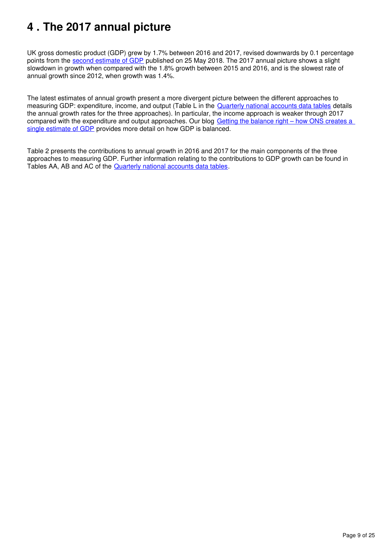# <span id="page-8-0"></span>**4 . The 2017 annual picture**

UK gross domestic product (GDP) grew by 1.7% between 2016 and 2017, revised downwards by 0.1 percentage points from the [second estimate of GDP](https://www.ons.gov.uk/economy/grossdomesticproductgdp/bulletins/secondestimateofgdp/januarytomarch2018) published on 25 May 2018. The 2017 annual picture shows a slight slowdown in growth when compared with the 1.8% growth between 2015 and 2016, and is the slowest rate of annual growth since 2012, when growth was 1.4%.

The latest estimates of annual growth present a more divergent picture between the different approaches to measuring GDP: expenditure, income, and output (Table L in the [Quarterly national accounts data tables](https://www.ons.gov.uk/economy/grossdomesticproductgdp/datasets/ukquarterlynationalaccountsdatatables) details the annual growth rates for the three approaches). In particular, the income approach is weaker through 2017 compared with the expenditure and output approaches. Our blog Getting the balance right – how ONS creates a [single estimate of GDP](https://blog.ons.gov.uk/2018/03/16/getting-the-balance-right-how-ons-creates-a-single-estimate-of-gdp/) provides more detail on how GDP is balanced.

Table 2 presents the contributions to annual growth in 2016 and 2017 for the main components of the three approaches to measuring GDP. Further information relating to the contributions to GDP growth can be found in Tables AA, AB and AC of the **Quarterly national accounts data tables**.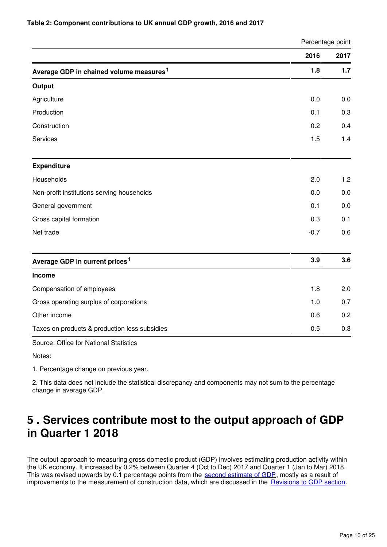#### **Table 2: Component contributions to UK annual GDP growth, 2016 and 2017**

|                                                                                                   | Percentage point |      |  |
|---------------------------------------------------------------------------------------------------|------------------|------|--|
|                                                                                                   | 2016             | 2017 |  |
| Average GDP in chained volume measures <sup>1</sup>                                               | 1.8              | 1.7  |  |
| Output                                                                                            |                  |      |  |
| Agriculture                                                                                       | 0.0              | 0.0  |  |
| Production                                                                                        | 0.1              | 0.3  |  |
| Construction                                                                                      | 0.2              | 0.4  |  |
| Services                                                                                          | 1.5              | 1.4  |  |
| <b>Expenditure</b>                                                                                |                  |      |  |
| Households                                                                                        | 2.0              | 1.2  |  |
| Non-profit institutions serving households                                                        | 0.0              | 0.0  |  |
| General government                                                                                | 0.1              | 0.0  |  |
| Gross capital formation                                                                           | 0.3              | 0.1  |  |
| Net trade                                                                                         | $-0.7$           | 0.6  |  |
| Average GDP in current prices <sup>1</sup>                                                        | 3.9              | 3.6  |  |
| Income                                                                                            |                  |      |  |
| Compensation of employees                                                                         | 1.8              | 2.0  |  |
| Gross operating surplus of corporations                                                           | 1.0              | 0.7  |  |
| Other income                                                                                      | 0.6              | 0.2  |  |
| Taxes on products & production less subsidies                                                     | 0.5              | 0.3  |  |
| $\mathbf{A}$ and $\mathbf{A}$ and $\mathbf{A}$ and $\mathbf{A}$ and $\mathbf{A}$ and $\mathbf{A}$ |                  |      |  |

Source: Office for National Statistics

Notes:

1. Percentage change on previous year.

2. This data does not include the statistical discrepancy and components may not sum to the percentage change in average GDP.

# <span id="page-9-0"></span>**5 . Services contribute most to the output approach of GDP in Quarter 1 2018**

The output approach to measuring gross domestic product (GDP) involves estimating production activity within the UK economy. It increased by 0.2% between Quarter 4 (Oct to Dec) 2017 and Quarter 1 (Jan to Mar) 2018. This was revised upwards by 0.1 percentage points from the [second estimate of GDP](https://www.ons.gov.uk/economy/grossdomesticproductgdp/bulletins/secondestimateofgdp/januarytomarch2018), mostly as a result of improvements to the measurement of construction data, which are discussed in the Revisions to GDP section[.](https://www.ons.gov.uk/economy/grossdomesticproductgdp/bulletins/quarterlynationalaccounts/januarytomarch2018#revisions-to-gdp)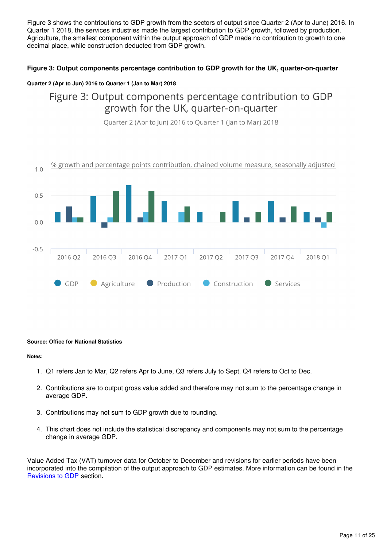Figure 3 shows the contributions to GDP growth from the sectors of output since Quarter 2 (Apr to June) 2016. In Quarter 1 2018, the services industries made the largest contribution to GDP growth, followed by production. Agriculture, the smallest component within the output approach of GDP made no contribution to growth to one decimal place, while construction deducted from GDP growth.

#### **Figure 3: Output components percentage contribution to GDP growth for the UK, quarter-on-quarter**

#### **Quarter 2 (Apr to Jun) 2016 to Quarter 1 (Jan to Mar) 2018**

## Figure 3: Output components percentage contribution to GDP growth for the UK, quarter-on-quarter



Quarter 2 (Apr to Jun) 2016 to Quarter 1 (Jan to Mar) 2018

#### **Source: Office for National Statistics**

#### **Notes:**

- 1. Q1 refers Jan to Mar, Q2 refers Apr to June, Q3 refers July to Sept, Q4 refers to Oct to Dec.
- 2. Contributions are to output gross value added and therefore may not sum to the percentage change in average GDP.
- 3. Contributions may not sum to GDP growth due to rounding.
- 4. This chart does not include the statistical discrepancy and components may not sum to the percentage change in average GDP.

Value Added Tax (VAT) turnover data for October to December and revisions for earlier periods have been incorporated into the compilation of the output approach to GDP estimates. More information can be found in the [Revisions to GDP](https://www.ons.gov.uk/economy/grossdomesticproductgdp/bulletins/quarterlynationalaccounts/januarytomarch2018#revisions-to-gdp) section.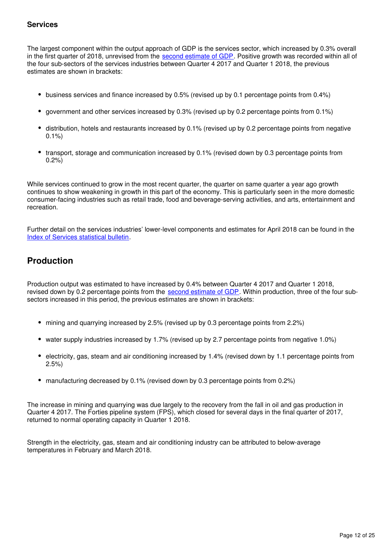#### **Services**

The largest component within the output approach of GDP is the services sector, which increased by 0.3% overall in the first quarter of 2018, unrevised from the second estimate of GDP[.](https://www.ons.gov.uk/economy/grossdomesticproductgdp/bulletins/secondestimateofgdp/januarytomarch2018) Positive growth was recorded within all of the four sub-sectors of the services industries between Quarter 4 2017 and Quarter 1 2018, the previous estimates are shown in brackets:

- business services and finance increased by 0.5% (revised up by 0.1 percentage points from 0.4%)
- government and other services increased by 0.3% (revised up by 0.2 percentage points from 0.1%)
- distribution, hotels and restaurants increased by 0.1% (revised up by 0.2 percentage points from negative 0.1%)
- transport, storage and communication increased by 0.1% (revised down by 0.3 percentage points from 0.2%)

While services continued to grow in the most recent quarter, the quarter on same quarter a year ago growth continues to show weakening in growth in this part of the economy. This is particularly seen in the more domestic consumer-facing industries such as retail trade, food and beverage-serving activities, and arts, entertainment and recreation.

Further detail on the services industries' lower-level components and estimates for April 2018 can be found in the [Index of Services statistical bulletin.](https://www.ons.gov.uk/economy/economicoutputandproductivity/output/bulletins/indexofservices/previousReleases)

## **Production**

Production output was estimated to have increased by 0.4% between Quarter 4 2017 and Quarter 1 2018, revised down by 0.2 percentage points from the second estimate of GDP. Within production, three of the four subsectors increased in this period, the previous estimates are shown in brackets:

- mining and quarrying increased by 2.5% (revised up by 0.3 percentage points from 2.2%)
- water supply industries increased by 1.7% (revised up by 2.7 percentage points from negative 1.0%)
- electricity, gas, steam and air conditioning increased by 1.4% (revised down by 1.1 percentage points from 2.5%)
- manufacturing decreased by 0.1% (revised down by 0.3 percentage points from 0.2%)

The increase in mining and quarrying was due largely to the recovery from the fall in oil and gas production in Quarter 4 2017. The Forties pipeline system (FPS), which closed for several days in the final quarter of 2017, returned to normal operating capacity in Quarter 1 2018.

Strength in the electricity, gas, steam and air conditioning industry can be attributed to below-average temperatures in February and March 2018.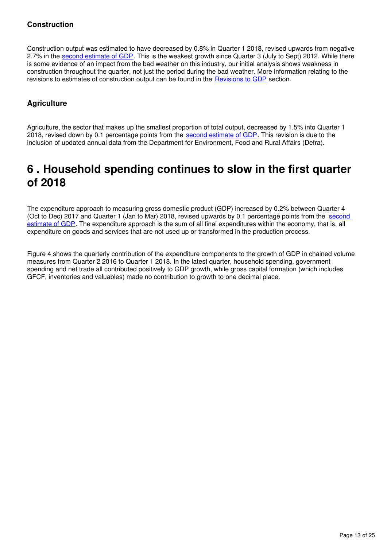#### **Construction**

Construction output was estimated to have decreased by 0.8% in Quarter 1 2018, revised upwards from negative 2.7% in the [second estimate of GDP](https://www.ons.gov.uk/economy/grossdomesticproductgdp/bulletins/secondestimateofgdp/januarytomarch2018). This is the weakest growth since Quarter 3 (July to Sept) 2012. While there is some evidence of an impact from the bad weather on this industry, our initial analysis shows weakness in construction throughout the quarter, not just the period during the bad weather. More information relating to the revisions to estimates of construction output can be found in the Revisions to GDP section.

#### **Agriculture**

Agriculture, the sector that makes up the smallest proportion of total output, decreased by 1.5% into Quarter 1 2018, revised down by 0.1 percentage points from the [second estimate of GDP](https://www.ons.gov.uk/economy/grossdomesticproductgdp/bulletins/secondestimateofgdp/januarytomarch2018). This revision is due to the inclusion of updated annual data from the Department for Environment, Food and Rural Affairs (Defra).

## <span id="page-12-0"></span>**6 . Household spending continues to slow in the first quarter of 2018**

The expenditure approach to measuring gross domestic product (GDP) increased by 0.2% between Quarter 4 (Oct to Dec) 2017 and Quarter 1 (Jan to Mar) 2018, revised upwards by 0.1 percentage points from the second [estimate of GDP](https://www.ons.gov.uk/economy/grossdomesticproductgdp/bulletins/secondestimateofgdp/januarytomarch2018). The expenditure approach is the sum of all final expenditures within the economy, that is, all expenditure on goods and services that are not used up or transformed in the production process.

Figure 4 shows the quarterly contribution of the expenditure components to the growth of GDP in chained volume measures from Quarter 2 2016 to Quarter 1 2018. In the latest quarter, household spending, government spending and net trade all contributed positively to GDP growth, while gross capital formation (which includes GFCF, inventories and valuables) made no contribution to growth to one decimal place.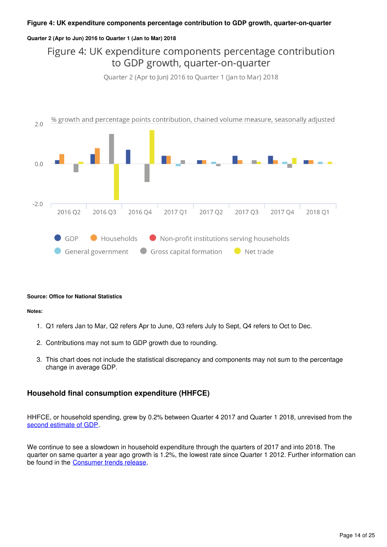#### **Figure 4: UK expenditure components percentage contribution to GDP growth, quarter-on-quarter**

#### **Quarter 2 (Apr to Jun) 2016 to Quarter 1 (Jan to Mar) 2018**

## Figure 4: UK expenditure components percentage contribution to GDP growth, quarter-on-quarter

Quarter 2 (Apr to Jun) 2016 to Quarter 1 (Jan to Mar) 2018



#### **Source: Office for National Statistics**

#### **Notes:**

- 1. Q1 refers Jan to Mar, Q2 refers Apr to June, Q3 refers July to Sept, Q4 refers to Oct to Dec.
- 2. Contributions may not sum to GDP growth due to rounding.
- 3. This chart does not include the statistical discrepancy and components may not sum to the percentage change in average GDP.

#### **Household final consumption expenditure (HHFCE)**

HHFCE, or household spending, grew by 0.2% between Quarter 4 2017 and Quarter 1 2018, unrevised from the [second estimate of GDP.](https://www.ons.gov.uk/economy/grossdomesticproductgdp/bulletins/secondestimateofgdp/januarytomarch2018)

We continue to see a slowdown in household expenditure through the quarters of 2017 and into 2018. The quarter on same quarter a year ago growth is 1.2%, the lowest rate since Quarter 1 2012. Further information can be found in the **Consumer trends release**.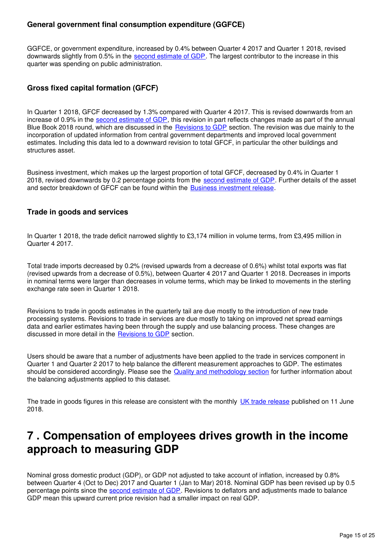#### **General government final consumption expenditure (GGFCE)**

GGFCE, or government expenditure, increased by 0.4% between Quarter 4 2017 and Quarter 1 2018, revised downwards slightly from 0.5% in the [second estimate of GDP](https://www.ons.gov.uk/economy/grossdomesticproductgdp/bulletins/secondestimateofgdp/januarytomarch2018). The largest contributor to the increase in this quarter was spending on public administration.

#### **Gross fixed capital formation (GFCF)**

In Quarter 1 2018, GFCF decreased by 1.3% compared with Quarter 4 2017. This is revised downwards from an increase of 0.9% in the second estimate of GDP[,](https://www.ons.gov.uk/economy/grossdomesticproductgdp/bulletins/secondestimateofgdp/januarytomarch2018) this revision in part reflects changes made as part of the annual Blue Book 2018 round, which are discussed in the **[Revisions to GDP](https://www.ons.gov.uk/economy/grossdomesticproductgdp/bulletins/quarterlynationalaccounts/januarytomarch2018#revisions-to-gdp)** section. The revision was due mainly to the incorporation of updated information from central government departments and improved local government estimates. Including this data led to a downward revision to total GFCF, in particular the other buildings and structures asset.

Business investment, which makes up the largest proportion of total GFCF, decreased by 0.4% in Quarter 1 2018, revised downwards by 0.2 percentage points from the [second estimate of GDP](https://www.ons.gov.uk/economy/grossdomesticproductgdp/bulletins/secondestimateofgdp/januarytomarch2018). Further details of the asset and sector breakdown of GFCF can be found within the **Business investment release**[.](https://www.ons.gov.uk/economy/grossdomesticproductgdp/bulletins/businessinvestment/previousReleases)

#### **Trade in goods and services**

In Quarter 1 2018, the trade deficit narrowed slightly to £3,174 million in volume terms, from £3,495 million in Quarter 4 2017.

Total trade imports decreased by 0.2% (revised upwards from a decrease of 0.6%) whilst total exports was flat (revised upwards from a decrease of 0.5%), between Quarter 4 2017 and Quarter 1 2018. Decreases in imports in nominal terms were larger than decreases in volume terms, which may be linked to movements in the sterling exchange rate seen in Quarter 1 2018.

Revisions to trade in goods estimates in the quarterly tail are due mostly to the introduction of new trade processing systems. Revisions to trade in services are due mostly to taking on improved net spread earnings data and earlier estimates having been through the supply and use balancing process. These changes are discussed in more detail in the Revisions to GDP section.

Users should be aware that a number of adjustments have been applied to the trade in services component in Quarter 1 and Quarter 2 2017 to help balance the different measurement approaches to GDP. The estimates should be considered accordingly. Please see the [Quality and methodology section](https://www.ons.gov.uk/economy/grossdomesticproductgdp/bulletins/quarterlynationalaccounts/januarytomarch2018#quality-and-methodology) for further information about the balancing adjustments applied to this dataset.

The trade in goods figures in this release are consistent with the monthly [UK trade release](https://www.ons.gov.uk/economy/nationalaccounts/balanceofpayments/bulletins/uktrade/april2018) published on 11 June 2018.

## <span id="page-14-0"></span>**7 . Compensation of employees drives growth in the income approach to measuring GDP**

Nominal gross domestic product (GDP), or GDP not adjusted to take account of inflation, increased by 0.8% between Quarter 4 (Oct to Dec) 2017 and Quarter 1 (Jan to Mar) 2018. Nominal GDP has been revised up by 0.5 percentage points since the [second estimate of GDP](https://www.ons.gov.uk/economy/grossdomesticproductgdp/bulletins/secondestimateofgdp/januarytomarch2018). Revisions to deflators and adjustments made to balance GDP mean this upward current price revision had a smaller impact on real GDP.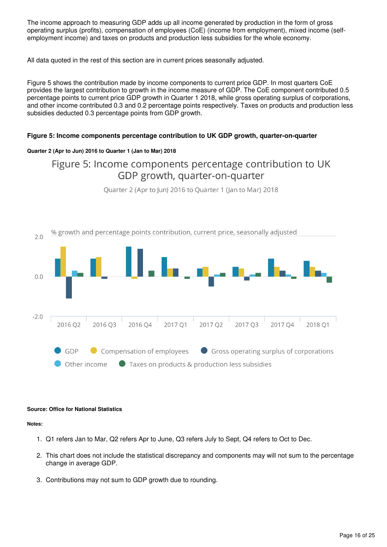The income approach to measuring GDP adds up all income generated by production in the form of gross operating surplus (profits), compensation of employees (CoE) (income from employment), mixed income (selfemployment income) and taxes on products and production less subsidies for the whole economy.

All data quoted in the rest of this section are in current prices seasonally adjusted.

Figure 5 shows the contribution made by income components to current price GDP. In most quarters CoE provides the largest contribution to growth in the income measure of GDP. The CoE component contributed 0.5 percentage points to current price GDP growth in Quarter 1 2018, while gross operating surplus of corporations, and other income contributed 0.3 and 0.2 percentage points respectively. Taxes on products and production less subsidies deducted 0.3 percentage points from GDP growth.

#### **Figure 5: Income components percentage contribution to UK GDP growth, quarter-on-quarter**

#### **Quarter 2 (Apr to Jun) 2016 to Quarter 1 (Jan to Mar) 2018**

## Figure 5: Income components percentage contribution to UK GDP growth, quarter-on-quarter

Ouarter 2 (Apr to Jun) 2016 to Quarter 1 (Jan to Mar) 2018



#### **Source: Office for National Statistics**

#### **Notes:**

- 1. Q1 refers Jan to Mar, Q2 refers Apr to June, Q3 refers July to Sept, Q4 refers to Oct to Dec.
- 2. This chart does not include the statistical discrepancy and components may will not sum to the percentage change in average GDP.
- 3. Contributions may not sum to GDP growth due to rounding.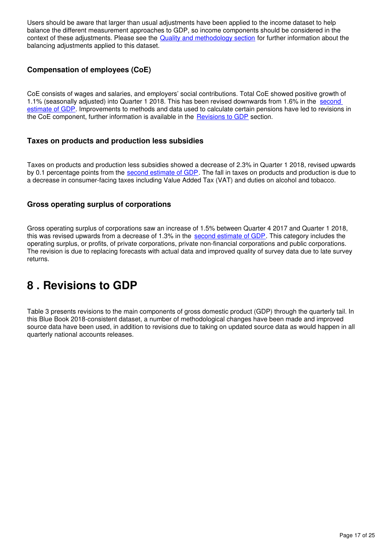Users should be aware that larger than usual adjustments have been applied to the income dataset to help balance the different measurement approaches to GDP, so income components should be considered in the context of these adjustments. Please see the [Quality and methodology section](https://www.ons.gov.uk/economy/grossdomesticproductgdp/bulletins/quarterlynationalaccounts/januarytomarch2018#quality-and-methodology) for further information about the balancing adjustments applied to this dataset.

#### **Compensation of employees (CoE)**

CoE consists of wages and salaries, and employers' social contributions. Total CoE showed positive growth of 1.1% (seasonally adjusted) into Quarter 1 2018. This has been revised downwards from 1.6% in the [second](https://www.ons.gov.uk/economy/grossdomesticproductgdp/bulletins/secondestimateofgdp/januarytomarch2018)  [estimate of GDP](https://www.ons.gov.uk/economy/grossdomesticproductgdp/bulletins/secondestimateofgdp/januarytomarch2018). Improvements to methods and data used to calculate certain pensions have led to revisions in the CoE component, further information is available in the Revisions to GDP section.

#### **Taxes on products and production less subsidies**

Taxes on products and production less subsidies showed a decrease of 2.3% in Quarter 1 2018, revised upwards by 0[.](https://www.ons.gov.uk/economy/grossdomesticproductgdp/bulletins/secondestimateofgdp/januarytomarch2018)1 percentage points from the [second estimate of GDP](https://www.ons.gov.uk/economy/grossdomesticproductgdp/bulletins/secondestimateofgdp/januarytomarch2018). The fall in taxes on products and production is due to a decrease in consumer-facing taxes including Value Added Tax (VAT) and duties on alcohol and tobacco.

#### **Gross operating surplus of corporations**

Gross operating surplus of corporations saw an increase of 1.5% between Quarter 4 2017 and Quarter 1 2018, this was revised upwards from a decrease of 1[.](https://www.ons.gov.uk/economy/grossdomesticproductgdp/bulletins/secondestimateofgdp/januarytomarch2018)3% in the [second estimate of GDP](https://www.ons.gov.uk/economy/grossdomesticproductgdp/bulletins/secondestimateofgdp/januarytomarch2018). This category includes the operating surplus, or profits, of private corporations, private non-financial corporations and public corporations. The revision is due to replacing forecasts with actual data and improved quality of survey data due to late survey returns.

# <span id="page-16-0"></span>**8 . Revisions to GDP**

Table 3 presents revisions to the main components of gross domestic product (GDP) through the quarterly tail. In this Blue Book 2018-consistent dataset, a number of methodological changes have been made and improved source data have been used, in addition to revisions due to taking on updated source data as would happen in all quarterly national accounts releases.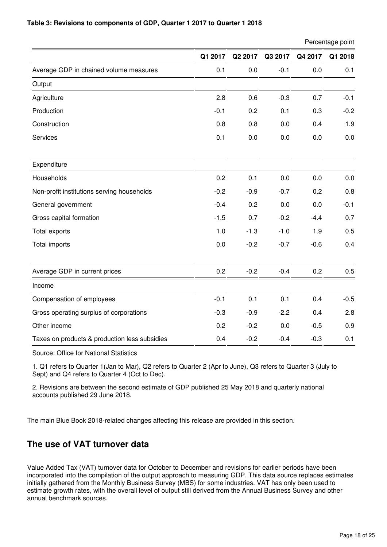#### **Table 3: Revisions to components of GDP, Quarter 1 2017 to Quarter 1 2018**

Percentage point

|                                               | Q1 2017 | Q2 2017 | Q3 2017 | Q4 2017 | Q1 2018 |
|-----------------------------------------------|---------|---------|---------|---------|---------|
| Average GDP in chained volume measures        | 0.1     | 0.0     | $-0.1$  | 0.0     | 0.1     |
| Output                                        |         |         |         |         |         |
| Agriculture                                   | 2.8     | 0.6     | $-0.3$  | 0.7     | $-0.1$  |
| Production                                    | $-0.1$  | 0.2     | 0.1     | 0.3     | $-0.2$  |
| Construction                                  | 0.8     | 0.8     | 0.0     | 0.4     | 1.9     |
| Services                                      | 0.1     | 0.0     | 0.0     | 0.0     | 0.0     |
| Expenditure                                   |         |         |         |         |         |
| Households                                    | 0.2     | 0.1     | 0.0     | 0.0     | 0.0     |
| Non-profit institutions serving households    | $-0.2$  | $-0.9$  | $-0.7$  | 0.2     | 0.8     |
| General government                            | $-0.4$  | 0.2     | 0.0     | 0.0     | $-0.1$  |
| Gross capital formation                       | $-1.5$  | 0.7     | $-0.2$  | $-4.4$  | 0.7     |
| Total exports                                 | 1.0     | $-1.3$  | $-1.0$  | 1.9     | 0.5     |
| Total imports                                 | 0.0     | $-0.2$  | $-0.7$  | $-0.6$  | 0.4     |
| Average GDP in current prices                 | 0.2     | $-0.2$  | $-0.4$  | 0.2     | 0.5     |
| Income                                        |         |         |         |         |         |
| Compensation of employees                     | $-0.1$  | 0.1     | 0.1     | 0.4     | $-0.5$  |
| Gross operating surplus of corporations       | $-0.3$  | $-0.9$  | $-2.2$  | 0.4     | 2.8     |
| Other income                                  | 0.2     | $-0.2$  | 0.0     | $-0.5$  | 0.9     |
| Taxes on products & production less subsidies | 0.4     | $-0.2$  | $-0.4$  | $-0.3$  | 0.1     |

Source: Office for National Statistics

1. Q1 refers to Quarter 1(Jan to Mar), Q2 refers to Quarter 2 (Apr to June), Q3 refers to Quarter 3 (July to Sept) and Q4 refers to Quarter 4 (Oct to Dec).

2. Revisions are between the second estimate of GDP published 25 May 2018 and quarterly national accounts published 29 June 2018.

The main Blue Book 2018-related changes affecting this release are provided in this section.

## **The use of VAT turnover data**

Value Added Tax (VAT) turnover data for October to December and revisions for earlier periods have been incorporated into the compilation of the output approach to measuring GDP. This data source replaces estimates initially gathered from the Monthly Business Survey (MBS) for some industries. VAT has only been used to estimate growth rates, with the overall level of output still derived from the Annual Business Survey and other annual benchmark sources.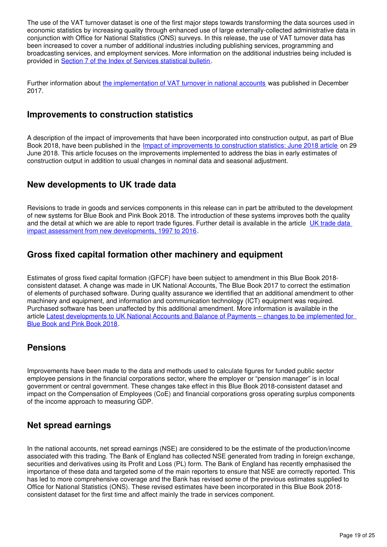The use of the VAT turnover dataset is one of the first major steps towards transforming the data sources used in economic statistics by increasing quality through enhanced use of large externally-collected administrative data in conjunction with Office for National Statistics (ONS) surveys. In this release, the use of VAT turnover data has been increased to cover a number of additional industries including publishing services, programming and broadcasting services, and employment services. More information on the additional industries being included is provided in [Section 7 of the Index of Services statistical bulletin](https://www.ons.gov.uk/economy/economicoutputandproductivity/output/bulletins/indexofservices/april2018#new-industries-selected-for-vat).

Further information about [the implementation of VAT turnover in national accounts](https://www.ons.gov.uk/economy/grossdomesticproductgdp/articles/vatturnoverinitialresearchanalysisuk/december) was published in December 2017.

### **Improvements to construction statistics**

A description of the impact of improvements that have been incorporated into construction output, as part of Blue Book 2018, have been published in the [Impact of improvements to construction statistics: June 2018 article](https://www.ons.gov.uk/releases/impactofimprovementstoconstructionstatisticsjune2018) on 29 June 2018. This article focuses on the improvements implemented to address the bias in early estimates of construction output in addition to usual changes in nominal data and seasonal adjustment.

### **New developments to UK trade data**

Revisions to trade in goods and services components in this release can in part be attributed to the development of new systems for Blue Book and Pink Book 2018. The introduction of these systems improves both the quality and the detail at which we are able to report trade figures. Further detail is available in the article UK trade data [impact assessment from new developments, 1997 to 2016](https://www.ons.gov.uk/economy/nationalaccounts/uksectoraccounts/articles/nationalaccountsarticles/uktradedataimpactassessmentfromnewdevelopments1997to2016).

## **Gross fixed capital formation other machinery and equipment**

Estimates of gross fixed capital formation (GFCF) have been subject to amendment in this Blue Book 2018 consistent dataset. A change was made in UK National Accounts, The Blue Book 2017 to correct the estimation of elements of purchased software. During quality assurance we identified that an additional amendment to other machinery and equipment, and information and communication technology (ICT) equipment was required. Purchased software has been unaffected by this additional amendment. More information is available in the article [Latest developments to UK National Accounts and Balance of Payments – changes to be implemented for](https://www.ons.gov.uk/economy/nationalaccounts/uksectoraccounts/articles/nationalaccountsarticles/latestdevelopmentstonationalaccountsandbalanceofpaymentschangestobeimplementedforbluebook2018andpinkbook2018)  [Blue Book and Pink Book 2018](https://www.ons.gov.uk/economy/nationalaccounts/uksectoraccounts/articles/nationalaccountsarticles/latestdevelopmentstonationalaccountsandbalanceofpaymentschangestobeimplementedforbluebook2018andpinkbook2018).

## **Pensions**

Improvements have been made to the data and methods used to calculate figures for funded public sector employee pensions in the financial corporations sector, where the employer or "pension manager" is in local government or central government. These changes take effect in this Blue Book 2018-consistent dataset and impact on the Compensation of Employees (CoE) and financial corporations gross operating surplus components of the income approach to measuring GDP.

## **Net spread earnings**

In the national accounts, net spread earnings (NSE) are considered to be the estimate of the production/income associated with this trading. The Bank of England has collected NSE generated from trading in foreign exchange, securities and derivatives using its Profit and Loss (PL) form. The Bank of England has recently emphasised the importance of these data and targeted some of the main reporters to ensure that NSE are correctly reported. This has led to more comprehensive coverage and the Bank has revised some of the previous estimates supplied to Office for National Statistics (ONS). These revised estimates have been incorporated in this Blue Book 2018 consistent dataset for the first time and affect mainly the trade in services component.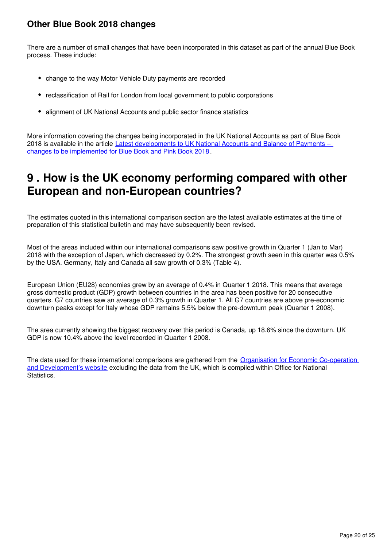## **Other Blue Book 2018 changes**

There are a number of small changes that have been incorporated in this dataset as part of the annual Blue Book process. These include:

- change to the way Motor Vehicle Duty payments are recorded
- reclassification of Rail for London from local government to public corporations
- alignment of UK National Accounts and public sector finance statistics

More information covering the changes being incorporated in the UK National Accounts as part of Blue Book 2018 is available in the article Latest developments to UK National Accounts and Balance of Payments – [changes to be implemented for Blue Book and Pink Book 2018](https://www.ons.gov.uk/economy/nationalaccounts/uksectoraccounts/articles/nationalaccountsarticles/latestdevelopmentstonationalaccountsandbalanceofpaymentschangestobeimplementedforbluebook2018andpinkbook2018).

## <span id="page-19-0"></span>**9 . How is the UK economy performing compared with other European and non-European countries?**

The estimates quoted in this international comparison section are the latest available estimates at the time of preparation of this statistical bulletin and may have subsequently been revised.

Most of the areas included within our international comparisons saw positive growth in Quarter 1 (Jan to Mar) 2018 with the exception of Japan, which decreased by 0.2%. The strongest growth seen in this quarter was 0.5% by the USA. Germany, Italy and Canada all saw growth of 0.3% (Table 4).

European Union (EU28) economies grew by an average of 0.4% in Quarter 1 2018. This means that average gross domestic product (GDP) growth between countries in the area has been positive for 20 consecutive quarters. G7 countries saw an average of 0.3% growth in Quarter 1. All G7 countries are above pre-economic downturn peaks except for Italy whose GDP remains 5.5% below the pre-downturn peak (Quarter 1 2008).

The area currently showing the biggest recovery over this period is Canada, up 18.6% since the downturn. UK GDP is now 10.4% above the level recorded in Quarter 1 2008.

The data used for these international comparisons are gathered from the [Organisation for Economic Co-operation](http://stats.oecd.org/index.aspx?queryid=350)  [and Development's website](http://stats.oecd.org/index.aspx?queryid=350) excluding the data from the UK, which is compiled within Office for National Statistics.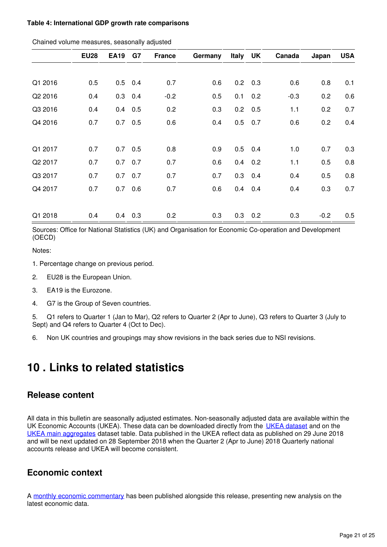#### **Table 4: International GDP growth rate comparisons**

|         | <b>EU28</b> | <b>EA19</b> | G7        | <b>France</b> | Germany | Italy UK |                 | Canada | Japan  | <b>USA</b> |
|---------|-------------|-------------|-----------|---------------|---------|----------|-----------------|--------|--------|------------|
|         |             |             |           |               |         |          |                 |        |        |            |
| Q1 2016 | 0.5         |             | $0.5$ 0.4 | 0.7           | 0.6     |          | $0.2$ 0.3       | 0.6    | 0.8    | 0.1        |
| Q2 2016 | 0.4         |             | $0.3$ 0.4 | $-0.2$        | 0.5     |          | $0.1 \quad 0.2$ | $-0.3$ | 0.2    | 0.6        |
| Q3 2016 | 0.4         | 0.4         | 0.5       | 0.2           | 0.3     |          | $0.2 \quad 0.5$ | 1.1    | 0.2    | 0.7        |
| Q4 2016 | 0.7         |             | $0.7$ 0.5 | 0.6           | 0.4     |          | $0.5$ 0.7       | 0.6    | 0.2    | 0.4        |
|         |             |             |           |               |         |          |                 |        |        |            |
| Q1 2017 | 0.7         |             | $0.7$ 0.5 | 0.8           | 0.9     |          | $0.5$ 0.4       | 1.0    | 0.7    | 0.3        |
| Q2 2017 | 0.7         |             | $0.7$ 0.7 | 0.7           | 0.6     |          | $0.4$ 0.2       | 1.1    | 0.5    | 0.8        |
| Q3 2017 | 0.7         |             | $0.7$ 0.7 | 0.7           | 0.7     |          | $0.3$ 0.4       | 0.4    | 0.5    | 0.8        |
| Q4 2017 | 0.7         | 0.7         | 0.6       | 0.7           | 0.6     | 0.4      | 0.4             | 0.4    | 0.3    | 0.7        |
|         |             |             |           |               |         |          |                 |        |        |            |
| Q1 2018 | 0.4         | 0.4         | 0.3       | 0.2           | 0.3     | 0.3      | 0.2             | 0.3    | $-0.2$ | 0.5        |

Chained volume measures, seasonally adjusted

Sources: Office for National Statistics (UK) and Organisation for Economic Co-operation and Development (OECD)

Notes:

1. Percentage change on previous period.

- 2. EU28 is the European Union.
- 3. EA19 is the Eurozone.
- 4. G7 is the Group of Seven countries.

5. Q1 refers to Quarter 1 (Jan to Mar), Q2 refers to Quarter 2 (Apr to June), Q3 refers to Quarter 3 (July to Sept) and Q4 refers to Quarter 4 (Oct to Dec).

6. Non UK countries and groupings may show revisions in the back series due to NSI revisions.

## <span id="page-20-0"></span>**10 . Links to related statistics**

#### **Release content**

All data in this bulletin are seasonally adjusted estimates. Non-seasonally adjusted data are available within the UK Economic Accounts (UKEA). These data can be downloaded directly from the [UKEA dataset](http://www.ons.gov.uk/economy/nationalaccounts/uksectoraccounts/datasets/unitedkingdomeconomicaccountsuktotaleconomy) and on the [UKEA main aggregates](http://www.ons.gov.uk/economy/nationalaccounts/uksectoraccounts/datasets/unitedkingdomeconomicaccountsmainaggregates) dataset table. Data published in the UKEA reflect data as published on 29 June 2018 and will be next updated on 28 September 2018 when the Quarter 2 (Apr to June) 2018 Quarterly national accounts release and UKEA will become consistent.

#### **Economic context**

A[monthly economic commentary](https://www.ons.gov.uk/economy/nationalaccounts/uksectoraccounts/articles/monthlyeconomiccommentary/previousReleases) has been published alongside this release, presenting new analysis on the latest economic data.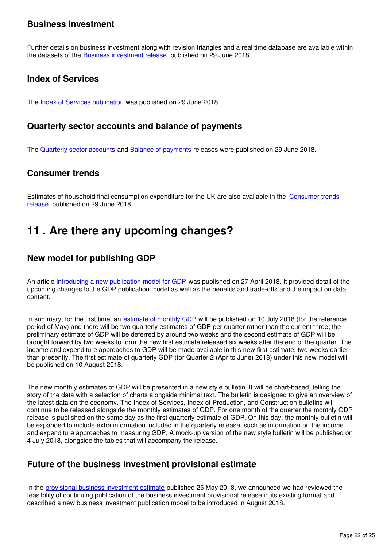### **Business investment**

Further details on business investment along with revision triangles and a real time database are available within the datasets of the Business investment release[,](https://www.ons.gov.uk/economy/grossdomesticproductgdp/bulletins/businessinvestment/previousReleases) published on 29 June 2018.

### **Index of Services**

The **Index of Services publication** was published on 29 June 2018.

#### **Quarterly sector accounts and balance of payments**

TheQuarterly sector accounts and Balance of payments releases were published on 29 June 2018.

### **Consumer trends**

Estimates of household final consumption expenditure for the UK are also available in the [Consumer trends](https://www.ons.gov.uk/economy/nationalaccounts/satelliteaccounts/bulletins/consumertrends/previousReleases)  [release,](https://www.ons.gov.uk/economy/nationalaccounts/satelliteaccounts/bulletins/consumertrends/previousReleases) published on 29 June 2018.

## <span id="page-21-0"></span>**11 . Are there any upcoming changes?**

## **New model for publishing GDP**

An article [introducing a new publication model for GDP](https://www.ons.gov.uk/economy/grossdomesticproductgdp/articles/introducinganewpublicationmodelforgdp/2018-04-27) was published on 27 April 2018. It provided detail of the upcoming changes to the GDP publication model as well as the benefits and trade-offs and the impact on data content.

In summary, for the first time, an [estimate of monthly GDP](https://www.ons.gov.uk/releases/gdpmonthlyestimateukmay2018) will be published on 10 July 2018 (for the reference period of May) and there will be two quarterly estimates of GDP per quarter rather than the current three; the preliminary estimate of GDP will be deferred by around two weeks and the second estimate of GDP will be brought forward by two weeks to form the new first estimate released six weeks after the end of the quarter. The income and expenditure approaches to GDP will be made available in this new first estimate, two weeks earlier than presently. The first estimate of quarterly GDP (for Quarter 2 (Apr to June) 2018) under this new model will be published on 10 August 2018.

The new monthly estimates of GDP will be presented in a new style bulletin. It will be chart-based, telling the story of the data with a selection of charts alongside minimal text. The bulletin is designed to give an overview of the latest data on the economy. The Index of Services, Index of Production, and Construction bulletins will continue to be released alongside the monthly estimates of GDP. For one month of the quarter the monthly GDP release is published on the same day as the first quarterly estimate of GDP. On this day, the monthly bulletin will be expanded to include extra information included in the quarterly release, such as information on the income and expenditure approaches to measuring GDP. A mock-up version of the new style bulletin will be published on 4 July 2018, alongside the tables that will accompany the release.

## **Future of the business investment provisional estimate**

In the [provisional business investment estimate](https://www.ons.gov.uk/economy/grossdomesticproductgdp/bulletins/businessinvestment/januarytomarch2018provisionalresults) published 25 May 2018, we announced we had reviewed the feasibility of continuing publication of the business investment provisional release in its existing format and described a new business investment publication model to be introduced in August 2018.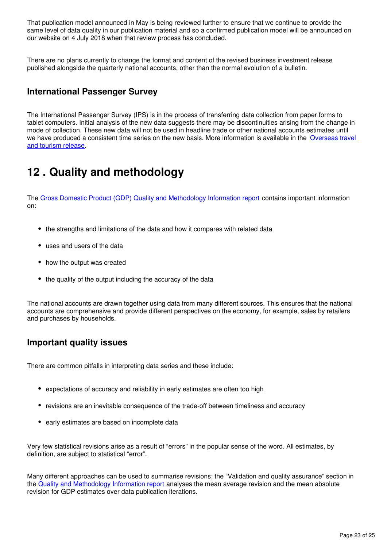That publication model announced in May is being reviewed further to ensure that we continue to provide the same level of data quality in our publication material and so a confirmed publication model will be announced on our website on 4 July 2018 when that review process has concluded.

There are no plans currently to change the format and content of the revised business investment release published alongside the quarterly national accounts, other than the normal evolution of a bulletin.

## **International Passenger Survey**

The International Passenger Survey (IPS) is in the process of transferring data collection from paper forms to tablet computers. Initial analysis of the new data suggests there may be discontinuities arising from the change in mode of collection. These new data will not be used in headline trade or other national accounts estimates until we have produced a consistent time series on the new basis. More information is available in the Overseas travel [and tourism release.](https://www.ons.gov.uk/peoplepopulationandcommunity/leisureandtourism/bulletins/overseastravelandtourism/previousReleases)

# <span id="page-22-0"></span>**12 . Quality and methodology**

The [Gross Domestic Product \(GDP\) Quality and Methodology Information report](https://www.ons.gov.uk/economy/grossdomesticproductgdp/qmis/grossdomesticproductgdpqmi) contains important information on:

- the strengths and limitations of the data and how it compares with related data
- uses and users of the data
- how the output was created
- the quality of the output including the accuracy of the data

The national accounts are drawn together using data from many different sources. This ensures that the national accounts are comprehensive and provide different perspectives on the economy, for example, sales by retailers and purchases by households.

#### **Important quality issues**

There are common pitfalls in interpreting data series and these include:

- expectations of accuracy and reliability in early estimates are often too high
- revisions are an inevitable consequence of the trade-off between timeliness and accuracy
- early estimates are based on incomplete data

Very few statistical revisions arise as a result of "errors" in the popular sense of the word. All estimates, by definition, are subject to statistical "error".

Many different approaches can be used to summarise revisions; the "Validation and quality assurance" section in the [Quality and Methodology Information report](http://www.ons.gov.uk/economy/grossdomesticproductgdp/qmis/grossdomesticproductgdpqmi) analyses the mean average revision and the mean absolute revision for GDP estimates over data publication iterations.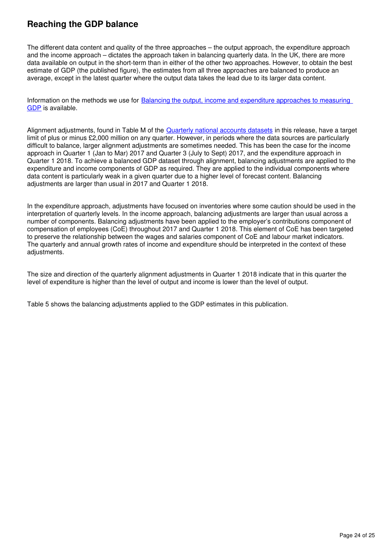## **Reaching the GDP balance**

The different data content and quality of the three approaches – the output approach, the expenditure approach and the income approach – dictates the approach taken in balancing quarterly data. In the UK, there are more data available on output in the short-term than in either of the other two approaches. However, to obtain the best estimate of GDP (the published figure), the estimates from all three approaches are balanced to produce an average, except in the latest quarter where the output data takes the lead due to its larger data content.

Information on the methods we use for [Balancing the output, income and expenditure approaches to measuring](http://webarchive.nationalarchives.gov.uk/20160105160709/http:/www.ons.gov.uk/ons/rel/naa1-rd/united-kingdom-national-accounts/the-blue-book--2012-edition/art---balancing-the-three-approaches-to-measuring-gdp.html)  [GDP](http://webarchive.nationalarchives.gov.uk/20160105160709/http:/www.ons.gov.uk/ons/rel/naa1-rd/united-kingdom-national-accounts/the-blue-book--2012-edition/art---balancing-the-three-approaches-to-measuring-gdp.html) is available.

Alignment adjustments, found in Table M of the [Quarterly national accounts datasets](https://www.ons.gov.uk/economy/grossdomesticproductgdp/datasets/ukquarterlynationalaccountsdatatables) in this release, have a target limit of plus or minus £2,000 million on any quarter. However, in periods where the data sources are particularly difficult to balance, larger alignment adjustments are sometimes needed. This has been the case for the income approach in Quarter 1 (Jan to Mar) 2017 and Quarter 3 (July to Sept) 2017, and the expenditure approach in Quarter 1 2018. To achieve a balanced GDP dataset through alignment, balancing adjustments are applied to the expenditure and income components of GDP as required. They are applied to the individual components where data content is particularly weak in a given quarter due to a higher level of forecast content. Balancing adjustments are larger than usual in 2017 and Quarter 1 2018.

In the expenditure approach, adjustments have focused on inventories where some caution should be used in the interpretation of quarterly levels. In the income approach, balancing adjustments are larger than usual across a number of components. Balancing adjustments have been applied to the employer's contributions component of compensation of employees (CoE) throughout 2017 and Quarter 1 2018. This element of CoE has been targeted to preserve the relationship between the wages and salaries component of CoE and labour market indicators. The quarterly and annual growth rates of income and expenditure should be interpreted in the context of these adjustments.

The size and direction of the quarterly alignment adjustments in Quarter 1 2018 indicate that in this quarter the level of expenditure is higher than the level of output and income is lower than the level of output.

Table 5 shows the balancing adjustments applied to the GDP estimates in this publication.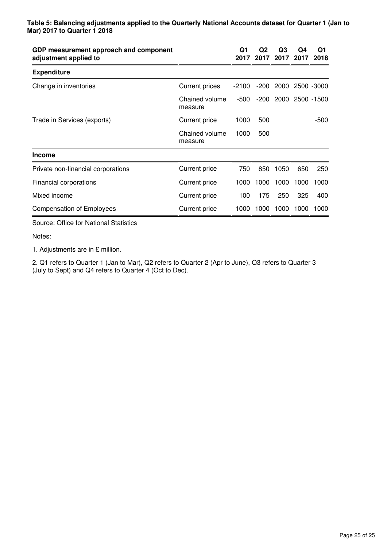| GDP measurement approach and component<br>adjustment applied to |                           | Q1<br>2017 | Q2<br>2017 | Q3<br>2017 | Q4<br>2017 | Q1<br>2018 |
|-----------------------------------------------------------------|---------------------------|------------|------------|------------|------------|------------|
| <b>Expenditure</b>                                              |                           |            |            |            |            |            |
| Change in inventories                                           | <b>Current prices</b>     | $-2100$    | -200       | 2000       | 2500 -3000 |            |
|                                                                 | Chained volume<br>measure | -500       | -200       | 2000       | 2500 -1500 |            |
| Trade in Services (exports)                                     | <b>Current price</b>      | 1000       | 500        |            |            | -500       |
|                                                                 | Chained volume<br>measure | 1000       | 500        |            |            |            |
| <b>Income</b>                                                   |                           |            |            |            |            |            |
| Private non-financial corporations                              | <b>Current price</b>      | 750        | 850        | 1050       | 650        | 250        |
| Financial corporations                                          | <b>Current price</b>      | 1000       | 1000       | 1000       | 1000       | 1000       |
| Mixed income                                                    | Current price             | 100        | 175        | 250        | 325        | 400        |
| <b>Compensation of Employees</b>                                | <b>Current price</b>      | 1000       | 1000       | 1000       | 1000       | 1000       |
| Source: Office for National Statistics                          |                           |            |            |            |            |            |

Notes:

1. Adjustments are in £ million.

2. Q1 refers to Quarter 1 (Jan to Mar), Q2 refers to Quarter 2 (Apr to June), Q3 refers to Quarter 3 (July to Sept) and Q4 refers to Quarter 4 (Oct to Dec).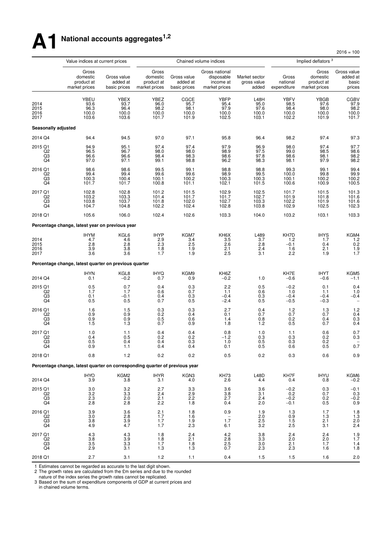# **A1 National accounts aggregates1,2**

 $2016 = 100$ 

|                                           | Value indices at current prices                                             |                                                         |                                                  |                                         | Chained volume indices                                     |                                                          |                                                         | Implied deflators <sup>3</sup>                   |                                                             |
|-------------------------------------------|-----------------------------------------------------------------------------|---------------------------------------------------------|--------------------------------------------------|-----------------------------------------|------------------------------------------------------------|----------------------------------------------------------|---------------------------------------------------------|--------------------------------------------------|-------------------------------------------------------------|
|                                           | Gross<br>domestic<br>product at<br>market prices                            | Gross value<br>added at<br>basic prices                 | Gross<br>domestic<br>product at<br>market prices | Gross value<br>added at<br>basic prices | Gross national<br>disposable<br>income at<br>market prices | Market sector<br>gross value<br>added                    | Gross<br>national<br>expenditure                        | Gross<br>domestic<br>product at<br>market prices | Gross value<br>added at<br>basic<br>prices                  |
| 2014<br>2015<br>2016<br>2017              | YBEU<br>93.6<br>96.3<br>100.0<br>103.6                                      | YBEX<br>93.7<br>96.4<br>100.0<br>103.6                  | YBEZ<br>96.0<br>98.2<br>100.0<br>101.7           | CGCE<br>95.7<br>98.1<br>100.0<br>101.9  | <b>YBFP</b><br>95.4<br>97.9<br>100.0<br>102.5              | L48H<br>95.0<br>97.6<br>100.0<br>103.1                   | <b>YBFV</b><br>98.5<br>98.4<br>100.0<br>102.2           | YBGB<br>97.6<br>98.0<br>100.0<br>101.9           | CGBV<br>97.9<br>98.2<br>100.0<br>101.7                      |
| Seasonally adjusted                       |                                                                             |                                                         |                                                  |                                         |                                                            |                                                          |                                                         |                                                  |                                                             |
| 2014 Q4                                   | 94.4                                                                        | 94.5                                                    | 97.0                                             | 97.1                                    | 95.8                                                       | 96.4                                                     | 98.2                                                    | 97.4                                             | 97.3                                                        |
| 2015 Q1<br>Q2<br>Q3<br>Q4                 | 94.9<br>96.5<br>96.6<br>97.0                                                | 95.1<br>96.7<br>96.6<br>97.1                            | 97.4<br>98.0<br>98.4<br>99.1                     | 97.4<br>98.0<br>98.3<br>98.8            | 97.9<br>98.9<br>98.6<br>96.2                               | 96.9<br>97.5<br>97.8<br>98.3                             | 98.0<br>99.0<br>98.6<br>98.1                            | 97.4<br>98.5<br>98.1<br>97.9                     | 97.7<br>98.6<br>98.2<br>98.2                                |
| 2016 Q1<br>Q2<br>Q3<br>Q4                 | 98.6<br>99.4<br>100.3<br>101.7                                              | 98.6<br>99.4<br>100.4<br>101.7                          | 99.5<br>99.6<br>100.1<br>100.8                   | 99.1<br>99.6<br>100.2<br>101.1          | 98.8<br>98.9<br>100.3<br>102.1                             | 98.8<br>99.5<br>100.3<br>101.5                           | 99.3<br>100.0<br>100.1<br>100.6                         | 99.1<br>99.8<br>100.2<br>100.9                   | 99.4<br>99.9<br>100.2<br>100.5                              |
| 2017 Q1<br>Q2<br>$^{Q3}_{Q4}$             | 102.8<br>103.2<br>103.8<br>104.7                                            | 102.8<br>103.3<br>103.7<br>104.8                        | 101.2<br>101.4<br>101.8<br>102.2                 | 101.5<br>101.7<br>102.0<br>102.4        | 102.9<br>101.7<br>102.7<br>102.8                           | 102.5<br>102.7<br>103.3<br>103.8                         | 101.7<br>101.9<br>102.2<br>102.9                        | 101.5<br>101.8<br>101.9<br>102.5                 | 101.3<br>101.6<br>101.6<br>102.3                            |
| 2018 Q1                                   | 105.6                                                                       | 106.0                                                   | 102.4                                            | 102.6                                   | 103.3                                                      | 104.0                                                    | 103.2                                                   | 103.1                                            | 103.3                                                       |
|                                           | Percentage change, latest year on previous year                             |                                                         |                                                  |                                         |                                                            |                                                          |                                                         |                                                  |                                                             |
| 2014<br>2015<br>2016<br>2017              | <b>IHYM</b><br>4.7<br>2.8<br>3.9<br>3.6                                     | KGL6<br>4.6<br>2.8<br>3.8<br>3.6                        | <b>IHYP</b><br>2.9<br>2.3<br>1.8<br>1.7          | KGM7<br>3.4<br>2.5<br>1.9<br>1.9        | KH6X<br>3.5<br>2.6<br>2.1<br>2.5                           | L489<br>3.7<br>2.8<br>2.4<br>3.1                         | KH7D<br>1.2<br>$-0.1$<br>1.6<br>2.2                     | <b>IHYS</b><br>1.7<br>0.4<br>2.1<br>1.9          | KGM4<br>1.2<br>0.2<br>$\frac{1.9}{1.7}$                     |
|                                           | Percentage change, latest quarter on previous quarter                       |                                                         |                                                  |                                         |                                                            |                                                          |                                                         |                                                  |                                                             |
| 2014 Q4                                   | <b>IHYN</b><br>0.1                                                          | KGL8<br>$-0.2$                                          | <b>IHYQ</b><br>0.7                               | KGM9<br>0.9                             | KH6Z<br>$-0.2$                                             | 1.0                                                      | KH7E<br>$-0.6$                                          | <b>IHYT</b><br>$-0.6$                            | KGM5<br>$-1.1$                                              |
| 2015 Q1<br>Q2<br>Q3<br>Q4                 | 0.5<br>1.7<br>0.1<br>0.5                                                    | 0.7<br>1.7<br>$-0.1$<br>0.5                             | 0.4<br>0.6<br>0.4<br>0.7                         | 0.3<br>0.7<br>0.3<br>0.5                | 2.2<br>1.1<br>$-0.4$<br>$-2.4$                             | 0.5<br>0.6<br>0.3<br>0.5                                 | $-0.2$<br>1.0<br>$-0.4$<br>$-0.5$                       | 0.1<br>1.1<br>$-0.4$<br>$-0.3$                   | 0.4<br>1.0<br>$-0.4$                                        |
| 2016 Q1<br>Q <sub>2</sub><br>$^{Q3}_{Q4}$ | 1.6<br>0.9<br>$\begin{array}{c} 0.9 \\ 1.5 \end{array}$                     | 1.5<br>0.9<br>$\begin{array}{c} 0.9 \\ 1.3 \end{array}$ | 0.3<br>0.2<br>0.5<br>0.7                         | 0.3<br>0.4<br>0.6<br>0.9                | 2.7<br>0.1<br>1.4<br>1.8                                   | 0.4<br>0.7<br>0.8<br>1.2                                 | 1.2<br>0.7<br>$\begin{array}{c} 0.2 \\ 0.5 \end{array}$ | 1.3<br>0.7<br>0.4<br>0.7                         | 1.2<br>0.4<br>$0.3$<br>$0.4$                                |
| 2017 Q1<br>Q2<br>Q3<br>Q4                 | 1.0<br>0.4<br>0.5<br>0.9                                                    | 1.1<br>$0.5\,$<br>0.4<br>1.1                            | 0.4<br>0.2<br>0.4<br>0.4                         | 0.4<br>0.2<br>0.3<br>0.4                | 0.8<br>$-1.2$<br>1.0<br>0.1                                | 1.0<br>0.3<br>0.5<br>0.5                                 | 1.1<br>0.3<br>0.3<br>0.6                                | 0.6<br>0.2<br>0.2<br>0.5                         | $0.7 \\ 0.3$<br>0.7                                         |
| 2018 Q1                                   | 0.8                                                                         | 1.2                                                     | 0.2                                              | 0.2                                     | 0.5                                                        | 0.2                                                      | 0.3                                                     | 0.6                                              | 0.9                                                         |
|                                           | Percentage change, latest quarter on corresponding quarter of previous year |                                                         |                                                  |                                         |                                                            |                                                          |                                                         |                                                  |                                                             |
| 2014 Q4                                   | <b>IHYO</b><br>3.9                                                          | KGM2<br>3.8                                             | <b>IHYR</b><br>3.1                               | KGN3<br>4.0                             | KH73<br>2.6                                                | $\begin{array}{c} \text{L48D} \\ \text{4.4} \end{array}$ | KH7F<br>0.4                                             | <b>IHYU</b><br>0.8                               | KGM6<br>-0.2                                                |
| 2015 Q1<br>Q <sub>2</sub><br>Q3<br>Q4     | $\frac{3.0}{3.2}$<br>2.3<br>2.8                                             | $\begin{array}{c} 3.2 \\ 3.3 \end{array}$<br>2.0<br>2.8 | $^{2.7}_{2.4}$<br>2.1<br>2.2                     | $\frac{3.3}{2.9}$<br>2.2<br>1.8         | $\frac{3.6}{3.8}$<br>2.7<br>0.4                            | $\frac{3.6}{3.1}$<br>2.4<br>2.0                          | $^{-0.2}_{0.2}$<br>$-0.2$<br>$-0.1$                     | $_{0.7}^{0.3}$<br>0.2<br>0.5                     | $^{-0.1}_{-0.3}$<br>$-0.2$<br>0.9                           |
| 2016 Q1<br>$^{Q2}_{Q3}$<br>Q4             | 3.9<br>$\begin{array}{c} 3.0 \\ 3.8 \end{array}$<br>4.9                     | 3.6<br>$\frac{2.8}{3.9}$<br>4.7                         | 2.1<br>$1.7$<br>$1.7$<br>1.7                     | 1.8<br>1.6<br>1.9<br>2.3                | 0.9<br>$1.\overline{7}$<br>6.1                             | 1.9<br>$^{2.0}_{2.5}$<br>3.2                             | 1.3<br>$0.9$<br>1.5<br>2.5                              | 1.7<br>$\frac{1.3}{2.1}$<br>3.1                  | 1.8<br>$\begin{array}{c} 1.3 \\ 2.0 \\ 2.4 \end{array}$     |
| 2017 Q1<br>Q <sub>2</sub><br>$^{Q3}_{Q4}$ | 4.3<br>3.8<br>$\frac{3.5}{2.9}$                                             | 4.3<br>3.9<br>$\frac{3.3}{3.1}$                         | 1.8<br>1.8<br>1.7<br>$1.3$                       | 2.4<br>2.1<br>$\frac{1.8}{1.3}$         | 4.2<br>2.8<br>$^{2.5}_{0.7}$                               | 3.8<br>3.3<br>$\frac{3.0}{2.3}$                          | 2.4<br>2.0<br>$^{2.1}_{2.3}$                            | 2.4<br>2.0<br>1.7<br>1.6                         | $1.9$<br>$1.7$<br>$\begin{array}{c} 1.4 \\ 1.8 \end{array}$ |
| 2018 Q1                                   | 2.7                                                                         | 3.1                                                     | $1.2\,$                                          | 1.1                                     | 0.4                                                        | 1.5                                                      | 1.5                                                     | 1.6                                              | 2.0                                                         |

1 Estimates cannot be regarded as accurate to the last digit shown.

2 The growth rates are calculated from the £m series and due to the rounded

nature of the index series the growth rates cannot be replicated.

3 Based on the sum of expenditure components of GDP at current prices and in chained volume terms.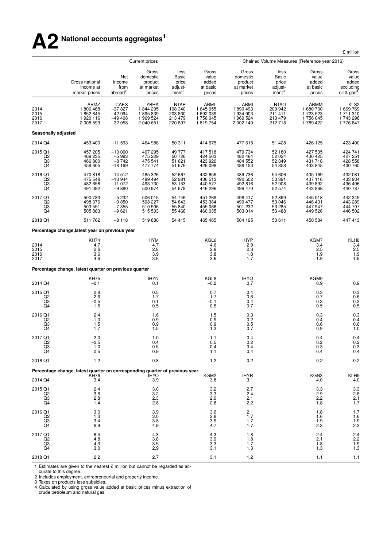# **A2 National accounts aggregates<sup>1</sup>**

£ million

|                               |                                                                                            |                                                      | <b>Current prices</b>                                |                                                         |                                                                       |                                                         |                                                        |                                                        | Chained Volume Measures (Reference year 2016)                  |  |  |
|-------------------------------|--------------------------------------------------------------------------------------------|------------------------------------------------------|------------------------------------------------------|---------------------------------------------------------|-----------------------------------------------------------------------|---------------------------------------------------------|--------------------------------------------------------|--------------------------------------------------------|----------------------------------------------------------------|--|--|
|                               | Gross national<br>income at<br>market prices                                               | Net<br>income<br>from<br>abroad <sup>2</sup>         | Gross<br>domestic<br>product<br>at market<br>prices  | less<br>Basic<br>price<br>adjust-<br>ment <sup>3</sup>  | Gross<br>value<br>added<br>at basic<br>prices                         | Gross<br>domestic<br>product<br>at market<br>prices     | less<br>Basic<br>price<br>adjust-<br>ment <sup>3</sup> | Gross<br>value<br>added<br>at basic<br>prices          | Gross<br>value<br>added<br>excluding<br>oil & gas <sup>4</sup> |  |  |
| 2014<br>2015<br>2016<br>2017  | ABMZ<br>1806468<br>1852845<br>1920 116<br>2 008 593                                        | CAES<br>$-37827$<br>$-42994$<br>$-49408$<br>$-32058$ | YBHA<br>1844295<br>1895839<br>1 969 524<br>2 040 651 | <b>NTAP</b><br>198 340<br>203 800<br>213 479<br>220 897 | ABML<br>1 645 955<br>1 692 039<br>1756045<br>1819754                  | ABMI<br>1890493<br>1 934 903<br>1 969 524<br>2 002 140  | <b>NTAO</b><br>209 942<br>211 411<br>213 479<br>212718 | ABMM<br>1 680 700<br>1 723 523<br>1756 045<br>1789 422 | KLS <sub>2</sub><br>1 669 769<br>1711310<br>1743298<br>1776847 |  |  |
| Seasonally adjusted           |                                                                                            |                                                      |                                                      |                                                         |                                                                       |                                                         |                                                        |                                                        |                                                                |  |  |
| 2014 Q4                       | 453 400                                                                                    | $-11593$                                             | 464 986                                              | 50 311                                                  | 414 675                                                               | 477 615                                                 | 51 4 28                                                | 426 125                                                | 423 400                                                        |  |  |
| 2015 Q1<br>Q2<br>Q3<br>Q4     | 457 205<br>469 235<br>466 800<br>459 605                                                   | $-10000$<br>$-5993$<br>$-8742$<br>$-18169$           | 467 295<br>475 229<br>475 541<br>477 774             | 49 777<br>50 726<br>51 621<br>51 676                    | 417 518<br>424 503<br>423 920<br>426 098                              | 479 734<br>482 464<br>484 552<br>488 153                | 52 180<br>52 0 24<br>52 849<br>54 358                  | 427 535<br>430 425<br>431 718<br>433 845               | 424 741<br>427 251<br>428 558<br>430 760                       |  |  |
| 2016 Q1<br>Q2<br>Q3<br>Q4     | 470 818<br>475 548<br>482 658<br>491 092                                                   | $-14512$<br>$-13944$<br>$-11072$<br>$-9880$          | 485 326<br>489 494<br>493 730<br>500 974             | 52 667<br>52 981<br>53 153<br>54 678                    | 432 659<br>436 513<br>440 577<br>446 296                              | 489 736<br>490 502<br>492 816<br>496 470                | 54 606<br>53 391<br>52 908<br>52 574                   | 435 169<br>437 116<br>439 892<br>443 868               | 432 081<br>433 934<br>436 496<br>440 787                       |  |  |
| 2017 Q1<br>Q2<br>Q3<br>Q4     | 500 783<br>498 376<br>503 551<br>505 883                                                   | $-5232$<br>$-9850$<br>$-7355$<br>$-9621$             | 506 015<br>508 227<br>510 906<br>515 503             | 54 746<br>54 843<br>55 840<br>55 4 68                   | 451 269<br>453 384<br>455 066<br>460 035                              | 498 417<br>499 477<br>501 232<br>503 014                | 52 899<br>53 046<br>53 285<br>53 488                   | 445 518<br>446 431<br>447 947<br>449 526               | 442 349<br>443 289<br>444 707<br>446 502                       |  |  |
| 2018 Q1                       | 511 762                                                                                    | $-8118$                                              | 519880                                               | 54 415                                                  | 465 465                                                               | 504 195                                                 | 53 611                                                 | 450 584                                                | 447 413                                                        |  |  |
|                               | Percentage change, latest year on previous year                                            |                                                      |                                                      |                                                         |                                                                       |                                                         |                                                        |                                                        |                                                                |  |  |
| 2014<br>2015<br>2016<br>2017  | <b>KH74</b><br>4.7<br>2.6<br>3.6<br>4.6                                                    |                                                      | <b>IHYM</b><br>4.7<br>2.8<br>3.9<br>3.6              |                                                         | KGL6<br>4.6<br>2.8<br>3.8<br>3.6                                      | <b>IHYP</b><br>2.9<br>$2.\overline{3}$<br>1.8<br>1.7    |                                                        | KGM7<br>3.4<br>2.5<br>1.9<br>1.9                       | KLH8<br>$\frac{3.4}{2.5}$<br>1.9<br>1.9                        |  |  |
|                               | Percentage change, latest quarter on previous quarter                                      |                                                      |                                                      |                                                         |                                                                       |                                                         |                                                        |                                                        |                                                                |  |  |
| 2014 Q4                       | <b>KH75</b><br>$-0.1$                                                                      |                                                      | <b>IHYN</b><br>0.1                                   |                                                         | KGL8<br>$-0.2$                                                        | <b>IHYQ</b><br>0.7                                      |                                                        | KGM9<br>0.9                                            | 0.9                                                            |  |  |
| 2015 Q1<br>Q2<br>Q3<br>Q4     | 0.8<br>2.6<br>$-0.5$<br>$-1.5$                                                             |                                                      | 0.5<br>1.7<br>0.1<br>0.5                             |                                                         | 0.7<br>1.7<br>$-0.1$<br>0.5                                           | 0.4<br>0.6<br>0.4<br>0.7                                |                                                        | 0.3<br>0.7<br>0.3<br>0.5                               | $0.3 \\ 0.6$<br>$0.3 \ 0.5$                                    |  |  |
| 2016 Q1<br>Q2<br>Q3<br>Q4     | 2.4<br>1.0<br>1.5<br>1.7                                                                   |                                                      | 1.6<br>0.9<br>0.9<br>1.5                             |                                                         | $\!\!\!\begin{array}{c} 1.5 \\ 0.9 \end{array}\!\!\!\!$<br>0.9<br>1.3 | $\begin{array}{c} 0.3 \\ 0.2 \end{array}$<br>0.5<br>0.7 |                                                        | 0.3<br>0.4<br>0.6<br>0.9                               | $0.3 \\ 0.4$<br>0.6<br>1.0                                     |  |  |
| 2017 Q1<br>$^{Q2}_{Q3}$<br>Q4 | 2.0<br>$-0.5$<br>1.0<br>0.5                                                                |                                                      | 1.0<br>0.4<br>0.5<br>0.9                             |                                                         | 1.1<br>0.5<br>0.4<br>1.1                                              | 0.4<br>0.2<br>U.4<br>0.4                                |                                                        | 0.4<br>${}^{0.2}_{0.3}$<br>0.4                         | 0.4<br>$0.2 \\ 0.3$<br>0.4                                     |  |  |
| 2018 Q1                       | 1.2                                                                                        |                                                      | 0.8                                                  |                                                         | 1.2                                                                   | 0.2                                                     |                                                        | 0.2                                                    | 0.2                                                            |  |  |
|                               | Percentage change, latest quarter on corresponding quarter of previous year<br><b>KH76</b> |                                                      | <b>IHYO</b>                                          |                                                         | KGM2                                                                  | <b>IHYR</b>                                             |                                                        | KGN3                                                   |                                                                |  |  |
| 2014 Q4                       | 3.4                                                                                        |                                                      | 3.9                                                  |                                                         | 3.8                                                                   | 3.1                                                     |                                                        | 4.0                                                    | KLH9<br>4.0                                                    |  |  |
| 2015 Q1<br>Q2<br>Q3<br>Q4     | 2.4<br>3.6<br>2.8<br>1.4                                                                   |                                                      | 3.0<br>3.2<br>2.3<br>2.8                             |                                                         | $\frac{3.2}{3.3}$<br>2.0<br>2.8                                       | 2.7<br>2.4<br>2.1<br>2.2                                |                                                        | $\frac{3.3}{2.9}$<br>2.2<br>1.8                        | 3.3<br>2.8<br>2.1<br>1.7                                       |  |  |
| 2016 Q1<br>$^{Q2}_{Q3}$<br>Q4 | 3.0<br>1.3<br>3.4<br>6.9                                                                   |                                                      | 3.9<br>3.0<br>3.8<br>4.9                             |                                                         | 3.6<br>2.8<br>3.9<br>4.7                                              | 2.1<br>1.7<br>1.7<br>1.7                                |                                                        | 1.8<br>1.6<br>1.9<br>2.3                               | 1.7<br>$\frac{1.6}{1.9}$<br>2.3                                |  |  |
| 2017 Q1<br>Q2<br>$^{Q3}_{Q4}$ | 6.4<br>4.8<br>4.3<br>3.0                                                                   |                                                      | 4.3<br>3.8<br>$\frac{3.5}{2.9}$                      |                                                         | 4.3<br>3.9<br>3.3<br>3.1                                              | 1.8<br>1.8<br>1.7<br>1.3                                |                                                        | 2.4<br>2.1<br>1.8<br>1.3                               | $2.4$<br>$2.2$<br>$1.9$<br>$1.3$                               |  |  |
| 2018 Q1                       | 2.2                                                                                        |                                                      | 2.7                                                  |                                                         | 3.1                                                                   | 1.2                                                     |                                                        | 1.1                                                    | 1.1                                                            |  |  |

1 Estimates are given to the nearest  $\pounds$  million but cannot be regarded as ac-

curate to this degree.

2 Includes employment, entrepreneurial and property income.

3 Taxes on products less subsidies.

4 Calculated by using gross value added at basic prices minus extraction of cr ude petroleum and natural gas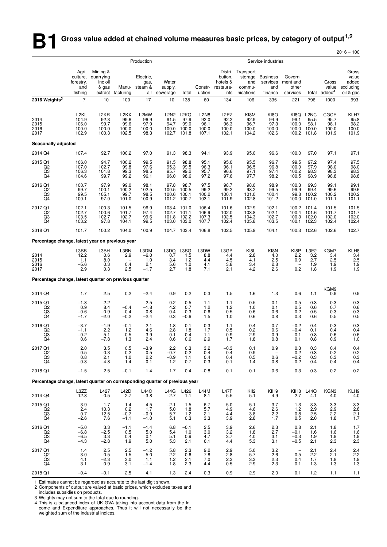# **B1** Gross value added at chained volume measures basic prices, by category of output<sup>1,2</sup>

|                                                                             |                                                                    |                                                            |                                                       |                                        |                                        |                                                         |                                               |                                                           |                                                           |                                                      |                                                       |                                                                 |                                              | $2016 = 100$                                             |
|-----------------------------------------------------------------------------|--------------------------------------------------------------------|------------------------------------------------------------|-------------------------------------------------------|----------------------------------------|----------------------------------------|---------------------------------------------------------|-----------------------------------------------|-----------------------------------------------------------|-----------------------------------------------------------|------------------------------------------------------|-------------------------------------------------------|-----------------------------------------------------------------|----------------------------------------------|----------------------------------------------------------|
|                                                                             |                                                                    |                                                            |                                                       | Production                             |                                        |                                                         |                                               | Service industries                                        |                                                           |                                                      |                                                       |                                                                 |                                              |                                                          |
| 2016 Weights <sup>3</sup>                                                   | Agri-<br>culture,<br>forestry,<br>and<br>fishing<br>$\overline{7}$ | Mining &<br>quarrying<br>inc oil<br>& gas<br>extract<br>10 | Manu-<br>facturing<br>100                             | Electric,<br>gas,<br>steam &<br>17     | Water<br>supply,<br>air sewerage<br>10 | Total<br>138                                            | Constr-<br>uction<br>60                       | Distri-<br>bution,<br>hotels &<br>restaura-<br>nts<br>134 | Transport<br>storage<br>and<br>commu-<br>nications<br>106 | <b>Business</b><br>services<br>and<br>finance<br>335 | Govern-<br>ment and<br>other<br>services<br>221       | Total<br>796                                                    | Gross<br>value<br>added <sup>4</sup><br>1000 | Gross<br>value<br>added<br>excluding<br>oil & gas<br>993 |
| 2014<br>2015<br>2016<br>2017                                                | L <sub>2KL</sub><br>104.9<br>106.0<br>100.0<br>102.9               | L2KR<br>92.3<br>99.7<br>100.0<br>100.3                     | L <sub>2</sub> KX<br>99.6<br>99.6<br>100.0<br>102.5   | L2MW<br>96.9<br>97.9<br>100.0<br>98.3  | 91.5<br>94.7<br>100.0<br>102.7         | L2N2 L2KQ<br>97.9<br>99.0<br>100.0<br>101.8             | <b>L2N8</b><br>92.0<br>96.1<br>100.0<br>107.1 | L <sub>2</sub> PZ<br>92.2<br>96.3<br>100.0<br>102.1       | KI8M<br>92.9<br>96.7<br>100.0<br>104.2                    | <b>KI8O</b><br>94.9<br>97.3<br>100.0<br>102.6        | KI8Q<br>99.1<br>100.0<br>100.0<br>100.2               | L <sub>2</sub> N <sub>C</sub><br>95.5<br>98.1<br>100.0<br>101.8 | CGCE<br>95.7<br>98.1<br>100.0<br>101.9       | KLH7<br>95.8<br>98.2<br>100.0<br>101.9                   |
| Seasonally adjusted                                                         |                                                                    |                                                            |                                                       |                                        |                                        |                                                         |                                               |                                                           |                                                           |                                                      |                                                       |                                                                 |                                              |                                                          |
| 2014 Q4                                                                     | 107.4                                                              | 92.7                                                       | 100.2                                                 | 97.0                                   | 91.3                                   | 98.3                                                    | 94.1                                          | 93.9                                                      | 95.0                                                      | 96.6                                                 | 100.0                                                 | 97.0                                                            | 97.1                                         | 97.1                                                     |
| 2015 Q1<br>Q2<br>Q3<br>Q4                                                   | 106.0<br>107.0<br>106.3<br>104.6                                   | 94.7<br>102.7<br>101.8<br>99.7                             | 100.2<br>99.8<br>99.3<br>99.2                         | 99.5<br>97.6<br>98.5<br>96.1           | 91.5<br>95.3<br>95.7<br>96.0           | 98.8<br>99.5<br>99.2<br>98.6                            | 95.1<br>96.3<br>95.7<br>97.2                  | 95.0<br>96.1<br>96.6<br>97.6                              | 95.5<br>96.5<br>97.1<br>97.7                              | 96.7<br>96.8<br>97.4<br>98.2                         | 99.5<br>100.0<br>100.2<br>100.5                       | 97.2<br>97.9<br>98.3<br>98.9                                    | 97.4<br>98.0<br>98.3<br>98.8                 | 97.5<br>98.0<br>98.3<br>98.8                             |
| 2016 Q1<br>Q2<br>Q3<br>Q4                                                   | 100.7<br>99.7<br>99.5<br>100.1                                     | 97.9<br>100.1<br>105.1<br>97.0                             | 99.0<br>100.2<br>99.7<br>101.0                        | 98.1<br>102.5<br>98.5<br>100.9         | 97.8<br>100.5<br>100.6<br>101.2        | 98.7<br>100.5<br>100.1<br>100.7                         | 97.5<br>99.2<br>100.2<br>103.1                | 98.7<br>99.2<br>100.1<br>101.9                            | 98.0<br>98.2<br>101.0<br>102.8                            | 98.9<br>99.5<br>100.4<br>101.2                       | 100.3<br>99.9<br>99.8<br>100.0                        | 99.3<br>99.4<br>100.2<br>101.0                                  | 99.1<br>99.6<br>100.2<br>101.1               | 99.1<br>99.6<br>100.2<br>101.1                           |
| 2017 Q1<br>Q2<br>Q3<br>Q4                                                   | 102.1<br>102.7<br>103.5<br>103.2                                   | 100.3<br>100.6<br>102.7<br>97.8                            | 101.5<br>101.7<br>102.7<br>104.1                      | 96.9<br>97.4<br>99.6<br>99.5           | 103.4<br>102.7<br>101.8<br>103.0       | 101.0<br>101.1<br>102.2<br>103.0                        | 106.4<br>106.9<br>107.3<br>107.7              | 101.6<br>102.0<br>102.5<br>102.4                          | 102.9<br>103.8<br>104.3<br>105.8                          | 102.1<br>102.1<br>102.7<br>103.5                     | 100.2<br>100.4<br>100.3<br>100.1                      | 101.4<br>101.6<br>102.0<br>102.3                                | 101.5<br>101.7<br>102.0<br>102.4             | 101.5<br>101.7<br>102.0<br>102.4                         |
| 2018 Q1                                                                     | 101.7                                                              | 100.2                                                      | 104.0                                                 | 100.9                                  |                                        | 104.7 103.4                                             | 106.8                                         | 102.5                                                     | 105.9                                                     | 104.1                                                | 100.3                                                 | 102.6                                                           | 102.6                                        | 102.7                                                    |
| Percentage change, latest year on previous year                             |                                                                    |                                                            |                                                       |                                        |                                        |                                                         |                                               |                                                           |                                                           |                                                      |                                                       |                                                                 |                                              |                                                          |
| 2014<br>2015<br>2016<br>2017                                                | L3BB<br>12.2<br>1.1<br>$-5.6$<br>2.9                               | L3BH<br>0.6<br>8.0<br>0.3<br>0.3                           | L3BN<br>2.9<br>$\overline{\phantom{a}}$<br>0.4<br>2.5 | L3DM<br>$-6.0$<br>1.0<br>2.1<br>$-1.7$ | L3DQ<br>0.7<br>3.4<br>5.6<br>2.7       | L3BG<br>1.5<br>1.2<br>1.0<br>1.8                        | L3DW<br>8.8<br>4.4<br>4.1<br>7.1              | L3GP<br>4.4<br>4.5<br>3.8<br>2.1                          | KI8L<br>2.8<br>4.1<br>3.4<br>4.2                          | KI8N<br>4.0<br>2.5<br>2.8<br>2.6                     | KI8P<br>2.2<br>0.9<br>$\overline{\phantom{0}}$<br>0.2 | L3E2<br>3.2<br>2.7<br>1.9<br>1.8                                | KGM7<br>3.4<br>2.5<br>1.9<br>1.9             | KLH8<br>3.4<br>$2.5$<br>1.9<br>1.9                       |
| Percentage change, latest quarter on previous quarter                       |                                                                    |                                                            |                                                       |                                        |                                        |                                                         |                                               |                                                           |                                                           |                                                      |                                                       |                                                                 |                                              |                                                          |
| 2014 Q4                                                                     | 1.7                                                                | 2.5                                                        | 0.2                                                   | $-2.4$                                 | 0.9                                    | 0.2                                                     | 0.3                                           | 1.5                                                       | 1.6                                                       | 1.3                                                  | 0.6                                                   | 1.1                                                             | KGM9<br>0.9                                  | 0.9                                                      |
| 2015 Q1<br>$^{Q2}_{Q3}$<br>Q4                                               | $-1.3$<br>0.9<br>$-0.6$<br>$-1.7$                                  | 2.2<br>8.4<br>$-0.9$<br>$-2.0$                             | $\qquad \qquad -$<br>$-0.4$<br>$-0.4$<br>$-0.2$       | 2.5<br>$-1.8$<br>0.8<br>$-2.4$         | 0.2<br>4.2<br>0.4<br>0.3               | 0.5<br>0.7<br>$-0.3$<br>$-0.6$                          | 1.1<br>1.2<br>$-0.6$<br>1.5                   | 1.1<br>1.2<br>0.5<br>1.0                                  | 0.5<br>1.0<br>0.6<br>0.6                                  | 0.1<br>0.1<br>0.6<br>0.8                             | $-0.5$<br>0.5<br>0.2<br>0.3                           | 0.3<br>0.6<br>0.5<br>0.6                                        | 0.3<br>0.7<br>0.3<br>0.5                     | 0.3<br>0.6<br>0.3<br>0.5                                 |
| 2016 Q1<br>Q <sub>2</sub><br>Q3<br>Q4                                       | $-3.7$<br>$-1.1$<br>$-0.2$<br>0.6                                  | $-1.9$<br>2.2<br>5.1<br>-7.8                               | $-0.1$<br>1.2<br>$-0.5$<br>1.3                        | 2.1<br>4.6<br>$-3.9$<br>2.4            | 1.8<br>2.8<br>0.1<br>0.6               | 0.1<br>1.8<br>$-0.4$<br>0.6                             | 0.3<br>1.7<br>1.1<br>2.9                      | 1.1<br>0.5<br>0.9<br>1.7                                  | 0.4<br>0.2<br>2.9<br>1.8                                  | 0.7<br>0.6<br>0.9<br>0.8                             | $-0.2$<br>$-0.4$<br>$-0.1$<br>0.1                     | 0.4<br>0.1<br>0.8<br>0.8                                        | 0.3<br>0.4<br>0.6<br>0.9                     | 0.3<br>0.4<br>0.6<br>1.0                                 |
| 2017 Q1<br>Q2<br>Q3<br>Q4                                                   | $^{2.0}_{0.5}$<br>0.8<br>$-0.3$                                    | $\begin{array}{c} 3.5 \\ 0.3 \end{array}$<br>2.1<br>$-4.8$ | $0.5 \\ 0.2$<br>1.0<br>1.4                            | $-3.9$<br>0.5<br>2.2<br>$-0.1$         | 2.2<br>$-0.7$<br>$-0.9$<br>1.2         | $\begin{array}{c} 0.3 \\ 0.2 \end{array}$<br>1.1<br>0.7 | 3.2<br>0.4<br>0.4<br>0.3                      | $-0.3$<br>0.4<br>0.4<br>$-0.1$                            | $0.1\ 0.9$<br>0.5<br>1.4                                  | 0.9<br>0.6<br>0.8                                    | ${}^{0.3}_{0.2}$<br>$-0.2$<br>$-0.2$                  | $\substack{0.3 \\ 0.3}$<br>0.3<br>0.4                           | 0.4<br>0.2<br>0.3<br>0.4                     | $0.4$<br>$0.2$<br>$0.3$<br>$0.4$                         |
| 2018 Q1                                                                     | $-1.5$                                                             | 2.5                                                        | $-0.1$                                                | 1.4                                    | 1.7                                    | 0.4                                                     | $-0.8$                                        | 0.1                                                       | 0.1                                                       | 0.6                                                  | 0.3                                                   | 0.3                                                             | 0.2                                          | 0.2                                                      |
| Percentage change, latest quarter on corresponding quarter of previous year |                                                                    |                                                            |                                                       |                                        |                                        |                                                         |                                               |                                                           |                                                           |                                                      |                                                       |                                                                 |                                              |                                                          |
| 2014 Q4                                                                     | L3ZZ<br>12.8                                                       | L427<br>$-0.5$                                             | <b>L42D</b><br>2.7                                    | <b>L44C</b><br>$-3.8$                  | L44G<br>$-2.7$                         | L426<br>1.1                                             | L44M<br>8.1                                   | L47F<br>5.5                                               | KII <sub>2</sub><br>5.1                                   | KIH <sub>9</sub><br>4.9                              | KIH <sub>8</sub><br>2.7                               | L44Q<br>4.1                                                     | KGN3<br>4.0                                  | KLH9<br>4.0                                              |
| 2015 Q1<br>Q2<br>Q3<br>Q4                                                   | 3.9<br>2.4<br>0.7<br>$-2.6$                                        | 1.7<br>10.3<br>12.5<br>7.6                                 | 1.4<br>0.2<br>$-0.7$<br>$-1.1$                        | $\frac{4.5}{1.7}$<br>$-0.9$<br>$-1.0$  | $-2.1$<br>5.0<br>5.7<br>5.1            | 1.5<br>1.8<br>1.2<br>0.3                                | 6.7<br>5.7<br>2.1<br>3.3                      | 5.0<br>4.9<br>4.4<br>3.9                                  | 5.1<br>4.6<br>3.8<br>2.8                                  | 3.7<br>2.6<br>2.2<br>1.7                             | $\frac{1.3}{1.2}$<br>0.8<br>0.5                       | $\frac{3.3}{2.9}$<br>2.5<br>2.0                                 | $\frac{3.3}{2.9}$<br>2.2<br>1.8              | 3.3<br>2.8<br>2.1<br>1.7                                 |
| 2016 Q1<br>$^{Q2}_{Q3}$<br>Q4                                               | $-5.0$<br>$-6.8$<br>$-6.5$<br>$-4.3$                               | 3.3<br>$-2.5$<br>3.3<br>$-2.8$                             | $-1.1$<br>0.5<br>0.4<br>1.9                           | $-1.4$<br>5.0<br>0.1<br>5.0            | 6.8<br>5.4<br>5.1<br>5.3               | $-0.1$<br>1.0<br>0.9<br>2.1                             | 2.5<br>$3.0$<br>$4.7$<br>6.1                  | 3.9<br>$\frac{3.2}{3.7}$<br>4.4                           | 2.6<br>1.8<br>4.0<br>5.3                                  | 2.3<br>2.7<br>3.1<br>3.1                             | 0.8<br>$-0.1$<br>$-0.3$<br>$-0.5$                     | 2.1<br>1.6<br>1.9<br>2.1                                        | 1.8<br>1.6<br>1.9<br>2.3                     | 1.7<br>$\begin{array}{c} 1.6 \\ 1.9 \\ 2.3 \end{array}$  |
| 2017 Q1<br>Q2<br>$^{Q3}_{Q4}$                                               | 1.4<br>3.0<br>4.1<br>3.1                                           | 2.5<br>0.5<br>$-2.3$<br>0.9                                | 2.5<br>1.5<br>3.0<br>3.1                              | $-1.2$<br>$-5.0$<br>1.1<br>$-1.4$      | 5.8<br>2.2<br>1.2<br>1.8               | 2.3<br>0.6<br>2.1<br>2.3                                | 9.2<br>7.8<br>7.0<br>4.4                      | 2.9<br>2.8<br>$^{2.3}_{0.5}$                              | 5.0<br>5.7<br>$\frac{3.3}{2.9}$                           | 3.2<br>2.6<br>$^{2.3}_{2.3}$                         | $\overline{\phantom{0}}$<br>0.5<br>0.4<br>0.1         | 2.1<br>2.2<br>1.7<br>1.3                                        | 2.4<br>2.1<br>1.8<br>1.3                     | $2.4$<br>$2.2$<br>$1.9$<br>$1.3$                         |
| 2018 Q1                                                                     | $-0.4$                                                             | $-0.1$                                                     | 2.5                                                   | 4.1                                    | 1.3                                    | 2.4                                                     | 0.3                                           | 0.9                                                       | 2.9                                                       | 2.0                                                  | 0.1                                                   | $1.2$                                                           | 1.1                                          | $1.1$                                                    |

1 Estimates cannot be regarded as accurate to the last digit shown.

2 Components of output are valued at basic prices, which excludes taxes and

includes subsidies on products.

3 Weights may not sum to the total due to rounding.

4 This is a balanced index of UK GVA taking into account data from the Income and Expenditure approaches. Thus it will not necessarily be the weighted sum of the industrial indices.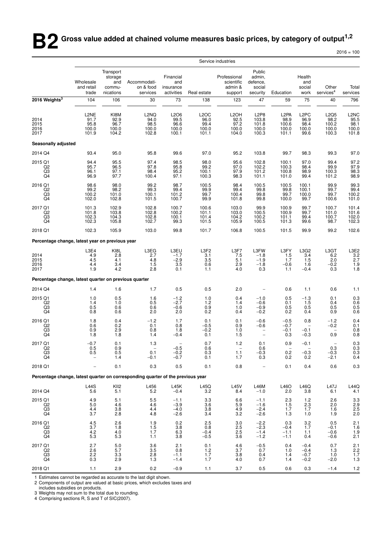**B2** Gross value added at chained volume measures basic prices, by category of output<sup>1,2</sup>

 $2016 = 100$ 

|                                                                                 |                                           |                                                    |                                                     |                                                         |                                                     | Service industries                                  |                                                                   |                                                         |                                                    |                                              |                                                              |
|---------------------------------------------------------------------------------|-------------------------------------------|----------------------------------------------------|-----------------------------------------------------|---------------------------------------------------------|-----------------------------------------------------|-----------------------------------------------------|-------------------------------------------------------------------|---------------------------------------------------------|----------------------------------------------------|----------------------------------------------|--------------------------------------------------------------|
|                                                                                 | Wholesale<br>and retail<br>trade          | Transport<br>storage<br>and<br>commu-<br>nications | Accommodati-<br>on & food<br>services               | Financial<br>and<br>insurance<br>activities             | Real estate                                         | Professional<br>scientific<br>admin &<br>support    | Public<br>admin,<br>defence,<br>social<br>security                | Education                                               | Health<br>and<br>social<br>work                    | Other<br>$s$ ervices <sup>4</sup>            | Total<br>services                                            |
| 2016 Weights <sup>3</sup>                                                       | 104                                       | 106                                                | 30                                                  | 73                                                      | 138                                                 | 123                                                 | 47                                                                | 59                                                      | 75                                                 | 40                                           | 796                                                          |
| 2014<br>2015<br>2016<br>2017                                                    | L2NE<br>91.7<br>95.8<br>100.0<br>101.9    | KI8M<br>92.9<br>96.7<br>100.0<br>104.2             | L <sub>2</sub> NQ<br>94.0<br>98.5<br>100.0<br>102.8 | L2O6<br>99.5<br>96.6<br>100.0<br>100.1                  | L <sub>2</sub> OC<br>96.0<br>99.4<br>100.0<br>101.1 | L <sub>2</sub> OH<br>92.5<br>97.2<br>100.0<br>104.0 | L <sub>2</sub> P <sub>8</sub><br>103.8<br>101.8<br>100.0<br>100.3 | L <sub>2</sub> PA<br>98.9<br>100.6<br>100.0<br>101.1    | L <sub>2</sub> PC<br>96.9<br>98.4<br>100.0<br>99.6 | L2Q5<br>98.2<br>100.2<br>100.0<br>100.3      | L2NC<br>95.5<br>98.1<br>100.0<br>101.8                       |
| Seasonally adjusted                                                             |                                           |                                                    |                                                     |                                                         |                                                     |                                                     |                                                                   |                                                         |                                                    |                                              |                                                              |
| 2014 Q4                                                                         | 93.4                                      | 95.0                                               | 95.8                                                | 99.6                                                    | 97.0                                                | 95.2                                                | 103.8                                                             | 99.7                                                    | 98.3                                               | 99.3                                         | 97.0                                                         |
| 2015 Q1<br>Q <sub>2</sub><br>Q3<br>Q <sub>4</sub>                               | 94.4<br>95.7<br>96.1<br>96.9              | 95.5<br>96.5<br>97.1<br>97.7                       | 97.4<br>97.8<br>98.4<br>100.4                       | 98.5<br>95.8<br>95.2<br>97.1                            | 98.0<br>99.2<br>100.1<br>100.3                      | 95.6<br>97.0<br>97.9<br>98.3                        | 102.8<br>102.2<br>101.2<br>101.1                                  | 100.1<br>100.3<br>100.8<br>101.0                        | 97.0<br>98.4<br>98.9<br>99.4                       | 99.4<br>99.9<br>100.3<br>101.2               | 97.2<br>97.9<br>98.3<br>98.9                                 |
| 2016 Q1<br>Q2<br>$\frac{Q3}{Q4}$                                                | 98.6<br>99.2<br>100.2<br>102.0            | 98.0<br>98.2<br>101.0<br>102.8                     | 99.2<br>99.3<br>100.1<br>101.5                      | 98.7<br>99.4<br>101.2<br>100.7                          | 100.5<br>99.9<br>99.7<br>99.9                       | 98.4<br>99.4<br>100.4<br>101.8                      | 100.5<br>99.8<br>99.8<br>99.8                                     | 100.5<br>99.8<br>99.7<br>100.0                          | 100.1<br>100.1<br>100.0<br>99.7                    | 99.9<br>99.7<br>99.7<br>100.6                | 99.3<br>99.4<br>100.2<br>101.0                               |
| 2017 Q1<br>Q <sub>2</sub><br>$^{Q3}_{Q4}$                                       | 101.3<br>101.8<br>102.3<br>102.3          | 102.9<br>103.8<br>104.3<br>105.8                   | 102.8<br>102.8<br>102.8<br>102.7                    | 100.7<br>100.2<br>100.1<br>99.3                         | 100.6<br>101.1<br>101.4<br>101.5                    | 103.0<br>103.0<br>104.2<br>105.9                    | 99.9<br>100.5<br>100.2<br>100.5                                   | 100.9<br>100.9<br>101.1<br>101.3                        | 99.7<br>99.7<br>99.4<br>99.6                       | 100.7<br>101.0<br>100.7<br>98.7              | 101.4<br>101.6<br>102.0<br>102.3                             |
| 2018 Q1                                                                         | 102.3                                     | 105.9                                              | 103.0                                               | 99.8                                                    | 101.7                                               | 106.8                                               | 100.5                                                             | 101.5                                                   | 99.9                                               | 99.2                                         | 102.6                                                        |
| Percentage change, latest year on previous year                                 |                                           |                                                    |                                                     |                                                         |                                                     |                                                     |                                                                   |                                                         |                                                    |                                              |                                                              |
| 2014<br>2015<br>2016<br>2017                                                    | L3E4<br>4.9<br>4.5<br>4.4<br>1.9          | KI8L<br>$2.8\,$<br>4.1<br>3.4<br>4.2               | L3EG<br>2.7<br>4.8<br>1.5<br>2.8                    | L3EU<br>$-1.7$<br>$-2.9$<br>3.5<br>0.1                  | L3F2<br>3.1<br>3.5<br>0.6<br>1.1                    | L3F7<br>7.5<br>5.1<br>2.9<br>4.0                    | L3FW<br>$-1.8$<br>$-1.9$<br>$-1.8$<br>0.3                         | L3FY<br>1.5<br>1.7<br>$-0.6$<br>1.1                     | L3G2<br>3.4<br>1.5<br>1.6<br>$-0.4$                | L3GT<br>6.2<br>2.0<br>$-0.2$<br>0.3          | L3E2<br>3.2<br>2.7<br>1.9<br>1.8                             |
| Percentage change, latest quarter on previous quarter                           |                                           |                                                    |                                                     |                                                         |                                                     |                                                     |                                                                   |                                                         |                                                    |                                              |                                                              |
| 2014 Q4                                                                         | 1.4                                       | 1.6                                                | 1.7                                                 | 0.5                                                     | 0.5                                                 | 2.0                                                 |                                                                   | 0.6                                                     | 1.1                                                | 0.6                                          | 1.1                                                          |
| 2015 Q1<br>Q2<br>$^{Q3}_{Q4}$                                                   | 1.0<br>1.4<br>0.5<br>0.8                  | 0.5<br>1.0<br>0.6<br>0.6                           | 1.6<br>0.5<br>0.6<br>2.0                            | $-1.2$<br>$-2.7$<br>$-0.6$<br>2.0                       | 1.0<br>1.2<br>0.9<br>0.2                            | 0.4<br>1.4<br>1.0<br>0.4                            | $-1.0$<br>$-0.6$<br>$-0.9$<br>$-0.2$                              | 0.5<br>0.1<br>$\begin{array}{c} 0.5 \\ 0.2 \end{array}$ | $-1.3$<br>1.5<br>0.5<br>0.4                        | 0.1<br>0.4<br>0.5<br>0.9                     | $\begin{array}{c} 0.3 \\ 0.6 \\ 0.5 \\ 0.6 \end{array}$      |
| 2016 Q1<br>Q2<br>$^{Q3}_{Q4}$                                                   | 1.8<br>0.6<br>0.9<br>1.8                  | 0.4<br>0.2<br>2.9<br>1.8                           | $-1.2$<br>0.1<br>0.8<br>1.4                         | 1.7<br>0.8<br>1.8<br>$-0.4$                             | 0.1<br>$-0.5$<br>$-0.2$<br>0.1                      | 0.1<br>0.9<br>$1.0$<br>1.5                          | $-0.6$<br>$-0.6$<br>$\overline{\phantom{a}}$                      | $-0.5$<br>$-0.7$<br>$-0.1$<br>0.3                       | 0.8<br>$-0.1$<br>$-0.3$                            | $-1.2$<br>$-0.2$<br>0.9                      | 0.4<br>0.1<br>$\begin{array}{c} 0.8 \\ 0.8 \end{array}$      |
| 2017 Q1<br>Q <sub>2</sub><br>Q3<br>Q4                                           | $-0.7$<br>0.5<br>0.5<br>$\qquad \qquad -$ | 0.1<br>0.9<br>0.5<br>1.4                           | 1.3<br>0.1<br>$-0.1$                                | -0.5<br>$-0.2$<br>$-0.7$                                | 0.7<br>0.6<br>0.3<br>0.1                            | 1.2<br>1.1<br>1.7                                   | 0.1<br>0.6<br>$-0.3$<br>0.3                                       | 0.9<br>0.2<br>0.2                                       | $-0.1$<br>$-0.3$<br>0.2                            | $\qquad \qquad -$<br>0.3<br>$-0.3$<br>$-2.1$ | 0.3<br>0.3<br>$\frac{0.3}{0.4}$                              |
| 2018 Q1                                                                         |                                           | 0.1                                                | $0.3\,$                                             | 0.5                                                     | 0.1                                                 | 0.8                                                 |                                                                   | 0.1                                                     | 0.4                                                | 0.6                                          | $0.3\,$                                                      |
| Percentage change, latest quarter on corresponding quarter of the previous year |                                           |                                                    |                                                     |                                                         |                                                     |                                                     |                                                                   |                                                         |                                                    |                                              |                                                              |
| 2014 Q4                                                                         | L44S<br>5.6                               | KII <sub>2</sub><br>5.1                            | L456<br>5.2                                         | L45K<br>$-0.4$                                          | L45Q<br>3.2                                         | <b>L45V</b><br>8.4                                  | L46M<br>$-1.0$                                                    | L46O<br>2.0                                             | L46Q<br>3.8                                        | L47J<br>6.1                                  | $\begin{array}{c} \mathsf{L44Q} \\ \mathsf{4.1} \end{array}$ |
| 2015 Q1<br>$_{\text{Q3}}^{\text{Q2}}$<br>Q4                                     | 4.9<br>5.0<br>4.4<br>3.7                  | 5.1<br>4.6<br>3.8<br>2.8                           | 5.5<br>4.6<br>4.4<br>4.8                            | $-1.1$<br>$-3.9$<br>$-4.0$<br>$-2.6$                    | 3.3<br>3.6<br>3.8<br>3.4                            | 6.6<br>5.9<br>4.9<br>3.2                            | $-1.1$<br>$-1.6$<br>$-2.4$<br>$-2.6$                              | 2.3<br>1.5<br>1.7<br>1.3                                | $1.2$<br>2.3<br>1.7<br>1.0                         | 2.6<br>2.0<br>1.6<br>1.9                     | 3.3<br>2.9<br>2.5<br>2.0                                     |
| 2016 Q1<br>Q2<br>$^{Q3}_{Q4}$                                                   | 4.5<br>$3.7\,$<br>$\frac{4.2}{5.3}$       | 2.6<br>1.8<br>4.0<br>5.3                           | 1.9<br>1.5<br>1.7<br>1.1                            | 0.2<br>3.8<br>$\begin{array}{c} 6.3 \\ 3.8 \end{array}$ | 2.5<br>0.8<br>$-0.4$<br>$-0.5$                      | 3.0<br>2.5<br>2.5<br>3.6                            | $-2.2$<br>$-2.3$<br>$-1.4$<br>$-1.2$                              | 0.3<br>$-0.4$<br>$-1.1$<br>$-1.1$                       | 3.2<br>1.7<br>1.1<br>0.4                           | 0.5<br>$-0.1$<br>-0.6<br>$-0.6$              | $2.1$<br>1.6<br>$1.9$<br>$2.1$                               |
| 2017 Q1<br>Q <sub>2</sub><br>$_{\rm Q4}^{\rm Q3}$                               | 2.7<br>2.6<br>2.2<br>0.3                  | 5.0<br>5.7<br>3.3<br>2.9                           | $\frac{3.6}{3.5}$<br>2.8<br>1.3                     | 2.1<br>0.8<br>$-1.1$<br>$-1.4$                          | $^{0.1}_{1.2}$<br>1.7<br>1.7                        | $\frac{4.6}{3.7}$<br>3.8<br>4.0                     | $-0.5$<br>0.7<br>0.4<br>0.7                                       | 0.4<br>1.0<br>1.4<br>1.4                                | $-0.4$<br>$-0.4$<br>$-0.7$<br>$-0.2$               | 0.7<br>1.3<br>1.0<br>$-2.0$                  | $2.1$<br>$2.2$<br>$1.7$<br>$1.3$                             |
| 2018 Q1                                                                         | 1.1                                       | 2.9                                                | 0.2                                                 | $-0.9$                                                  | 1.1                                                 | 3.7                                                 | 0.5                                                               | 0.6                                                     | 0.3                                                | $-1.4$                                       | 1.2                                                          |

1 Estimates cannot be regarded as accurate to the last digit shown.

2 Components of output are valued at basic prices, which excludes taxes and

includes subsidies on products.

3 Weights may not sum to the total due to rounding. 4 Comprising sections R, S and T of SIC(2007).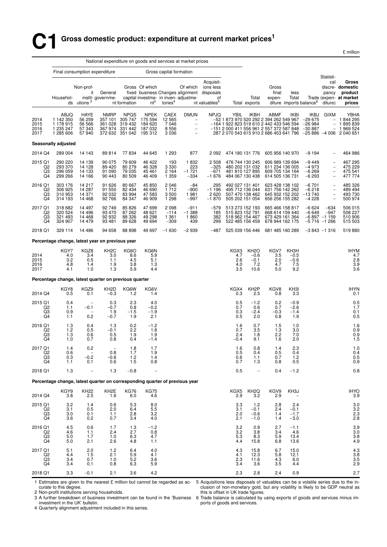# **C1 Gross domestic product: expenditure at current market prices<sup>1</sup>**

£ million

|                                           |                                                                             | National expenditure on goods and services at market prices |                                               |                                                         |                                                                 |                                         |                                                          |                                                                                                         |                                                                                                                                         |                                                                          |                                                                          |                                              |                                           |                                                                                                       |                                                                                                                 |
|-------------------------------------------|-----------------------------------------------------------------------------|-------------------------------------------------------------|-----------------------------------------------|---------------------------------------------------------|-----------------------------------------------------------------|-----------------------------------------|----------------------------------------------------------|---------------------------------------------------------------------------------------------------------|-----------------------------------------------------------------------------------------------------------------------------------------|--------------------------------------------------------------------------|--------------------------------------------------------------------------|----------------------------------------------|-------------------------------------------|-------------------------------------------------------------------------------------------------------|-----------------------------------------------------------------------------------------------------------------|
|                                           |                                                                             |                                                             | Final consumption expenditure                 |                                                         |                                                                 | Gross capital formation                 |                                                          |                                                                                                         |                                                                                                                                         |                                                                          |                                                                          |                                              |                                           | Statisti-                                                                                             |                                                                                                                 |
|                                           | Househol-                                                                   | Non-prof-<br>it<br>ds utions $2$                            | General<br>instit-governme-                   | nt formation                                            | Gross Of which<br>$nt^3$                                        | tories <sup>4</sup>                     | Of which<br>capital investme- in inven- adjustme-        | Acquisit-<br>ions less<br>fixed business Changes alignment disposals<br>of<br>nt valuables <sup>5</sup> |                                                                                                                                         | Total<br>Total exports                                                   | Gross<br>final<br>expen-                                                 | less<br>Total                                | diture imports balance <sup>6</sup>       | cal<br>pancy<br>diture)                                                                               | Gross<br>discre- domestic<br>product<br>Trade (expen- at market<br>prices                                       |
| 2014<br>2015<br>2016<br>2017              | ABJQ<br>1 142 350<br>1 178 915<br>1 235 247<br>1 285 606                    | HAYE<br>56 259<br>56 566<br>57 343<br>57940                 | <b>NMRP</b><br>357 101<br>361 028<br>367 974  | <b>NPQS</b><br>305 747<br>319 432<br>331 442            | NPEK<br>175 594<br>184 620<br>187032<br>372 632 351 042 195 312 | CAEX<br>12 5 65<br>7046<br>8556<br>3036 | <b>DMUN</b><br>$\frac{1}{2}$<br>$\overline{\phantom{a}}$ | <b>NPJQ</b>                                                                                             | YBIL<br>-52 1 873 970 520 292 2 394 262 549 967<br>-164 1 922 823 519 610 2 442 433 546 594<br>$-15120004115569612557372587848 - 30887$ | IKBH                                                                     | ABMF                                                                     | <b>IKBI</b>                                  | IKBJ<br>$-29675$<br>$-26984$              | <b>GIXM</b><br>$\overline{\phantom{a}}$                                                               | YBHA<br>$-1844295$<br>1895839<br>$-1969524$<br>287 2 070 543 615 910 2 686 453 641 796 -25 886 -4 006 2 040 651 |
|                                           | Seasonally adjusted                                                         |                                                             |                                               |                                                         |                                                                 |                                         |                                                          |                                                                                                         |                                                                                                                                         |                                                                          |                                                                          |                                              |                                           |                                                                                                       |                                                                                                                 |
| 2014 Q4                                   | 289 004                                                                     | 14 143                                                      | 89814                                         | 77834                                                   | 44 645                                                          | 1 2 9 3                                 | 877                                                      | 2 0 9 2                                                                                                 |                                                                                                                                         | 474 180 131 776                                                          | 605 956 140 970                                                          |                                              | $-9194$                                   |                                                                                                       | 464 986                                                                                                         |
| 2015 Q1<br>Q2<br>Q3<br>Q4                 | 290 220<br>293 370<br>296 059<br>299 266                                    | 14 139<br>14 128<br>14 133<br>14 166                        | 90 075<br>89 4 20<br>91 090<br>90 443         | 79 609<br>80 279<br>79 035<br>80 509                    | 46 422<br>46 328<br>45461<br>46 409                             | 193<br>3 3 3 0<br>2 1 6 4<br>1 3 5 9    | 1832<br>223<br>$-1721$<br>$-334$                         | 2508<br>$-325$<br>$-671$<br>$-1676$                                                                     |                                                                                                                                         | 476 744 130 245<br>480 202 131 032<br>481 810 127 895<br>484 067 130 438 | 606 989 139 694<br>611 234 136 005<br>609 705 134 164<br>614 505 136 731 |                                              | $-9449$<br>$-4973$<br>$-6269$<br>$-6293$  | $\overline{\phantom{a}}$<br>$\overline{\phantom{m}}$<br>$\qquad \qquad -$<br>$\overline{\phantom{a}}$ | 467 295<br>475 229<br>475 541<br>477 774                                                                        |
| 2016 Q1<br>Q2<br>Q3<br>Q4                 | 303 176<br>306 925<br>310 953<br>314 193                                    | 14 217<br>14 287<br>14 371<br>14 4 68                       | 91 626<br>91 550<br>92 032<br>92 766          | 80 667<br>82 434<br>83 994<br>84 347                    | 45 850<br>46 690<br>47 583<br>46 909                            | 2046<br>1712<br>3500<br>1 2 9 8         | $-84$<br>$-900$<br>1981<br>$-997$                        | 295<br>$-1196$<br>2620<br>$-1870$                                                                       |                                                                                                                                         | 492 027 131 401<br>495 712 136 044<br>507 470 138 462<br>505 202 151 054 | 623 428 138 102<br>631 756 142 262<br>645 932 152 202<br>656 256 155 282 |                                              | $-6701$<br>$-6218$<br>$-13740$<br>$-4228$ | $\qquad \qquad -$<br>$\qquad \qquad -$<br>$\overline{\phantom{0}}$                                    | 485 326<br>489 494<br>493 730<br>500 974                                                                        |
| 2017 Q1<br>Q <sub>2</sub><br>Q3<br>Q4     | 318 682<br>320 524<br>321 493<br>324 907                                    | 14 497<br>14 4 9 6<br>14 4 68<br>14 479                     | 92 749<br>93 470<br>92 932<br>93 481          | 85 826<br>87 262<br>88 326<br>89 628                    | 47 699<br>48 621<br>49 298<br>49 694                            | 2098<br>$-114$<br>1 3 6 1<br>$-309$     | $-911$<br>$-1.388$<br>1860<br>439                        | $-579$<br>185<br>382<br>299                                                                             | 515 823 152 791<br>518 962 154 467                                                                                                      | 513 273 152 193<br>522 485 156 459                                       | 665 466 158 817<br>668 614 159 440<br>673 429 161 364<br>678 944 162 175 |                                              | $-6624$<br>$-6649$                        | $-634$<br>$-947$<br>$-6897 -1159$<br>$-5716 - 1266$                                                   | 506 015<br>508 227<br>510 906<br>515 503                                                                        |
| 2018 Q1                                   | 329 114                                                                     | 14 486                                                      | 94 658                                        | 88 898                                                  | 49 697                                                          | $-1630$                                 | $-2939$                                                  | -487                                                                                                    |                                                                                                                                         | 525 039 156 446                                                          | 681 485 160 289                                                          |                                              |                                           | $-3843 - 1316$                                                                                        | 519880                                                                                                          |
|                                           | Percentage change, latest year on previous year                             |                                                             |                                               |                                                         |                                                                 |                                         |                                                          |                                                                                                         |                                                                                                                                         |                                                                          |                                                                          |                                              |                                           |                                                                                                       |                                                                                                                 |
| 2014<br>2015<br>2016<br>2017              | KGY7<br>4.0<br>3.2<br>4.8<br>4.1                                            | KGZ8<br>3.4<br>0.5<br>1.4<br>1.0                            | KH <sub>2</sub> C<br>3.0<br>1.1<br>1.9<br>1.3 | KG6O<br>8.6<br>4.5<br>3.8<br>5.9                        | KG6N<br>5.9<br>5.1<br>1.3<br>4.4                                |                                         |                                                          |                                                                                                         | KGX3<br>4.7<br>2.6<br>4.0<br>3.5                                                                                                        | KH <sub>2</sub> O<br>$-0.6$<br>$-0.1$<br>7.2<br>10.6                     | KGV7<br>3.5<br>2.0<br>4.7<br>5.0                                         | KH3H<br>$-0.5$<br>$-0.6$<br>7.5<br>9.2       |                                           |                                                                                                       | <b>IHYM</b><br>4.7<br>$\frac{2.8}{3.9}$<br>3.6                                                                  |
|                                           | Percentage change, latest quarter on previous quarter                       |                                                             |                                               |                                                         |                                                                 |                                         |                                                          |                                                                                                         |                                                                                                                                         |                                                                          |                                                                          |                                              |                                           |                                                                                                       |                                                                                                                 |
| 2014 Q4                                   | KGY8<br>0.5                                                                 | KGZ9<br>0.1                                                 | KH <sub>2</sub> D<br>$-0.3$                   | KG6W<br>1.2                                             | KG6V<br>1.4                                                     |                                         |                                                          |                                                                                                         | KGX4<br>0.3                                                                                                                             | KH <sub>2</sub> P<br>2.5                                                 | KGV8<br>0.8                                                              | KH3I<br>3.3                                  |                                           |                                                                                                       | <b>IHYN</b><br>0.1                                                                                              |
| 2015 Q1<br>$^{Q2}_{Q3}$<br>Q4             | 0.4<br>1.1<br>0.9<br>1.1                                                    | $-0.1$<br>$\overline{\phantom{m}}$<br>0.2                   | 0.3<br>$-0.7$<br>1.9<br>$-0.7$                | 2.3<br>0.8<br>$-1.5$<br>1.9                             | 4.0<br>$-0.2$<br>$-1.9$<br>2.1                                  |                                         |                                                          |                                                                                                         | 0.5<br>0.7<br>0.3<br>0.5                                                                                                                | $-1.2$<br>0.6<br>$-2.4$<br>2.0                                           | 0.2<br>0.7<br>$-0.3$<br>0.8                                              | $-0.9$<br>$-2.6$<br>$-1.4$<br>1.9            |                                           |                                                                                                       | 0.5<br>$1.7$<br>$0.1$<br>0.5                                                                                    |
| 2016 Q1<br>Q2<br>Q3<br>Q4                 | 1.3<br>$1.2$<br>$\frac{1.3}{1.0}$                                           | 0.4<br>0.5<br>0.6<br>0.7                                    | 1.3<br>$-0.1$<br>0.5<br>0.8                   | 0.2<br>2.2<br>1.9<br>0.4                                | $-1.2$<br>1.8<br>1.9<br>$-1.4$                                  |                                         |                                                          |                                                                                                         | 1.6<br>0.7<br>2.4<br>$-0.4$                                                                                                             | 0.7<br>3.5<br>1.8<br>9.1                                                 | 1.5<br>1.3<br>2.2<br>1.6                                                 | 1.0<br>3.0<br>7.0<br>2.0                     |                                           |                                                                                                       | 1.6<br>0.9<br>$0.9$<br>1.5                                                                                      |
| 2017 Q1<br>Q2<br>Q3<br>Q4                 | 1.4<br>0.6<br>0.3<br>1.1                                                    | 0.2<br>$\hspace{0.1mm}-\hspace{0.1mm}$<br>$-0.2$<br>0.1     | 0.8<br>$-0.6$<br>0.6                          | 1.8<br>1.7<br>$1.2$<br>1.5                              | 1.7<br>1.9<br>1.4<br>0.8                                        |                                         |                                                          |                                                                                                         | 1.6<br>0.5<br>0.6<br>0.7                                                                                                                | 0.8<br>0.4<br>1.1<br>1.3                                                 | 1.4<br>0.5<br>0.7<br>0.8                                                 | 2.3<br>0.4<br>1.2<br>0.5                     |                                           |                                                                                                       | $\!\!\!\begin{array}{c} 1.0 \\ 0.4 \end{array}$<br>$\frac{0.5}{0.9}$                                            |
| 2018 Q1                                   | 1.3                                                                         | $\overline{\phantom{a}}$                                    | 1.3                                           | $-0.8$                                                  |                                                                 |                                         |                                                          |                                                                                                         | 0.5                                                                                                                                     | $\overline{\phantom{a}}$                                                 | 0.4                                                                      | $-1.2$                                       |                                           |                                                                                                       | 0.8                                                                                                             |
|                                           | Percentage change, latest quarter on corresponding quarter of previous year |                                                             |                                               |                                                         |                                                                 |                                         |                                                          |                                                                                                         |                                                                                                                                         |                                                                          |                                                                          |                                              |                                           |                                                                                                       |                                                                                                                 |
| 2014 Q4                                   | KGY9<br>3.8                                                                 | KH22<br>2.5                                                 | KH <sub>2</sub> E<br>1.6                      | <b>KG76</b><br>6.0                                      | <b>KG75</b><br>4.6                                              |                                         |                                                          |                                                                                                         | KGX5<br>2.9                                                                                                                             | KH <sub>2Q</sub><br>$\overline{3.2}$                                     | KGV9<br>2.9                                                              | KH3J                                         |                                           |                                                                                                       | IHYO<br>3.9                                                                                                     |
| 2015 Q1<br>Q <sub>2</sub><br>Q3<br>Q4     | $\frac{3.2}{3.1}$<br>3.0<br>3.6                                             | 1.4<br>0.5<br>0.1<br>0.2                                    | 0.6<br>2.0<br>1.1<br>0.7                      | $\begin{array}{c} 5.3 \\ 6.4 \end{array}$<br>2.8<br>3.4 | $\begin{array}{c} 8.0 \\ 5.5 \end{array}$<br>3.2<br>4.0         |                                         |                                                          |                                                                                                         | $\frac{3.3}{3.1}$<br>2.0<br>2.1                                                                                                         | $1.2 - 0.1$<br>$-0.6$<br>$-1.0$                                          | $^{2.8}_{2.4}$<br>1.4<br>1.4                                             | 2.4<br>$-\overline{0.1}$<br>$-1.7$<br>$-3.0$ |                                           |                                                                                                       | $3.0$<br>$3.2$<br>$2.3$<br>2.8                                                                                  |
| 2016 Q1<br>$^{Q2}_{Q3}$<br>Q4             | 4.5<br>4.6<br>5.0<br>5.0                                                    | 0.6<br>1.1<br>1.7<br>2.1                                    | 1.7<br>2.4<br>1.0<br>2.6                      | 1.3<br>2.7<br>6.3<br>4.8                                | $-1.2$<br>0.8<br>4.7<br>1.1                                     |                                         |                                                          |                                                                                                         | 3.2<br>$\frac{3.2}{5.3}$<br>4.4                                                                                                         | 0.9<br>3.8<br>$8.\overline{3}$<br>15.8                                   | 2.7<br>3.4<br>5.9<br>6.8                                                 | $-1.1$<br>4.6<br>13.4<br>13.6                |                                           |                                                                                                       | 3.9<br>$\frac{3.0}{3.8}$<br>4.9                                                                                 |
| 2017 Q1<br>Q <sub>2</sub><br>$^{Q3}_{Q4}$ | 5.1<br>4.4<br>3.4<br>3.4                                                    | 2.0<br>1.5<br>0.7<br>0.1                                    | 1.2<br>2.1<br>1.0<br>0.8                      | 6.4<br>5.9<br>$\begin{array}{c} 5.2 \\ 6.3 \end{array}$ | 4.0<br>4.1<br>3.6<br>5.9                                        |                                         |                                                          |                                                                                                         | 4.3<br>4.1<br>$\frac{2.3}{3.4}$                                                                                                         | 15.8<br>12.3<br>11.6<br>3.6                                              | 6.7<br>5.8<br>$\frac{4.3}{3.5}$                                          | 15.0<br>12.1<br>6.0<br>4.4                   |                                           |                                                                                                       | $4.3$<br>$3.8$<br>$3.5$<br>$2.9$                                                                                |
| 2018 Q1                                   | 3.3                                                                         | $-0.1$                                                      | 2.1                                           | 3.6                                                     | 4.2                                                             |                                         |                                                          |                                                                                                         | 2.3                                                                                                                                     | 2.8                                                                      | 2.4                                                                      | 0.9                                          |                                           |                                                                                                       | $2.7\,$                                                                                                         |

1 Estimates are given to the nearest £ million but cannot be regarded as accurate to this degree.

2 Non-profit institutions serving households.

5 Acquisitions less disposals of valuables can be a volatile series due to the inclusion of non-monetary gold, but any volatility is likely to be GDP neutral as this is offset in UK trade figures.

investment in the UK' bulletin.

4 Quarterly alignment adjustment included in this series.

3 A further breakdown of business investment can be found in the 'Business 6 Trade balance is calculated by using exports of goods and services minus imports of goods and services.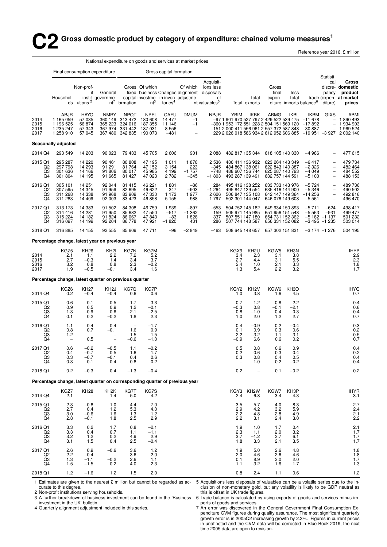# **C** Gross domestic product by category of expenditure: chained volume measures<sup>1</sup>

Reference year 2016, £ million

|                                       |                                                                             |                                                     | National expenditure on goods and services at market prices |                                                                 |                                                        |                                            |                                                   |                                                                                                         |                                                                                                                                                 |                                                                          |                                                                          |                                  |                                           |                                                                    |                                                                                                                   |
|---------------------------------------|-----------------------------------------------------------------------------|-----------------------------------------------------|-------------------------------------------------------------|-----------------------------------------------------------------|--------------------------------------------------------|--------------------------------------------|---------------------------------------------------|---------------------------------------------------------------------------------------------------------|-------------------------------------------------------------------------------------------------------------------------------------------------|--------------------------------------------------------------------------|--------------------------------------------------------------------------|----------------------------------|-------------------------------------------|--------------------------------------------------------------------|-------------------------------------------------------------------------------------------------------------------|
|                                       | Final consumption expenditure                                               |                                                     |                                                             |                                                                 |                                                        | Gross capital formation                    |                                                   |                                                                                                         |                                                                                                                                                 |                                                                          |                                                                          |                                  |                                           | Statisti-                                                          |                                                                                                                   |
|                                       | Househol-                                                                   | Non-prof-<br>it<br>ds utions $2$                    | General<br>instit-governme-                                 | $nt7$ formation                                                 | Gross Of which<br>$nt^3$                               | tories <sup>4</sup>                        | Of which<br>capital investme- in inven- adjustme- | Acquisit-<br>ions less<br>fixed business Changes alignment disposals<br>οf<br>nt valuables <sup>5</sup> |                                                                                                                                                 | Total<br>Total exports                                                   | Gross<br>final<br>expen-                                                 | less<br>Total                    | diture imports balance <sup>6</sup>       | cal<br>pancy<br>diture)                                            | Gross<br>discre- domestic<br>product<br>Trade (expen- at market<br>prices                                         |
| 2014<br>2015<br>2016<br>2017          | ABJR<br>1 165 059<br>1 196 525<br>1 235 247<br>1 258 910                    | <b>HAYO</b><br>57 035<br>56 874<br>57 343<br>57 045 | <b>NMRY</b><br>360 149<br>365 223<br>367 974                | <b>NPQT</b><br>313 472<br>324 016<br>331 442<br>367 480 342 835 | <b>NPEL</b><br>180 608<br>187 355<br>187031<br>190 073 | CAFU<br>14 477<br>11 146<br>8556<br>$-481$ | <b>DMUM</b><br>$-1$<br>$-1$<br>$\bar{\mathbb{I}}$ | <b>NPJR</b>                                                                                             | YBIM<br>-97 1 901 970 527 797 2 429 522 539 475 -11 678<br>-360 1 953 172 551 228 2 504 151 569 120<br>$-15120004115569612557372587848 - 30887$ | <b>IKBK</b>                                                              | ABMG                                                                     | <b>IKBL</b>                      | IKBM<br>$-17892$                          | <b>GIXS</b><br>$\overline{\phantom{a}}$                            | ABMI<br>$-1890493$<br>$-1934903$<br>1 969 524<br>229 2 026 018 586 934 2 612 952 606 885 -19 951 -3 927 2 002 140 |
|                                       | Seasonally adjusted                                                         |                                                     |                                                             |                                                                 |                                                        |                                            |                                                   |                                                                                                         |                                                                                                                                                 |                                                                          |                                                                          |                                  |                                           |                                                                    |                                                                                                                   |
| 2014 Q4                               | 293 549                                                                     | 14 203                                              | 90 023                                                      | 79 433                                                          | 45 705                                                 | 2606                                       | 901                                               | 2 0 8 8                                                                                                 |                                                                                                                                                 | 482 817 135 344                                                          | 618 105 140 330                                                          |                                  | $-4986$                                   |                                                                    | 477 615                                                                                                           |
| 2015 Q1<br>Q2<br>Q3<br>Q4             | 295 287<br>297 798<br>301 636<br>301 804                                    | 14 220<br>14 293<br>14 166<br>14 195                | 90 461<br>91 291<br>91 806<br>91 665                        | 80 80 8<br>81 764<br>80 017<br>81 427                           | 47 195<br>47 152<br>45 985<br>47 023                   | 1 0 1 1<br>3 1 5 4<br>4 1 9 9<br>2 7 8 2   | 1878<br>223<br>$-1757$<br>$-345$                  | 2 5 3 6<br>$-345$<br>$-748$<br>$-1803$                                                                  | 493 287 139 491                                                                                                                                 | 486 411 136 932<br>484 867 138 061<br>488 607 136 744                    | 623 264 143 349<br>622 843 140 387<br>625 287 140 793<br>632 757 144 591 |                                  | $-6417$<br>$-2326$<br>$-4049$<br>$-5100$  | $\qquad \qquad -$<br>$\overline{\phantom{0}}$<br>$\qquad \qquad -$ | 479 734<br>482 464<br>484 552<br>488 153                                                                          |
| 2016 Q1<br>Q2<br>Q3<br>Q4             | 305 101<br>307 595<br>311 268<br>311 283                                    | 14 251<br>14 345<br>14 338<br>14 409                | 92 044<br>91 959<br>91 968<br>92 003                        | 81 415<br>82 695<br>83 909<br>83 4 23                           | 46 221<br>46 622<br>47 330<br>46 858                   | 1881<br>347<br>1 1 7 3<br>5 1 5 5          | $-86$<br>$-903$<br>1977<br>$-988$                 | 284<br>$-1264$<br>2626<br>$-1797$                                                                       |                                                                                                                                                 | 495 416 138 252<br>495 847 139 554<br>506 847 135 108<br>502 301 144 047 | 633 733 143 976<br>635 416 144 900<br>642 147 149 364<br>646 076 149 608 |                                  | $-5724$<br>$-5346$<br>$-14256$<br>$-5561$ | $\qquad \qquad -$<br>$\overline{\phantom{0}}$<br>$\bar{a}$         | 489 736<br>490 502<br>492 816<br>496 470                                                                          |
| 2017 Q1<br>Q2<br>Q3<br>Q4             | 313 173<br>314 416<br>315 224<br>316 097                                    | 14 383<br>14 281<br>14 182<br>14 199                | 91 502<br>91 950<br>91 824<br>92 204                        | 84 308<br>85 682<br>86 067<br>86 778                            | 46 759<br>47 550<br>47843<br>47921                     | 1939<br>$-517$<br>$-83$<br>$-1820$         | $-897$<br>$-1.362$<br>1828<br>431                 | $-553$<br>159<br>337<br>286                                                                             |                                                                                                                                                 | 504 752 145 182<br>505 971 145 985<br>507 551 147 180<br>507 744 148 587 | 649 934 150 893<br>651 956 151 548<br>654 731 152 362<br>656 331 152 082 |                                  | $-5711$<br>$-5563$                        | $-624$<br>$-931$<br>$-5182 - 1137$<br>$-3495 -1235$                | 498 417<br>499 477<br>501 232<br>503 014                                                                          |
| 2018 Q1                               | 316 885                                                                     | 14 155                                              | 92 555                                                      | 85 609                                                          | 47711                                                  | $-96$                                      | $-2849$                                           | $-463$                                                                                                  |                                                                                                                                                 |                                                                          | 508 645 148 657 657 302 151 831                                          |                                  |                                           | $-3174 -1276$                                                      | 504 195                                                                                                           |
|                                       | Percentage change, latest year on previous year                             |                                                     |                                                             |                                                                 |                                                        |                                            |                                                   |                                                                                                         |                                                                                                                                                 |                                                                          |                                                                          |                                  |                                           |                                                                    |                                                                                                                   |
| 2014<br>2015<br>2016<br>2017          | KGZ5<br>2.1<br>2.7<br>3.2<br>1.9                                            | KH26<br>1.1<br>$-0.3$<br>0.8<br>$-0.5$              | KH <sub>2</sub><br>2.2<br>1.4<br>0.8<br>$-0.1$              | KG7N<br>7.2<br>3.4<br>2.3<br>3.4                                | KG7M<br>5.2<br>3.7<br>$-0.2$<br>1.6                    |                                            |                                                   |                                                                                                         | KGX9<br>3.4<br>2.7<br>2.4<br>1.3                                                                                                                | KH <sub>2U</sub><br>2.3<br>4.4<br>1.0<br>5.4                             | KGW5<br>3.1<br>3.1<br>2.1<br>2.2                                         | KH3N<br>3.8<br>5.5<br>3.3<br>3.2 |                                           |                                                                    | <b>IHYP</b><br>$^{2.9}_{2.3}$<br>$1.\overline{8}$<br>1.7                                                          |
|                                       | Percentage change, latest quarter on previous quarter                       |                                                     |                                                             |                                                                 |                                                        |                                            |                                                   |                                                                                                         |                                                                                                                                                 |                                                                          |                                                                          |                                  |                                           |                                                                    |                                                                                                                   |
| 2014 Q4                               | KGZ6<br>0.2                                                                 | KH27<br>$-0.4$                                      | KH <sub>2</sub> J<br>$-0.4$                                 | KG7Q<br>0.6                                                     | KG7P<br>0.6                                            |                                            |                                                   |                                                                                                         | KGY <sub>2</sub><br>1.0                                                                                                                         | KH <sub>2</sub> V<br>3.8                                                 | KGW6<br>1.6                                                              | KH <sub>3</sub> O<br>4.5         |                                           |                                                                    | <b>IHYQ</b><br>0.7                                                                                                |
| 2015 Q1<br>Q2<br>Q <sub>3</sub><br>Q4 | 0.6<br>0.9<br>1.3<br>0.1                                                    | 0.1<br>0.5<br>$-0.9$<br>0.2                         | 0.5<br>0.9<br>0.6<br>$-0.2$                                 | 1.7<br>1.2<br>$-2.1$<br>1.8                                     | 3.3<br>$-0.1$<br>$-2.5$<br>2.3                         |                                            |                                                   |                                                                                                         | 0.7<br>$-0.3$<br>0.8<br>1.0                                                                                                                     | $1.2$<br>0.8<br>$-1.0$<br>2.0                                            | 0.8<br>$-0.1$<br>0.4<br>1.2                                              | 2.2<br>$-2.1$<br>0.3<br>2.7      |                                           |                                                                    | 0.4<br>0.6<br>0.4<br>0.7                                                                                          |
| 2016 Q1<br>Q2<br>Q3<br>Q4             | 1.1<br>0.8<br>1.2<br>$\overline{\phantom{a}}$                               | 0.4<br>0.7<br>0.5                                   | 0.4<br>$-0.1$<br>$\overline{a}$                             | $\overline{\phantom{a}}$<br>1.6<br>1.5<br>$-0.6$                | $-1.7$<br>0.9<br>1.5<br>$-1.0$                         |                                            |                                                   |                                                                                                         | 0.4<br>0.1<br>2.2<br>$-0.9$                                                                                                                     | $-0.9$<br>0.9<br>$-3.2$<br>6.6                                           | 0.2<br>0.3<br>1.1<br>0.6                                                 | $-0.4$<br>0.6<br>3.1<br>0.2      |                                           |                                                                    | $0.3 \\ 0.2$<br>$0.5 \\ 0.7$                                                                                      |
| 2017 Q1<br>Q2<br>Q3<br>Q4             | 0.6<br>0.4<br>0.3<br>0.3                                                    | $-0.2$<br>$-0.7$<br>$-0.7$<br>0.1                   | $-0.5$<br>0.5<br>$-0.1$<br>0.4                              | 1.1<br>1.6<br>0.4<br>0.8                                        | $-0.2$<br>1.7<br>0.6<br>0.2                            |                                            |                                                   |                                                                                                         | 0.5<br>0.2<br>0.3                                                                                                                               | 0.8<br>0.6<br>0.8<br>1.0                                                 | 0.6<br>0.3<br>0.4<br>0.2                                                 | 0.9<br>0.4<br>0.5<br>$-0.2$      |                                           |                                                                    | $\begin{array}{c} 0.4 \\ 0.2 \\ 0.4 \end{array}$<br>0.4                                                           |
| 2018 Q1                               | 0.2                                                                         | $-0.3$                                              | 0.4                                                         | $-1.3$                                                          | $-0.4$                                                 |                                            |                                                   |                                                                                                         | 0.2                                                                                                                                             | $\overline{\phantom{a}}$                                                 | 0.1                                                                      | $-0.2$                           |                                           |                                                                    | 0.2                                                                                                               |
|                                       | Percentage change, latest quarter on corresponding quarter of previous year |                                                     |                                                             |                                                                 |                                                        |                                            |                                                   |                                                                                                         |                                                                                                                                                 |                                                                          |                                                                          |                                  |                                           |                                                                    |                                                                                                                   |
| 2014 Q4                               | KGZ7<br>2.1                                                                 | <b>KH28</b>                                         | KH <sub>2</sub> K<br>1.4                                    | KG7T<br>5.0                                                     | KG7S<br>4.2                                            |                                            |                                                   |                                                                                                         | KGY3<br>2.4                                                                                                                                     | KH <sub>2</sub> W<br>6.8                                                 | KGW7<br>3.4                                                              | KH3P<br>4.3                      |                                           |                                                                    | <b>IHYR</b><br>3.1                                                                                                |
| 2015 Q1<br>Q <sub>2</sub><br>Q3<br>Q4 | $^{2.3}_{2.7}$<br>3.0<br>2.8                                                | $-0.8$<br>0.4<br>$-0.6$<br>$-0.1$                   | 1.0<br>1.2<br>1.6<br>1.8                                    | 4.4<br>5.3<br>1.3<br>2.5                                        | 7.0<br>4.0<br>1.2<br>2.9                               |                                            |                                                   |                                                                                                         | $\frac{3.5}{2.9}$<br>2.2<br>2.2                                                                                                                 | 5.7<br>4.2<br>4.8<br>3.1                                                 | 4.0<br>3.2<br>2.8<br>2.4                                                 | 8.3<br>5.9<br>4.9<br>3.0         |                                           |                                                                    | 2.7<br>$\frac{2.4}{2.1}$<br>2.2                                                                                   |
| 2016 Q1<br>Q2<br>Q3<br>Q4             | 3.3<br>$\frac{3.3}{3.2}$<br>3.1                                             | 0.2<br>0.4<br>1.2<br>1.5                            | 1.7<br>0.7<br>0.2<br>0.4                                    | 0.8<br>1.1<br>4.9<br>2.5                                        | $-2.1$<br>$-1.1$<br>2.9<br>$-0.4$                      |                                            |                                                   |                                                                                                         | 1.9<br>$\frac{2.3}{3.7}$<br>1.8                                                                                                                 | 1.0<br>1.1<br>$-1.2$<br>3.3                                              | 1.7<br>2.0<br>2.7<br>2.1                                                 | 0.4<br>3.2<br>6.1<br>3.5         |                                           |                                                                    | $2.1$<br>$1.7$<br>$1.7$<br>$1.7$                                                                                  |
| 2017 Q1<br>Q2<br>$^{Q3}_{Q4}$         | 2.6<br>2.2<br>1.3<br>1.5                                                    | 0.9<br>$-0.4$<br>$-1.1$<br>$-1.5$                   | $-0.6$<br>$-0.2$<br>0.2                                     | 3.6<br>3.6<br>2.6<br>4.0                                        | 1.2<br>2.0<br>1.1<br>2.3                               |                                            |                                                   |                                                                                                         | 1.9<br>2.0<br>0.1<br>1.1                                                                                                                        | 5.0<br>4.6<br>8.9<br>3.2                                                 | 2.6<br>2.6<br>2.0<br>1.6                                                 | 4.8<br>4.6<br>2.0<br>1.7         |                                           |                                                                    | $\begin{array}{c} 1.8 \\ 1.8 \\ 1.7 \\ 1.3 \end{array}$                                                           |
| 2018 Q1                               | $1.2$                                                                       | $-1.6$                                              | 1.2                                                         | 1.5                                                             | 2.0                                                    |                                            |                                                   |                                                                                                         | 0.8                                                                                                                                             | 2.4                                                                      | 1.1                                                                      | 0.6                              |                                           |                                                                    | 1.2                                                                                                               |

1 Estimates are given to the nearest £ million but cannot be regarded as accurate to this degree.

2 Non-profit institutions serving households.

investment in the UK' bulletin.

4 Quarterly alignment adjustment included in this series.

5 Acquisitions less disposals of valuables can be a volatile series due to the inclusion of non-monetary gold, but any volatility is likely to be GDP neutral as Acquisitions less disposaits of valuables can be a volatile senes due to the in-<br>clusion of non-monetary gold, but any volatility is likely to be GDP neutral as<br>this is offset in UK trade figures.

3 A further breakdown of business investment can be found in the 'Business 6 Trade balance is calculated by using exports of goods and services minus imports of goods and services.

> 7 An error was discovered in the General Government Final Consumption Expenditure CVM figures during quality assurance. The most significant quarterly growth error is in 2005Q2 increasing growth by 2.3%. Figures in current prices in unaffected and the CVM data will be corrected in Blue Book 2019, the next time 2005 data are open to revision.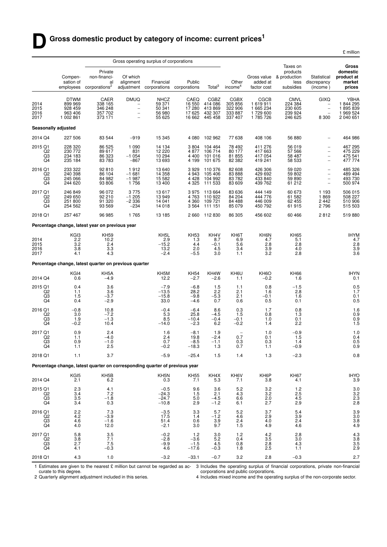|                                           |                                                           |                                                                             |                                                        |                                                       |                                            |                                                        |                                                         |                                                     |                                                         |                                                                                                | £ million                                            |
|-------------------------------------------|-----------------------------------------------------------|-----------------------------------------------------------------------------|--------------------------------------------------------|-------------------------------------------------------|--------------------------------------------|--------------------------------------------------------|---------------------------------------------------------|-----------------------------------------------------|---------------------------------------------------------|------------------------------------------------------------------------------------------------|------------------------------------------------------|
|                                           |                                                           |                                                                             |                                                        | Gross operating surplus of corporations               |                                            |                                                        |                                                         |                                                     | Taxes on                                                |                                                                                                | Gross                                                |
|                                           | Compen-<br>sation of<br>employees                         | Private<br>non-financi-<br>al<br>corporations <sup>2</sup>                  | Of which<br>alignment                                  | Financial<br>adjustment corporations                  | Public<br>corporations                     | Total <sup>3</sup>                                     | Other<br>income <sup>4</sup>                            | Gross value<br>added at<br>factor cost              | products<br>& production<br>less<br>subsidies           | Statistical<br>discrepancy<br>(income)                                                         | domestic<br>product at<br>market<br>prices           |
| 2014<br>2015<br>2016<br>2017              | <b>DTWM</b><br>899 969<br>928 459<br>963 406<br>1 002 861 | CAER<br>338 165<br>346 248<br>357 702<br>373 171                            | <b>DMUQ</b><br>-<br>-<br>-<br>$\overline{\phantom{0}}$ | <b>NHCZ</b><br>59 371<br>50 341<br>56 980<br>55 625   | CAEQ<br>16 550<br>17 280<br>17625          | CGBZ<br>414 086<br>413869<br>432 307<br>16 662 445 458 | <b>CGBX</b><br>305 856<br>322 906<br>333 887<br>337 407 | CGCB<br>1619911<br>1 665 234<br>1729 600<br>1785726 | <b>CMVL</b><br>224 384<br>230 605<br>239 924<br>246 625 | <b>GIXQ</b><br>$\overline{\phantom{a}}$<br>8 3 0 0                                             | YBHA<br>1844295<br>1895839<br>1 969 524<br>2 040 651 |
|                                           | <b>Seasonally adjusted</b>                                |                                                                             |                                                        |                                                       |                                            |                                                        |                                                         |                                                     |                                                         |                                                                                                |                                                      |
| 2014 Q4                                   | 227 506                                                   | 83 544                                                                      | $-919$                                                 | 15 345                                                | 4 0 8 0                                    | 102 962                                                | 77 638                                                  | 408 106                                             | 56 880                                                  |                                                                                                | 464 986                                              |
| 2015 Q1<br>Q2<br>Q3<br>Q4                 | 228 320<br>230 772<br>234 183<br>235 184                  | 86 525<br>89 617<br>86 323<br>83 783                                        | 1 0 9 0<br>831<br>$-1054$<br>$-867$                    | 14 134<br>12 2 2 0<br>10 294<br>13 693                | 3804<br>4877<br>4 4 0 0<br>4 1 9 9         | 104 464<br>106 714<br>101 016<br>101 675               | 78 492<br>80 177<br>81 855<br>82 382                    | 411 276<br>417 663<br>417 054<br>419 241            | 56 019<br>57 566<br>58 487<br>58 533                    | $\overline{\phantom{m}}$<br>$\overline{\phantom{a}}$<br>$\qquad \qquad -$<br>$\qquad \qquad -$ | 467 295<br>475 229<br>475 541<br>477 774             |
| 2016 Q1<br>Q <sub>2</sub><br>Q3<br>Q4     | 233 322<br>240 398<br>245 066<br>244 620                  | 92 810<br>86 104<br>84 982<br>93 806                                        | 1912<br>$-1681$<br>$-1987$<br>1756                     | 13 640<br>14 3 58<br>15 5 82<br>13 400                | 3929<br>4943<br>4428<br>4 3 2 5            | 110 376<br>105 406<br>104 992<br>111 533               | 82 608<br>83 888<br>83782<br>83 609                     | 426 306<br>429 692<br>433 840<br>439 762            | 59 0 20<br>59802<br>59 890<br>61 21 2                   | $\overline{\phantom{0}}$<br>$\qquad \qquad -$<br>$\overline{\phantom{a}}$<br>$\qquad \qquad -$ | 485 326<br>489 494<br>493 730<br>500 974             |
| 2017 Q1<br>Q <sub>2</sub><br>$^{Q3}_{Q4}$ | 246 849<br>249 650<br>251 800<br>254 562                  | 96 072<br>92 210<br>91 320<br>93 569                                        | 3775<br>$-1205$<br>$-2336$<br>$-234$                   | 13617<br>13 949<br>14 041<br>14 018                   | 3975<br>4763<br>4 3 6 0<br>3564            | 113 664<br>110 922<br>109 721<br>111 151               | 83 636<br>84 204<br>84 488<br>85 079                    | 444 149<br>444 776<br>446 009<br>450 792            | 60 673<br>61 582<br>62455<br>61915                      | 1 1 9 3<br>1869<br>2 4 4 2<br>2796                                                             | 506 015<br>508 227<br>510 906<br>515 503             |
| 2018 Q1                                   | 257 467                                                   | 96 985                                                                      | 1765                                                   | 13 185                                                |                                            | 2 660 112 830                                          | 86 30 5                                                 | 456 602                                             | 60 466                                                  | 2812                                                                                           | 519880                                               |
|                                           |                                                           | Percentage change, latest year on previous year                             |                                                        |                                                       |                                            |                                                        |                                                         |                                                     |                                                         |                                                                                                |                                                      |
| 2014<br>2015<br>2016<br>2017              | KGI3<br>2.2<br>3.2<br>3.8<br>4.1                          | <b>KH59</b><br>10.2<br>2.4<br>3.3<br>4.3                                    |                                                        | KH <sub>5</sub> L<br>2.9<br>$-15.2$<br>13.2<br>$-2.4$ | <b>KH53</b><br>1.3<br>4.4<br>2.0<br>$-5.5$ | KH4V<br>8.7<br>$-0.1$<br>4.5<br>3.0                    | KH6T<br>6.9<br>5.6<br>3.4<br>1.1                        | KH6N<br>4.7<br>2.8<br>3.9<br>3.2                    | <b>KH65</b><br>5.1<br>2.8<br>4.0<br>2.8                 |                                                                                                | <b>IHYM</b><br>4.7<br>2.8<br>3.9<br>3.6              |
|                                           |                                                           | Percentage change, latest quarter on previous quarter                       |                                                        |                                                       |                                            |                                                        |                                                         |                                                     |                                                         |                                                                                                |                                                      |
| 2014 Q4                                   | KGI4<br>0.6                                               | KH <sub>5</sub> A<br>-4.9                                                   |                                                        | KH5M<br>12.2                                          | <b>KH54</b><br>$-2.7$                      | KH4W<br>$-2.6$                                         | KH6U<br>1.1                                             | KH <sub>6</sub> O<br>$-0.2$                         | <b>KH66</b><br>1.6                                      |                                                                                                | <b>IHYN</b><br>0.1                                   |
| 2015 Q1<br>Q2<br>Q3<br>Q <sub>4</sub>     | 0.4<br>1.1<br>1.5<br>0.4                                  | 3.6<br>3.6<br>$-3.7$<br>$-2.9$                                              |                                                        | $-7.9$<br>$-13.5$<br>$-15.8$<br>33.0                  | $-6.8$<br>28.2<br>$-9.8$<br>$-4.6$         | 1.5<br>2.2<br>$-5.3$<br>0.7                            | 1.1<br>2.1<br>2.1<br>0.6                                | 0.8<br>1.6<br>$-0.1$<br>0.5                         | $-1.5$<br>2.8<br>1.6<br>0.1                             |                                                                                                | $0.5$<br>1.7<br>0.1<br>0.5                           |
| 2016 Q1<br>Q <sub>2</sub><br>Q3<br>Q4     | $-0.8$<br>3.0<br>1.9<br>$-0.2$                            | 10.8<br>$-7.2$<br>$-1.3$<br>10.4                                            |                                                        | $-0.4$<br>5.3<br>8.5<br>$-14.0$                       | $-6.4$<br>25.8<br>$-10.4$<br>$-2.3$        | 8.6<br>$-4.5$<br>$-0.4$<br>6.2                         | 0.3<br>1.5<br>$-0.1$<br>$-0.2$                          | 1.7<br>0.8<br>1.0<br>1.4                            | 0.8<br>1.3<br>0.1<br>2.2                                |                                                                                                | 1.6<br>0.9<br>0.9<br>1.5                             |
| 2017 Q1<br>Q2<br>Q3<br>Q4                 | 0.9<br>1.1<br>0.9<br>1.1                                  | 2.4<br>$-4.0$<br>$-1.0$<br>2.5                                              |                                                        | 1.6<br>2.4<br>0.7<br>$-0.2$                           | $-8.1$<br>19.8<br>-8.5<br>$-18.3$          | 1.9<br>$-2.4$<br>-1.1<br>1.3                           | 0.7<br><b>U.3</b><br>0.7                                | 1.0<br>0.1<br>0.3<br>1.1                            | $-0.9$<br>1.5<br>1.4<br>$-0.9$                          |                                                                                                | 1.0<br>0.4<br>0.5<br>0.9                             |
| 2018 Q1                                   | 1.1                                                       | 3.7                                                                         |                                                        | $-5.9$                                                | $-25.4$                                    | 1.5                                                    | 1.4                                                     | 1.3                                                 | $-2.3$                                                  |                                                                                                | 0.8                                                  |
|                                           |                                                           | Percentage change, latest quarter on corresponding quarter of previous year |                                                        |                                                       |                                            |                                                        |                                                         |                                                     |                                                         |                                                                                                |                                                      |
| 2014 Q4                                   | KGI5<br>2.1                                               | KH <sub>5</sub> B<br>6.2                                                    |                                                        | KH5N<br>0.3                                           | <b>KH55</b><br>7.1                         | KH4X<br>5.3                                            | KH6V<br>7.1                                             | KH6P<br>3.8                                         | <b>KH67</b><br>4.1                                      |                                                                                                | <b>IHYO</b><br>3.9                                   |
| 2015 Q1<br>Q2<br>Q3<br>Q4                 | 2.3<br>3.4<br>3.5<br>3.4                                  | 4.1<br>7.2<br>$-1.8$<br>0.3                                                 |                                                        | $-0.5$<br>$-24.3$<br>$-24.7$<br>$-10.8$               | 9.6<br>1.5<br>5.0<br>2.9                   | 3.6<br>2.1<br>$-4.5$<br>$-1.2$                         | 5.2<br>4.3<br>6.6<br>6.1                                | 3.2<br>3.2<br>2.0<br>2.7                            | 1.2<br>$\frac{2.5}{4.5}$<br>2.9                         |                                                                                                | 3.0<br>$\frac{3.2}{2.3}$<br>2.8                      |
| 2016 Q1<br>Q2<br>Q3<br>Q <sub>4</sub>     | 2.2<br>4.2<br>4.6<br>4.0                                  | 7.3<br>$-3.9$<br>$-1.6$<br>12.0                                             |                                                        | $-3.5$<br>17.5<br>51.4<br>$-2.1$                      | 3.3<br>1.4<br>0.6<br>3.0                   | 5.7<br>$-1.2$<br>3.9<br>9.7                            | 5.2<br>4.6<br>2.4<br>1.5                                | 3.7<br>2.9<br>4.0<br>4.9                            | 5.4<br>3.9<br>2.4<br>4.6                                |                                                                                                | 3.9<br>$\frac{3.0}{3.8}$<br>4.9                      |
| 2017 Q1<br>Q <sub>2</sub><br>$^{Q3}_{Q4}$ | 5.8<br>3.8<br>2.7<br>4.1                                  | 3.5<br>7.1<br>7.5<br>$-0.3$                                                 |                                                        | $-0.2$<br>$-2.8$<br>$-9.9$<br>4.6                     | 1.2<br>$-3.6$<br>$-1.5$<br>$-17.6$         | 3.0<br>5.2<br>4.5<br>$-0.3$                            | $1.2$<br>0.4<br>0.8<br>1.8                              | 4.2<br>3.5<br>2.8<br>2.5                            | 2.8<br>3.0<br>4.3<br>1.1                                |                                                                                                | $4.3$<br>$3.8$<br>$3.5$<br>$2.9$                     |
| 2018 Q1                                   | 4.3                                                       | 1.0                                                                         |                                                        | $-3.2$                                                | $-33.1$                                    | $-0.7$                                                 | 3.2                                                     | 2.8                                                 | $-0.3$                                                  |                                                                                                | 2.7                                                  |

1 Estimates are given to the nearest £ million but cannot be regarded as ac- 3 Includes the operating surplus of financial corporations, private non-financial curate to this degree. cor porations and public corporations.

2 Quarterly alignment adjustment included in this series.

4 Includes mixed income and the operating surplus of the non-corporate sector.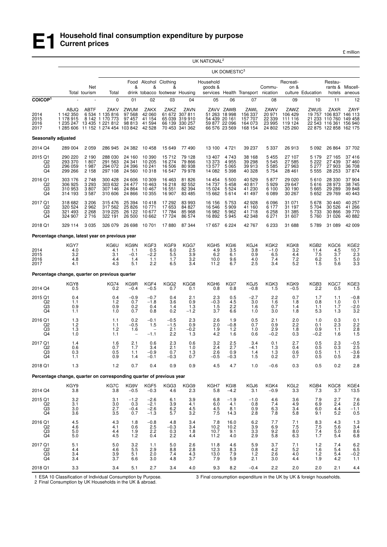

£ million

|                                       |                                                                      |                                    |                                                                                            |                                                  |                                                     |                                                              |                                                               | UK NATIONAL <sup>2</sup>               |                                                              |                                                  |                                              |                                                  |                                                         |                                                                                                              |                                                         |
|---------------------------------------|----------------------------------------------------------------------|------------------------------------|--------------------------------------------------------------------------------------------|--------------------------------------------------|-----------------------------------------------------|--------------------------------------------------------------|---------------------------------------------------------------|----------------------------------------|--------------------------------------------------------------|--------------------------------------------------|----------------------------------------------|--------------------------------------------------|---------------------------------------------------------|--------------------------------------------------------------------------------------------------------------|---------------------------------------------------------|
|                                       |                                                                      |                                    |                                                                                            |                                                  |                                                     |                                                              |                                                               |                                        | UK DOMESTIC <sup>3</sup>                                     |                                                  |                                              |                                                  |                                                         |                                                                                                              |                                                         |
|                                       |                                                                      | Net<br>Total tourism               | Total                                                                                      | &                                                | &                                                   | Food Alcohol Clothing<br>&<br>drink tobacco footwear Housing |                                                               | Household<br>goods &                   |                                                              | services Health Transport nication               | Commu-                                       | Recreati-<br>on &                                | culture Education                                       | Restau-<br>hotels                                                                                            | rants & Miscell-<br>aneous                              |
| COICOP <sup>1</sup>                   |                                                                      |                                    | $\mathbf 0$                                                                                | 01                                               | 02                                                  | 03                                                           | 04                                                            | 05                                     | 06                                                           | 07                                               | 08                                           | 09                                               | 10                                                      | 11                                                                                                           | 12                                                      |
| 2014<br>2015<br>2016<br>2017          | ABJQ<br>1 142 350<br>1 178 915<br>1 235 247<br>1 285 606             | ABTF                               | ZAKV<br>6 534 1 135 816<br>8 142 1 170 773<br>13 435 1 221 812<br>11 152 1 274 454 103 842 | ZWUM<br>97 568<br>97 457<br>98 813               | ZAKX<br>42 060<br>41 154<br>41 594<br>42 5 28       | ZAKZ<br>61 672<br>65 039                                     | ZAVN<br>307811<br>319 910<br>66 139 330 257<br>70 453 341 362 | 54 439 20 161                          | ZAVV ZAWB<br>51 263 18 998<br>59 877 22 096<br>66 576 23 569 | ZAWL<br>156 337<br>157 707<br>164 073<br>168 154 | ZAWV<br>20 971<br>22 339<br>23 995<br>24 802 | ZAWZ<br>106 429<br>111 116<br>119 124<br>125 260 | ZWUS                                                    | ZAXR<br>19 757 106 837 146 113<br>21 233 110 760 149 458<br>22 543 116 361 156 940<br>22 875 122 858 162 175 | ZAYF                                                    |
| Seasonally adjusted                   |                                                                      |                                    |                                                                                            |                                                  |                                                     |                                                              |                                                               |                                        |                                                              |                                                  |                                              |                                                  |                                                         |                                                                                                              |                                                         |
| 2014 Q4                               | 289 004                                                              | 2 0 5 9                            | 286 945                                                                                    | 24 382                                           | 10 458                                              | 15 649                                                       | 77 490                                                        | 13 100                                 | 4721                                                         | 39 237                                           | 5 3 3 7                                      | 26913                                            | 5 0 9 2                                                 | 26 864                                                                                                       | 37 702                                                  |
| 2015 Q1<br>Q2<br>Q3<br>Q4             | 290 220<br>293 370<br>296 059<br>299 266                             | 2 1 9 0<br>1807<br>1987<br>2 1 5 8 | 288 030<br>291 563<br>294 072<br>297 108                                                   | 24 160<br>24 341<br>24 396<br>24 560             | 10 390<br>10 205<br>10 241<br>10 318                | 15712<br>16 274<br>16 506<br>16 547                          | 79 128<br>79 866<br>80 938<br>79 978                          | 13 407<br>13 373<br>13 577<br>14 082   | 4743<br>4955<br>5 0 6 5<br>5 3 9 8                           | 38 168<br>39 298<br>39 913<br>40 328             | 5 4 5 5<br>5 5 4 5<br>5 5 8 5<br>5 7 5 4     | 27 107<br>27 585<br>27963<br>28 4 61             | 5 1 7 9<br>5 2 2 2<br>5 277<br>5 5 5 5                  | 27 165<br>27 439<br>27 903<br>28 253                                                                         | 37416<br>37 460<br>36 708<br>37874                      |
| 2016 Q1<br>Q <sub>2</sub><br>Q3<br>Q4 | 303 176<br>306 925<br>310 953<br>314 193                             | 2748<br>3 2 9 3<br>3807<br>3587    | 300 428<br>303 632<br>307 146<br>310 606                                                   | 24 606<br>24 477<br>24 8 64<br>24 866            | 10 309<br>10 463<br>10 467<br>10 355                | 16 4 63<br>16 218<br>16 551<br>16 907                        | 81 826<br>82 552<br>82 394<br>83 4 85                         | 14 4 54<br>14 737<br>15 0 24<br>15 662 | 5 5 0 0<br>5458<br>5 5 2 4<br>5614                           | 40 529<br>40 817<br>41 230<br>41 497             | 5877<br>5929<br>6 100<br>6089                | 29 0 20<br>29 647<br>30 190<br>30 267            | 5610<br>5616<br>5 6 6 5<br>5 6 5 2                      | 28 330<br>28 973<br>29 28 9<br>29 769                                                                        | 37904<br>38745<br>39 848<br>40 443                      |
| 2017 Q1<br>Q2<br>Q3<br>Q4             | 318 682<br>320 524<br>321 493<br>324 907                             | 3 2 0 6<br>2962<br>2 2 6 8<br>2716 | 315 476<br>317 562<br>319 225<br>322 191                                                   | 25 394<br>25 8 26<br>26 122<br>26 500            | 10418<br>10 771<br>10 677<br>10 662                 | 17 292<br>17653<br>17 784<br>17 724                          | 83 993<br>84 827<br>85 968<br>86 574                          | 16 156<br>16 546<br>16 982<br>16892    | 5753<br>5909<br>5962<br>5945                                 | 42 928<br>41 160<br>41 718<br>42 348             | 6096<br>6 177<br>6 2 5 8<br>6 271            | 31 071<br>31 197<br>31 385<br>31 607             | 5678<br>5 704<br>5 7 3 3<br>5760                        | 30 440<br>30 526<br>30 866<br>31 0 26                                                                        | 40 257<br>41 266<br>39 770<br>40 882                    |
| 2018 Q1                               | 329 114                                                              | 3 0 3 5                            | 326 079                                                                                    | 26 698                                           | 10 701                                              | 17880                                                        | 87 344                                                        | 17657                                  | 6 2 2 4                                                      | 42 767                                           | 6 2 3 3                                      | 31 688                                           | 5789                                                    | 31 089                                                                                                       | 42 009                                                  |
|                                       | Percentage change, latest year on previous year                      |                                    |                                                                                            |                                                  |                                                     |                                                              |                                                               |                                        |                                                              |                                                  |                                              |                                                  |                                                         |                                                                                                              |                                                         |
| 2014<br>2015<br>2016<br>2017          | KGY7<br>4.0<br>3.2<br>4.8<br>4.1                                     |                                    | KG6U<br>4.1<br>3.1<br>4.4<br>4.3                                                           | KG9N<br>1.1<br>$-0.1$<br>1.4<br>5.1              | KGF3<br>0.5<br>$-2.2$<br>1.1<br>2.2                 | KGF9<br>6.0<br>5.5<br>1.7<br>6.5                             | KGG7<br>2.5<br>3.9<br>3.2<br>3.4                              | KGH5<br>4.9<br>6.2<br>10.0<br>11.2     | KGI6<br>3.5<br>6.1<br>9.6<br>6.7                             | KGJ4<br>3.8<br>0.9<br>4.0<br>2.5                 | KGK2<br>$-1.0$<br>6.5<br>7.4<br>3.4          | KGK8<br>3.2<br>4.4<br>7.2<br>5.2                 | KGB <sub>2</sub><br>11.4<br>7.5<br>6.2<br>1.5           | KGC6<br>4.5<br>3.7<br>5.1<br>5.6                                                                             | KGE2<br>10.7<br>2.3<br>5.0<br>3.3                       |
|                                       | Percentage change, quarter on previous quarter                       |                                    |                                                                                            |                                                  |                                                     |                                                              |                                                               |                                        |                                                              |                                                  |                                              |                                                  |                                                         |                                                                                                              |                                                         |
| 2014 Q4                               | KGY8<br>0.5                                                          |                                    | <b>KG74</b><br>0.2                                                                         | KG9R<br>$-0.4$                                   | KGF4<br>$-0.5$                                      | KGG2<br>0.7                                                  | KGG8<br>0.1                                                   | KGH <sub>6</sub><br>0.8                | KGI7<br>0.8                                                  | KGJ5<br>$-0.8$                                   | KGK3<br>1.5                                  | KGK9<br>$-0.5$                                   | KGB3<br>2.2                                             | KGC7<br>0.5                                                                                                  | KGE3<br>1.5                                             |
| 2015 Q1<br>Q <sub>2</sub><br>Q3<br>Q4 | 0.4<br>1.1<br>0.9<br>1.1                                             |                                    | 0.4<br>1.2<br>0.9<br>1.0                                                                   | $-0.9$<br>0.7<br>0.2<br>0.7                      | $-0.7$<br>$-1.8$<br>0.4<br>0.8                      | 0.4<br>3.6<br>1.4<br>0.2                                     | 2.1<br>0.9<br>1.3<br>$-1.2$                                   | 2.3<br>$-0.3$<br>1.5<br>3.7            | 0.5<br>4.5<br>2.2<br>6.6                                     | $-2.7$<br>3.0<br>1.6<br>1.0                      | 2.2<br>1.6<br>0.7<br>3.0                     | 0.7<br>1.8<br>1.4<br>1.8                         | 1.7<br>0.8<br>1.1<br>5.3                                | 1.1<br>1.0<br>1.7<br>1.3                                                                                     | $-0.8$<br>0.1<br>$-2.0$<br>3.2                          |
| 2016 Q1<br>Q2<br>Q3<br>Q4             | 1.3<br>1.2<br>1.3<br>1.0                                             |                                    | 1.1<br>1.1<br>1.2<br>1.1                                                                   | 0.2<br>$-0.5$<br>1.6<br>$\overline{\phantom{0}}$ | $-0.1$<br>1.5<br>$\overline{\phantom{a}}$<br>$-1.1$ | $-0.5$<br>$-1.5$<br>2.1<br>2.2                               | 2.3<br>0.9<br>$-0.2$<br>1.3                                   | 2.6<br>2.0<br>1.9<br>4.2               | 1.9<br>$-0.8$<br>$1.2$<br>1.6                                | 0.5<br>0.7<br>1.0<br>0.6                         | 2.1<br>0.9<br>2.9<br>$-0.2$                  | 2.0<br>2.2<br>1.8<br>0.3                         | 1.0<br>0.1<br>0.9<br>$-0.2$                             | 0.3<br>2.3<br>1.1<br>1.6                                                                                     | 0.1<br>$2.2$<br>2.8<br>1.5                              |
| 2017 Q1<br>Q2<br>Q3<br>Q4             | 1.4<br>0.6<br>0.3<br>1.1                                             |                                    | 1.6<br>0.7<br>0.5<br>0.9                                                                   | 2.1<br>1.7<br>1.1<br>1.4                         | 0.6<br>3.4<br>$-0.9$<br>$-0.1$                      | 2.3<br>2.1<br>0.7<br>$-0.3$                                  | 0.6<br>1.0<br>$^{1.3}_{0.7}$                                  | 3.2<br>2.4<br>2.6<br>$-0.5$            | 2.5<br>2.7<br>0.9<br>$-0.3$                                  | 3.4<br>$-4.1$<br>$\frac{1.4}{1.5}$               | 0.1<br>1.3<br>$^{1.3}_{0.2}$                 | 2.7<br>0.4<br>$0.6 \ 0.7$                        | 0.5<br>0.5<br>$\begin{array}{c} 0.5 \\ 0.5 \end{array}$ | 2.3<br>0.3<br>$1.1$<br>0.5                                                                                   | $-0.5$<br>2.5<br>$-3.6$<br>2.8                          |
| 2018 Q1                               | 1.3                                                                  |                                    | $1.2$                                                                                      | 0.7                                              | 0.4                                                 | 0.9                                                          | 0.9                                                           | 4.5                                    | 4.7                                                          | 1.0                                              | $-0.6$                                       | 0.3                                              | 0.5                                                     | 0.2                                                                                                          | 2.8                                                     |
|                                       | Percentage change, quarter on corresponding quarter of previous year |                                    |                                                                                            |                                                  |                                                     |                                                              |                                                               |                                        |                                                              |                                                  |                                              |                                                  |                                                         |                                                                                                              |                                                         |
| 2014 Q4                               | KGY9<br>3.8                                                          |                                    | KG7C<br>3.8                                                                                | KG9V<br>$-0.5$                                   | KGF5<br>$-0.3$                                      | KGG3<br>4.6                                                  | KGG9<br>2.3                                                   | KGH7<br>5.8                            | KG <sub>I8</sub><br>$-4.2$                                   | KGJ6<br>3.1                                      | KGK4<br>$-0.9$                               | KGL <sub>2</sub><br>3.3                          | KGB4<br>7.3                                             | KGC8<br>3.7                                                                                                  | KGE4<br>13.5                                            |
| 2015 Q1<br>Q2<br>$_{\rm Q4}^{\rm Q3}$ | 3.2<br>3.1<br>$3.0\,$<br>3.6                                         |                                    | 3.1<br>3.0<br>2.7<br>3.5                                                                   | $-1.2$<br>0.3<br>$-0.4$<br>0.7                   | $-2.6$<br>$-2.1$<br>$-2.6$<br>$-1.3$                | 6.1<br>3.9<br>$6.2$<br>5.7                                   | 3.9<br>4.1<br>4.5<br>3.2                                      | 6.8<br>6.0<br>$\frac{4.5}{7.5}$        | $-1.9$<br>4.1<br>8.1<br>14.3                                 | $-1.0$<br>0.8<br>0.9<br>2.8                      | 4.6<br>7.4<br>$6.3$<br>$7.8$                 | 3.6<br>4.9<br>3.4<br>5.8                         | 7.9<br>6.9<br>6.0<br>9.1                                | 2.7<br>2.4<br>4.4<br>5.2                                                                                     | $7.6$<br>$2.6$<br>$-1.1$<br>0.5                         |
| 2016 Q1<br>Q <sub>2</sub><br>Q3<br>Q4 | $\begin{array}{c} 4.5 \\ 4.6 \end{array}$<br>5.0<br>5.0              |                                    | 4.3<br>4.1<br>4.4<br>4.5                                                                   | 1.8<br>0.6<br>1.9<br>1.2                         | $-0.8$<br>2.5<br>2.2<br>0.4                         | $^{4.8}_{-0.3}$<br>0.3<br>2.2                                | 3.4<br>3.4<br>1.8<br>4.4                                      | 7.8<br>10.2<br>10.7<br>11.2            | 16.0<br>10.2<br>9.1<br>4.0                                   | $6.2$<br>$3.9$<br>3.3<br>2.9                     | 7.7<br>6.9<br>9.2<br>5.8                     | $7.1$<br>$7.5$<br>8.0<br>6.3                     | $\frac{8.3}{7.5}$<br>7.4<br>1.7                         | 4.3<br>5.6<br>5.0<br>5.4                                                                                     | $\begin{array}{c} 1.3 \\ 3.4 \\ 8.6 \\ 6.8 \end{array}$ |
| 2017 Q1<br>Q2<br>Q3<br>Q4             | 5.1<br>4.4<br>3.4<br>3.4                                             |                                    | 5.0<br>4.6<br>3.9<br>3.7                                                                   | 3.2<br>$5.5\,$<br>5.1<br>6.6                     | 1.1<br>2.9<br>2.0<br>3.0                            | 5.0<br>8.8<br>7.4<br>4.8                                     | 2.6<br>2.8<br>4.3<br>3.7                                      | 11.8<br>12.3<br>13.0<br>7.9            | 4.6<br>8.3<br>7.9<br>5.9                                     | 5.9<br>0.8<br>$1.2$<br>2.1                       | 3.7<br>4.2<br>2.6<br>3.0                     | 7.1<br>5.2<br>4.0<br>4.4                         | $1.2$<br>1.6<br>$1.2$<br>1.9                            | 7.4<br>5.4<br>5.4<br>4.2                                                                                     | $6.2$<br>$6.5$<br>$-0.2$<br>1.1                         |
| 2018 Q1                               | 3.3                                                                  |                                    | 3.4                                                                                        | 5.1                                              | 2.7                                                 | 3.4                                                          | 4.0                                                           | 9.3                                    | 8.2                                                          | $-0.4$                                           | 2.2                                          | 2.0                                              | 2.0                                                     | 2.1                                                                                                          | 4.4                                                     |

1 ESA 10 Classification of Individual Consumption by Purpose.

3 Final consumption expenditure in the UK by UK & foreign households.

2 Final Consumption by UK Households in the UK & abroad.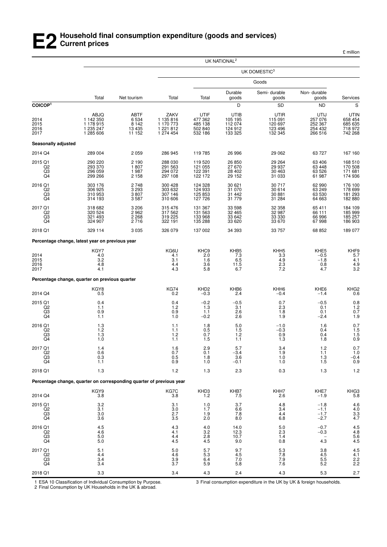## **E2 Household final consumption expenditure (goods and services) Current prices**

£ million

|                                                               |                                                                      |                                              |                                                          |                                                  | UK NATIONAL <sup>2</sup>                         |                                                  |                                                  |                                                  |
|---------------------------------------------------------------|----------------------------------------------------------------------|----------------------------------------------|----------------------------------------------------------|--------------------------------------------------|--------------------------------------------------|--------------------------------------------------|--------------------------------------------------|--------------------------------------------------|
|                                                               |                                                                      |                                              |                                                          |                                                  |                                                  | UK DOMESTIC <sup>3</sup>                         |                                                  |                                                  |
|                                                               |                                                                      |                                              |                                                          |                                                  |                                                  | Goods                                            |                                                  |                                                  |
|                                                               | Total                                                                | Net tourism                                  | Total                                                    | Total                                            | Durable<br>goods                                 | Semi-durable<br>goods                            | Non-durable<br>goods                             | Services                                         |
| COICOP <sup>1</sup>                                           |                                                                      |                                              |                                                          |                                                  | D                                                | SD                                               | ND                                               | $\rm s$                                          |
| 2014<br>2015<br>2016<br>2017                                  | ABJQ<br>1 142 350<br>1 178 915<br>1 235 247<br>1 285 606             | ABTF<br>6 5 34<br>8 142<br>13 4 35<br>11 152 | ZAKV<br>1 135 816<br>1 170 773<br>1 221 812<br>1 274 454 | UTIF<br>477 362<br>485 138<br>502 840<br>532 186 | UTIB<br>105 195<br>112 074<br>124 912<br>133 325 | UTIR<br>115 091<br>120 697<br>123 496<br>132 345 | UTIJ<br>257 076<br>252 367<br>254 432<br>266 516 | UTIN<br>658 454<br>685 635<br>718 972<br>742 268 |
| <b>Seasonally adjusted</b>                                    |                                                                      |                                              |                                                          |                                                  |                                                  |                                                  |                                                  |                                                  |
| 2014 Q4                                                       | 289 004                                                              | 2 0 5 9                                      | 286 945                                                  | 119 785                                          | 26 996                                           | 29 062                                           | 63 727                                           | 167 160                                          |
| 2015 Q1<br>Q2<br>$^{Q3}_{Q4}$                                 | 290 220<br>293 370<br>296 059<br>299 266                             | 2 1 9 0<br>1807<br>1987<br>2 1 5 8           | 288 030<br>291 563<br>294 072<br>297 108                 | 119 520<br>121 055<br>122 391<br>122 172         | 26 850<br>27 670<br>28 402<br>29 152             | 29 264<br>29 937<br>30 463<br>31 033             | 63 406<br>63 448<br>63 526<br>61 987             | 168 510<br>170 508<br>171 681<br>174 936         |
| 2016 Q1<br>Q2<br>Q <sub>3</sub><br>Q4                         | 303 176<br>306 925<br>310 953<br>314 193                             | 2748<br>3 2 9 3<br>3807<br>3587              | 300 428<br>303 632<br>307 146<br>310 606                 | 124 328<br>124 933<br>125 853<br>127 726         | 30 621<br>31 0 70<br>31 442<br>31 779            | 30 717<br>30 614<br>30 881<br>31 284             | 62 990<br>63 249<br>63 530<br>64 663             | 176 100<br>178 699<br>181 293<br>182 880         |
| 2017 Q1<br>Q2<br>$^{Q3}_{Q4}$                                 | 318 682<br>320 524<br>321 493<br>324 907                             | 3 2 0 6<br>2962<br>2 2 6 8<br>2716           | 315 476<br>317 562<br>319 225<br>322 191                 | 131 367<br>131 563<br>133 968<br>135 288         | 33 598<br>32 465<br>33 642<br>33 6 20            | 32 358<br>32 987<br>33 330<br>33 670             | 65 411<br>66 111<br>66 996<br>67 998             | 184 109<br>185 999<br>185 257<br>186 903         |
| 2018 Q1                                                       | 329 114                                                              | 3 0 3 5                                      | 326 079                                                  | 137 002                                          | 34 393                                           | 33 757                                           | 68 852                                           | 189 077                                          |
|                                                               | Percentage change, latest year on previous year                      |                                              |                                                          |                                                  |                                                  |                                                  |                                                  |                                                  |
| 2014<br>2015<br>2016<br>2017                                  | KGY7<br>4.0<br>$3.\overline{2}$<br>4.8<br>4.1                        |                                              | KG6U<br>4.1<br>3.1<br>4.4<br>4.3                         | KHC <sub>9</sub><br>2.0<br>1.6<br>3.6<br>5.8     | KHB5<br>7.3<br>6.5<br>11.5<br>6.7                | KHH <sub>5</sub><br>3.3<br>4.9<br>2.3<br>7.2     | KHE5<br>$-0.5$<br>$-1.8$<br>0.8<br>4.7           | KHF9<br>5.7<br>4.1<br>4.9<br>3.2                 |
|                                                               | Percentage change, quarter on previous quarter                       |                                              |                                                          |                                                  |                                                  |                                                  |                                                  |                                                  |
| 2014 Q4                                                       | KGY8<br>0.5                                                          |                                              | <b>KG74</b><br>0.2                                       | KHD <sub>2</sub><br>$-0.3$                       | KHB6<br>2.4                                      | KHH <sub>6</sub><br>-0.4                         | KHE6<br>$-1.4$                                   | KHG2<br>0.6                                      |
| 2015 Q1<br>Q2<br>Q3<br>Q <sub>4</sub>                         | 0.4<br>1.1<br>0.9<br>1.1                                             |                                              | 0.4<br>1.2<br>0.9<br>1.0                                 | $-0.2$<br>1.3<br>1.1<br>$-0.2$                   | $-0.5$<br>3.1<br>2.6<br>2.6                      | 0.7<br>2.3<br>1.8<br>1.9                         | $-0.5$<br>0.1<br>0.1<br>$-2.4$                   | $0.8$<br>$1.2$<br>$0.7$<br>$1.9$                 |
| 2016 Q1<br>Q <sub>2</sub><br>$^{Q3}_{Q4}$                     | $\frac{1.3}{1.2}$<br>$1.3$<br>1.0                                    |                                              | 1.1<br>1.1<br>1.2<br>1.1                                 | 1.8<br>0.5<br>0.7<br>1.5                         | 5.0<br>1.5<br>1.2<br>1.1                         | $-1.0$<br>$-0.3$<br>0.9<br>1.3                   | 1.6<br>0.4<br>0.4<br>1.8                         | $0.7$<br>$1.5$<br>$1.5$<br>$0.9$                 |
| 2017 Q1<br>Q2<br>Q3<br>Q4                                     | 1.4<br>$\begin{array}{c} 0.6 \\ 0.3 \end{array}$<br>1.1              |                                              | 1.6<br>0.7<br>0.5<br>0.9                                 | 2.9<br>0.1<br>1.8<br>1.0                         | 5.7<br>$-3.4$<br>3.6<br>$-0.1$                   | 3.4<br>1.9<br>1.0<br>1.0                         | 1.2<br>1.1<br>1.3<br>1.5                         | $0.7$<br>$1.0$<br>$^{-0.4}_{0.9}$                |
| 2018 Q1                                                       | 1.3                                                                  |                                              | 1.2                                                      | 1.3                                              | 2.3                                              | 0.3                                              | 1.3                                              | 1.2                                              |
|                                                               | Percentage change, quarter on corresponding quarter of previous year |                                              |                                                          |                                                  |                                                  |                                                  |                                                  |                                                  |
| 2014 Q4                                                       | KGY9<br>3.8                                                          |                                              | KG7C<br>3.8                                              | KHD3<br>1.2                                      | KHB7<br>7.5                                      | KHH7<br>2.6                                      | KHE7<br>$-1.9$                                   | KHG3<br>5.8                                      |
| 2015 Q1<br>$\overline{Q}$<br>$\overline{Q}$<br>Q <sub>4</sub> | 3.2<br>3.1<br>3.0<br>3.6                                             |                                              | 3.1<br>3.0<br>2.7<br>3.5                                 | 1.0<br>1.7<br>1.9<br>2.0                         | 3.7<br>6.6<br>7.8<br>8.0                         | 4.8<br>3.4<br>4.4<br>6.8                         | $-1.8$<br>$-1.1$<br>$-1.7$<br>$-2.7$             | $4.6$<br>$4.0$<br>$3.3$<br>$4.7$                 |
| 2016 Q1<br>Q2<br>Q <sub>3</sub><br>Q <sub>4</sub>             | 4.5<br>4.6<br>5.0<br>5.0                                             |                                              | 4.3<br>4.1<br>4.4<br>4.5                                 | 4.0<br>3.2<br>2.8<br>4.5                         | 14.0<br>12.3<br>10.7<br>9.0                      | 5.0<br>2.3<br>1.4<br>0.8                         | $-0.7$<br>$-0.3$<br>4.3                          | 4.5<br>4.8<br>5.6<br>5.6<br>4.5                  |
| 2017 Q1<br>Q <sub>2</sub><br>$\overline{Q}3$                  | 5.1<br>4.4<br>3.4<br>3.4                                             |                                              | 5.0<br>4.6<br>3.9<br>3.7                                 | 5.7<br>5.3<br>6.4<br>5.9                         | 9.7<br>4.5<br>7.0<br>5.8                         | 5.3<br>7.8<br>7.9<br>7.6                         | 3.8<br>4.5<br>$\frac{5.5}{5.2}$                  | $4.5$<br>$4.1$<br>$2.2$<br>$2.2$                 |
| 2018 Q1                                                       | 3.3                                                                  |                                              | 3.4                                                      | 4.3                                              | 2.4                                              | 4.3                                              | 5.3                                              | 2.7                                              |

1 ESA 10 Classification of Individual Consumption by Purpose.

3 Final consumption expenditure in the UK by UK & foreign households.

2 Final Consumption by UK Households in the UK & abroad.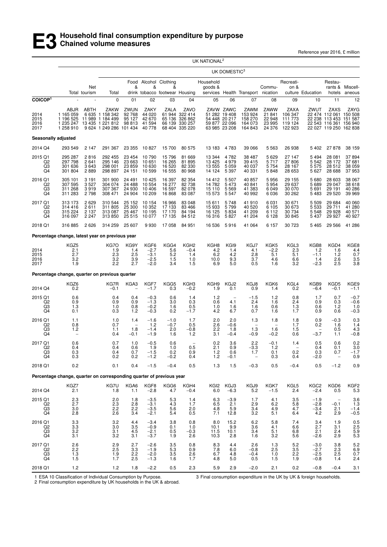Reference year 2016, £ million

|                                       |                                                                      |                                    |                                                                                     |                                                  |                                              |                                                              |                                                                | UK NATIONAL <sup>2</sup>                                |                                                                               |                                                  |                                                  |                                                  |                                                  |                                                                                                              |                                                         |
|---------------------------------------|----------------------------------------------------------------------|------------------------------------|-------------------------------------------------------------------------------------|--------------------------------------------------|----------------------------------------------|--------------------------------------------------------------|----------------------------------------------------------------|---------------------------------------------------------|-------------------------------------------------------------------------------|--------------------------------------------------|--------------------------------------------------|--------------------------------------------------|--------------------------------------------------|--------------------------------------------------------------------------------------------------------------|---------------------------------------------------------|
|                                       |                                                                      |                                    | UK DOMESTIC <sup>3</sup>                                                            |                                                  |                                              |                                                              |                                                                |                                                         |                                                                               |                                                  |                                                  |                                                  |                                                  |                                                                                                              |                                                         |
|                                       |                                                                      | Net<br>Total tourism               | Total                                                                               | &                                                | &                                            | Food Alcohol Clothing<br>&<br>drink tobacco footwear Housing |                                                                | Household<br>goods &                                    |                                                                               | services Health Transport nication               | Commu-                                           | Recreati-<br>on &                                | culture Education                                | Restau-<br>hotels                                                                                            | rants & Miscell-<br>aneous                              |
| COICOP <sup>1</sup>                   |                                                                      |                                    | $\mathbf 0$                                                                         | 01                                               | 02                                           | 03                                                           | 04                                                             | 05                                                      | 06                                                                            | 07                                               | 08                                               | 09                                               | 10                                               | 11                                                                                                           | 12                                                      |
| 2014<br>2015<br>2016<br>2017          | ABJR<br>1 165 059<br>1 196 525<br>1 235 247<br>1 258 910             | ABTH<br>11 989                     | ZAKW<br>6 635 1 158 342<br>1 184 499<br>13 435 1 221 812<br>9 624 1 249 286 101 434 | ZWUN<br>92 768<br>95 127<br>98 813               | ZAKY<br>44 020<br>42 670<br>41 594<br>40 778 | ZALA<br>65 136<br>66 139                                     | ZAVO<br>61 944 322 414<br>326 862<br>330 257<br>68 404 335 220 |                                                         | ZAVW ZAWC<br>51 282 19 408<br>54 448 20 217<br>59 877 22 096<br>63 985 23 208 | ZAWM<br>153 924<br>158 270<br>164 073<br>164 843 | ZAWW<br>21 841<br>22 948<br>23 995<br>24 376     | ZAXA<br>106 347<br>111 773<br>119 124<br>122 923 | ZWUT                                             | ZAXS<br>22 474 112 061 150 508<br>22 238 113 453 151 587<br>22 543 116 361 156 940<br>22 027 119 250 162 838 | ZAYG                                                    |
| Seasonally adjusted                   |                                                                      |                                    |                                                                                     |                                                  |                                              |                                                              |                                                                |                                                         |                                                                               |                                                  |                                                  |                                                  |                                                  |                                                                                                              |                                                         |
| 2014 Q4                               | 293 549                                                              | 2 1 4 7                            | 291 367                                                                             | 23 355                                           | 10 827                                       | 15 700                                                       | 80 575                                                         | 13 183                                                  | 4783                                                                          | 39 066                                           | 5 5 6 3                                          | 26 938                                           | 5402                                             | 27878                                                                                                        | 38 159                                                  |
| 2015 Q1<br>Q2<br>$^{Q3}_{Q4}$         | 295 287<br>297 798<br>301 636<br>301 804                             | 2816<br>2641<br>3643<br>2889       | 292 455<br>295 146<br>298 001<br>298 897                                            | 23 454<br>23 663<br>23 859<br>24 151             | 10 790<br>10 651<br>10 630<br>10 599         | 15 796<br>16 265<br>16 520<br>16 555                         | 81 669<br>81 895<br>82 330<br>80 968                           | 13 344<br>13 4 25<br>13 555<br>14 124                   | 4782<br>4979<br>5 0 5 9<br>5 3 9 7                                            | 38 487<br>39 415<br>40 037<br>40 331             | 5629<br>5717<br>5 7 5 4<br>5848                  | 27 147<br>27806<br>28 167<br>28 653              | 5 494<br>5 5 4 2<br>5575<br>5 627                | 28 081<br>28 172<br>28 512<br>28 688                                                                         | 37894<br>37 681<br>38 059<br>37953                      |
| 2016 Q1<br>Q2<br>Q3<br>Q4             | 305 101<br>307 595<br>311 268<br>311 283                             | 3 1 9 1<br>3 5 2 7<br>3919<br>2798 | 301 900<br>304 074<br>307 367<br>308 471                                            | 24 491<br>24 488<br>24 930<br>24 904             | 10 4 25<br>10 554<br>10 40 6<br>10 209       | 16 397<br>16 277<br>16 597<br>16 868                         | 82 354<br>82 738<br>82 078<br>83 087                           | 14 4 12<br>14 782<br>15 110<br>15 573                   | 5 5 0 7<br>5473<br>5569<br>5547                                               | 40 857<br>40 841<br>41 383<br>40 992             | 5956<br>5954<br>6 0 4 9<br>6 0 36                | 29 155<br>29 637<br>30 070<br>30 262             | 5680<br>5689<br>5691<br>5483                     | 28 603<br>29 047<br>29 191<br>29 5 20                                                                        | 38 067<br>38 618<br>40 286<br>39 969                    |
| 2017 Q1<br>Q2<br>Q <sub>3</sub><br>Q4 | 313 173<br>314 416<br>315 224<br>316 097                             | 2629<br>2611<br>2 1 3 7<br>2 2 4 7 | 310 544<br>311 805<br>313 087<br>313 850                                            | 25 152<br>25 300<br>25 467<br>25 515             | 10 154<br>10 352<br>10 195<br>10 077         | 16 966<br>17 133<br>17 170<br>17 135                         | 83 048<br>83 466<br>84 194<br>84 512                           | 15611<br>15 933<br>16 125<br>16 316                     | 5748<br>5799<br>5834<br>5827                                                  | 41 910<br>40 520<br>41 209<br>41 204             | 6 0 31<br>6 1 0 5<br>6 1 1 2<br>6 1 2 8          | 30 671<br>30 673<br>30 734<br>30 845             | 5 5 0 9<br>5 5 3 3<br>5 5 4 8<br>5 4 3 7         | 29 684<br>29 711<br>29 9 28<br>29 9 27                                                                       | 40 060<br>41 280<br>40 571<br>40 927                    |
| 2018 Q1                               | 316 885                                                              | 2626                               | 314 259                                                                             | 25 607                                           | 9930                                         | 17 058                                                       | 84 951                                                         | 16 536                                                  | 5916                                                                          | 41 064                                           | 6 157                                            | 30 723                                           | 5465                                             | 29 5 66                                                                                                      | 41 286                                                  |
|                                       | Percentage change, latest year on previous year                      |                                    |                                                                                     |                                                  |                                              |                                                              |                                                                |                                                         |                                                                               |                                                  |                                                  |                                                  |                                                  |                                                                                                              |                                                         |
| 2014<br>2015<br>2016<br>2017          | KGZ <sub>5</sub><br>2.1<br>2.7<br>3.2<br>1.9                         |                                    | KG7O<br>1.9<br>2.3<br>3.2<br>2.2                                                    | KG9Y<br>1.4<br>2.5<br>3.9<br>2.7                 | KGF6<br>$-2.7$<br>$-3.1$<br>$-2.5$<br>$-2.0$ | KGG4<br>5.6<br>5.2<br>1.5<br>3.4                             | KGH <sub>2</sub><br>$-0.4$<br>1.4<br>1.0<br>1.5                | KGH <sub>8</sub><br>4.2<br>6.2<br>10.0<br>6.9           | KGI9<br>1.4<br>4.2<br>9.3<br>5.0                                              | KGJ7<br>4.1<br>2.8<br>3.7<br>0.5                 | KGK5<br>$-2.2$<br>5.1<br>4.6<br>1.6              | KGL3<br>2.3<br>5.1<br>6.6<br>3.2                 | KGB8<br>1.2<br>$-1.1$<br>1.4<br>$-2.3$           | KGD4<br>1.6<br>1.2<br>2.6<br>2.5                                                                             | KGE8<br>$^{4.4}_{0.7}$<br>3.5<br>3.8                    |
|                                       | Percentage change, quarter on previous quarter                       |                                    |                                                                                     |                                                  |                                              |                                                              |                                                                |                                                         |                                                                               |                                                  |                                                  |                                                  |                                                  |                                                                                                              |                                                         |
| 2014 Q4                               | KGZ6<br>0.2                                                          |                                    | KG7R<br>$-0.1$                                                                      | KGA3                                             | KGF7<br>$-1.7$                               | KGG5<br>0.3                                                  | KGH3<br>$-0.2$                                                 | KGH <sub>9</sub><br>1.9                                 | KGJ2<br>0.1                                                                   | KGJ8<br>0.9                                      | KGK6<br>1.4                                      | KGL4<br>0.2                                      | KGB9<br>$-6.4$                                   | KGD5<br>$-0.1$                                                                                               | KGE9<br>$-1.1$                                          |
| 2015 Q1<br>Q2<br>Q3<br>Q4             | 0.6<br>0.9<br>1.3<br>0.1                                             |                                    | 0.4<br>0.9<br>1.0<br>0.3                                                            | 0.4<br>0.9<br>0.8<br>1.2                         | $-0.3$<br>$-1.3$<br>$-0.2$<br>$-0.3$         | 0.6<br>3.0<br>1.6<br>0.2                                     | 1.4<br>0.3<br>0.5<br>$-1.7$                                    | 1.2<br>0.6<br>1.0<br>4.2                                | 4.1<br>1.6<br>6.7                                                             | $-1.5$<br>2.4<br>1.6<br>0.7                      | $1.2$<br>1.6<br>0.6<br>1.6                       | 0.8<br>2.4<br>1.3<br>1.7                         | 1.7<br>0.9<br>0.6<br>0.9                         | 0.7<br>0.3<br>1.2<br>0.6                                                                                     | $-0.7$<br>$-0.6$<br>1.0<br>$-0.3$                       |
| 2016 Q1<br>Q <sub>2</sub><br>Q3<br>Q4 | 1.1<br>0.8<br>1.2<br>$\overline{\phantom{a}}$                        |                                    | 1.0<br>0.7<br>1.1<br>0.4                                                            | 1.4<br>$\overline{\phantom{a}}$<br>1.8<br>$-0.1$ | $-1.6$<br>1.2<br>$-1.4$<br>$-1.9$            | $-1.0$<br>$-0.7$<br>2.0<br>1.6                               | 1.7<br>0.5<br>$-0.8$<br>1.2                                    | 2.0<br>2.6<br>2.2<br>3.1                                | 2.0<br>$-0.6$<br>1.8<br>$-0.4$                                                | 1.3<br>$\overline{\phantom{0}}$<br>1.3<br>$-0.9$ | 1.8<br>$\overline{\phantom{a}}$<br>1.6<br>$-0.2$ | 1.8<br>1.7<br>1.5<br>0.6                         | 0.9<br>0.2<br>$\overline{\phantom{a}}$<br>$-3.7$ | $-0.3$<br>1.6<br>0.5<br>1.1                                                                                  | 0.3<br>1.4<br>4.3<br>$-0.8$                             |
| 2017 Q1<br>Q2<br>$^{Q3}_{Q4}$         | 0.6<br>0.4<br>0.3<br>0.3                                             |                                    | 0.7<br>0.4<br>0.4<br>0.2                                                            | 1.0<br>0.6<br>0.7<br>0.2                         | $-0.5$<br>1.9<br>$-1.5$<br>$-1.2$            | 0.6<br>1.0<br>$_{-0.2}^{0.2}$                                | $\overline{a}$<br>0.5<br>0.9<br>0.4                            | 0.2<br>2.1<br>$^{1.2}_{1.2}$                            | 3.6<br>0.9<br>0.6<br>$-0.1$                                                   | 2.2<br>$-3.3$<br>1.7<br>$\qquad \qquad -$        | $-0.1$<br>1.2<br>0.1<br>0.3                      | 1.4<br>0.2<br>0.4                                | 0.5<br>0.4<br>0.3<br>$-2.0$                      | 0.6<br>0.1<br>0.7                                                                                            | 0.2<br>3.0<br>$-1.7$<br>0.9                             |
| 2018 Q1                               | 0.2                                                                  |                                    | 0.1                                                                                 | 0.4                                              | $-1.5$                                       | $-0.4$                                                       | 0.5                                                            | 1.3                                                     | 1.5                                                                           | $-0.3$                                           | 0.5                                              | $-0.4$                                           | 0.5                                              | $-1.2$                                                                                                       | 0.9                                                     |
|                                       | Percentage change, quarter on corresponding quarter of previous year |                                    |                                                                                     |                                                  |                                              |                                                              |                                                                |                                                         |                                                                               |                                                  |                                                  |                                                  |                                                  |                                                                                                              |                                                         |
| 2014 Q4                               | KGZ7<br>2.1                                                          |                                    | KG7U<br>1.8                                                                         | KGA6<br>1.1                                      | KGF8<br>$-2.8$                               | KGG6<br>4.7                                                  | KGH4<br>$-0.4$                                                 | KGI <sub>2</sub><br>6.0                                 | KGJ3<br>$-6.3$                                                                | KGJ9<br>5.2                                      | KGK7<br>$-1.5$                                   | KGL5<br>2.4                                      | KGC <sub>2</sub><br>$-2.4$                       | KGD6<br>0.5                                                                                                  | KGF <sub>2</sub><br>5.3                                 |
| 2015 Q1<br>Q2<br>$\frac{Q3}{Q4}$      | $^{2.3}_{2.7}$<br>3.0<br>2.8                                         |                                    | 2.0<br>2.3<br>$^{2.2}_{2.6}$                                                        | 1.8<br>2.8<br>$^{2.2}_{3.4}$                     | $-3.5$<br>$-3.1$<br>$-3.5$<br>$-2.1$         | 5.3<br>4.3<br>5.6<br>5.4                                     | 1.4<br>1.7<br>2.0<br>0.5                                       | 6.3<br>6.5<br>4.8<br>7.1                                | $-3.9$<br>2.1<br>$\frac{5.9}{12.8}$                                           | 1.7<br>2.9<br>3.4<br>3.2                         | 4.1<br>6.2<br>$\frac{4.9}{5.1}$                  | 3.5<br>5.8<br>4.7<br>6.4                         | $-1.9$<br>$-2.8$<br>$-3.4$<br>4.2                | $-0.1$<br>2.1<br>2.9                                                                                         | $3.6$<br>$1.3$<br>$^{-1.4}_{-0.5}$                      |
| 2016 Q1<br>Q2<br>Q3<br>Q4             | $3.3$<br>$3.3$<br>3.2<br>3.1                                         |                                    | $\frac{3.2}{3.0}$<br>3.1<br>3.2                                                     | 4.4<br>3.5<br>4.5<br>3.1                         | $-3.4$<br>$-0.9$<br>$-2.1$<br>$-3.7$         | 3.8<br>0.1<br>0.5<br>1.9                                     | 0.8<br>1.0<br>$-0.3$<br>2.6                                    | 8.0<br>10.1<br>11.5<br>10.3                             | 15.2<br>9.9<br>10.1<br>2.8                                                    | $6.2$<br>$3.6$<br>3.4<br>1.6                     | 5.8<br>4.1<br>5.1<br>3.2                         | 7.4<br>6.6<br>6.8<br>5.6                         | 3.4<br>2.7<br>2.1<br>$-2.6$                      | 1.9<br>3.1<br>2.4<br>2.9                                                                                     | 0.5<br>2.5<br>5.9<br>5.3                                |
| 2017 Q1<br>Q2<br>Q3<br>Q4             | 2.6<br>$^{2.2}_{1.3}$<br>1.5                                         |                                    | 2.9<br>2.5<br>1.9<br>1.7                                                            | 2.7<br>3.3<br>$2.\overline{2}$<br>2.5            | $-2.6$<br>$-1.9$<br>$-2.0$<br>$-1.3$         | 3.5<br>5.3<br>3.5<br>1.6                                     | 0.8<br>0.9<br>2.6<br>1.7                                       | 8.3<br>$\begin{array}{c} 7.8 \\ 6.7 \end{array}$<br>4.8 | 4.4<br>6.0<br>4.8<br>5.0                                                      | 2.6<br>$-0.8$<br>$-0.4$<br>0.5                   | 1.3<br>$^{2.5}_{1.0}$<br>1.5                     | 5.2<br>$\frac{3.5}{2.2}$<br>1.9                  | $-3.0$<br>$-2.7$<br>$-2.5$<br>$-0.8$             | 3.8<br>2.3<br>$2.\overline{5}$<br>1.4                                                                        | $\begin{array}{c} 5.2 \\ 6.9 \\ 0.7 \end{array}$<br>2.4 |
| 2018 Q1                               | 1.2                                                                  |                                    | 1.2                                                                                 | 1.8                                              | $-2.2$                                       | 0.5                                                          | 2.3                                                            | 5.9                                                     | 2.9                                                                           | $-2.0$                                           | 2.1                                              | 0.2                                              | $-0.8$                                           | $-0.4$                                                                                                       | 3.1                                                     |

1 ESA 10 Classification of Individual Consumption by Purpose.

3 Final consumption expenditure in the UK by UK & foreign households.

2 Final consumption expenditure by UK households in the UK & abroad.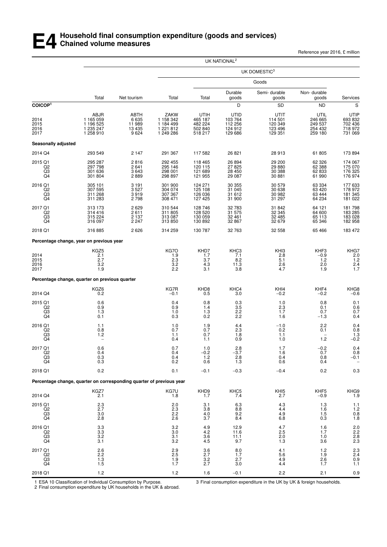## **E4 Household final consumption expenditure (goods and services) Chained volume measures**

Reference year 2016, £ million

|                                                               |                                                                      |                                            |                                                          |                                                         | UK NATIONAL <sup>2</sup>                         |                                                  |                                                  |                                                         |
|---------------------------------------------------------------|----------------------------------------------------------------------|--------------------------------------------|----------------------------------------------------------|---------------------------------------------------------|--------------------------------------------------|--------------------------------------------------|--------------------------------------------------|---------------------------------------------------------|
|                                                               |                                                                      |                                            |                                                          |                                                         |                                                  | UK DOMESTIC <sup>3</sup>                         |                                                  |                                                         |
|                                                               |                                                                      |                                            |                                                          |                                                         |                                                  | Goods                                            |                                                  |                                                         |
|                                                               | Total                                                                | Net tourism                                | Total                                                    | Total                                                   | Durable<br>goods                                 | Semi-durable<br>goods                            | Non-durable<br>goods                             | Services                                                |
| COICOP <sup>1</sup>                                           |                                                                      |                                            |                                                          |                                                         | D                                                | SD                                               | <b>ND</b>                                        | $\mathbb S$                                             |
| 2014<br>2015<br>2016<br>2017                                  | ABJR<br>1 165 059<br>1 196 525<br>1 235 247<br>1 258 910             | ABTH<br>6 635<br>11 989<br>13 4 35<br>9624 | ZAKW<br>1 158 342<br>1 184 499<br>1 221 812<br>1 249 286 | UTIH<br>465 187<br>482 224<br>502 840<br>518 217        | UTID<br>103 764<br>112 256<br>124 912<br>129 686 | UTIT<br>114 501<br>120 349<br>123 496<br>129 351 | UTIL<br>246 665<br>249 537<br>254 432<br>259 180 | UTIP<br>693 832<br>702 436<br>718 972<br>731 069        |
| Seasonally adjusted                                           |                                                                      |                                            |                                                          |                                                         |                                                  |                                                  |                                                  |                                                         |
| 2014 Q4                                                       | 293 549                                                              | 2 1 4 7                                    | 291 367                                                  | 117 582                                                 | 26 821                                           | 28 913                                           | 61 805                                           | 173 894                                                 |
| 2015 Q1<br>Q2<br>Q3<br>Q4                                     | 295 287<br>297 798<br>301 636<br>301 804                             | 2816<br>2641<br>3643<br>2889               | 292 455<br>295 146<br>298 001<br>298 897                 | 118 465<br>120 115<br>121 689<br>121 955                | 26 894<br>27825<br>28 450<br>29 087              | 29 200<br>29 880<br>30 388<br>30 881             | 62 326<br>62 388<br>62 833<br>61 990             | 174 067<br>175 070<br>176 325<br>176 974                |
| 2016 Q1<br>$^{Q2}_{Q3}$<br>Q4                                 | 305 101<br>307 595<br>311 268<br>311 283                             | 3 1 9 1<br>3527<br>3919<br>2798            | 301 900<br>304 074<br>307 367<br>308 471                 | 124 271<br>125 108<br>126 036<br>127 425                | 30 355<br>31 045<br>31 612<br>31 900             | 30 579<br>30 638<br>30 982<br>31 297             | 63 334<br>63 4 20<br>63444<br>64 234             | 177 633<br>178 972<br>181 345<br>181 022                |
| 2017 Q1<br>Q2<br>$^{Q3}_{Q4}$                                 | 313 173<br>314 416<br>315 224<br>316 097                             | 2629<br>2611<br>2 137<br>2 247             | 310 544<br>311 805<br>313 087<br>313 850                 | 128 746<br>128 520<br>130 059<br>130 892                | 32 783<br>31 575<br>32 461<br>32 867             | 31 842<br>32 345<br>32 485<br>32 679             | 64 121<br>64 600<br>65 113<br>65 346             | 181798<br>183 285<br>183 028<br>182 958                 |
| 2018 Q1                                                       | 316 885                                                              | 2626                                       | 314 259                                                  | 130 787                                                 | 32763                                            | 32 558                                           | 65 4 66                                          | 183 472                                                 |
|                                                               | Percentage change, year on previous year                             |                                            |                                                          |                                                         |                                                  |                                                  |                                                  |                                                         |
| 2014<br>2015<br>2016<br>2017                                  | KGZ5<br>2.1<br>$\frac{2.7}{3.2}$<br>1.9                              |                                            | KG7O<br>1.9<br>$\frac{2.3}{3.2}$<br>2.2                  | KHD7<br>1.7<br>$3.7 \\  4.3$<br>3.1                     | KHC3<br>7.1<br>8.2<br>11.3<br>3.8                | KH <sub>I3</sub><br>2.8<br>5.1<br>2.6<br>4.7     | KHF3<br>$-0.9$<br>1.2<br>2.0<br>1.9              | KHG7<br>2.0<br>1.2<br>2.4<br>1.7                        |
|                                                               | Percentage change, quarter on previous quarter                       |                                            |                                                          |                                                         |                                                  |                                                  |                                                  |                                                         |
| 2014 Q4                                                       | KGZ6<br>0.2                                                          |                                            | KG7R<br>$-0.1$                                           | KHD8<br>0.5                                             | KHC4<br>3.0                                      | KHI4<br>$-0.2$                                   | KHF4<br>$-0.2$                                   | KHG8<br>-0.6                                            |
| 2015 Q1<br>Q <sub>2</sub><br>Q <sub>3</sub><br>Q4             | 0.6<br>$0.9$<br>1.3<br>0.1                                           |                                            | 0.4<br>0.9<br>1.0<br>0.3                                 | 0.8<br>1.4<br>$1.3$<br>0.2                              | 0.3<br>$\frac{3.5}{2.2}$<br>2.2                  | 1.0<br>$^{2.3}_{1.7}$<br>1.6                     | 0.8<br>0.1<br>0.7<br>$-1.3$                      | 0.1<br>$0.6 \\ 0.7$<br>0.4                              |
| 2016 Q1<br>Q <sub>2</sub><br>Q <sub>3</sub><br>Q <sub>4</sub> | 1.1<br>0.8<br>1.2                                                    |                                            | 1.0<br>0.7<br>1.1<br>0.4                                 | 1.9<br>0.7<br>0.7<br>1.1                                | 4.4<br>2.3<br>1.8<br>0.9                         | $-1.0$<br>0.2<br>1.1<br>1.0                      | 2.2<br>0.1<br>1.2                                | 0.4<br>$0.8$<br>$1.3$<br>$-0.2$                         |
| 2017 Q1<br>Q2<br>$^{Q3}_{Q4}$                                 | 0.6<br>0.4<br>$\begin{array}{c} 0.3 \\ 0.3 \end{array}$              |                                            | 0.7<br>0.4<br>0.4<br>0.2                                 | 1.0<br>$-0.2$<br>1.2<br>0.6                             | 2.8<br>$-3.7$<br>2.8<br>1.3                      | 1.7<br>1.6<br>0.4<br>0.6                         | $-0.2$<br>0.7<br>0.8<br>0.4                      | 0.4<br>0.8<br>$-0.1$                                    |
| 2018 Q1                                                       | 0.2                                                                  |                                            | 0.1                                                      | $-0.1$                                                  | $-0.3$                                           | $-0.4$                                           | 0.2                                              | 0.3                                                     |
|                                                               | Percentage change, quarter on corresponding quarter of previous year |                                            |                                                          |                                                         |                                                  |                                                  |                                                  |                                                         |
| 2014 Q4                                                       | KGZ7<br>2.1                                                          |                                            | KG7U<br>1.8                                              | KHD9<br>1.7                                             | KHC5<br>7.4                                      | KHI5<br>2.7                                      | KHF5<br>$-0.9$                                   | KHG9<br>1.9                                             |
| 2015 Q1<br>Q2<br>$\frac{Q3}{Q4}$                              | $^{2.3}_{2.7}$<br>3.0<br>2.8                                         |                                            | 2.0<br>$2.\overline{3}$<br>2.2<br>2.6                    | 3.1<br>3.8<br>4.0<br>3.7                                | $6.3 \ 8.8$<br>9.2<br>8.4                        | $^{4.3}_{4.4}$<br>4.9<br>6.8                     | 1.3<br>1.6<br>1.5<br>0.3                         | $\begin{array}{c} 1.1 \\ 1.2 \\ 0.8 \\ 1.8 \end{array}$ |
| 2016 Q1<br>$^{Q2}_{Q3}$<br>Q <sub>4</sub>                     | $\begin{array}{c} 3.3 \\ 3.3 \\ 3.2 \end{array}$<br>3.1              |                                            | 3.2<br>3.0<br>3.1<br>3.2                                 | $\begin{array}{c} 4.9 \\ 4.2 \\ 3.6 \end{array}$<br>4.5 | 12.9<br>11.6<br>11.1<br>9.7                      | 4.7<br>2.5<br>2.0<br>1.3                         | 1.6<br>1.7<br>1.0<br>3.6                         | 2.0<br>2.2<br>2.8<br>2.3                                |
| 2017 Q1<br>Q2<br>Q3<br>Q4                                     | $2.6\,$<br>$2.\overline{2}$<br>1.3<br>1.5                            |                                            | 2.9<br>2.5<br>$^{1.9}_{1.7}$                             | $3.6\,$<br>2.7<br>$\frac{3.2}{2.7}$                     | 8.0<br>1.7<br>2.7<br>3.0                         | 4.1<br>5.6<br>4.9<br>4.4                         | 1.2<br>1.9<br>$^{2.6}_{1.7}$                     | $2.3$<br>$2.4$<br>$0.9$<br>$1.1$                        |
| 2018 Q1                                                       | 1.2                                                                  |                                            | 1.2                                                      | 1.6                                                     | $-0.1$                                           | 2.2                                              | 2.1                                              | 0.9                                                     |

1 ESA 10 Classification of Individual Consumption by Purpose.

3 Final consumption expenditure in the UK by UK & foreign households.

2 Final consumption expenditure by UK households in the UK & abroad.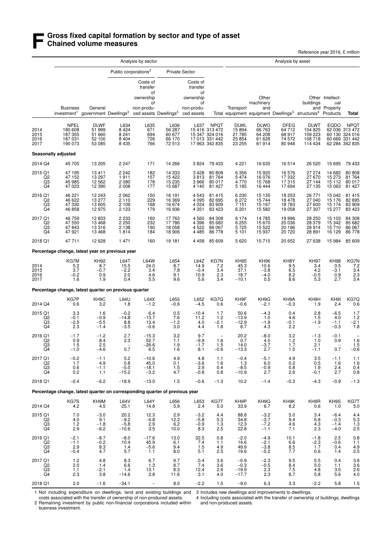## **F** Gross fixed capital formation by sector and type of asset<br> **F** Chained volume measures **Chained volume measures**

Reference year 2016, £ million

|                                              |                                                                             |                                                     | Analysis by asset                             |                                                             |                                              |                                                                           |                                                                                     |                                                     |                                                    |                                              |                                                                                                |                                            |                                                                                     |
|----------------------------------------------|-----------------------------------------------------------------------------|-----------------------------------------------------|-----------------------------------------------|-------------------------------------------------------------|----------------------------------------------|---------------------------------------------------------------------------|-------------------------------------------------------------------------------------|-----------------------------------------------------|----------------------------------------------------|----------------------------------------------|------------------------------------------------------------------------------------------------|--------------------------------------------|-------------------------------------------------------------------------------------|
|                                              |                                                                             |                                                     |                                               | Public corporations <sup>2</sup>                            |                                              | <b>Private Sector</b>                                                     |                                                                                     |                                                     |                                                    |                                              |                                                                                                |                                            |                                                                                     |
|                                              | <b>Business</b><br>investment <sup>1</sup>                                  | General<br>government Dwellings <sup>3</sup>        |                                               | Costs of<br>transfer<br>οf<br>ownership<br>οf<br>non-produ- | ced assets Dwellings <sup>3</sup>            | Costs of<br>transfer<br>of<br>ownership<br>of<br>non-produ-<br>ced assets |                                                                                     | Transport                                           | Other<br>machinery<br>and                          |                                              | buildings<br>Total equipment equipment Dwellings <sup>3</sup> structures <sup>4</sup> Products | Other Intellect-<br>ual<br>and Property    | Total                                                                               |
| 2014<br>2015<br>2016<br>2017                 | <b>NPEL</b><br>180 608<br>187 355<br>187 031<br>190 073                     | <b>DLWF</b><br>51 999<br>51 660<br>52 100<br>53 085 | L634<br>8 424<br>8 241<br>$8\,404$<br>8 4 3 5 | L635<br>671<br>694<br>726<br>766                            | L636<br>56 287<br>60 677<br>66 170<br>72 513 | L637                                                                      | <b>NPQT</b><br>15 416 313 472<br>15 347 324 016<br>17 013 331 442<br>17 963 342 835 | <b>DLWL</b><br>15 894<br>21 785<br>25 854<br>23 255 | <b>DLWO</b><br>66 763<br>64 208<br>61 628<br>61914 | DFEG<br>64 712<br>68 917<br>74 572<br>80 948 | <b>DLWT</b><br>104 825<br>109 223<br>108 718<br>114 434                                        | <b>EQDO</b>                                | <b>NPQT</b><br>62 036 313 472<br>60 130 324 016<br>60 669 331 442<br>62 284 342 835 |
|                                              | Seasonally adjusted                                                         |                                                     |                                               |                                                             |                                              |                                                                           |                                                                                     |                                                     |                                                    |                                              |                                                                                                |                                            |                                                                                     |
| 2014 Q4                                      | 45 705                                                                      | 13 205                                              | 2 2 4 7                                       | 171                                                         | 14 266                                       |                                                                           | 3 824 79 433                                                                        | 4 2 2 1                                             | 16 635                                             | 16514                                        | 26 5 20                                                                                        | 15 695                                     | 79 433                                                                              |
| 2015 Q1<br>Q <sub>2</sub><br>$\overline{Q}3$ | 47 195<br>47 152<br>45 985<br>47 023                                        | 13 411<br>13 297<br>12 562<br>12 390                | 2 2 4 2<br>1911<br>2080<br>2008               | 182<br>157<br>178<br>177                                    | 14 333<br>15 422<br>15 235<br>15 687         | 3 4 2 8<br>3813<br>3966<br>4 140                                          | 80 80 8<br>81 764<br>80 017<br>81 427                                               | 6 3 5 6<br>5 4 7 4<br>4 7 7 0<br>5 1 8 5            | 15920<br>16 076<br>15768<br>16 444                 | 16 576<br>17 332<br>17 315<br>17 694         | 27 274<br>27670<br>27 144<br>27 135                                                            | 14 682<br>15 273<br>15 112<br>15 063       | 80 80 8<br>81764<br>80 017<br>81 427                                                |
| 2016 Q1<br>Q2<br>Q3<br>Q4                    | 46 221<br>46 622<br>47 330<br>46 858                                        | 12 243<br>13 277<br>13 605<br>12 975                | 2062<br>2 1 1 0<br>2 1 0 9<br>2 1 2 3         | 150<br>229<br>168<br>179                                    | 16 191<br>16 369<br>16 674<br>16 936         | 4 5 4 3<br>4 0 9 5<br>4 0 24<br>4 3 5 1                                   | 81 415<br>82 695<br>83 909<br>83 4 23                                               | 6 230<br>6 272<br>7 1 5 1<br>6 201                  | 15 135<br>15 744<br>15 167<br>15 5 82              | 18 253<br>18 478<br>18783<br>19 058          | 26 771<br>27 040<br>27 600<br>27 307                                                           | 15 042<br>15 176<br>15 174<br>15 277       | 81 415<br>82 695<br>83 909<br>83 4 23                                               |
| 2017 Q1<br>Q2<br>Q3<br>Q4                    | 46 759<br>47 550<br>47 843<br>47921                                         | 12 833<br>13 4 68<br>13 316<br>13 4 68              | 2 233<br>2 250<br>2 1 3 8<br>1814             | 160<br>232<br>190<br>184                                    | 17 763<br>17 786<br>18 058<br>18 906         | 4 5 6 0<br>4 3 9 6<br>4 5 22<br>4 4 8 5                                   | 84 308<br>85 682<br>86 067<br>86 778                                                | 6 1 7 4<br>$6255$<br>5725<br>5 1 0 1                | 14 785<br>15 670<br>15 522<br>15937                | 19 996<br>20 036<br>20 196<br>20 720         | 28 250<br>28 379<br>28 914<br>28 891                                                           | 15 103<br>15 342<br>15710<br>16 129        | 84 308<br>85 682<br>86 067<br>86778                                                 |
| 2018 Q1                                      | 47 711                                                                      | 12 6 28                                             | 1 4 7 1                                       | 160                                                         | 19 181                                       | 4 4 5 8                                                                   | 85 609                                                                              | 5 6 20                                              | 15715                                              | 20 652                                       | 27 638                                                                                         | 15 984                                     | 85 609                                                                              |
|                                              | Percentage change, latest year on previous year                             |                                                     |                                               |                                                             |                                              |                                                                           |                                                                                     |                                                     |                                                    |                                              |                                                                                                |                                            |                                                                                     |
| 2014<br>2015<br>2016<br>2017                 | KG7M<br>5.2<br>3.7<br>$-0.2$<br>1.6                                         | <b>KH92</b><br>8.7<br>$-0.7$<br>0.9<br>1.9          | L64T<br>15.5<br>$-2.2$<br>2.0<br>0.4          | <b>L64W</b><br>24.0<br>3.4<br>4.6<br>5.5                    | L654<br>8.7<br>7.8<br>9.1<br>9.6             | L64Z<br>14.9<br>$-0.4$<br>10.9<br>5.6                                     | KG7N<br>7.2<br>3.4<br>2.3<br>3.4                                                    | <b>KH95</b><br>45.3<br>37.1<br>18.7<br>$-10.1$      | <b>KH96</b><br>10.6<br>$-3.8$<br>$-4.0$<br>0.5     | KH8Y<br>9.5<br>6.5<br>8.2<br>8.6             | <b>KH97</b><br>3.4<br>4.2<br>$-0.5$<br>5.3                                                     | <b>KH98</b><br>0.5<br>$-3.1$<br>0.9<br>2.7 | KG7N<br>7.2<br>3.4<br>2.3<br>3.4                                                    |
|                                              | Percentage change, latest quarter on previous quarter                       |                                                     |                                               |                                                             |                                              |                                                                           |                                                                                     |                                                     |                                                    |                                              |                                                                                                |                                            |                                                                                     |
| 2014 Q4                                      | KG7P<br>0.6                                                                 | KH <sub>9</sub> C<br>3.2                            | <b>L64U</b><br>1.8                            | L64X<br>$-1.2$                                              | L655<br>$-0.6$                               | L652<br>$-4.5$                                                            | KG7Q<br>0.6                                                                         | KH9F<br>$-0.6$                                      | KH9G<br>$-2.1$                                     | KH9A<br>$-0.3$                               | KH <sub>9</sub> H<br>1.9                                                                       | KH <sub>91</sub><br>2.4                    | KG7Q<br>0.6                                                                         |
| 2015 Q1<br>Q <sub>2</sub><br>$\frac{Q3}{Q4}$ | 3.3<br>$-0.1$<br>$-2.5$<br>2.3                                              | 1.6<br>$-0.9$<br>$-5.5$<br>$-1.4$                   | $-0.2$<br>$-14.8$<br>8.8<br>$-3.5$            | 6.4<br>$-13.7$<br>13.4<br>$-0.6$                            | 0.5<br>7.6<br>$-1.2$<br>3.0                  | $-10.4$<br>11.2<br>4.0<br>4.4                                             | 1.7<br>1.2<br>$-2.1$<br>1.8                                                         | 50.6<br>$-13.9$<br>$-12.9$<br>8.7                   | $-4.3$<br>1.0<br>$-1.9$<br>4.3                     | 0.4<br>4.6<br>$-0.1$<br>2.2                  | 2.8<br>1.5<br>$-1.9$                                                                           | $-6.5$<br>4.0<br>$-1.1$<br>$-0.3$          | $\begin{array}{c} 1.7 \\ 1.2 \\ -2.1 \end{array}$<br>1.8                            |
| 2016 Q1<br>Q2<br>Q3<br>Q4                    | $-1.7$<br>0.9<br>1.5<br>$-1.0$                                              | $-1.2$<br>8.4<br>2.5<br>-4.6                        | 2.7<br>$2.3\,$<br>0.7                         | $-15.3$<br>52.7<br>$-26.6$<br>6.J                           | 3.2<br>1.1<br>1.9<br>1.6                     | 9.7<br>$-9.9$<br>$-1.7$<br>8.1                                            | $\overline{\phantom{a}}$<br>1.6<br>1.5<br>$-0.6$                                    | 20.2<br>0.7<br>14.0<br>-13.3                        | $-8.0$<br>4.0<br>$-3.7$<br>2.7                     | 3.2<br>$1.2$<br>$1.7$<br>1.5                 | $-1.3$<br>$1.0\,$<br>2.1<br>$-1.1$                                                             | $-0.1$<br>0.9<br>$0.7\,$                   | $\begin{array}{c} 1.6 \\ 1.5 \\ -0.6 \end{array}$                                   |
| 2017 Q1<br>Q <sub>2</sub><br>Q3<br>Q4        | $-0.2$<br>1.7<br>0.6<br>0.2                                                 | $-1.1$<br>4.9<br>$-1.1$<br>1.1                      | 5.2<br>0.8<br>$-5.0$<br>$-15.2$               | $-10.6$<br>45.0<br>$-18.1$<br>$-3.2$                        | 4.9<br>0.1<br>1.5<br>4.7                     | 4.8<br>$-3.6$<br>2.9<br>$-0.8$                                            | 1.1<br>1.6<br>0.4<br>0.8                                                            | $-0.4$<br>1.3<br>-8.5<br>$-10.9$                    | $-5.1$<br>6.0<br>$-0.9$<br>2.7                     | 4.9<br>$0.\overline{2}$<br>0.8<br>2.6        | 3.5<br>0.5<br>1.9<br>$-0.1$                                                                    | $-1.1$<br>1.6<br>2.4<br>2.7                | $\begin{array}{c} 1.1 \\ 1.6 \\ 0.4 \\ 0.8 \end{array}$                             |
| 2018 Q1                                      | $-0.4$                                                                      | $-6.2$                                              | $-18.9$                                       | $-13.0$                                                     | 1.5                                          | $-0.6$                                                                    | $-1.3$                                                                              | 10.2                                                | $-1.4$                                             | $-0.3$                                       | $-4.3$                                                                                         | $-0.9$                                     | $-1.3$                                                                              |
|                                              | Percentage change, latest quarter on corresponding quarter of previous year |                                                     |                                               |                                                             |                                              |                                                                           |                                                                                     |                                                     |                                                    |                                              |                                                                                                |                                            |                                                                                     |
| 2014 Q4                                      | KG7S<br>4.2                                                                 | KH9M<br>4.5                                         | L64V<br>25.1                                  | L64Y<br>14.8                                                | L656<br>5.9                                  | L653<br>2.4                                                               | KG7T<br>5.0                                                                         | KH9P<br>33.9                                        | KH9Q<br>6.7                                        | KH9K<br>8.2                                  | KH9R<br>0.6                                                                                    | KH9S<br>1.0                                | KG7T<br>5.0                                                                         |
| 2015 Q1<br>Q <sub>2</sub><br>$^{Q3}_{Q4}$    | 7.0<br>4.0<br>1.2<br>2.9                                                    | $-3.0$<br>9.1<br>$-1.8$<br>$-6.2$                   | 20.2<br>$-9.2$<br>$-5.8$<br>$-10.6$           | 12.3<br>$-4.8$<br>$\frac{2.9}{3.5}$                         | 2.9<br>12.2<br>6.2<br>10.0                   | $-3.2$<br>$-5.8$<br>$-0.9$<br>8.3                                         | 4.4<br>5.3<br>1.3<br>2.5                                                            | 88.8<br>34.8<br>12.3<br>22.8                        | $-3.2$<br>$-3.7$<br>$-7.2$<br>$-1.1$               | 5.0<br>9.4<br>4.6<br>7.1                     | 3.4<br>6.8<br>4.3<br>2.3                                                                       | $-6.4$<br>$-0.3$<br>$-1.4$<br>$-4.0$       | $4.4$<br>$5.3$<br>$1.3$<br>$2.5$                                                    |
| 2016 Q1<br>Q <sub>2</sub><br>Q3<br>Q4        | $-2.1$<br>$-1.1$<br>2.9<br>$-0.4$                                           | $-8.7$<br>$-0.2$<br>8.3<br>4.7                      | $-8.0$<br>10.4<br>1.4<br>5.7                  | $-17.6$<br>45.9<br>$-5.6$<br>1.1                            | 13.0<br>6.1<br>9.4<br>8.0                    | 32.5<br>7.4<br>1.5<br>5.1                                                 | 0.8<br>1.1<br>4.9<br>2.5                                                            | $-2.0$<br>14.6<br>49.9<br>19.6                      | $-4.9$<br>$-2.1$<br>$-3.8$<br>$-5.2$               | 10.1<br>6.6<br>8.5<br>7.7                    | $-1.8$<br>$-2.3$<br>1.7<br>0.6                                                                 | 2.5<br>$-0.6$<br>0.4<br>1.4                | 0.8<br>1.1<br>$\frac{4.9}{2.5}$                                                     |
| 2017 Q1<br>Q2<br>Q3<br>Q <sub>4</sub>        | 1.2<br>2.0<br>1.1<br>2.3                                                    | 4.8<br>1.4<br>$-2.1$<br>3.8                         | 8.3<br>6.6<br>1.4<br>$-14.6$                  | 6.7<br>1.3<br>13.1<br>2.8                                   | 9.7<br>8.7<br>8.3<br>11.6                    | 0.4<br>7.4<br>12.4<br>3.1                                                 | 3.6<br>3.6<br>2.6<br>4.0                                                            | $-0.9$<br>$-0.3$<br>$-19.9$<br>$-17.7$              | $-2.3$<br>$-0.5$<br>2.3<br>2.3                     | 9.5<br>8.4<br>7.5<br>8.7                     | 5.5<br>5.0<br>4.8<br>5.8                                                                       | 0.4<br>1.1<br>3.5<br>5.6                   | $3.6$<br>$3.6$<br>$2.6$<br>4.0                                                      |
| 2018 Q1                                      | 2.0                                                                         | $-1.6$                                              | $-34.1$                                       |                                                             | 8.0                                          | $-2.2$                                                                    | 1.5                                                                                 | $-9.0$                                              | 6.3                                                | 3.3                                          | $-2.2$                                                                                         | 5.8                                        | 1.5                                                                                 |

1 Not including expenditure on dwellings, land and existing buildings and 3 Includes new dwellings and improvements to dwellings. costs associated with the transfer of ownership of non-produced assets.

2 Remaining investment by public non-financial corporations included within business investment.

4 Including costs associated with the transfer of ownership of buildings, dwellings and non-produced assets.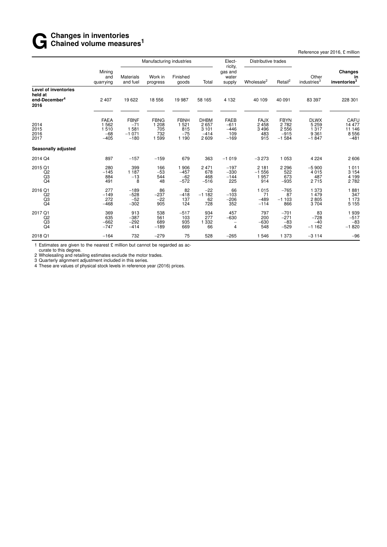## **G** Changes in inventories<br> **G** Chained volume measu **Chained volume measures<sup>1</sup>**

Reference year 2016, £ million

|                                                                             |                                                   | Manufacturing industries                          |                                               |                                                   | Elect-                                            | Distributive trades                              |                                           |                                                        |                                                      |                                                  |
|-----------------------------------------------------------------------------|---------------------------------------------------|---------------------------------------------------|-----------------------------------------------|---------------------------------------------------|---------------------------------------------------|--------------------------------------------------|-------------------------------------------|--------------------------------------------------------|------------------------------------------------------|--------------------------------------------------|
|                                                                             | Mining<br>and<br>quarrying                        | <b>Materials</b><br>and fuel                      | Work in<br>progress                           | Finished<br>goods                                 | Total                                             | ricity,<br>gas and<br>water<br>supply            | Wholesale <sup>2</sup>                    | Retail <sup>2</sup>                                    | Other<br>industries <sup>3</sup>                     | <b>Changes</b><br>in<br>inventories <sup>3</sup> |
| <b>Level of inventories</b><br>held at<br>end-December <sup>4</sup><br>2016 | 2 4 0 7                                           | 19622                                             | 18 556                                        | 19 987                                            | 58 165                                            | 4 1 3 2                                          | 40 109                                    | 40 091                                                 | 83 397                                               | 228 301                                          |
| 2014<br>2015<br>2016<br>2017                                                | <b>FAEA</b><br>1 5 6 2<br>1510<br>$-68$<br>$-405$ | <b>FBNF</b><br>$-71$<br>1581<br>$-1071$<br>$-180$ | <b>FBNG</b><br>1 208<br>705<br>732<br>1 5 9 9 | <b>FBNH</b><br>1 5 2 1<br>815<br>$-75$<br>1 1 9 0 | <b>DHBM</b><br>2657<br>3 1 0 1<br>$-414$<br>2 609 | <b>FAEB</b><br>$-611$<br>$-446$<br>109<br>$-169$ | <b>FAJX</b><br>2458<br>3496<br>483<br>915 | <b>FBYN</b><br>2 7 8 2<br>2 5 5 6<br>$-915$<br>$-1584$ | <b>DLWX</b><br>5 2 5 9<br>1317<br>9 3 6 1<br>$-1847$ | CAFU<br>14 477<br>11 146<br>8 5 5 6<br>$-481$    |
| Seasonally adjusted                                                         |                                                   |                                                   |                                               |                                                   |                                                   |                                                  |                                           |                                                        |                                                      |                                                  |
| 2014 Q4                                                                     | 897                                               | $-157$                                            | $-159$                                        | 679                                               | 363                                               | $-1019$                                          | $-3273$                                   | 1 0 5 3                                                | 4 2 2 4                                              | 2 606                                            |
| 2015 Q1<br>Q <sub>2</sub><br>Q3<br>Q <sub>4</sub>                           | 280<br>$-145$<br>884<br>491                       | 399<br>1 1 8 7<br>$-13$<br>8                      | 166<br>$-53$<br>544<br>48                     | 1 906<br>$-457$<br>$-62$<br>$-572$                | 2 4 7 1<br>678<br>468<br>$-516$                   | $-197$<br>$-330$<br>$-144$<br>225                | 2 1 8 1<br>$-1556$<br>1957<br>914         | 2 2 9 6<br>522<br>673<br>$-935$                        | $-5900$<br>4015<br>487<br>2715                       | 1 0 1 1<br>3 1 5 4<br>4 1 9 9<br>2782            |
| 2016 Q1<br>Q <sub>2</sub><br>Q3<br>Q <sub>4</sub>                           | 277<br>$-149$<br>272<br>$-468$                    | $-189$<br>$-528$<br>$-52$<br>$-302$               | 86<br>$-237$<br>$-22$<br>905                  | 82<br>$-418$<br>137<br>124                        | $-22$<br>$-1182$<br>62<br>728                     | 66<br>$-103$<br>$-206$<br>352                    | 1015<br>71<br>$-489$<br>$-114$            | $-765$<br>87<br>$-1103$<br>866                         | 1 373<br>1 479<br>2805<br>3704                       | 1881<br>347<br>1 1 7 3<br>5 1 5 5                |
| 2017 Q1<br>Q2<br>Q3<br>Q <sub>4</sub>                                       | 369<br>635<br>$-662$<br>$-747$                    | 913<br>$-387$<br>$-292$<br>$-414$                 | 538<br>561<br>689<br>$-189$                   | $-517$<br>103<br>935<br>669                       | 934<br>277<br>1 3 3 2<br>66                       | 457<br>$-630$<br>$\overline{\phantom{0}}$<br>4   | 797<br>200<br>$-630$<br>548               | $-701$<br>$-271$<br>$-83$<br>$-529$                    | 83<br>$-728$<br>$-40$<br>$-1162$                     | 1939<br>$-517$<br>$-83$<br>$-1820$               |
| 2018 Q1                                                                     | $-164$                                            | 732                                               | $-279$                                        | 75                                                | 528                                               | $-265$                                           | 1546                                      | 1 373                                                  | $-3114$                                              | $-96$                                            |

1 Estimates are given to the nearest  $\pounds$  million but cannot be regarded as accurate to this degree.

2 Wholesaling and retailing estimates exclude the motor trades. 3 Quarterly alignment adjustment included in this series.

4 These are values of physical stock levels in reference year (2016) prices.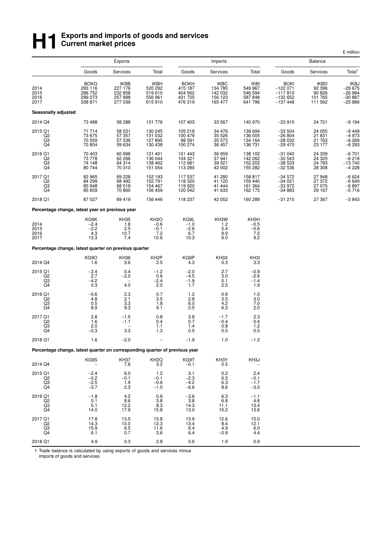## **H**<br>**H Exports and imports of goods and services**<br> **H Exports and imports of goods and services Current market prices**

| Exports<br><b>Balance</b><br>Imports<br>Total<br>Total <sup>1</sup><br>Goods<br>Services<br>Total<br>Goods<br>Services<br>Goods<br>Services<br><b>BOKG</b><br><b>IKBB</b><br>IKBH<br><b>BOKH</b><br><b>IKBC</b><br><b>IKBI</b><br><b>BOKI</b><br><b>IKBD</b><br>IKBJ<br>29 675–<br>520 292<br>134 780<br>$-122071$<br>2014<br>293 116<br>227 176<br>415 187<br>404 562<br>431 725<br>549 967<br>92 396<br>286 752<br>519610<br>546 594<br>90 826<br>$-26984$<br>2015<br>232 858<br>142 032<br>$-117810$<br>101 765<br>299 073<br>156 123<br>$-30887$<br>257 888<br>556 961<br>587 848<br>$-132652$<br>2016<br>338 871<br>277 039<br>476 319<br>165 477<br>$-137448$<br>111 562<br>$-25886$<br>2017<br>615910<br>641 796<br>Seasonally adjusted<br>2014 Q4<br>73 488<br>58 288<br>131 776<br>107 403<br>33 567<br>140 970<br>$-33915$<br>24 721<br>$-9194$<br>2015 Q1<br>71 714<br>58 531<br>130 245<br>105 218<br>34 476<br>139 694<br>$-33504$<br>24 055<br>$-9449$<br>57 357<br>Q <sub>2</sub><br>73 675<br>131 032<br>100 479<br>35 5 26<br>136 005<br>$-26804$<br>21 831<br>$-4973$<br>$-6269$<br>Q3<br>70 559<br>57 336<br>127 895<br>21 763<br>35 573<br>134 164<br>98 591<br>$-28032$<br>$-6293$<br>Q4<br>70 804<br>130 438<br>100 274<br>23 177<br>59 634<br>36 457<br>136 731<br>$-29470$<br>$-6701$<br>2016 Q1<br>70 403<br>60 998<br>131 401<br>36 659<br>138 102<br>$-31040$<br>24 339<br>101 443<br>37941<br>$-6218$<br>73 778<br>62 266<br>136 044<br>104 321<br>142 262<br>$-30543$<br>24 3 25<br>Q2<br>Q3<br>39 521<br>152 202<br>24 793<br>$-13740$<br>74 148<br>64 314<br>138 462<br>112 681<br>-38 533<br>$-4.228$<br>Q4<br>70 310<br>151 054<br>113 280<br>42 002<br>155 282<br>28 308<br>80 744<br>$-32536$<br>2017 Q1<br>82 965<br>69 228<br>152 193<br>41 280<br>158 817<br>$-34572$<br>27 948<br>$-6624$<br>117 537<br>152 791<br>84 299<br>68 492<br>118 320<br>41 120<br>$-6649$<br>Q <sub>2</sub><br>159 440<br>$-34021$<br>27 372<br>$^{Q3}_{Q4}$<br>85 948<br>68 519<br>41 444<br>161 364<br>$-6897$<br>$-5716$<br>154 467<br>119 920<br>-33 972<br>27 075<br>70 800<br>85 659<br>156 459<br>120 542<br>41 633<br>162 175<br>$-34883$<br>29 167<br>2018 Q1<br>69 419<br>$-3843$<br>87 027<br>156 446<br>118 237<br>42 052<br>160 289<br>$-31210$<br>27 367<br>Percentage change, latest year on previous year<br>KG9K<br>KH35<br>KH <sub>2</sub> O<br>KG9L<br>KH3W<br>KH3H<br>2014<br>$-2.4$<br>$-0.6$<br>$-1.0$<br>1.2<br>1.8<br>$-0.5$<br>$-2.2$<br>2.5<br>$-2.6$<br>2015<br>5.4<br>$-0.6$<br>$-0.1$<br>7.5<br>2016<br>4.3<br>10.7<br>7.2<br>6.7<br>9.9<br>6.0<br>9.2<br>13.3<br>10.6<br>10.3<br>2017<br>7.4<br>Percentage change, latest quarter on previous quarter<br>KG9O<br>KH <sub>2</sub> P<br>KG9P<br>KH3X<br>KH3I<br><b>KH36</b><br>2014 Q4<br>1.6<br>3.6<br>2.5<br>4.3<br>0.3<br>3.3<br>2015 Q1<br>$-2.4$<br>0.4<br>$-1.2$<br>$-2.0$<br>2.7<br>$-0.9$<br>Q <sub>2</sub><br>2.7<br>$-2.0$<br>0.6<br>$-4.5$<br>3.0<br>$-2.6$<br>0.1<br>Q3<br>$-4.2$<br>$-2.4$<br>$-1.9$<br>$-1.4$<br>Q4<br>0.3<br>4.0<br>2.0<br>2.5<br>1.9<br>1.7<br>2.3<br>0.7<br>1.2<br>0.6<br>2016 Q1<br>$-0.6$<br>1.0<br>4.8<br>2.1<br>3.5<br>2.8<br>3.5<br>3.0<br>Q <sub>2</sub><br>$^{4.2}_{6.3}$<br>$^{Q3}_{Q4}$<br>$\substack{0.5 \\ 8.9}$<br>$\frac{3.3}{9.3}$<br>1.8<br>8.0<br>7.0<br>0.5<br>9.1<br>2.0<br>2017 Q1<br>$^{2.8}_{1.6}$<br>$^{2.3}_{0.4}$<br>$-1.5$<br>0.8<br>$\begin{array}{c} 3.8 \\ 0.7 \end{array}$<br>$-1.7$<br>Q <sub>2</sub><br>$-1.1$<br>0.4<br>$-0.4$<br>Q3<br>2.0<br>1.2<br>1.1<br>1.4<br>0.8<br>3.3<br>Q <sub>4</sub><br>$-0.3$<br>0.5<br>1.3<br>0.5<br>0.5<br>2018 Q1<br>$-2.0$<br>$-1.9$<br>$-1.2$<br>1.6<br>1.0<br>Percentage change, latest quarter on corresponding quarter of previous year<br>KG9S<br><b>KH37</b><br>KH <sub>2</sub> Q<br>KG9T<br>KH3Y<br>KH3J<br>$\overline{3.2}$<br>2014 Q4<br>7.6<br>$-0.1$<br>0.5<br>2015 Q1<br>$^{-2.4}_{-0.2}$<br>$\substack{0.2 \\ 6.5}$<br>6.0<br>$1.2 - 0.1$<br>$\frac{3.1}{-2.3}$<br>2.4<br>$-0.1$<br>Q2<br>$-0.1$<br>Q3<br>$-2.5$<br>$-4.2$<br>6.3<br>1.9<br>$-0.6$<br>$-1.7$<br>Q4<br>$-3.7$<br>2.3<br>$-1.0$<br>$-6.6$<br>8.6<br>$-3.0$<br>2016 Q1<br>4.2<br>0.9<br>$-3.6$<br>6.3<br>$-1.8$<br>$-1.1$<br>0.1<br>$\begin{array}{c} 3.8 \\ 8.3 \end{array}$<br>$3.8$<br>14.3<br>6.8<br>$^{Q2}_{Q3}$<br>$8.6$<br>12.2<br>$^{4.6}_{13.4}$<br>5.1<br>11.1<br>Q4<br>14.0<br>17.9<br>15.8<br>15.2<br>13.6<br>13.0<br>2017 Q1<br>12.6<br>17.8<br>13.5<br>15.8<br>15.9<br>15.0<br>14.3<br>10.0<br>12.3<br>13.4<br>Q <sub>2</sub><br>8.4<br>12.1<br>$^{Q3}_{Q4}$<br>$15.9$<br>6.1<br>$6.5$<br>$0.7$<br>$\frac{11.6}{3.6}$<br>$6.4$<br>$6.4$<br>4.9<br>6.0<br>$-0.9$<br>4.4<br>2018 Q1<br>4.9<br>0.3<br>2.8<br>0.6<br>1.9<br>0.9 |  |  |  |  | £ million |
|--------------------------------------------------------------------------------------------------------------------------------------------------------------------------------------------------------------------------------------------------------------------------------------------------------------------------------------------------------------------------------------------------------------------------------------------------------------------------------------------------------------------------------------------------------------------------------------------------------------------------------------------------------------------------------------------------------------------------------------------------------------------------------------------------------------------------------------------------------------------------------------------------------------------------------------------------------------------------------------------------------------------------------------------------------------------------------------------------------------------------------------------------------------------------------------------------------------------------------------------------------------------------------------------------------------------------------------------------------------------------------------------------------------------------------------------------------------------------------------------------------------------------------------------------------------------------------------------------------------------------------------------------------------------------------------------------------------------------------------------------------------------------------------------------------------------------------------------------------------------------------------------------------------------------------------------------------------------------------------------------------------------------------------------------------------------------------------------------------------------------------------------------------------------------------------------------------------------------------------------------------------------------------------------------------------------------------------------------------------------------------------------------------------------------------------------------------------------------------------------------------------------------------------------------------------------------------------------------------------------------------------------------------------------------------------------------------------------------------------------------------------------------------------------------------------------------------------------------------------------------------------------------------------------------------------------------------------------------------------------------------------------------------------------------------------------------------------------------------------------------------------------------------------------------------------------------------------------------------------------------------------------------------------------------------------------------------------------------------------------------------------------------------------------------------------------------------------------------------------------------------------------------------------------------------------------------------------------------------------------------------------------------------------------------------------------------------------------------------------------------------------------------------------------------------------------------------------------------------------------------------------------------------------------------------------------------------------------------------------------------------------------------------------------------------------------------------------------------------------------------------------------------------------------------------------------------------------------------------------------------------------------------------------------------------------------------------------------------------------------------------------------------------------------------------------------------------------------------------------------------------------------------------------------------------------------------------------------------------------------------------------------------------------------------------------------------------------------|--|--|--|--|-----------|
|                                                                                                                                                                                                                                                                                                                                                                                                                                                                                                                                                                                                                                                                                                                                                                                                                                                                                                                                                                                                                                                                                                                                                                                                                                                                                                                                                                                                                                                                                                                                                                                                                                                                                                                                                                                                                                                                                                                                                                                                                                                                                                                                                                                                                                                                                                                                                                                                                                                                                                                                                                                                                                                                                                                                                                                                                                                                                                                                                                                                                                                                                                                                                                                                                                                                                                                                                                                                                                                                                                                                                                                                                                                                                                                                                                                                                                                                                                                                                                                                                                                                                                                                                                                                                                                                                                                                                                                                                                                                                                                                                                                                                                                                                                                    |  |  |  |  |           |
|                                                                                                                                                                                                                                                                                                                                                                                                                                                                                                                                                                                                                                                                                                                                                                                                                                                                                                                                                                                                                                                                                                                                                                                                                                                                                                                                                                                                                                                                                                                                                                                                                                                                                                                                                                                                                                                                                                                                                                                                                                                                                                                                                                                                                                                                                                                                                                                                                                                                                                                                                                                                                                                                                                                                                                                                                                                                                                                                                                                                                                                                                                                                                                                                                                                                                                                                                                                                                                                                                                                                                                                                                                                                                                                                                                                                                                                                                                                                                                                                                                                                                                                                                                                                                                                                                                                                                                                                                                                                                                                                                                                                                                                                                                                    |  |  |  |  |           |
|                                                                                                                                                                                                                                                                                                                                                                                                                                                                                                                                                                                                                                                                                                                                                                                                                                                                                                                                                                                                                                                                                                                                                                                                                                                                                                                                                                                                                                                                                                                                                                                                                                                                                                                                                                                                                                                                                                                                                                                                                                                                                                                                                                                                                                                                                                                                                                                                                                                                                                                                                                                                                                                                                                                                                                                                                                                                                                                                                                                                                                                                                                                                                                                                                                                                                                                                                                                                                                                                                                                                                                                                                                                                                                                                                                                                                                                                                                                                                                                                                                                                                                                                                                                                                                                                                                                                                                                                                                                                                                                                                                                                                                                                                                                    |  |  |  |  |           |
|                                                                                                                                                                                                                                                                                                                                                                                                                                                                                                                                                                                                                                                                                                                                                                                                                                                                                                                                                                                                                                                                                                                                                                                                                                                                                                                                                                                                                                                                                                                                                                                                                                                                                                                                                                                                                                                                                                                                                                                                                                                                                                                                                                                                                                                                                                                                                                                                                                                                                                                                                                                                                                                                                                                                                                                                                                                                                                                                                                                                                                                                                                                                                                                                                                                                                                                                                                                                                                                                                                                                                                                                                                                                                                                                                                                                                                                                                                                                                                                                                                                                                                                                                                                                                                                                                                                                                                                                                                                                                                                                                                                                                                                                                                                    |  |  |  |  |           |
|                                                                                                                                                                                                                                                                                                                                                                                                                                                                                                                                                                                                                                                                                                                                                                                                                                                                                                                                                                                                                                                                                                                                                                                                                                                                                                                                                                                                                                                                                                                                                                                                                                                                                                                                                                                                                                                                                                                                                                                                                                                                                                                                                                                                                                                                                                                                                                                                                                                                                                                                                                                                                                                                                                                                                                                                                                                                                                                                                                                                                                                                                                                                                                                                                                                                                                                                                                                                                                                                                                                                                                                                                                                                                                                                                                                                                                                                                                                                                                                                                                                                                                                                                                                                                                                                                                                                                                                                                                                                                                                                                                                                                                                                                                                    |  |  |  |  |           |
|                                                                                                                                                                                                                                                                                                                                                                                                                                                                                                                                                                                                                                                                                                                                                                                                                                                                                                                                                                                                                                                                                                                                                                                                                                                                                                                                                                                                                                                                                                                                                                                                                                                                                                                                                                                                                                                                                                                                                                                                                                                                                                                                                                                                                                                                                                                                                                                                                                                                                                                                                                                                                                                                                                                                                                                                                                                                                                                                                                                                                                                                                                                                                                                                                                                                                                                                                                                                                                                                                                                                                                                                                                                                                                                                                                                                                                                                                                                                                                                                                                                                                                                                                                                                                                                                                                                                                                                                                                                                                                                                                                                                                                                                                                                    |  |  |  |  |           |
|                                                                                                                                                                                                                                                                                                                                                                                                                                                                                                                                                                                                                                                                                                                                                                                                                                                                                                                                                                                                                                                                                                                                                                                                                                                                                                                                                                                                                                                                                                                                                                                                                                                                                                                                                                                                                                                                                                                                                                                                                                                                                                                                                                                                                                                                                                                                                                                                                                                                                                                                                                                                                                                                                                                                                                                                                                                                                                                                                                                                                                                                                                                                                                                                                                                                                                                                                                                                                                                                                                                                                                                                                                                                                                                                                                                                                                                                                                                                                                                                                                                                                                                                                                                                                                                                                                                                                                                                                                                                                                                                                                                                                                                                                                                    |  |  |  |  |           |
|                                                                                                                                                                                                                                                                                                                                                                                                                                                                                                                                                                                                                                                                                                                                                                                                                                                                                                                                                                                                                                                                                                                                                                                                                                                                                                                                                                                                                                                                                                                                                                                                                                                                                                                                                                                                                                                                                                                                                                                                                                                                                                                                                                                                                                                                                                                                                                                                                                                                                                                                                                                                                                                                                                                                                                                                                                                                                                                                                                                                                                                                                                                                                                                                                                                                                                                                                                                                                                                                                                                                                                                                                                                                                                                                                                                                                                                                                                                                                                                                                                                                                                                                                                                                                                                                                                                                                                                                                                                                                                                                                                                                                                                                                                                    |  |  |  |  |           |
|                                                                                                                                                                                                                                                                                                                                                                                                                                                                                                                                                                                                                                                                                                                                                                                                                                                                                                                                                                                                                                                                                                                                                                                                                                                                                                                                                                                                                                                                                                                                                                                                                                                                                                                                                                                                                                                                                                                                                                                                                                                                                                                                                                                                                                                                                                                                                                                                                                                                                                                                                                                                                                                                                                                                                                                                                                                                                                                                                                                                                                                                                                                                                                                                                                                                                                                                                                                                                                                                                                                                                                                                                                                                                                                                                                                                                                                                                                                                                                                                                                                                                                                                                                                                                                                                                                                                                                                                                                                                                                                                                                                                                                                                                                                    |  |  |  |  |           |
|                                                                                                                                                                                                                                                                                                                                                                                                                                                                                                                                                                                                                                                                                                                                                                                                                                                                                                                                                                                                                                                                                                                                                                                                                                                                                                                                                                                                                                                                                                                                                                                                                                                                                                                                                                                                                                                                                                                                                                                                                                                                                                                                                                                                                                                                                                                                                                                                                                                                                                                                                                                                                                                                                                                                                                                                                                                                                                                                                                                                                                                                                                                                                                                                                                                                                                                                                                                                                                                                                                                                                                                                                                                                                                                                                                                                                                                                                                                                                                                                                                                                                                                                                                                                                                                                                                                                                                                                                                                                                                                                                                                                                                                                                                                    |  |  |  |  |           |
|                                                                                                                                                                                                                                                                                                                                                                                                                                                                                                                                                                                                                                                                                                                                                                                                                                                                                                                                                                                                                                                                                                                                                                                                                                                                                                                                                                                                                                                                                                                                                                                                                                                                                                                                                                                                                                                                                                                                                                                                                                                                                                                                                                                                                                                                                                                                                                                                                                                                                                                                                                                                                                                                                                                                                                                                                                                                                                                                                                                                                                                                                                                                                                                                                                                                                                                                                                                                                                                                                                                                                                                                                                                                                                                                                                                                                                                                                                                                                                                                                                                                                                                                                                                                                                                                                                                                                                                                                                                                                                                                                                                                                                                                                                                    |  |  |  |  |           |
|                                                                                                                                                                                                                                                                                                                                                                                                                                                                                                                                                                                                                                                                                                                                                                                                                                                                                                                                                                                                                                                                                                                                                                                                                                                                                                                                                                                                                                                                                                                                                                                                                                                                                                                                                                                                                                                                                                                                                                                                                                                                                                                                                                                                                                                                                                                                                                                                                                                                                                                                                                                                                                                                                                                                                                                                                                                                                                                                                                                                                                                                                                                                                                                                                                                                                                                                                                                                                                                                                                                                                                                                                                                                                                                                                                                                                                                                                                                                                                                                                                                                                                                                                                                                                                                                                                                                                                                                                                                                                                                                                                                                                                                                                                                    |  |  |  |  |           |
|                                                                                                                                                                                                                                                                                                                                                                                                                                                                                                                                                                                                                                                                                                                                                                                                                                                                                                                                                                                                                                                                                                                                                                                                                                                                                                                                                                                                                                                                                                                                                                                                                                                                                                                                                                                                                                                                                                                                                                                                                                                                                                                                                                                                                                                                                                                                                                                                                                                                                                                                                                                                                                                                                                                                                                                                                                                                                                                                                                                                                                                                                                                                                                                                                                                                                                                                                                                                                                                                                                                                                                                                                                                                                                                                                                                                                                                                                                                                                                                                                                                                                                                                                                                                                                                                                                                                                                                                                                                                                                                                                                                                                                                                                                                    |  |  |  |  |           |
|                                                                                                                                                                                                                                                                                                                                                                                                                                                                                                                                                                                                                                                                                                                                                                                                                                                                                                                                                                                                                                                                                                                                                                                                                                                                                                                                                                                                                                                                                                                                                                                                                                                                                                                                                                                                                                                                                                                                                                                                                                                                                                                                                                                                                                                                                                                                                                                                                                                                                                                                                                                                                                                                                                                                                                                                                                                                                                                                                                                                                                                                                                                                                                                                                                                                                                                                                                                                                                                                                                                                                                                                                                                                                                                                                                                                                                                                                                                                                                                                                                                                                                                                                                                                                                                                                                                                                                                                                                                                                                                                                                                                                                                                                                                    |  |  |  |  |           |
|                                                                                                                                                                                                                                                                                                                                                                                                                                                                                                                                                                                                                                                                                                                                                                                                                                                                                                                                                                                                                                                                                                                                                                                                                                                                                                                                                                                                                                                                                                                                                                                                                                                                                                                                                                                                                                                                                                                                                                                                                                                                                                                                                                                                                                                                                                                                                                                                                                                                                                                                                                                                                                                                                                                                                                                                                                                                                                                                                                                                                                                                                                                                                                                                                                                                                                                                                                                                                                                                                                                                                                                                                                                                                                                                                                                                                                                                                                                                                                                                                                                                                                                                                                                                                                                                                                                                                                                                                                                                                                                                                                                                                                                                                                                    |  |  |  |  |           |
|                                                                                                                                                                                                                                                                                                                                                                                                                                                                                                                                                                                                                                                                                                                                                                                                                                                                                                                                                                                                                                                                                                                                                                                                                                                                                                                                                                                                                                                                                                                                                                                                                                                                                                                                                                                                                                                                                                                                                                                                                                                                                                                                                                                                                                                                                                                                                                                                                                                                                                                                                                                                                                                                                                                                                                                                                                                                                                                                                                                                                                                                                                                                                                                                                                                                                                                                                                                                                                                                                                                                                                                                                                                                                                                                                                                                                                                                                                                                                                                                                                                                                                                                                                                                                                                                                                                                                                                                                                                                                                                                                                                                                                                                                                                    |  |  |  |  |           |
|                                                                                                                                                                                                                                                                                                                                                                                                                                                                                                                                                                                                                                                                                                                                                                                                                                                                                                                                                                                                                                                                                                                                                                                                                                                                                                                                                                                                                                                                                                                                                                                                                                                                                                                                                                                                                                                                                                                                                                                                                                                                                                                                                                                                                                                                                                                                                                                                                                                                                                                                                                                                                                                                                                                                                                                                                                                                                                                                                                                                                                                                                                                                                                                                                                                                                                                                                                                                                                                                                                                                                                                                                                                                                                                                                                                                                                                                                                                                                                                                                                                                                                                                                                                                                                                                                                                                                                                                                                                                                                                                                                                                                                                                                                                    |  |  |  |  |           |
|                                                                                                                                                                                                                                                                                                                                                                                                                                                                                                                                                                                                                                                                                                                                                                                                                                                                                                                                                                                                                                                                                                                                                                                                                                                                                                                                                                                                                                                                                                                                                                                                                                                                                                                                                                                                                                                                                                                                                                                                                                                                                                                                                                                                                                                                                                                                                                                                                                                                                                                                                                                                                                                                                                                                                                                                                                                                                                                                                                                                                                                                                                                                                                                                                                                                                                                                                                                                                                                                                                                                                                                                                                                                                                                                                                                                                                                                                                                                                                                                                                                                                                                                                                                                                                                                                                                                                                                                                                                                                                                                                                                                                                                                                                                    |  |  |  |  |           |
|                                                                                                                                                                                                                                                                                                                                                                                                                                                                                                                                                                                                                                                                                                                                                                                                                                                                                                                                                                                                                                                                                                                                                                                                                                                                                                                                                                                                                                                                                                                                                                                                                                                                                                                                                                                                                                                                                                                                                                                                                                                                                                                                                                                                                                                                                                                                                                                                                                                                                                                                                                                                                                                                                                                                                                                                                                                                                                                                                                                                                                                                                                                                                                                                                                                                                                                                                                                                                                                                                                                                                                                                                                                                                                                                                                                                                                                                                                                                                                                                                                                                                                                                                                                                                                                                                                                                                                                                                                                                                                                                                                                                                                                                                                                    |  |  |  |  |           |
|                                                                                                                                                                                                                                                                                                                                                                                                                                                                                                                                                                                                                                                                                                                                                                                                                                                                                                                                                                                                                                                                                                                                                                                                                                                                                                                                                                                                                                                                                                                                                                                                                                                                                                                                                                                                                                                                                                                                                                                                                                                                                                                                                                                                                                                                                                                                                                                                                                                                                                                                                                                                                                                                                                                                                                                                                                                                                                                                                                                                                                                                                                                                                                                                                                                                                                                                                                                                                                                                                                                                                                                                                                                                                                                                                                                                                                                                                                                                                                                                                                                                                                                                                                                                                                                                                                                                                                                                                                                                                                                                                                                                                                                                                                                    |  |  |  |  |           |
|                                                                                                                                                                                                                                                                                                                                                                                                                                                                                                                                                                                                                                                                                                                                                                                                                                                                                                                                                                                                                                                                                                                                                                                                                                                                                                                                                                                                                                                                                                                                                                                                                                                                                                                                                                                                                                                                                                                                                                                                                                                                                                                                                                                                                                                                                                                                                                                                                                                                                                                                                                                                                                                                                                                                                                                                                                                                                                                                                                                                                                                                                                                                                                                                                                                                                                                                                                                                                                                                                                                                                                                                                                                                                                                                                                                                                                                                                                                                                                                                                                                                                                                                                                                                                                                                                                                                                                                                                                                                                                                                                                                                                                                                                                                    |  |  |  |  |           |
|                                                                                                                                                                                                                                                                                                                                                                                                                                                                                                                                                                                                                                                                                                                                                                                                                                                                                                                                                                                                                                                                                                                                                                                                                                                                                                                                                                                                                                                                                                                                                                                                                                                                                                                                                                                                                                                                                                                                                                                                                                                                                                                                                                                                                                                                                                                                                                                                                                                                                                                                                                                                                                                                                                                                                                                                                                                                                                                                                                                                                                                                                                                                                                                                                                                                                                                                                                                                                                                                                                                                                                                                                                                                                                                                                                                                                                                                                                                                                                                                                                                                                                                                                                                                                                                                                                                                                                                                                                                                                                                                                                                                                                                                                                                    |  |  |  |  |           |
|                                                                                                                                                                                                                                                                                                                                                                                                                                                                                                                                                                                                                                                                                                                                                                                                                                                                                                                                                                                                                                                                                                                                                                                                                                                                                                                                                                                                                                                                                                                                                                                                                                                                                                                                                                                                                                                                                                                                                                                                                                                                                                                                                                                                                                                                                                                                                                                                                                                                                                                                                                                                                                                                                                                                                                                                                                                                                                                                                                                                                                                                                                                                                                                                                                                                                                                                                                                                                                                                                                                                                                                                                                                                                                                                                                                                                                                                                                                                                                                                                                                                                                                                                                                                                                                                                                                                                                                                                                                                                                                                                                                                                                                                                                                    |  |  |  |  |           |

1 Trade balance is calculated by using exports of goods and services minus imports of goods and services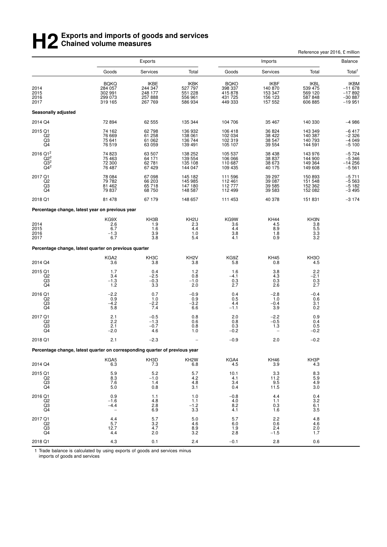## **H2** Exports and imports of goods and services<br> **H2** Chained volume measures **Chained volume measures**

|                                                                                                            |                                                                             |                                                  |                                                  | Reference year 2016, £ million                          |                                                         |                                                      |                                                         |  |
|------------------------------------------------------------------------------------------------------------|-----------------------------------------------------------------------------|--------------------------------------------------|--------------------------------------------------|---------------------------------------------------------|---------------------------------------------------------|------------------------------------------------------|---------------------------------------------------------|--|
|                                                                                                            |                                                                             | <b>Exports</b>                                   |                                                  |                                                         | Imports                                                 |                                                      | Balance                                                 |  |
|                                                                                                            | Goods                                                                       | Services                                         | Total                                            | Goods                                                   | Services                                                | Total                                                | Total <sup>1</sup>                                      |  |
| 2014<br>2015<br>2016<br>2017                                                                               | <b>BQKQ</b><br>284 057<br>302 991<br>299 073<br>319 165                     | IKBE<br>244 347<br>248 177<br>257 888<br>267 769 | IKBK<br>527 797<br>551 228<br>556 961<br>586 934 | <b>BQKO</b><br>398 337<br>415 878<br>431 725<br>449 333 | <b>IKBF</b><br>140 870<br>153 347<br>156 123<br>157 552 | IKBL<br>539 475<br>569 120<br>587 848<br>606 885     | <b>IKBM</b><br>$-11678$<br>$-17892$<br>$-30887 - 19951$ |  |
| <b>Seasonally adjusted</b>                                                                                 |                                                                             |                                                  |                                                  |                                                         |                                                         |                                                      |                                                         |  |
| 2014 Q4                                                                                                    | 72 894                                                                      | 62 555                                           | 135 344                                          | 104 706                                                 | 35 467                                                  | 140 330                                              | $-4986$                                                 |  |
| 2015 Q1<br>Q <sub>2</sub><br>Q3<br>Q4                                                                      | 74 162<br>76 669<br>75 641<br>76 519                                        | 62 798<br>61 258<br>61 062<br>63 059             | 136 932<br>138 061<br>136 744<br>139 491         | 106 418<br>102 034<br>102 319<br>105 107                | 36 824<br>38 4 22<br>38 547<br>39 554                   | 143 349<br>140 387<br>140 793<br>144 591             | -6 417<br>-2 326<br>$-4049$<br>$-5100$                  |  |
| 2016 Q1 <sup>2</sup><br>$\overline{Q}$ $\overline{Q}$ $\overline{Q}$ $\overline{Q}$<br>$\frac{Q3^2}{Q4^2}$ | 74 823<br>75 463<br>72 300<br>76 487                                        | 63 507<br>64 171<br>62 781<br>67 429             | 138 252<br>139 554<br>135 108<br>144 047         | 105 537<br>106 066<br>110 687<br>109 435                | 38 4 38<br>38 837<br>38 673<br>40 175                   | 143 976<br>144 900<br>149 364<br>149 608             | $-5724$<br>$-5346$<br>$-14256$<br>$-5561$               |  |
| 2017 Q1<br>Q <sub>2</sub><br>$^{Q3}_{Q4}$                                                                  | 78 084<br>79 782<br>81 462<br>79 837                                        | 67 098<br>66 203<br>65 718<br>68 750             | 145 182<br>145 985<br>147 180<br>148 587         | 111 596<br>112 461<br>112 777<br>112 499                | 39 297<br>39 087<br>39 585<br>39 583                    | 150 893<br>151 548<br>152 362<br>152 082             | $-5711$<br>-5 563<br>-5 182<br>$-3495$                  |  |
| 2018 Q1                                                                                                    | 81 478                                                                      | 67 179                                           | 148 657                                          | 111 453                                                 | 40 378                                                  | 151 831                                              | $-3174$                                                 |  |
|                                                                                                            | Percentage change, latest year on previous year                             |                                                  |                                                  |                                                         |                                                         |                                                      |                                                         |  |
| 2014<br>2015<br>2016<br>2017                                                                               | KG9X<br>2.6<br>6.7<br>$-1.3$<br>6.7                                         | KH3B<br>1.9<br>1.6<br>3.9<br>3.8                 | KH <sub>2U</sub><br>2.3<br>4.4<br>1.0<br>5.4     | KG9W<br>3.6<br>4.4<br>3.8<br>4.1                        | <b>KH44</b><br>$\frac{4.5}{8.9}$<br>1.8<br>0.9          | KH3N<br>$\frac{3.8}{5.5}$<br>$3.\overline{3}$<br>3.2 |                                                         |  |
|                                                                                                            | Percentage change, latest quarter on previous quarter                       |                                                  |                                                  |                                                         |                                                         |                                                      |                                                         |  |
| 2014 Q4                                                                                                    | KGA2<br>3.6                                                                 | KH3C<br>3.8                                      | KH <sub>2</sub> V<br>3.8                         | KG9Z<br>5.8                                             | <b>KH45</b><br>0.8                                      | KH <sub>3</sub> O<br>4.5                             |                                                         |  |
| 2015 Q1<br>Q2<br>Q3<br>Q <sub>4</sub>                                                                      | 1.7<br>3.4<br>$-1.3$<br>1.2                                                 | 0.4<br>$-2.5$<br>$-0.3$<br>3.3                   | 1.2<br>0.8<br>$-1.0$<br>2.0                      | 1.6<br>-4.1<br>0.3<br>2.7                               | $\substack{3.8 \\ 4.3}$<br>0.3<br>2.6                   | 2.2<br>$-2.1$<br>0.3<br>2.7                          |                                                         |  |
| 2016 Q1<br>Q <sub>2</sub><br>$\overline{Q}3$                                                               | $-2.2$<br>0.9<br>$-4.2$<br>5.8                                              | 0.7<br>1.0<br>$-2.2$<br>7.4                      | $-0.9$<br>0.9<br>$-3.2$<br>6.6                   | 0.4<br>0.5<br>4.4<br>$-1.1$                             | $-2.8$<br>1.0<br>$-0.4$<br>3.9                          | $-0.4$<br>0.6<br>3.1<br>0.2                          |                                                         |  |
| 2017 Q1<br>Q2<br>$\frac{Q3}{Q4}$                                                                           | 2.1<br>2.2<br>2.1<br>$-2.0$                                                 | $-0.5$<br>$-1.3$<br>$-0.7$<br>4.6                | 0.8<br>0.6<br>0.8<br>1.0                         | 2.0<br>0.8<br>0.3<br>$-0.2$                             | $-2.2$<br>$-0.5$<br>1.3                                 | 0.9<br>0.4<br>0.5<br>$-0.2$                          |                                                         |  |
| 2018 Q1                                                                                                    | 2.1                                                                         | $-2.3$                                           |                                                  | $-0.9$                                                  | 2.0                                                     | $-0.2$                                               |                                                         |  |
|                                                                                                            | Percentage change, latest quarter on corresponding quarter of previous year |                                                  |                                                  |                                                         |                                                         |                                                      |                                                         |  |
| 2014 Q4                                                                                                    | KGA5<br>6.3                                                                 | KH3D<br>7.3                                      | KH <sub>2</sub> W<br>6.8                         | KGA4<br>4.5                                             | <b>KH46</b><br>3.9                                      | KH3P<br>4.3                                          |                                                         |  |
| 2015 Q1<br>Q <sub>2</sub><br>Q3<br>Q4                                                                      | 5.9<br>8.3<br>7.6<br>5.0                                                    | 5.2<br>$-1.0$<br>1.4<br>0.8                      | 5.7<br>4.2<br>4.8<br>3.1                         | 10.1<br>4.1<br>3.4<br>0.4                               | 3.3<br>11.2<br>9.5<br>11.5                              | $8.3$<br>5.9<br>4.9<br>3.0                           |                                                         |  |
| 2016 Q1<br>Q2<br>$\overline{Q}3$<br>Q <sub>4</sub>                                                         | 0.9<br>$-1.6$<br>$-4.4$                                                     | 1.1<br>4.8<br>2.8<br>6.9                         | 1.0<br>1.1<br>$-1.2$<br>3.3                      | $-0.8$<br>4.0<br>8.2<br>4.1                             | 4.4<br>1.1<br>0.3<br>1.6                                | 0.4<br>3.2<br>6.1<br>3.5                             |                                                         |  |
| 2017 Q1<br>Q <sub>2</sub><br>$\overline{Q}3$                                                               | 4.4<br>5.7<br>12.7<br>4.4                                                   | 5.7<br>3.2<br>4.7<br>2.0                         | 5.0<br>4.6<br>8.9<br>3.2                         | 5.7<br>6.0<br>1.9<br>2.8                                | 2.2<br>0.6<br>2.4<br>$-1.5$                             | 4.8<br>4.6<br>2.0<br>1.7                             |                                                         |  |
| 2018 Q1                                                                                                    | 4.3                                                                         | 0.1                                              | 2.4                                              | $-0.1$                                                  | 2.8                                                     | 0.6                                                  |                                                         |  |

1 Trade balance is calculated by using exports of goods and services minus imports of goods and services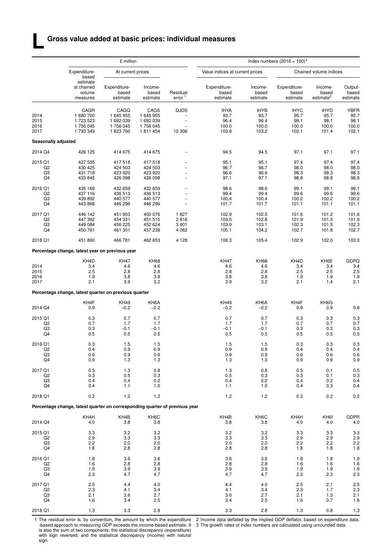## **Gross value added at basic prices: individual measures**

**L**

|                     |                                                                             | £ million                         |                              |                                | Index numbers $(2016 = 100)^3$    |                              |                                   |                                           |                              |  |  |
|---------------------|-----------------------------------------------------------------------------|-----------------------------------|------------------------------|--------------------------------|-----------------------------------|------------------------------|-----------------------------------|-------------------------------------------|------------------------------|--|--|
|                     | Expenditure-<br>based                                                       | At current prices                 |                              |                                | Value indices at current prices   |                              |                                   | Chained volume indices                    |                              |  |  |
|                     | estimate<br>at chained<br>volume<br>measures                                | Expenditure-<br>based<br>estimate | Income-<br>based<br>estimate | Residual<br>error <sup>1</sup> | Expenditure-<br>based<br>estimate | Income-<br>based<br>estimate | Expenditure-<br>based<br>estimate | Income-<br>based<br>estimate <sup>2</sup> | Output-<br>based<br>estimate |  |  |
|                     | CAGR                                                                        | CAGQ                              | CAGS                         | <b>DJDS</b>                    | <b>IHYA</b>                       | <b>IHYB</b>                  | <b>IHYC</b>                       | <b>IHYD</b>                               | <b>YBFR</b>                  |  |  |
| 2014                | 1680700                                                                     | 1 645 955                         | 1 645 955                    |                                | 93.7                              | 93.7                         | 95.7                              | 95.7                                      | 95.7                         |  |  |
| 2015                | 1 723 523                                                                   | 1 692 039                         | 1 692 039                    | $\overline{\phantom{0}}$       | 96.4                              | 96.4                         | 98.1                              | 98.1                                      | 98.1                         |  |  |
| 2016                | 1756045                                                                     | 1756 045                          | 1756 045                     |                                | 100.0                             | 100.0                        | 100.0                             | 100.0                                     | 100.0                        |  |  |
| 2017                | 1793349                                                                     | 1823760                           | 1811454                      | 12 306                         | 103.9                             | 103.2                        | 102.1                             | 101.4                                     | 102.1                        |  |  |
| Seasonally adjusted |                                                                             |                                   |                              |                                |                                   |                              |                                   |                                           |                              |  |  |
| 2014 Q4             | 426 125                                                                     | 414 675                           | 414 675                      |                                | 94.5                              | 94.5                         | 97.1                              | 97.1                                      | 97.1                         |  |  |
| 2015 Q1             | 427 535                                                                     | 417 518                           | 417 518                      |                                | 95.1                              | 95.1                         | 97.4                              | 97.4                                      | 97.4                         |  |  |
| Q <sub>2</sub>      | 430 425                                                                     | 424 503                           | 424 503                      |                                | 96.7                              | 96.7                         | 98.0                              | 98.0                                      | 98.0                         |  |  |
| Q3                  | 431 718                                                                     | 423 920                           | 423 920                      |                                | 96.6                              | 96.6                         | 98.3                              | 98.3                                      | 98.3                         |  |  |
| Q4                  | 433 845                                                                     | 426 098                           | 426 098                      | $\overline{\phantom{0}}$       | 97.1                              | 97.1                         | 98.8                              | 98.8                                      | 98.8                         |  |  |
| 2016 Q1             | 435 169                                                                     | 432 659                           | 432 659                      |                                | 98.6                              | 98.6                         | 99.1                              | 99.1                                      | 99.1                         |  |  |
| Q <sub>2</sub>      | 437 116                                                                     | 436 513                           | 436 513                      | $\overline{\phantom{0}}$       | 99.4                              | 99.4                         | 99.6                              | 99.6                                      | 99.6                         |  |  |
| Q3                  | 439 892                                                                     | 440 577                           | 440 577                      | $\overline{\phantom{a}}$       | 100.4                             | 100.4                        | 100.2                             | 100.2                                     | 100.2                        |  |  |
| Q4                  | 443 868                                                                     | 446 296                           | 446 296                      |                                | 101.7                             | 101.7                        | 101.1                             | 101.1                                     | 101.1                        |  |  |
| 2017 Q1             | 446 142                                                                     | 451 903                           | 450 076                      | 1827                           | 102.9                             | 102.5                        | 101.6                             | 101.2                                     | 101.6                        |  |  |
| Q <sub>2</sub>      | 447 362                                                                     | 454 331                           | 451 515                      | 2816                           | 103.5                             | 102.8                        | 101.9                             | 101.3                                     | 101.9                        |  |  |
| Q3                  | 449 084                                                                     | 456 225                           | 452 624                      | 3601                           | 103.9                             | 103.1                        | 102.3                             | 101.5                                     | 102.3                        |  |  |
| Q4                  | 450 761                                                                     | 461 301                           | 457 239                      | 4 0 6 2                        | 105.1                             | 104.2                        | 102.7                             | 101.8                                     | 102.7                        |  |  |
| 2018 Q1             | 451 860                                                                     | 466 781                           | 462 653                      | 4 1 2 8                        | 106.3                             | 105.4                        | 102.9                             | 102.0                                     | 103.0                        |  |  |
|                     | Percentage change, latest year on previous year                             |                                   |                              |                                |                                   |                              |                                   |                                           |                              |  |  |
|                     |                                                                             |                                   |                              |                                |                                   |                              |                                   |                                           |                              |  |  |
| 2014                | KH4D<br>3.4                                                                 | <b>KH47</b><br>4.6                | <b>KH68</b><br>4.6           |                                | <b>KH47</b><br>4.6                | <b>KH68</b><br>4.6           | KH4D<br>3.4                       | KH6E<br>3.4                               | <b>GDPQ</b><br>3.4           |  |  |
| 2015                | 2.5                                                                         | 2.8                               | 2.8                          |                                | 2.8                               | 2.8                          | 2.5                               | 2.5                                       | 2.5                          |  |  |
| 2016                | 1.9                                                                         | 3.8                               | 3.8                          |                                | 3.8                               | 3.8                          | 1.9                               | 1.9                                       | 1.9                          |  |  |
| 2017                | 2.1                                                                         | 3.9                               | 3.2                          |                                | 3.9                               | 3.2                          | 2.1                               | 1.4                                       | 2.1                          |  |  |
|                     | Percentage change, latest quarter on previous quarter                       |                                   |                              |                                |                                   |                              |                                   |                                           |                              |  |  |
|                     | KH4F                                                                        | <b>KH49</b>                       | KH6A                         |                                | <b>KH49</b>                       | KH6A                         | KH4F                              | KH6G                                      |                              |  |  |
| 2014 Q4             | 0.9                                                                         | $-0.2$                            | $-0.2$                       |                                | $-0.2$                            | $-0.2$                       | 0.9                               | 0.9                                       | 0.9                          |  |  |
| 2015 Q1             | 0.3                                                                         | 0.7                               | 0.7                          |                                | 0.7                               | 0.7                          | 0.3                               | 0.3                                       | 0.3                          |  |  |
| Q <sub>2</sub>      | 0.7                                                                         | 1.7                               | 1.7                          |                                | 1.7                               | 1.7                          | 0.7                               | 0.7                                       | 0.7                          |  |  |
| Q3                  | 0.3                                                                         | $-0.1$                            | $-0.1$                       |                                | $-0.1$                            | $-0.1$                       | 0.3                               | 0.3                                       | 0.3                          |  |  |
| Q4                  | 0.5                                                                         | 0.5                               | 0.5                          |                                | 0.5                               | 0.5                          | 0.5                               | 0.5                                       | 0.5                          |  |  |
| 2016 Q1             | 0.3                                                                         | 1.5                               | 1.5                          |                                | 1.5                               | 1.5                          | 0.3                               | 0.3                                       | 0.3                          |  |  |
| Q <sub>2</sub>      | 0.4                                                                         | 0.9                               | 0.9                          |                                | 0.9                               | 0.9                          | 0.4                               | 0.4                                       | 0.4                          |  |  |
| Q3                  | 0.6                                                                         | 0.9                               | 0.9                          |                                | 0.9                               | 0.9                          | 0.6                               | 0.6                                       | 0.6                          |  |  |
| Q4                  | 0.9                                                                         | 1.3                               | 1.3                          |                                | 1.3                               | 1.3                          | 0.9                               | 0.9                                       | 0.9                          |  |  |
| 2017 Q1             | 0.5                                                                         | 1.3                               | 0.8                          |                                | 1.3                               | 0.8                          | 0.5                               | 0.1                                       | 0.5                          |  |  |
| Q <sub>2</sub>      | 0.3                                                                         | 0.5                               | 0.3                          |                                | 0.5                               | 0.3                          | 0.3                               | 0.1                                       | 0.3                          |  |  |
| Q3                  | 0.4                                                                         | 0.4                               | 0.2                          |                                | 0.4                               | 0.2                          | 0.4                               | 0.2                                       | 0.4                          |  |  |
| Q4                  | 0.4                                                                         | 1.1                               | 1.0                          |                                | 1.1                               | 1.0                          | 0.4                               | 0.3                                       | 0.4                          |  |  |
| 2018 Q1             | 0.2                                                                         | 1.2                               | 1.2                          |                                | $1.2$                             | 1.2                          | 0.2                               | 0.2                                       | 0.2                          |  |  |
|                     | Percentage change, latest quarter on corresponding quarter of previous year |                                   |                              |                                |                                   |                              |                                   |                                           |                              |  |  |
|                     | KH4H                                                                        | KH4B                              | KH6C                         |                                | KH4B                              | KH <sub>6</sub> C            | KH4H                              | KH <sub>6</sub>                           | <b>GDPR</b>                  |  |  |
| 2014 Q4             | 4.0                                                                         | 3.8                               | 3.8                          |                                | 3.8                               | 3.8                          | 4.0                               | 4.0                                       | 4.0                          |  |  |
|                     |                                                                             |                                   |                              |                                |                                   |                              |                                   |                                           |                              |  |  |
| 2015 Q1             | 3.3<br>2.9                                                                  | 3.2<br>3.3                        | 3.2<br>3.3                   |                                | 3.2<br>3.3                        | 3.2                          | 3.3<br>2.9                        | 3.3<br>2.9                                | 3.3<br>2.9                   |  |  |
| Q2<br>Q3            | 2.2                                                                         | 2.0                               | 2.0                          |                                | 2.0                               | 3.3<br>2.0                   | 2.2                               | 2.2                                       | 2.2                          |  |  |
| Q4                  | 1.8                                                                         | 2.8                               | 2.8                          |                                | 2.8                               | 2.8                          | 1.8                               | 1.8                                       | 1.8                          |  |  |
| 2016 Q1             | 1.8                                                                         | 3.6                               | 3.6                          |                                | 3.6                               | 3.6                          | 1.8                               | 1.8                                       | 1.8                          |  |  |
| Q <sub>2</sub>      | 1.6                                                                         | 2.8                               | 2.8                          |                                | 2.8                               | 2.8                          | 1.6                               | 1.6                                       | 1.6                          |  |  |
| Q3                  | 1.9                                                                         | 3.9                               | 3.9                          |                                | 3.9                               | 3.9                          | 1.9                               | 1.9                                       | 1.9                          |  |  |
| Q4                  | 2.3                                                                         | 4.7                               | 4.7                          |                                | 4.7                               | 4.7                          | 2.3                               | 2.3                                       | 2.3                          |  |  |
| 2017 Q1             | 2.5                                                                         | 4.4                               | 4.0                          |                                | 4.4                               | 4.0                          | 2.5                               | 2.1                                       |                              |  |  |
| Q <sub>2</sub>      | 2.3                                                                         | 4.1                               | 3.4                          |                                | 4.1                               | 3.4                          | 2.3                               | 1.7                                       | 2.5<br>2.3                   |  |  |
| Q3                  | 2.1                                                                         | 3.6                               | 2.7                          |                                | 3.6                               | 2.7                          | 2.1                               | 1.3                                       | 2.1                          |  |  |
| Q4                  | 1.6                                                                         | 3.4                               | 2.5                          |                                | 3.4                               | 2.5                          | 1.6                               | 0.7                                       | 1.6                          |  |  |
| 2018 Q1             | 1.3                                                                         |                                   | 2.8                          |                                | 3.3                               | 2.8                          |                                   |                                           |                              |  |  |
|                     |                                                                             | 3.3                               |                              |                                |                                   |                              | 1.3                               | 0.8                                       | $1.3$                        |  |  |

1 The residual error is, by convention, the amount by which the expenditure -based approach to measuring GDP exceeds the income-based estimate. It is also the sum of two components: the statistical discrepancy (expenditure) with sign reversed, and the statistical discrepancy (income) with natural sign.

2 Income data deflated by the implied GDP deflator, based on expenditure data. 3 The growth rates of index numbers are calculated using unrounded data.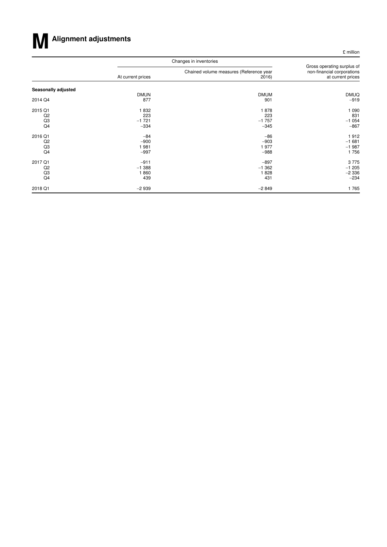

£ million

|                     |                   | Changes in inventories                           |                                                                               |  |  |  |  |
|---------------------|-------------------|--------------------------------------------------|-------------------------------------------------------------------------------|--|--|--|--|
|                     | At current prices | Chained volume measures (Reference year<br>2016) | Gross operating surplus of<br>non-financial corporations<br>at current prices |  |  |  |  |
| Seasonally adjusted |                   |                                                  |                                                                               |  |  |  |  |
|                     | <b>DMUN</b>       | <b>DMUM</b>                                      | <b>DMUQ</b>                                                                   |  |  |  |  |
| 2014 Q4             | 877               | 901                                              | $-919$                                                                        |  |  |  |  |
| 2015 Q1             | 1832              | 1878                                             | 1 0 9 0                                                                       |  |  |  |  |
| Q2                  | 223               | 223                                              | 831                                                                           |  |  |  |  |
| Q3                  | $-1721$           | $-1757$                                          | $-1054$                                                                       |  |  |  |  |
| Q4                  | $-334$            | $-345$                                           | $-867$                                                                        |  |  |  |  |
| 2016 Q1             | $-84$             | $-86$                                            | 1912                                                                          |  |  |  |  |
| Q2                  | $-900$            | $-903$                                           | $-1681$                                                                       |  |  |  |  |
| Q3                  | 1981              | 1977                                             | $-1987$                                                                       |  |  |  |  |
| Q4                  | $-997$            | $-988$                                           | 1756                                                                          |  |  |  |  |
| 2017 Q1             | $-911$            | $-897$                                           | 3775                                                                          |  |  |  |  |
| Q2                  | $-1.388$          | $-1.362$                                         | $-1205$                                                                       |  |  |  |  |
| Q3                  | 1860              | 1828                                             | $-2336$                                                                       |  |  |  |  |
| Q4                  | 439               | 431                                              | $-234$                                                                        |  |  |  |  |
| 2018 Q1             | $-2939$           | $-2849$                                          | 1765                                                                          |  |  |  |  |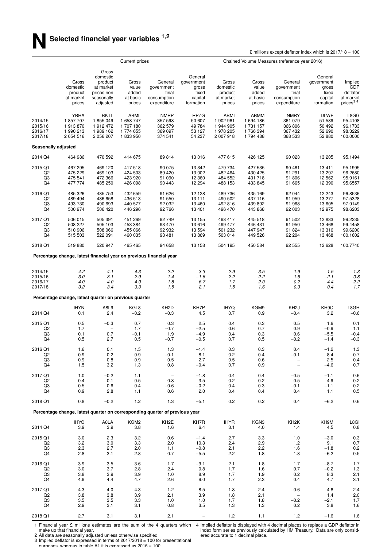|                                          |                                                        |                                                                                   | Current prices                                      |                                                                             |                                                                 | Chained Volume Measures (reference year 2016)           |                                                       |                                                              |                                                                 |                                                                 |
|------------------------------------------|--------------------------------------------------------|-----------------------------------------------------------------------------------|-----------------------------------------------------|-----------------------------------------------------------------------------|-----------------------------------------------------------------|---------------------------------------------------------|-------------------------------------------------------|--------------------------------------------------------------|-----------------------------------------------------------------|-----------------------------------------------------------------|
|                                          | Gross<br>domestic<br>product<br>at market<br>prices    | Gross<br>domestic<br>product<br>at market<br>prices non<br>seasonally<br>adjusted | Gross<br>value<br>added<br>at basic<br>prices       | General<br>government<br>final<br>consumption<br>expenditure                | General<br>government<br>gross<br>fixed<br>capital<br>formation | Gross<br>domestic<br>product<br>at market<br>prices     | Gross<br>value<br>added<br>at basic<br>prices         | General<br>government<br>final<br>consumption<br>expenditure | General<br>government<br>gross<br>fixed<br>capital<br>formation | Implied<br>GDP<br>deflator<br>at market<br>prices <sup>34</sup> |
| 2014/15<br>2015/16<br>2016/17<br>2017/18 | YBHA<br>1857707<br>1913870<br>1990213<br>2 0 5 4 5 1 6 | <b>BKTL</b><br>1855049<br>1912472<br>1989 162<br>2 056 207                        | ABML<br>1 658 747<br>1707180<br>1774 655<br>1833950 | <b>NMRP</b><br>357 598<br>362 579<br>369 097<br>374 541                     | RPZG<br>50 607<br>49 784<br>53 127<br>54 237                    | ABMI<br>1 902 961<br>1 944 905<br>1978 205<br>2 007 918 | ABMM<br>1 694 186<br>1 731 157<br>1766394<br>1794 488 | <b>NMRY</b><br>361 079<br>366 806<br>367 432<br>368 533      | <b>DLWF</b><br>51 589<br>50 492<br>52 690<br>52 880             | L8GG<br>95.4108<br>96.1733<br>98.3229<br>100.0000               |
| Seasonally adjusted                      |                                                        |                                                                                   |                                                     |                                                                             |                                                                 |                                                         |                                                       |                                                              |                                                                 |                                                                 |
| 2014 Q4                                  | 464 986                                                | 470 592                                                                           | 414 675                                             | 89814                                                                       | 13 016                                                          | 477 615                                                 | 426 125                                               | 90 023                                                       | 13 205                                                          | 95.1494                                                         |
| 2015 Q1<br>Q2<br>Q3<br>Q4                | 467 295<br>475 229<br>475 541<br>477 774               | 469 120<br>469 103<br>472 366<br>485 250                                          | 417518<br>424 503<br>423 920<br>426 098             | 90 075<br>89 4 20<br>91 090<br>90 443                                       | 13 342<br>13 002<br>12 360<br>12 294                            | 479 734<br>482 464<br>484 552<br>488 153                | 427 535<br>430 425<br>431 718<br>433 845              | 90 461<br>91 291<br>91 806<br>91 665                         | 13411<br>13 297<br>12 5 62<br>12 3 9 0                          | 95.1995<br>96.2680<br>95.9161<br>95.6557                        |
| 2016 Q1<br>Q2<br>Q3<br>Q4                | 485 326<br>489 494<br>493 730<br>500 974               | 485 753<br>486 658<br>490 693<br>506 420                                          | 432 659<br>436 513<br>440 577<br>446 296            | 91 626<br>91 550<br>92 032<br>92766                                         | 12 1 28<br>13 111<br>13 4 60<br>13 401                          | 489736<br>490 502<br>492 816<br>496 470                 | 435 169<br>437 116<br>439 892<br>443 868              | 92 044<br>91 959<br>91 968<br>92 003                         | 12 243<br>13 277<br>13 605<br>12975                             | 96.8536<br>97.5328<br>97.9149<br>98.6203                        |
| 2017 Q1<br>Q <sub>2</sub><br>Q3<br>Q4    | 506 015<br>508 227<br>510 906<br>515 503               | 505 391<br>505 103<br>508 066<br>522 091                                          | 451 269<br>453 384<br>455 066<br>460 035            | 92749<br>93 470<br>92 932<br>93 481                                         | 13 155<br>13 616<br>13 5 94<br>13869                            | 498 417<br>499 477<br>501 232<br>503 014                | 445 518<br>446 431<br>447 947<br>449 526              | 91 502<br>91 950<br>91 824<br>92 204                         | 12 833<br>13 4 68<br>13 316<br>13 4 68                          | 99.2235<br>99.4458<br>99.6200<br>100.1602                       |
| 2018 Q1                                  | 519880                                                 | 520 947                                                                           | 465 465                                             | 94 658                                                                      | 13 158                                                          | 504 195                                                 | 450 584                                               | 92 555                                                       | 12 628                                                          | 100.7740                                                        |
|                                          |                                                        |                                                                                   |                                                     | Percentage change, latest financial year on previous financial year         |                                                                 |                                                         |                                                       |                                                              |                                                                 |                                                                 |
| 2014/15<br>2015/16<br>2016/17<br>2017/18 | 4.2<br>3.0<br>4.0<br>3.2                               | 4.1<br>3.1<br>4.0<br>3.4                                                          | 4.3<br>2.9<br>4.0<br>3.3                            | 2.2<br>1.4<br>1.8<br>1.5                                                    | 3.3<br>$-1.6$<br>6.7<br>2.1                                     | 2.9<br>2.2<br>1.7<br>1.5                                | 3.5<br>2.2<br>2.0<br>1.6                              | 1.9<br>1.6<br>0.2<br>0.3                                     | 1.5<br>$-2.1$<br>4.4<br>0.4                                     | 1.3<br>0.8<br>2.2<br>1.7                                        |
|                                          | Percentage change, latest quarter on previous quarter  |                                                                                   |                                                     |                                                                             |                                                                 |                                                         |                                                       |                                                              |                                                                 |                                                                 |
| 2014 Q4                                  | <b>IHYN</b><br>0.1                                     | A8L9<br>2.4                                                                       | KGL8<br>$-0.2$                                      | KH <sub>2</sub> D<br>$-0.3$                                                 | KH7P<br>4.5                                                     | <b>IHYQ</b><br>0.7                                      | KGM9<br>0.9                                           | KH <sub>2</sub> J<br>$-0.4$                                  | KH <sub>9</sub> C<br>3.2                                        | L8GH<br>$-0.6$                                                  |
| 2015 Q1<br>Q2<br>Q3<br>Q4                | 0.5<br>1.7<br>0.1<br>0.5                               | $-0.3$<br>0.7<br>2.7                                                              | 0.7<br>1.7<br>$-0.1$<br>0.5                         | 0.3<br>$-0.7$<br>1.9<br>$-0.7$                                              | 2.5<br>$-2.5$<br>$-4.9$<br>$-0.5$                               | 0.4<br>0.6<br>0.4<br>0.7                                | 0.3<br>0.7<br>0.3<br>0.5                              | 0.5<br>0.9<br>0.6<br>$-0.2$                                  | 1.6<br>$-0.9$<br>$-5.5$<br>$-1.4$                               | 0.1<br>1.1<br>$-0.4$<br>$-0.3$                                  |
| 2016 Q1<br>Q2<br>Q3<br>Q4                | 1.6<br>0.9<br>0.9<br>1.5                               | 0.1<br>0.2<br>0.8<br>3.2                                                          | 1.5<br>0.9<br>0.9<br>1.3                            | 1.3<br>$-0.1$<br>0.5<br>0.8                                                 | $-1.4$<br>8.1<br>2.7<br>$-0.4$                                  | 0.3<br>0.2<br>0.5<br>0.7                                | 0.3<br>0.4<br>0.6<br>0.9                              | 0.4<br>$-0.1$<br>$\qquad \qquad -$                           | $-1.2$<br>8.4<br>2.5<br>-4.6                                    | 1.3<br>0.7<br>0.4<br>0.7                                        |
| 2017 Q1<br>Q <sub>2</sub><br>Q3<br>Q4    | 1.0<br>0.4<br>0.5<br>0.9                               | $-0.2$<br>$-0.1$<br>0.6<br>2.8                                                    | 1.1<br>0.5<br>0.4<br>1.1                            | 0.8<br>$-0.6$<br>0.6                                                        | $-1.8$<br>3.5<br>$-0.2$<br>2.0                                  | 0.4<br>0.2<br>0.4<br>0.4                                | 0.4<br>0.2<br>0.3<br>0.4                              | $-0.5$<br>0.5<br>$-0.1$<br>0.4                               | $-1.1$<br>4.9<br>$-1.1$<br>1.1                                  | 0.6<br>0.2<br>0.2<br>0.5                                        |
| 2018 Q1                                  | 0.8                                                    | $-0.2$                                                                            | 1.2                                                 | 1.3                                                                         | $-5.1$                                                          | 0.2                                                     | 0.2                                                   | 0.4                                                          | $-6.2$                                                          | 0.6                                                             |
|                                          |                                                        |                                                                                   |                                                     | Percentage change, latest quarter on corresponding quarter of previous year |                                                                 |                                                         |                                                       |                                                              |                                                                 |                                                                 |
| 2014 Q4                                  | <b>IHYO</b><br>3.9                                     | A8LA<br>3.9                                                                       | KGM2<br>3.8                                         | KH <sub>2</sub> E<br>1.6                                                    | KH7R<br>6.4                                                     | <b>IHYR</b><br>3.1                                      | KGN3<br>4.0                                           | KH <sub>2</sub> K<br>1.4                                     | KH9M<br>4.5                                                     | L8GI<br>0.8                                                     |
| 2015 Q1<br>Q2<br>Q3<br>Q4                | 3.0<br>3.2<br>2.3<br>2.8                               | 2.3<br>3.0<br>2.7<br>3.1                                                          | 3.2<br>3.3<br>2.0<br>2.8                            | 0.6<br>2.0<br>1.1<br>0.7                                                    | $-1.4$<br>10.3<br>$-0.8$<br>$-5.5$                              | 2.7<br>2.4<br>2.1<br>2.2                                | 3.3<br>2.9<br>2.2<br>1.8                              | 1.0<br>1.2<br>1.6<br>1.8                                     | $-3.0$<br>9.1<br>$-1.8$<br>$-6.2$                               | 0.3<br>0.7<br>0.2<br>0.5                                        |
| 2016 Q1<br>Q2<br>Q3<br>Q4                | 3.9<br>3.0<br>3.8<br>4.9                               | 3.5<br>3.7<br>3.9<br>4.4                                                          | 3.6<br>2.8<br>3.9<br>4.7                            | 1.7<br>2.4<br>1.0<br>2.6                                                    | $-9.1$<br>0.8<br>8.9<br>9.0                                     | 2.1<br>1.7<br>1.7<br>1.7                                | 1.8<br>1.6<br>1.9<br>2.3                              | 1.7<br>0.7<br>0.2<br>0.4                                     | $-8.7$<br>$-0.2$<br>8.3<br>4.7                                  | 1.7<br>1.3<br>2.1<br>3.1                                        |
| 2017 Q1<br>Q2<br>Q3<br>Q4                | 4.3<br>3.8<br>3.5<br>2.9                               | 4.0<br>3.8<br>3.5<br>3.1                                                          | 4.3<br>3.9<br>3.3<br>3.1                            | 1.2<br>2.1<br>1.0<br>0.8                                                    | 8.5<br>3.9<br>1.0<br>3.5                                        | 1.8<br>1.8<br>1.7<br>1.3                                | 2.4<br>2.1<br>1.8<br>1.3                              | $-0.6$<br>$-0.2$<br>0.2                                      | 4.8<br>1.4<br>$-2.1$<br>3.8                                     | 2.4<br>2.0<br>1.7<br>1.6                                        |

2018 Q1 2.7 3.1 3.1 2.1 − 1.2 1.1 1.2 −1.6 1.6

1 Financial year £ millions estimates are the sum of the 4 quarters which

make up that financial year.<br>2 All data are seasonally adjusted unless otherwise specified.<br>3 Implied deflator is expressed in terms of 2017/2018 = 100 for presentational<br>purposes whereas in table A1 it is expressed as 201

4 Implied deflator is displayed with 4 decimal places to replace a GDP deflator in index form series previously calculated by HM Treasury. Data are only considered accurate to 1 decimal place.

£ millions except deflator index which is  $2017/18 = 100$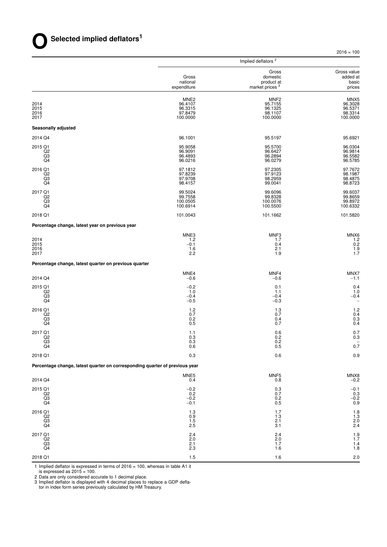Implied deflators <sup>2</sup> Gross Gross value<br>domestic added at Gross domestic added at national product at basic<br>expenditure market prices  $\frac{3}{2}$  prices market prices MNE2 MNF2 MNX5 2014 96.4107 95.7155 96.3028 2015 96.3315 96.1325 96.5371 2016 97.8479 98.1107 98.3314 2017 100.0000 100.0000 100.0000 **Seasonally adjusted** 2014 Q4 96.1001 95.5197 95.6921 2015 Q1 95.9058 95.5700 96.0304 Q2 96.9091 96.6427 96.9814 Q3 96.4893 96.2894 96.5582 Q4 96.0216 96.0279 96.5785 2016 Q1 97.1812 97.2305 97.7672  $Q2$  . The contract of the contract of the contract of the contract of the contract of the contract of the contract of the contract of the contract of the contract of the contract of the contract of the contract of the co Q3 97.9708 98.2959 98.4875 Q4 98.4157 99.0041 98.8723 2017 Q1 99.5024 99.6096 99.6037  $Q2$  . The contract of the contract of the contract of the contract of the contract of the contract of the contract of the contract of the contract of the contract of the contract of the contract of the contract of the co  $\rm Q3$   $\rm Q3$   $\rm Q3$   $\rm Q4$   $\rm Q505$   $\rm Q72$   $\rm Q700050$   $\rm Q7000000$   $\rm Q9.8972$  $Q4$  100.6332 100.6914 100.6914 100.5500 100.6332 2018 Q1 101.0043 101.1662 101.5820 Percentage change, latest year on previous year MNE3 MNF3 MNX6 2014 1.2 1.7 1.2 2015 **−0.1** −0.1 0.4 0.2 2016 1.6 2.1 1.9 2017 2.2 1.9 1.7 Percentage change, latest quarter on previous quarter MNE4 MNF4 MMHA MNX7 2014 Q4 −0.6 −0.6 −0.1 −0.6 −1.1 2015 Q1 −0.2 0.1 0.4  $Q2$  and  $1.0$  1.1 1.1 1.1 1.0 Q3 −0.4 −0.4 −0.4  $-0.5$   $-0.3$   $-0.3$  $2016 \text{ Q1}$  1.2 1.3 1.3 1.2  $Q2$  0.7 0.7 0.7 0.7 0.7 0.4  $\,$  Q3  $\,$  0.4  $\,$  0.3  $\,$  0.4  $\,$  0.3  $\,$  $Q4$  0.7 0.4 2017 Q1 1.1 0.6 0.7 Q2 0.3 0.2 0.3  $\overline{Q}3$  0.3 0.2 − Q4 0.6 0.5 0.7 2018 Q1 0.3 0.6 0.9 Percentage change, latest quarter on corresponding quarter of previous year MNE5 MNF5 MNF5 MNF5  $2014 \text{ Q}4$   $0.8$   $0.8$   $0.9$ 2015 Q1 −0.2 0.3 −0.1 Q2 0.2 0.7 0.3 Q3 −0.2 0.2 −0.2  $\overline{Q4}$   $-0.1$  0.5 0.9  $2016 \text{ Q1}$  1.8  $1.3$  1.7  $1.7$  1.8  $Q2$  0.9 1.3 1.3 1.3 Q3 2.1 2.0  $Q4$  2.5 3.1 2.4  $2017$  Q1 2017  $21$  $Q2$  2.0 2.0 2.0 2.0 2.1.7 Q3 2.1 2.1 1.7 1.4  $Q4$  and  $Q4$  and  $Q4$  and  $Q5$  and  $Q6$  and  $Q7$  and  $Q8$  and  $Q8$  and  $Q9$  and  $Q1.8$ 

 $2018 \text{ Q1}$  2018  $218 \text{ Q1}$  2018  $218 \text{ Q1}$  2018  $218 \text{ Q1}$  2018  $218 \text{ Q1}$  2018  $218 \text{ Q1}$  2018  $218 \text{ Q1}$  2018  $218 \text{ Q1}$  2018  $218 \text{ Q1}$  2018  $218 \text{ Q1}$  2018  $218 \text{ Q1}$  2018  $218 \text{ Q1}$  2018  $218 \text{ Q1}$  2018

1 Implied deflator is expressed in terms of 2016 = 100, whereas in table A1 it

is expressed as  $2015 = 100$ .

2 Data are only considered accurate to 1 decimal place.

3 Implied deflator is displayed with 4 decimal places to replace a GDP defla-

tor in index form series previously calculated by HM Treasury.

 $2016 = 100$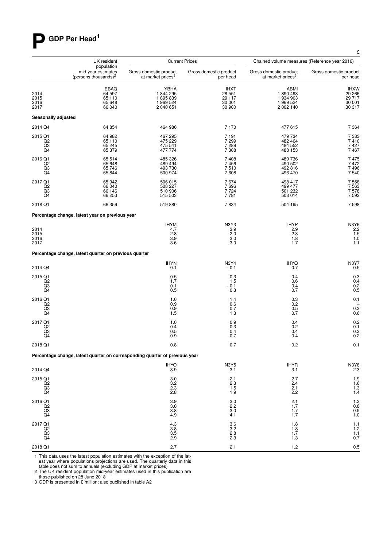# **P GDP Per Head<sup>1</sup>**

|                                                    | UK resident                                                                 |                                                         | <b>Current Prices</b>                                   | Chained volume measures (Reference year 2016)           |                                                     |
|----------------------------------------------------|-----------------------------------------------------------------------------|---------------------------------------------------------|---------------------------------------------------------|---------------------------------------------------------|-----------------------------------------------------|
|                                                    | population<br>mid-year estimates<br>(persons thousands) <sup>2</sup>        | Gross domestic product<br>at market prices <sup>3</sup> | Gross domestic product<br>per head                      | Gross domestic product<br>at market prices <sup>3</sup> | Gross domestic product<br>per head                  |
| 2014<br>2015<br>2016<br>2017                       | EBAQ<br>64 597<br>65 110<br>65 648<br>66 040                                | YBHA<br>1844 295<br>1895839<br>1 969 524<br>2 040 651   | IHXT<br>28 551<br>29 117<br>30 001<br>30 900            | ABMI<br>1890493<br>1 934 903<br>1 969 524<br>2 002 140  | <b>IHXW</b><br>29 266<br>29 717<br>30 001<br>30 317 |
| Seasonally adjusted                                |                                                                             |                                                         |                                                         |                                                         |                                                     |
| 2014 Q4                                            | 64 854                                                                      | 464 986                                                 | 7 1 7 0                                                 | 477 615                                                 | 7 3 6 4                                             |
| 2015 Q1<br>$^{Q2}_{Q3}$<br>Q4                      | 64 982<br>65 110<br>65 245<br>65 379                                        | 467 295<br>475 229<br>475 541<br>477 774                | 7 1 9 1<br>7 299<br>7 289<br>7 3 0 8                    | 479 734<br>482 464<br>484 552<br>488 153                | 7 3 8 3<br>7410<br>7427<br>7467                     |
| 2016 Q1<br>Q2<br>$\frac{Q3}{Q4}$                   | 65 514<br>65 648<br>65 746<br>65 844                                        | 485 326<br>489 494<br>493 730<br>500 974                | 7408<br>7456<br>7510<br>7608                            | 489 736<br>490 502<br>492 816<br>496 470                | 7475<br>7472<br>7496<br>7 540                       |
| 2017 Q1<br>Q <sub>2</sub><br>Q3<br>Q4              | 65 942<br>66 040<br>66 146<br>66 253                                        | 506 015<br>508 227<br>510 906<br>515 503                | 7674<br>7 6 9 6<br>7 7 2 4<br>7781                      | 498 417<br>499 477<br>501 232<br>503 014                | 7558<br>7563<br>7578<br>7592                        |
| 2018 Q1                                            | 66 359                                                                      | 519880                                                  | 7834                                                    | 504 195                                                 | 7598                                                |
|                                                    | Percentage change, latest year on previous year                             |                                                         |                                                         |                                                         |                                                     |
| 2014<br>2015<br>2016<br>2017                       |                                                                             | <b>IHYM</b><br>4.7<br>2.8<br>$\frac{3.9}{3.6}$          | N3Y3<br>3.9<br>2.0<br>$\substack{3.0\\3.0}$             | <b>IHYP</b><br>2.9<br>2.3<br>$1.8$<br>1.7               | N3Y6<br>2.2<br>1.5<br>1.0<br>1.1                    |
|                                                    | Percentage change, latest quarter on previous quarter                       |                                                         |                                                         |                                                         |                                                     |
| 2014 Q4                                            |                                                                             | <b>IHYN</b><br>0.1                                      | <b>N3Y4</b><br>$-0.1$                                   | <b>IHYQ</b><br>0.7                                      | N3Y7<br>0.5                                         |
| 2015 Q1<br>$^{Q2}_{Q3}$<br>Q4                      |                                                                             | 0.5<br>1.7<br>0.1<br>0.5                                | 0.3<br>1.5<br>$-0.1$<br>0.3                             | 0.4<br>0.6<br>0.4<br>0.7                                | 0.3<br>0.4<br>0.2<br>0.5                            |
| 2016 Q1<br>Q2<br>Q3<br>Q4                          |                                                                             | 1.6<br>0.9<br>0.9<br>1.5                                | 1.4<br>0.6<br>0.7<br>1.3                                | 0.3<br>0.2<br>$0.5 \\ 0.7$                              | 0.1<br>0.3<br>0.6                                   |
| 2017 Q1<br>Q <sub>2</sub><br>Q3<br>Q4              |                                                                             | 1.0<br>0.4<br>0.5<br>0.9                                | $\begin{array}{c} 0.9 \\ 0.3 \end{array}$<br>0.4<br>0.7 | 0.4<br>0.2<br>0.4<br>0.4                                | 0.2<br>0.1<br>$0.2$<br>$0.2$                        |
| 2018 Q1                                            |                                                                             | 0.8                                                     | 0.7                                                     | 0.2                                                     | 0.1                                                 |
|                                                    | Percentage change, latest quarter on corresponding quarter of previous year |                                                         |                                                         |                                                         |                                                     |
| 2014 Q4                                            |                                                                             | <b>IHYO</b><br>3.9                                      | <b>N3Y5</b><br>3.1                                      | <b>IHYR</b><br>3.1                                      | N3Y8<br>2.3                                         |
| 2015 Q1<br>Q <sub>2</sub><br>$\overline{Q3}$<br>Q4 |                                                                             | 3.0<br>3.2<br>2.3<br>2.8                                | 2.1<br>2.3<br>1.5<br>1.9                                | 2.7<br>2.4<br>2.1<br>2.2                                | 1.9<br>1.6<br>1.3<br>1.4                            |
| 2016 Q1<br>Q2<br>$^{Q3}_{Q4}$                      |                                                                             | 3.9<br>3.0<br>3.8<br>4.9                                | 3.0<br>2.2<br>3.0<br>4.1                                | 2.1<br>1.7<br>1.7<br>1.7                                | 1.2<br>0.8<br>0.9<br>1.0                            |
| 2017 Q1<br>Q2<br>$^{Q3}_{Q4}$                      |                                                                             | 4.3<br>3.8<br>3.5<br>2.9                                | $\frac{3.6}{3.2}$<br>2.8<br>2.3                         | 1.8<br>1.8<br>1.7<br>1.3                                | 1.1<br>1.2<br>1.1<br>0.7                            |
| 2018 Q1                                            |                                                                             | 2.7                                                     | 2.1                                                     | 1.2                                                     | 0.5                                                 |

1 This data uses the latest population estimates with the exception of the lat-est year where populations projections are used. The quarter ly data in this table does not sum to annuals (excluding GDP at market prices)

2 The UK resident population mid-year estimates used in this publication are

those published on 28 June 2018

3 GDP is presented in £ million; also published in table A2

£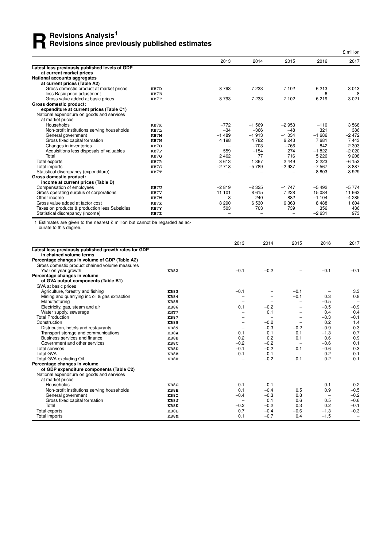## **R** Revisions Analysis<sup>1</sup><br>Revisions since preview **Revisions since previously published estimates**

|                                                |      |         |          |                          |         | £ million |
|------------------------------------------------|------|---------|----------|--------------------------|---------|-----------|
|                                                |      | 2013    | 2014     | 2015                     | 2016    | 2017      |
| Latest less previously published levels of GDP |      |         |          |                          |         |           |
| at current market prices                       |      |         |          |                          |         |           |
| National accounts aggregates                   |      |         |          |                          |         |           |
| at current prices (Table A2)                   |      |         |          |                          |         |           |
| Gross domestic product at market prices        | KB7D | 8793    | 7 2 3 3  | 7 102                    | 6213    | 3013      |
| less Basic price adjustment                    | KB7E |         |          |                          | $-6$    | $-8$      |
| Gross value added at basic prices              | KB7F | 8793    | 7 2 3 3  | 7 102                    | 6219    | 3 0 2 1   |
| Gross domestic product:                        |      |         |          |                          |         |           |
| expenditure at current prices (Table C1)       |      |         |          |                          |         |           |
| National expenditure on goods and services     |      |         |          |                          |         |           |
| at market prices                               |      |         |          |                          |         |           |
| Households                                     | KB7K | $-772$  | $-1.569$ | $-2953$                  | $-110$  | 3568      |
| Non-profit institutions serving households     | KB7L | $-34$   | $-366$   | $-48$                    | 321     | 386       |
| General government                             | KB7M | $-1489$ | $-1913$  | $-1034$                  | $-1686$ | $-2472$   |
| Gross fixed capital formation                  | KB7N | 4 1 9 8 | 4 7 8 2  | 6 2 4 3                  | 7681    | 7443      |
| Changes in inventories                         | KB70 |         | $-703$   | $-766$                   | 842     | 2 3 0 3   |
| Acquisitions less disposals of valuables       | KB7P | 559     | $-154$   | 274                      | $-1822$ | $-2020$   |
| Total                                          | KB7Q | 2 4 6 2 | 77       | 1716                     | 5 2 2 6 | 9 2 0 8   |
| Total exports                                  | KB7R | 3613    | 1 3 6 7  | 2 4 4 9                  | 2 2 2 3 | $-6153$   |
| Total imports                                  | KB7S | $-2718$ | $-5789$  | $-2937$                  | $-7567$ | $-8887$   |
| Statistical discrepancy (expenditure)          | KB7T |         |          | -                        | $-8803$ | $-8929$   |
| Gross domestic product:                        |      |         |          |                          |         |           |
| income at current prices (Table D)             |      |         |          |                          |         |           |
| Compensation of employees                      | KB7U | $-2819$ | $-2325$  | $-1747$                  | $-5492$ | $-5774$   |
| Gross operating surplus of corporations        | KB7V | 11 101  | 8615     | 7 2 2 8                  | 15 0 84 | 11 663    |
| Other income                                   | KB7W | 8       | 240      | 882                      | $-1104$ | $-4285$   |
| Gross value added at factor cost               | KB7X | 8 2 9 0 | 6530     | 6 3 6 3                  | 8488    | 1 604     |
| Taxes on products & production less Subsidies  | KB7Y | 503     | 703      | 739                      | 356     | 436       |
| Statistical discrepancy (income)               | KB7Z |         |          | $\overline{\phantom{0}}$ | $-2631$ | 973       |

1 Estimates are given to the nearest £ million but cannot be regarded as accurate to this degree.

|                                                       |             | 2013                     | 2014                     | 2015                     | 2016                     | 2017                     |
|-------------------------------------------------------|-------------|--------------------------|--------------------------|--------------------------|--------------------------|--------------------------|
| Latest less previously published growth rates for GDP |             |                          |                          |                          |                          |                          |
| in chained volume terms                               |             |                          |                          |                          |                          |                          |
| Percentage changes in volume of GDP (Table A2)        |             |                          |                          |                          |                          |                          |
| Gross domestic product chained volume measures        |             |                          |                          |                          |                          |                          |
| Year on year growth                                   | <b>KB82</b> | $-0.1$                   | $-0.2$                   |                          | $-0.1$                   | $-0.1$                   |
| Percentage changes in volume                          |             |                          |                          |                          |                          |                          |
| of GVA output components (Table B1)                   |             |                          |                          |                          |                          |                          |
| GVA at basic prices                                   |             |                          |                          |                          |                          |                          |
| Agriculture, forestry and fishing                     | <b>KB83</b> | $-0.1$                   |                          | $-0.1$                   |                          | 3.3                      |
| Mining and quarrying inc oil & gas extraction         | <b>KB84</b> |                          |                          | $-0.1$                   | 0.3                      | 0.8                      |
| Manufacturing                                         | <b>KB85</b> |                          | -                        | $\overline{\phantom{0}}$ | $-0.5$                   | $\overline{\phantom{0}}$ |
| Electricity, gas, steam and air                       | <b>KB86</b> | 0.1                      | $-0.2$                   | $\overline{\phantom{0}}$ | $-0.5$                   | $-0.9$                   |
| Water supply, sewerage                                | KNT7        |                          | 0.1                      | $\overline{\phantom{0}}$ | 0.4                      | 0.4                      |
| <b>Total Production</b>                               | <b>KB87</b> |                          | $\overline{\phantom{m}}$ | $\overline{\phantom{0}}$ | $-0.3$                   | $-0.1$                   |
| Construction                                          | <b>KB88</b> |                          | $-0.2$                   | $\overline{\phantom{m}}$ | 0.2                      | 1.4                      |
| Distribution, hotels and restaurants                  | <b>KB89</b> | $\overline{\phantom{m}}$ | $-0.3$                   | $-0.2$                   | $-0.9$                   | 0.3                      |
| Transport storage and communications                  | KB8A        | 0.1                      | 0.1                      | 0.1                      | $-1.3$                   | 0.7                      |
| Business services and finance                         | KB8B        | 0.2                      | 0.2                      | 0.1                      | 0.6                      | 0.9                      |
| Government and other services                         | KB8C        | $-0.2$                   | $-0.2$                   | $\overline{\phantom{0}}$ | $-0.6$                   | 0.1                      |
| <b>Total services</b>                                 | KB8D        | $-0.1$                   | $-0.2$                   | 0.1                      | $-0.6$                   | 0.3                      |
| <b>Total GVA</b>                                      | KB8E        | $-0.1$                   | $-0.1$                   | $\overline{\phantom{0}}$ | 0.2                      | 0.1                      |
| Total GVA excluding Oil                               | KB8F        |                          | $-0.2$                   | 0.1                      | 0.2                      | 0.1                      |
| Percentage changes in volume                          |             |                          |                          |                          |                          |                          |
| of GDP expenditure components (Table C2)              |             |                          |                          |                          |                          |                          |
| National expenditure on goods and services            |             |                          |                          |                          |                          |                          |
| at market prices                                      |             |                          |                          |                          |                          |                          |
| Households                                            | KB8G        | 0.1                      | $-0.1$                   |                          | 0.1                      | 0.2                      |
| Non-profit institutions serving households            | KB8H        | 0.1                      | $-0.4$                   | 0.5                      | 0.9                      | $-0.5$                   |
| General government                                    | KB8I        | $-0.4$                   | $-0.3$                   | 0.8                      | $\overline{\phantom{a}}$ | $-0.2$                   |
| Gross fixed capital formation                         | KB8J        | $\qquad \qquad -$        | 0.1                      | 0.6                      | 0.5                      | $-0.6$                   |
| Total                                                 | KB8K        | $-0.2$                   | $-0.2$                   | 0.3                      | 0.2                      | $-0.1$                   |
| Total exports                                         | KB8L        | 0.7                      | $-0.4$                   | $-0.6$                   | $-1.3$                   | $-0.3$                   |
| Total imports                                         | KB8M        | 0.1                      | $-0.7$                   | 0.4                      | $-1.5$                   | $\overline{\phantom{0}}$ |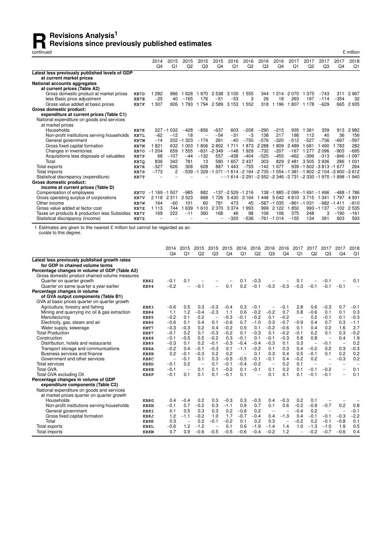## **Revisions Analysis<sup>1</sup><br>Revisions since preventioned Revisions since previously published estimates**

continued £ million

|                                                    |      | 2014<br>Q <sub>4</sub> | 2015<br>Q <sub>1</sub> | 2015<br>Q2 | 2015<br>Q3 | 2015<br>Q <sub>4</sub> | 2016<br>Q1           | 2016<br>Q <sub>2</sub> | 2016<br>Q <sub>3</sub> | 2016<br>Q <sub>4</sub> | 2017<br>Q <sub>1</sub> | 2017<br>Q <sub>2</sub>                                             | 2017<br>Q <sub>3</sub> | 2017<br>Q <sub>4</sub> | 2018<br>Q1 |
|----------------------------------------------------|------|------------------------|------------------------|------------|------------|------------------------|----------------------|------------------------|------------------------|------------------------|------------------------|--------------------------------------------------------------------|------------------------|------------------------|------------|
| Latest less previously published levels of GDP     |      |                        |                        |            |            |                        |                      |                        |                        |                        |                        |                                                                    |                        |                        |            |
| at current market prices                           |      |                        |                        |            |            |                        |                      |                        |                        |                        |                        |                                                                    |                        |                        |            |
| National accounts aggregates                       |      |                        |                        |            |            |                        |                      |                        |                        |                        |                        |                                                                    |                        |                        |            |
| at current prices (Table A2)                       |      |                        |                        |            |            |                        |                      |                        |                        |                        |                        |                                                                    |                        |                        |            |
| Gross domestic product at market prices            | KB7D | 282                    | 966                    | 628        | 970        | 2 5 3 8                | 3 100                | 555                    | 344                    | 214                    | 2 0 7 0                | 375                                                                | $-743$                 | 311                    | 2967       |
| less Basic price adjustment                        | KB7E | $-25$                  | 40                     | $-165$     | 176        | $-51$                  | $-53$                | 3                      | 26                     | 18                     | 263                    | 197                                                                | $-114$                 | $-354$                 | 32         |
| Gross value added at basic prices                  | KB7F | 307                    | 926                    | 793        | 1 7 9 4    | 2589                   | 3 1 5 3              | 552                    | 318                    | 1 1 9 6                | 807<br>1               | 1 1 7 8                                                            | $-629$                 | 665                    | 2935       |
| Gross domestic product:                            |      |                        |                        |            |            |                        |                      |                        |                        |                        |                        |                                                                    |                        |                        |            |
| expenditure at current prices (Table C1)           |      |                        |                        |            |            |                        |                      |                        |                        |                        |                        |                                                                    |                        |                        |            |
| National expenditure on goods and services         |      |                        |                        |            |            |                        |                      |                        |                        |                        |                        |                                                                    |                        |                        |            |
| at market prices                                   |      |                        |                        |            |            |                        |                      |                        |                        |                        |                        |                                                                    |                        |                        |            |
| Households                                         | KB7K |                        | $227 - 1032$           | $-428$     | $-856$     | $-637$                 | 603                  | $-208$                 | $-290$                 | $-215$                 | 935                    | 361<br>1                                                           | 359                    | 913                    | 2982       |
| Non-profit institutions serving households         | KB7L | $-62$                  | $-12$                  | 18         |            | $-54$                  | $-31$                | $-3$                   | 138                    | 217                    | 198                    | 112                                                                | 40                     | 36                     | 156        |
| General government                                 | KB7M | $-14$                  | $202 - 1$              | 323        | $-174$     | 261                    | $-40$                | $-750$                 | $-576$                 | $-320$                 | $-512$                 | $-527$                                                             | $-736$                 | $-697$                 | $-597$     |
| Gross fixed capital formation                      | KB7N | 1821                   | 632                    | 003        | 806        | 2802                   | 711                  | 873                    | 2 2 8 8                | 809                    | 2489                   | 681                                                                | 490                    | 783                    | 282        |
| Changes in inventories                             | KB70 | 204<br>$-1$            | 659                    | 555        | -631       | $-2349$                | $-148$               | 929                    | $-732$                 | $-207$                 | $-167$                 | 277<br>1                                                           | 2096                   | $-903$                 | $-695$     |
| Acquisitions less disposals of valuables           | KB7P | 68                     | $-107$                 | $-44$      | $-132$     | 557                    | $-438$               | $-404$                 | $-525$                 | $-455$                 | $-462$                 | $-399$                                                             | $-313$                 | -846                   | 097        |
| Total                                              | KB7Q | 836                    | 342                    | 781        | 13         | 580                    | 1657                 | 2 4 3 7                | 303                    | 829                    | 2481                   | 3505                                                               | 2936                   | 286                    | 031        |
| Total exports                                      | KB7R | $-327$                 | 626                    | 308        | 628        | 887                    | 443                  | $-755$                 | $-142$                 | 677                    |                        | $939 - 1602 - 3813 - 1677$                                         |                        |                        | 264        |
| Total imports                                      | KB7S | $-773$                 |                        | -539       | 329        | 071                    | -1                   |                        |                        |                        |                        | $614 - 2164 - 2735 - 1054 - 1381 - 1802 - 2104 - 3600 - 3612$      |                        |                        |            |
| Statistical discrepancy (expenditure)              | KB7T |                        |                        |            |            |                        |                      |                        |                        |                        |                        | $-$ -1 614 -2 291 -2 552 -2 346 -2 731 -2 330 -1 970 -1 898 -1 940 |                        |                        |            |
| <b>Gross domestic product:</b>                     |      |                        |                        |            |            |                        |                      |                        |                        |                        |                        |                                                                    |                        |                        |            |
| income at current prices (Table D)                 |      |                        |                        |            |            |                        |                      |                        |                        |                        |                        |                                                                    |                        |                        |            |
| Compensation of employees                          | KB7U | $-1$ 169 $-1$ 507      |                        | $-985$     | 882        |                        | $-137 - 2529 - 1216$ |                        |                        |                        |                        | 138 -1 885 -2 099 -1 691 -1 496                                    |                        | $-488$                 | $-1.786$   |
| Gross operating surplus of corporations            | KB7V | 2 1 1 8                | 311<br>2               | 2523       | 668        | 726                    | 5430                 | 3 1 6 4                | 448                    | 5 0 4 2                | 4 8 1 0                | 3 7 1 5                                                            | 341                    | 797                    | 4 9 3 1    |
| Other income                                       | KB7W | 164                    | $-60$                  | 101        | 60         | 781                    | 473                  | 45                     |                        | $-587 - 1035$          |                        | $-861 - 1031$                                                      | $-982$                 | $-1411$                | $-610$     |
| Gross value added at factor cost                   | KB7X | 1 1 1 3                | 744                    | 639        | 610        | 2 3 7 0                | 3 3 7 4              | 993                    | 999                    | 2 1 2 2                | 850                    | 993                                                                | $-1137$                | $-102$                 | 2535       |
| Taxes on products & production less Subsidies KB7Y |      | 169                    | 222                    | $-11$      | 360        | 168                    | 46                   | 98                     | 106                    | 106                    | 375                    | 248                                                                | 3                      | $-190$                 | $-161$     |
| Statistical discrepancy (income)                   | KB7Z |                        |                        |            |            |                        | $-320$               | $-536$                 |                        | $-761 - 1014$          | $-155$                 | 134                                                                | 391                    | 603                    | 593        |

1 Estimates are given to the nearest  $\pounds$  million but cannot be regarded as accurate to this degree.

|                                                |             | 2014<br>Q <sub>4</sub>   | 2015<br>Q <sub>1</sub>   | 2015<br>Q2               | 2015<br>Q3               | 2015<br>Q <sub>4</sub> | 2016<br>Q <sub>1</sub>   | 2016<br>Q <sub>2</sub>   | 2016<br>Q <sub>3</sub>   | 2016<br>Q <sub>4</sub>   | 2017<br>Q <sub>1</sub>   | 2017<br>Q2               | 2017<br>Q <sub>3</sub>   | 2017<br>Q <sub>4</sub>   | 2018<br>Q1               |
|------------------------------------------------|-------------|--------------------------|--------------------------|--------------------------|--------------------------|------------------------|--------------------------|--------------------------|--------------------------|--------------------------|--------------------------|--------------------------|--------------------------|--------------------------|--------------------------|
| Latest less previously published growth rates  |             |                          |                          |                          |                          |                        |                          |                          |                          |                          |                          |                          |                          |                          |                          |
| for GDP in chained volume terms                |             |                          |                          |                          |                          |                        |                          |                          |                          |                          |                          |                          |                          |                          |                          |
| Percentage changes in volume of GDP (Table A2) |             |                          |                          |                          |                          |                        |                          |                          |                          |                          |                          |                          |                          |                          |                          |
| Gross domestic product chained volume measures |             |                          |                          |                          |                          |                        |                          |                          |                          |                          |                          |                          |                          |                          |                          |
| Quarter on quarter growth                      | <b>KB82</b> | $-0.1$                   | 0.1                      |                          |                          |                        | 0.1                      | $-0.3$                   |                          |                          | 0.1                      |                          | -0.1                     |                          | 0.1                      |
| Quarter on same quarter a year earlier         | <b>KB94</b> | $-0.2$                   | $\overline{\phantom{0}}$ | $-0.1$                   |                          | 0.1                    | 0.2                      | $-0.1$                   | $-0.3$                   | $-0.3$                   | $-0.3$                   | $-0.1$                   | $-0.1$                   | $-0.1$                   |                          |
| Percentage changes in volume                   |             |                          |                          |                          |                          |                        |                          |                          |                          |                          |                          |                          |                          |                          |                          |
| of GVA output components (Table B1)            |             |                          |                          |                          |                          |                        |                          |                          |                          |                          |                          |                          |                          |                          |                          |
| GVA at basic prices quarter on quarter growth  |             |                          |                          |                          |                          |                        |                          |                          |                          |                          |                          |                          |                          |                          |                          |
| Agriculture, forestry and fishing              | <b>KB83</b> | $-0.6$                   | 0.5                      | 0.3                      | $-0.3$                   | $-0.4$                 | 0.3                      | $-0.1$                   | $\overline{\phantom{0}}$ | $-0.1$                   | 2.8                      | 0.6                      | $-0.3$                   | 0.7                      | $-0.1$                   |
| Mining and quarrying inc oil & gas extraction  | <b>KB84</b> | 1.1                      | 1.2                      | $-0.4$                   | $-2.3$                   | 1.1                    | 0.6                      | $-0.2$                   | $-0.2$                   | 0.7                      | 0.8                      | $-0.6$                   | 0.1                      | 0.1                      | 0.3                      |
| Manufacturing                                  | <b>KB85</b> | $-0.2$                   | 0.1                      | 0.2                      | $\overline{\phantom{0}}$ | $-0.3$                 | $-0.1$                   | $-0.2$                   | 0.1                      | $-0.2$                   | $\overline{\phantom{m}}$ | 0.2                      | $-0.1$                   | 0.1                      | $-0.3$                   |
| Electricity, gas, steam and air                | <b>KB86</b> | $-0.6$                   | 0.1                      | 0.4                      | 0.1                      | $-0.6$                 | 0.7                      | $-1.0$                   | 0.3                      | $-0.7$                   | $-0.9$                   | 0.4                      | 0.7                      | 0.3                      | $-1.1$                   |
| Water supply, sewerage                         | KNT7        | $-0.3$                   | $-0.3$                   | 0.2                      | 0.4                      | $-0.2$                 | 0.5                      | 0.1                      | $-0.2$                   | $-0.6$                   | 0.1                      | 0.4                      | 0.2                      | 1.6                      | 2.7                      |
| <b>Total Production</b>                        | <b>KB87</b> | $-0.1$                   | 0.2                      | 0.1                      | $-0.3$                   | $-0.2$                 | 0.1                      | $-0.3$                   | 0.1                      | $-0.2$                   | $-0.1$                   | 0.2                      | 0.1                      | 0.3                      | $-0.2$                   |
| Construction                                   | <b>KB88</b> | $-0.1$                   | $-0.5$                   | 0.5                      | $-0.2$                   | 0.3                    | $-0.1$                   | 0.1                      | $-0.1$                   | $-0.3$                   | 0.8                      | 0.8                      | $\overline{\phantom{a}}$ | 0.4                      | 1.9                      |
| Distribution, hotels and restaurants           | <b>KB89</b> | $-0.3$                   | 0.1                      | 0.2                      | $-0.1$                   | $-0.3$                 | $-0.4$                   | $-0.4$                   | $-0.3$                   | 0.1                      | 0.3                      | $\overline{\phantom{0}}$ | $-0.1$                   | $\overline{\phantom{0}}$ | 0.2                      |
| Transport storage and communications           | KB8A        | $-0.2$                   | 0.4                      | $-0.1$                   | $-0.3$                   | 0.1                    | $-1.1$                   | $-0.2$                   | 0.1                      | 0.3                      | 0.4                      | $-0.2$                   | 0.2                      | 0.3                      | $-0.3$                   |
| Business services and finance                  | KB8B        | 0.2                      | $-0.1$                   | $-0.3$                   | 0.2                      | 0.2                    | $\overline{\phantom{0}}$ | 0.1                      | 0.3                      | 0.4                      | 0.5                      | $-0.1$                   | 0.1                      | 0.2                      | 0.2                      |
| Government and other services                  | KB8C        | $\overline{\phantom{0}}$ | $-0.1$                   | 0.1                      | 0.3                      | $-0.5$                 | $-0.5$                   | $-0.1$                   | $-0.1$                   | 0.4                      | $-0.2$                   | 0.2                      | $\overline{\phantom{m}}$ | $-0.3$                   | 0.2                      |
| <b>Total services</b>                          | KB8D        | $-0.1$                   | 0.2                      | $\overline{\phantom{m}}$ | 0.1                      | $-0.1$                 | $-0.4$                   | $-0.2$                   | $\overline{\phantom{m}}$ | 0.2                      | 0.1                      | $\overline{\phantom{0}}$ |                          |                          | $\overline{\phantom{0}}$ |
| <b>Total GVA</b>                               | KB8E        | $-0.1$                   | $\overline{\phantom{0}}$ | 0.1                      | 0.1                      | $-0.2$                 | 0.1                      | $-0.1$                   | 0.1                      | 0.2                      | 0.1                      | $-0.1$                   | $-0.2$                   |                          | 0.1                      |
| Total GVA excluding Oil                        | KB8F        | $-0.1$                   | 0.1                      | 0.1                      | 0.1                      | $-0.1$                 | 0.1                      | $\overline{\phantom{0}}$ | 0.1                      | 0.1                      | 0.1                      | $-0.1$                   | $-0.1$                   | -                        | 0.1                      |
| Percentage changes in volume of GDP            |             |                          |                          |                          |                          |                        |                          |                          |                          |                          |                          |                          |                          |                          |                          |
| expenditure components (Table C2)              |             |                          |                          |                          |                          |                        |                          |                          |                          |                          |                          |                          |                          |                          |                          |
| National expenditure on goods and services     |             |                          |                          |                          |                          |                        |                          |                          |                          |                          |                          |                          |                          |                          |                          |
| at market prices quarter on quarter growth     |             |                          |                          |                          |                          |                        |                          |                          |                          |                          |                          |                          |                          |                          |                          |
| Households                                     | KB8G        | 0.4                      | $-0.4$                   | 0.2                      | 0.3                      | $-0.3$                 | 0.3                      | $-0.3$                   | 0.4                      | $-0.3$                   | 0.2                      | 0.1                      |                          |                          |                          |
| Non-profit institutions serving households     | KB8H        | $-0.1$                   | 0.7                      | $-0.2$                   | 0.3                      | $-1.1$                 | 0.9                      | 0.7                      | 0.1                      | 0.6                      | $-0.2$                   | $-0.9$                   | $-0.7$                   | 0.2                      | 0.8                      |
| General government                             | KB8I        | 0.1                      | 0.5                      | 0.3                      | 0.3                      | 0.2                    | $-0.6$                   | 0.2                      | $\overline{\phantom{a}}$ | $\overline{\phantom{0}}$ | $-0.4$                   | 0.2                      | $\overline{\phantom{a}}$ |                          | $-0.1$                   |
| Gross fixed capital formation                  | KB8J        | 1.2                      | $-1.1$                   | $-0.2$                   | 1.0                      | 1.7                    | $-0.7$                   | $-0.4$                   | 0.4                      | $-1.3$                   | 0.4                      | $-0.1$                   | $-0.1$                   | $-0.3$                   | $-2.2$                   |
| Total                                          | KB8K        | 0.3                      | $\overline{\phantom{0}}$ | 0.2                      | $-0.1$                   | $-0.2$                 | 0.1                      | 0.2                      | 0.3                      | $\overline{a}$           | $-0.2$                   | 0.2                      | $-0.1$                   | $-0.8$                   | 0.1                      |
| Total exports                                  | KB8L        | $-0.6$                   | 1.2                      | $-1.2$                   | $\overline{\phantom{0}}$ | 0.1                    | 0.6                      | $-1.9$                   | $-1.4$                   | 1.4                      | 1.0                      | $-1.3$                   | $-1.0$                   | 1.9                      | 0.5                      |
| Total imports                                  | KB8M        | 0.7                      | 0.9                      | $-0.6$                   | $-0.5$                   | $-0.5$                 | $-0.6$                   | $-0.4$                   | $-0.2$                   | 1.2                      | -                        | $-0.2$                   | $-0.7$                   | $-0.6$                   | 0.4                      |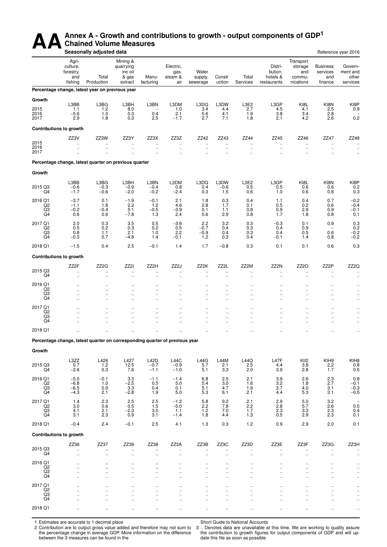## AA<sup>Annex A - Growth and contributions to growth - output components of GDP<sup>1</sup><br>Seasonally adjusted data</sup> **Chained Volume Measures**

|                                  |                                                  | Seasonally adjusted data                                                    |                                                      |                                              |                                              |                                              |                                              |                                           |                                               |                                                    |                                               | Reference year 2016                          |
|----------------------------------|--------------------------------------------------|-----------------------------------------------------------------------------|------------------------------------------------------|----------------------------------------------|----------------------------------------------|----------------------------------------------|----------------------------------------------|-------------------------------------------|-----------------------------------------------|----------------------------------------------------|-----------------------------------------------|----------------------------------------------|
|                                  | Agri-<br>culture,<br>forestry,<br>and<br>fishing | Total<br>Production                                                         | Mining &<br>quarrying<br>inc oil<br>& gas<br>extract | Manu-<br>facturing                           | Electric,<br>gas,<br>steam &<br>air          | Water<br>supply,<br>sewerage                 | Constr<br>uction                             | Total<br>Services                         | Distri-<br>bution,<br>hotels &<br>restaurants | Transport<br>storage<br>and<br>commu-<br>nications | <b>Business</b><br>services<br>and<br>finance | Govern-<br>ment and<br>other<br>services     |
|                                  |                                                  | Percentage change, latest year on previous year                             |                                                      |                                              |                                              |                                              |                                              |                                           |                                               |                                                    |                                               |                                              |
| Growth                           |                                                  |                                                                             |                                                      |                                              |                                              |                                              |                                              |                                           |                                               |                                                    |                                               |                                              |
| 2015                             | L3BB<br>1.1                                      | L3BG<br>1.2                                                                 | L3BH<br>8.0                                          | L3BN                                         | L3DM<br>1.0                                  | L3DQ<br>3.4                                  | L3DW<br>4.4                                  | L3E2<br>2.7                               | L3GP<br>4.5                                   | KI8L<br>4.1                                        | KI8N<br>2.5                                   | KI8P<br>0.9                                  |
| 2016<br>2017                     | $-5.6$<br>2.9                                    | 1.0<br>1.8                                                                  | 0.3<br>0.3                                           | 0.4<br>2.5                                   | 2.1<br>$-1.7$                                | 5.6<br>2.7                                   | 4.1<br>7.1                                   | $\begin{array}{c} 1.9 \\ 1.8 \end{array}$ | 3.8<br>2.1                                    | 3.4<br>4.2                                         | 2.8<br>2.6                                    | 0.2                                          |
|                                  | <b>Contributions to growth</b>                   |                                                                             |                                                      |                                              |                                              |                                              |                                              |                                           |                                               |                                                    |                                               |                                              |
|                                  | ZZ3V                                             | ZZ3W                                                                        | ZZ3Y                                                 | ZZ3X                                         | ZZ3Z                                         | ZZ42                                         | ZZ43                                         | ZZ44                                      | ZZ45                                          | ZZ46                                               | ZZ47                                          | ZZ48                                         |
| 2015<br>2016                     | $\ddotsc$<br>$\ddotsc$                           | $\ddot{\phantom{0}}$<br>$\ddotsc$                                           | $\ddot{\phantom{a}}$<br>.,                           | $\ddotsc$<br>                                | $\ddot{\phantom{a}}$<br>$\ddot{\phantom{1}}$ | ä.<br>$\ddotsc$                              | $\ddotsc$<br>$\ddotsc$                       | $\ddotsc$<br>$\cdot$                      | $\ddotsc$<br>$\ddotsc$                        | $\ddot{\phantom{0}}$<br>$\ldots$                   | $\ldots$<br>$\ldots$                          | $\ddot{\phantom{0}}$<br>$\ddot{\phantom{0}}$ |
| 2017                             | $\ddotsc$                                        | $\ldots$                                                                    | $\ddotsc$                                            | τ.                                           | $\ddot{\phantom{a}}$                         | $\ddotsc$                                    | $\ddot{\phantom{a}}$                         | $\ddot{\phantom{1}}$                      | $\ddotsc$                                     | $\ddotsc$                                          | $\ddotsc$                                     | $\ddot{\phantom{0}}$                         |
|                                  |                                                  | Percentage change, latest quarter on previous quarter                       |                                                      |                                              |                                              |                                              |                                              |                                           |                                               |                                                    |                                               |                                              |
| Growth                           |                                                  |                                                                             |                                                      |                                              |                                              |                                              |                                              |                                           |                                               |                                                    |                                               |                                              |
|                                  | L3BB                                             | L3BG                                                                        | L3BH                                                 | L3BN                                         | L3DM                                         | L3DQ                                         | L3DW                                         | L3E2                                      | L3GP                                          | KI8L                                               | KI8N                                          | KI8P                                         |
| 2015 Q3<br>Q4                    | $-0.6$<br>$-1.7$                                 | $-0.3$<br>$-0.6$                                                            | $-0.9$<br>$-2.0$                                     | $-0.4$<br>$-0.2$                             | 0.8<br>$-2.4$                                | 0.4<br>0.3                                   | $-0.6$<br>1.5                                | 0.5<br>0.6                                | 0.5<br>1.0                                    | 0.6<br>0.6                                         | 0.6<br>0.8                                    | 0.2<br>0.3                                   |
| 2016 Q1                          | $-3.7$                                           | 0.1                                                                         | $-1.9$                                               | $-0.1$                                       | 2.1                                          | 1.8                                          | 0.3                                          | 0.4                                       | 1.1                                           | 0.4                                                | 0.7                                           | $-0.2$                                       |
| Q2<br>Q <sub>3</sub>             | $-1.1$<br>$-0.2$                                 | 1.8<br>$-0.4$                                                               | 2.2<br>5.1                                           | 1.2<br>$-0.5$                                | 4.6<br>$-3.9$                                | 2.8<br>0.1                                   | 1.7<br>1.1                                   | 0.1<br>0.8                                | 0.5<br>0.9                                    | 0.2<br>2.9                                         | 0.6<br>0.9                                    | $-0.4$<br>$-0.1$                             |
| Q4                               | 0.6                                              | 0.6                                                                         | $-7.8$                                               | 1.3                                          | 2.4                                          | 0.6                                          | 2.9                                          | 0.8                                       | 1.7                                           | 1.8                                                | 0.8                                           | 0.1                                          |
| 2017 Q1<br>Q2                    | 2.0<br>0.5                                       | 0.3<br>0.2                                                                  | 3.5<br>0.3                                           | 0.5<br>0.2                                   | $-3.9$<br>0.5                                | 2.2<br>$-0.7$                                | 3.2<br>0.4                                   | 0.3<br>0.3                                | $-0.3$<br>0.4                                 | 0.1<br>0.9                                         | 0.9<br>$\overline{a}$                         | 0.3<br>0.2                                   |
| Q3<br>Q4                         | 0.8<br>$-0.3$                                    | 1.1<br>0.7                                                                  | 2.1<br>$-4.8$                                        | 1.0<br>1.4                                   | 2.2<br>$-0.1$                                | $-0.9$<br>1.2                                | 0.4<br>0.3                                   | 0.3<br>0.4                                | 0.4<br>$-0.1$                                 | 0.5<br>1.4                                         | 0.6<br>0.8                                    | $-0.2$<br>$-0.2$                             |
| 2018 Q1                          | $-1.5$                                           | 0.4                                                                         | 2.5                                                  | $-0.1$                                       | 1.4                                          | 1.7                                          | $-0.8$                                       | 0.3                                       | 0.1                                           | 0.1                                                | 0.6                                           | 0.3                                          |
|                                  | <b>Contributions to growth</b>                   |                                                                             |                                                      |                                              |                                              |                                              |                                              |                                           |                                               |                                                    |                                               |                                              |
|                                  | ZZ2F                                             | ZZ <sub>2</sub> G                                                           | ZZ2I                                                 | ZZ2H                                         | ZZ2J                                         | ZZ2K                                         | ZZ2L                                         | ZZ2M                                      | ZZ2N                                          | ZZ <sub>20</sub>                                   | ZZ2P                                          | ZZ2Q                                         |
| 2015 Q3<br>Q4                    | $\ddotsc$<br>$\ddotsc$                           | $\ldots$<br>$\ddotsc$                                                       | Ω,<br>                                               | <br>τ.                                       | $\ddotsc$<br>ä.                              | $\ddotsc$<br>ä.                              | $\ddot{\phantom{a}}$<br>ä.                   | $\ddotsc$<br>$\ddot{\phantom{a}}$         | $\ddotsc$<br>Ω.                               | Ω.                                                 | $\ddotsc$<br>$\ddotsc$                        | $\ddot{\phantom{0}}$                         |
| 2016 Q1                          | $\ddot{\phantom{a}}$                             | $\ddot{\phantom{a}}$                                                        | $\ddot{\phantom{a}}$                                 | $\ddot{\phantom{0}}$                         |                                              |                                              |                                              | $\ddotsc$                                 |                                               |                                                    | $\ddot{\phantom{a}}$                          | $\ddot{\phantom{0}}$                         |
| $^{Q2}_{Q3}$                     | $\ddot{\phantom{a}}$<br>$\ddot{\phantom{a}}$     | $\cdot$ .<br>$\ldots$                                                       | $\ddotsc$<br>$\ddotsc$                               | $\ddot{\phantom{a}}$<br>$\ddot{\phantom{0}}$ | $\ddotsc$<br>$\ddotsc$                       | $\ddotsc$<br>$\ddotsc$                       | $\ddot{\phantom{a}}$<br>$\ddot{\phantom{a}}$ | $\ddotsc$<br>$\ddotsc$                    | $\ddotsc$<br>$\ddotsc$                        | $\ddot{\phantom{a}}$<br>$\ddot{\phantom{a}}$       | $\ddot{\phantom{a}}$<br>$\ddot{\phantom{a}}$  | $\cdot$<br>$\ddot{\phantom{0}}$              |
| Q4                               | $\ddotsc$                                        | $\ddotsc$                                                                   | $\ddotsc$                                            | $\ddot{\phantom{0}}$                         | $\ddotsc$                                    | $\ddotsc$                                    | $\ddot{\phantom{a}}$                         | $\ddotsc$                                 | $\ddotsc$                                     | $\ddot{\phantom{a}}$                               | $\ddotsc$                                     | $\ddot{\phantom{0}}$                         |
| 2017 Q1<br>Q2                    | $\ddot{\phantom{a}}$<br>ä.                       | $\ddotsc$<br>$\ddotsc$                                                      | $\ddot{\phantom{a}}$<br>$\ddotsc$                    | $\ddot{\phantom{a}}$<br>τ.                   | $\ddotsc$<br>$\ddotsc$                       | $\ddotsc$<br>ä.                              | $\ddot{\phantom{a}}$<br>ä.                   | $\ddotsc$<br>$\ddotsc$                    | $\ddotsc$<br>$\ddot{\phantom{a}}$             | $\ddot{\phantom{a}}$<br>ä.                         | $\ddotsc$<br>$\ddotsc$                        | $\ddot{\phantom{0}}$<br>$\ddot{\phantom{a}}$ |
| Q3<br>Q4                         | $\ddot{\phantom{a}}$<br>$\ddot{\phantom{a}}$     | ä.<br>$\ddotsc$                                                             | ä.<br>$\ddot{\phantom{a}}$                           | $\ddot{\phantom{a}}$<br>$\ddot{\phantom{a}}$ | $\ddot{\phantom{a}}$<br>$\ddotsc$            | $\ddot{\phantom{a}}$<br>$\ddotsc$            | $\ddot{\phantom{a}}$<br>$\ddotsc$            | $\ddot{\phantom{a}}$<br>$\ddotsc$         | $\ddot{\phantom{a}}$<br>$\ddotsc$             | $\ddot{\phantom{a}}$<br>$\ddotsc$                  | ä.<br>$\ddotsc$                               | $\ddot{\phantom{0}}$<br>$\ddot{\phantom{0}}$ |
| 2018 Q1                          |                                                  |                                                                             |                                                      |                                              |                                              |                                              |                                              |                                           |                                               |                                                    |                                               | $\ddot{\phantom{0}}$                         |
|                                  |                                                  | Percentage change, latest quarter on corresponding quarter of previous year |                                                      |                                              |                                              |                                              |                                              |                                           |                                               |                                                    |                                               |                                              |
| Growth                           |                                                  |                                                                             |                                                      |                                              |                                              |                                              |                                              |                                           |                                               |                                                    |                                               |                                              |
|                                  | L3ZZ                                             |                                                                             |                                                      | <b>L42D</b>                                  | <b>L44C</b>                                  |                                              | L44M                                         |                                           |                                               |                                                    | KIH9                                          |                                              |
| 2015 Q3                          | 0.7                                              | L426<br>$1.2$                                                               | L427<br>12.5                                         | $-0.7$                                       | $-0.9$                                       | L44G<br>5.7                                  | 2.1                                          | L44Q<br>2.5                               | L47F<br>4.4                                   | KII2<br>3.8                                        | 2.2                                           | KIH <sub>8</sub><br>0.8                      |
| Q4<br>2016 Q1                    | $-2.6$<br>$-5.0$                                 | 0.3<br>$-0.1$                                                               | 7.6<br>3.3                                           | $-1.1$<br>$-1.1$                             | $-1.0$<br>$-1.4$                             | 5.1<br>6.8                                   | 3.3                                          | 2.0<br>2.1                                | 3.9<br>3.9                                    | 2.8<br>2.6                                         | 1.7                                           | 0.5<br>0.8                                   |
| Q <sub>2</sub><br>Q3             | $-6.8$<br>$-6.5$                                 | 1.0                                                                         | $-2.5$                                               | 0.5                                          | 5.0                                          | 5.4                                          | 2.5<br>3.0                                   | 1.6                                       | 3.2<br>3.7                                    | 1.8                                                | $^{2.3}_{2.7}$                                | $-0.1$                                       |
| Q4                               | $-4.3$                                           | 0.9<br>2.1                                                                  | 3.3<br>$-2.8$                                        | 0.4<br>1.9                                   | 0.1<br>5.0                                   | 5.1<br>5.3                                   | 4.7<br>6.1                                   | 1.9<br>2.1                                | 4.4                                           | 4.0<br>5.3                                         | 3.1<br>3.1                                    | $-0.3$<br>$-0.5$                             |
| 2017 Q1                          | 1.4                                              | 2.3                                                                         | 2.5                                                  | 2.5                                          | $-1.2$                                       | 5.8                                          | 9.2                                          | 2.1                                       | 2.9                                           | 5.0                                                | 3.2                                           | 0.5                                          |
| Q <sub>2</sub><br>Q3<br>Q4       | 3.0<br>4.1                                       | 0.6<br>2.1                                                                  | 0.5<br>$-2.3$                                        | 1.5<br>3.0                                   | $-5.0$<br>1.1                                | 2.2<br>1.2                                   | 7.8<br>7.0                                   | 2.2<br>1.7                                | 2.8<br>2.3                                    | 5.7<br>3.3                                         | 2.6<br>2.3<br>$2.\overline{3}$                | 0.4                                          |
| 2018 Q1                          | 3.1<br>$-0.4$                                    | 2.3<br>2.4                                                                  | 0.9<br>$-0.1$                                        | 3.1<br>2.5                                   | $-1.4$<br>4.1                                | 1.8<br>1.3                                   | 4.4<br>0.3                                   | 1.3<br>$1.2$                              | 0.5<br>0.9                                    | 2.9<br>2.9                                         | 2.0                                           | 0.1<br>0.1                                   |
|                                  |                                                  |                                                                             |                                                      |                                              |                                              |                                              |                                              |                                           |                                               |                                                    |                                               |                                              |
|                                  | <b>Contributions to growth</b>                   |                                                                             |                                                      |                                              |                                              |                                              |                                              |                                           |                                               |                                                    |                                               |                                              |
| 2015 Q3                          | ZZ36<br>$\mathbf{u}$                             | ZZ37<br>$\ddotsc$                                                           | ZZ39<br>u,                                           | ZZ38<br>$\ddot{\phantom{a}}$                 | ZZ3A<br>$\ddotsc$                            | ZZ3B<br>ä,                                   | ZZ3C<br>$\ddot{\phantom{a}}$                 | ZZ3D<br>ä.                                | ZZ3E<br>ä,                                    | ZZ3F<br>ä.                                         | ZZ3G<br>$\ddotsc$                             | ZZ3H<br>$\ddot{\phantom{0}}$                 |
| Q4                               | $\mathbf{u}$                                     | u,                                                                          | $\ddotsc$                                            | ä.                                           | $\ddotsc$                                    | $\ddotsc$                                    | $\ddot{\phantom{a}}$                         | $\ddotsc$                                 | ä,                                            | $\ddotsc$                                          | $\ddotsc$                                     | $\ddot{\phantom{0}}$                         |
| 2016 Q1<br>Q <sub>2</sub>        | $\ddot{\phantom{a}}$<br>$\ddotsc$                | $\ddot{\phantom{a}}$<br>u,                                                  | $\ddot{\phantom{a}}$<br>u,                           | $\ddot{\phantom{a}}$<br>Ω.                   | $\ddot{\phantom{a}}$<br>$\ddotsc$            | $\ddot{\phantom{a}}$<br>$\ddot{\phantom{a}}$ | $\ddot{\phantom{a}}$<br>ä.                   | $\ddotsc$<br>$\ddotsc$                    | $\ddot{\phantom{a}}$<br>$\ddot{\phantom{a}}$  | $\ddot{\phantom{a}}$                               | $\ddot{\phantom{a}}$<br>$\ddot{\phantom{a}}$  | $\ddot{\phantom{a}}$<br>$\ddot{\phantom{0}}$ |
| Q3<br>Q4                         | ä.<br>$\ddot{\phantom{a}}$                       | $\ddotsc$<br>$\ddot{\phantom{a}}$                                           | <br>ä.                                               | τ.<br>$\ddot{\phantom{a}}$                   | $\ddot{\phantom{a}}$<br>$\ddot{\phantom{a}}$ | ä.<br>$\ddot{\phantom{a}}$                   | $\ddot{\phantom{a}}$<br>$\ddot{\phantom{a}}$ | $\ddotsc$<br>$\ddotsc$                    | ä,                                            | ä.                                                 |                                               | $\ddot{\phantom{a}}$                         |
| 2017 Q1                          |                                                  | $\ddotsc$                                                                   |                                                      |                                              |                                              |                                              |                                              | $\ddot{\phantom{0}}$                      |                                               |                                                    |                                               |                                              |
| Q <sub>2</sub><br>Q <sub>3</sub> | $\ddot{\phantom{a}}$<br>$\ddotsc$                | $\ddotsc$<br>$\ddot{\phantom{1}}$                                           | $\ddotsc$<br>$\ddotsc$                               | $\ddot{\phantom{a}}$<br>Ω.                   | $\ddot{\phantom{a}}$<br>$\ddotsc$            | $\ddot{\phantom{a}}$<br>$\ddot{\phantom{a}}$ | ä.<br>$\ddot{\phantom{a}}$                   | $\ddot{\phantom{a}}$<br>$\ddotsc$         | $\ddot{\phantom{a}}$<br>$\ddot{\phantom{a}}$  | $\ddot{\phantom{a}}$                               | $\ddot{\phantom{a}}$<br>$\ddot{\phantom{a}}$  |                                              |
| Q <sub>4</sub>                   | ä.                                               | ä.                                                                          | ä.                                                   | τ.                                           | $\ddot{\phantom{a}}$                         | ä.                                           | $\ddot{\phantom{a}}$                         | $\ddot{\phantom{a}}$                      | ä.                                            |                                                    | ä.                                            |                                              |
| 2018 Q1                          | $\ddot{\phantom{a}}$                             | $\ddotsc$                                                                   | $\ddot{\phantom{a}}$                                 | $\ddotsc$                                    | $\ddotsc$                                    | $\ddotsc$                                    | $\ddot{\phantom{a}}$                         | $\ddotsc$                                 | $\ddotsc$                                     |                                                    | $\ddotsc$                                     |                                              |

1 Estimates are accurate to 1 decimal place

2 Contribution are to output gross value added and therefore may not sum to the percentage change in average GDP. More information on the difference between the 3 measures can be found in the

Short Guide to National Accounts

3 .. Denotes data are unavailable at this time. We are working to quality assure the contribution to growth figures for output components of GDP and will update this file as soon as possible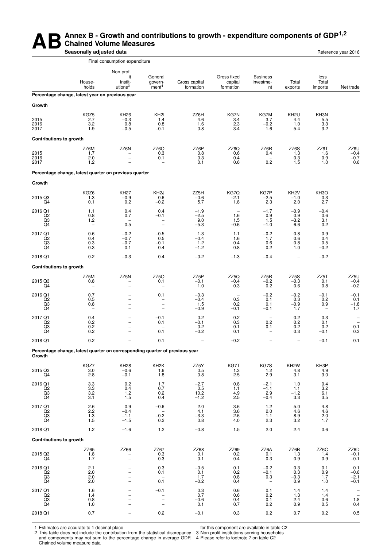#### **AB** Annex B - Growth and contributions to growth - expenditure components of GDP<sup>1,2</sup><br>Seasonally adjusted data **Chained Volume Measures Seasonally adjusted data Reference year 2016 Reference year 2016**

|                                                   |                                                                             | Final consumption expenditure                                                                      |                                                                    |                                   |                                           |                                                     |                                       |                                           |                                        |
|---------------------------------------------------|-----------------------------------------------------------------------------|----------------------------------------------------------------------------------------------------|--------------------------------------------------------------------|-----------------------------------|-------------------------------------------|-----------------------------------------------------|---------------------------------------|-------------------------------------------|----------------------------------------|
|                                                   | House-<br>holds                                                             | Non-prof-<br>it<br>instit-<br>utions <sup>3</sup>                                                  | General<br>govern-<br>ment <sup>4</sup>                            | Gross capital<br>formation        | Gross fixed<br>capital<br>formation       | <b>Business</b><br>investme-<br>nt                  | Total<br>exports                      | less<br>Total<br>imports                  | Net trade                              |
|                                                   | Percentage change, latest year on previous year                             |                                                                                                    |                                                                    |                                   |                                           |                                                     |                                       |                                           |                                        |
| Growth                                            |                                                                             |                                                                                                    |                                                                    |                                   |                                           |                                                     |                                       |                                           |                                        |
| 2015<br>2016<br>2017                              | KGZ5<br>2.7<br>3.2<br>1.9                                                   | <b>KH26</b><br>$-0.3$<br>0.8<br>$-0.5$                                                             | KH <sub>2</sub><br>1.4<br>0.8<br>$-0.1$                            | ZZ6H<br>4.6<br>1.6<br>0.8         | KG7N<br>3.4<br>2.3<br>3.4                 | KG7M<br>3.7<br>$-0.2$<br>1.6                        | KH <sub>2U</sub><br>4.4<br>1.0<br>5.4 | KH3N<br>$\frac{5.5}{3.3}$<br>3.2          |                                        |
| <b>Contributions to growth</b>                    |                                                                             |                                                                                                    |                                                                    |                                   |                                           |                                                     |                                       |                                           |                                        |
| 2015<br>2016<br>2017                              | ZZ6M<br>1.7<br>2.0<br>1.2                                                   | ZZ6N<br>$\overline{\phantom{0}}$                                                                   | ZZ60<br>0.3<br>0.1                                                 | ZZ6P<br>0.8<br>0.3<br>0.1         | ZZ6Q<br>0.6<br>0.4<br>0.6                 | ZZ6R<br>0.4<br>$\overline{\phantom{0}}$<br>0.2      | ZZ6S<br>1.3<br>0.3<br>1.5             | ZZ6T<br>1.6<br>0.9<br>1.0                 | $ZZ6U$<br>-0.4<br>-0.7<br>0.6          |
|                                                   | Percentage change, latest quarter on previous quarter                       |                                                                                                    |                                                                    |                                   |                                           |                                                     |                                       |                                           |                                        |
| Growth                                            |                                                                             |                                                                                                    |                                                                    |                                   |                                           |                                                     |                                       |                                           |                                        |
| 2015 Q3<br>Q4                                     | KGZ6<br>1.3<br>0.1                                                          | <b>KH27</b><br>$-0.9$<br>0.2                                                                       | KH <sub>2</sub> J<br>0.6<br>$-0.2$                                 | ZZ5H<br>$-0.6$<br>5.7             | KG7Q<br>$-2.1$<br>1.8                     | KG7P<br>$-2.5$<br>2.3                               | KH <sub>2</sub> V<br>$-1.0$<br>2.0    | KH <sub>3</sub> O<br>0.3<br>2.7           |                                        |
| 2016 Q1<br>Q <sub>2</sub><br>Q3<br>Q4             | 1.1<br>0.8<br>$1.2$<br>$\qquad \qquad -$                                    | 0.4<br>0.7<br>L.<br>0.5                                                                            | 0.4<br>$-0.1$<br>$\qquad \qquad -$<br>$\overline{\phantom{a}}$     | $-1.9$<br>$-2.5$<br>9.0<br>$-5.3$ | 1.6<br>1.5<br>$-0.6$                      | $-1.7$<br>0.9<br>1.5<br>$-1.0$                      | $-0.9$<br>0.9<br>$-3.2$<br>6.6        | $-0.4$<br>0.6<br>3.1<br>0.2               |                                        |
| 2017 Q1<br>Q2<br>Q3<br>Q4                         | 0.6<br>0.4<br>0.3<br>0.3                                                    | $-0.2$<br>$-0.7$<br>$-0.7$<br>0.1                                                                  | $-0.5$<br>0.5<br>$-0.1$<br>0.4                                     | 1.3<br>$-0.4$<br>1.2<br>$-1.2$    | 1.1<br>1.6<br>0.4<br>0.8                  | $-0.2$<br>1.7<br>0.6<br>0.2                         | 0.8<br>0.6<br>0.8<br>1.0              | 0.9<br>0.4<br>0.5<br>$-0.2$               |                                        |
| 2018 Q1                                           | 0.2                                                                         | $-0.3$                                                                                             | 0.4                                                                | $-0.2$                            | $-1.3$                                    | $-0.4$                                              |                                       | $-0.2$                                    |                                        |
| <b>Contributions to growth</b>                    |                                                                             |                                                                                                    |                                                                    |                                   |                                           |                                                     |                                       |                                           |                                        |
| 2015 Q3<br>Q4                                     | ZZ5M<br>0.8                                                                 | ZZ5N<br>$\overline{\phantom{0}}$                                                                   | ZZ5O<br>0.1<br>$\overline{\phantom{0}}$                            | ZZ5P<br>$-0.1$<br>1.0             | ZZ5Q<br>$-0.4$<br>0.3                     | ZZ5R<br>$-0.2$<br>0.2                               | ZZ5S<br>$-0.3$<br>0.6                 | ZZ5T<br>0.1<br>0.8                        | ZZ5U<br>$-0.4$<br>$-0.2$               |
| 2016 Q1<br>$_{\rm Q3}^{\rm Q2}$<br>Q4             | 0.7<br>0.5<br>0.8<br>$\qquad \qquad -$                                      | $\overline{\phantom{0}}$<br>$\overline{\phantom{0}}$<br>$\overline{a}$<br>$\overline{\phantom{0}}$ | 0.1<br>-<br>$\qquad \qquad -$<br>$\qquad \qquad -$                 | $-0.3$<br>$-0.4$<br>1.5<br>$-0.9$ | $\qquad \qquad -$<br>0.3<br>0.2<br>$-0.1$ | $-0.2$<br>0.1<br>0.1<br>$-0.1$                      | $-0.2$<br>0.3<br>$-0.9$<br>1.7        | $-0.1$<br>0.2<br>0.9<br>$\qquad \qquad -$ | $-0.1$<br>0.1<br>$-1.8$<br>1.7         |
| 2017 Q1<br>Q2<br>Q3<br>Q4                         | 0.4<br>0.2<br>${}^{0.2}_{0.2}$                                              | -<br>-<br>$\overline{\phantom{0}}$                                                                 | $-0.1$<br>0.1<br>0.1                                               | 0.2<br>$-0.1$<br>0.2<br>$-0.2$    | 0.2<br>0.3<br>0.1<br>0.1                  | $\overline{\phantom{0}}$<br>0.2<br>0.1              | 0.2<br>0.2<br>0.2<br>0.3              | 0.3<br>0.1<br>0.2<br>$-0.1$               | $\qquad \qquad -$<br>$0.1 \\ 0.3$      |
| 2018 Q1                                           | 0.2                                                                         |                                                                                                    | 0.1                                                                |                                   | $-0.2$                                    |                                                     |                                       | $-0.1$                                    | 0.1                                    |
| Growth                                            | Percentage change, latest quarter on corresponding quarter of previous year |                                                                                                    |                                                                    |                                   |                                           |                                                     |                                       |                                           |                                        |
| 2015 Q3<br>Q4                                     | KGZ7<br>3.0<br>2.8                                                          | <b>KH28</b><br>-0.6<br>$-0.1$                                                                      | KH <sub>2</sub> K<br>1.6<br>1.8                                    | ZZ5Y<br>0.5<br>0.8                | KG7T<br>1.3<br>2.5                        | KG7S<br>1.2<br>2.9                                  | KH <sub>2</sub> W<br>4.8<br>3.1       | KH3P<br>4.9<br>3.0                        |                                        |
| 2016 Q1<br>Q2<br>$_{\rm Q4}^{\rm Q3}$             | 3.3<br>3.3<br>3.2<br>3.1                                                    | 0.2<br>0.4<br>$\frac{1.2}{1.5}$                                                                    | 1.7<br>0.7<br>0.2<br>0.4                                           | $-2.7$<br>0.5<br>$10.2 - 1.2$     | 0.8<br>1.1<br>4.9<br>2.5                  | $-2.1$<br>$-1.1$<br>2.9<br>$-0.4$                   | 1.0<br>1.1<br>$-1.2$<br>3.3           | 0.4<br>3.2<br>6.1<br>3.5                  |                                        |
| 2017 Q1<br>Q <sub>2</sub><br>Q3<br>Q <sub>4</sub> | $^{2.6}_{2.2}$<br>$1.3$<br>1.5                                              | 0.9<br>$-0.4$<br>$-1.1$<br>$-1.5$                                                                  | $-0.6$<br>$\overline{\phantom{a}}$<br>$-0.2$<br>0.2                | 2.0<br>4.1<br>$-3.3$<br>0.8       | 3.6<br>3.6<br>2.6<br>4.0                  | 1.2<br>2.0<br>1.1<br>2.3                            | 5.0<br>4.6<br>8.9<br>3.2              | 4.8<br>4.6<br>2.0<br>1.7                  |                                        |
| 2018 Q1                                           | $1.2$                                                                       | $-1.6$                                                                                             | 1.2                                                                | $-0.8$                            | 1.5                                       | 2.0                                                 | 2.4                                   | 0.6                                       |                                        |
| <b>Contributions to growth</b>                    |                                                                             |                                                                                                    |                                                                    |                                   |                                           |                                                     |                                       |                                           |                                        |
| 2015 Q3<br>Q4                                     | ZZ65<br>1.8<br>1.7                                                          | ZZ66<br>$\overline{\phantom{0}}$                                                                   | ZZ67<br>0.3<br>0.3                                                 | ZZ68<br>0.1<br>0.1                | ZZ69<br>0.2<br>0.4                        | ZZ6A<br>0.1<br>0.3                                  | ZZ6B<br>1.3<br>0.9                    | ZZ6C<br>1.4<br>0.9                        | ZZ6D<br>$-0.1$<br>$-0.1$               |
| 2016 Q1<br>Q2<br>$_{\rm Q4}^{\rm Q3}$             | 2.1<br>2.0<br>2.0<br>2.0                                                    |                                                                                                    | 0.3<br>0.1<br>0.1                                                  | $-0.5$<br>0.1<br>1.7<br>$-0.2$    | 0.1<br>0.2<br>0.8<br>0.4                  | $-0.2$<br>$-0.1$<br>0.3<br>$\overline{\phantom{a}}$ | 0.3<br>0.3<br>$-0.3$<br>0.9           | 0.1<br>0.9<br>1.7<br>1.0                  | 0.1<br>$-0.6$<br>$\frac{-2.1}{-0.1}$   |
| 2017 Q1<br>Q2<br>Q3<br>Q4                         | 1.6<br>1.4<br>0.8<br>1.0                                                    |                                                                                                    | $-0.1$<br>$\qquad \qquad -$<br>$\overline{a}$<br>$\qquad \qquad -$ | 0.3<br>0.7<br>$-0.6$<br>0.1       | 0.6<br>0.6<br>0.4<br>0.7                  | 0.1<br>0.2<br>0.1<br>0.2                            | 1.4<br>1.3<br>2.4<br>0.9              | 1.4<br>1.4<br>0.6<br>0.5                  | $\overline{\phantom{a}}$<br>1.8<br>0.4 |
| 2018 Q1                                           | 0.7                                                                         |                                                                                                    | $0.2\,$                                                            | $-0.1$                            | 0.3                                       | $0.2\,$                                             | 0.7                                   | 0.2                                       | 0.5                                    |

1 Estimates are accurate to 1 decimal place

2 This table does not include the contribution from the statistical discrepancy and components may not sum to the percentage change in average GDP. Chained volume measure data

for this component are available in table C2

3 Non-profit institutions serving households 4 Please refer to footnote 7 on table C2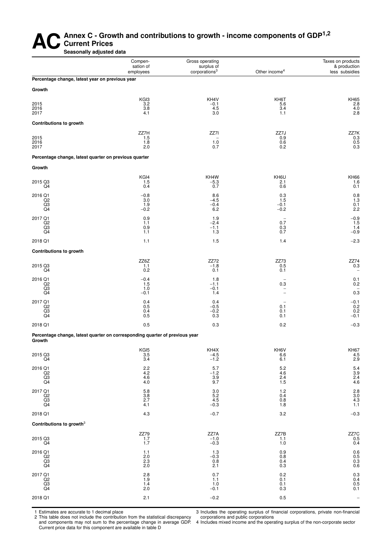#### Annex C<sub>-</sub> Growth and contributions to growth - income components of GDP<sup>1,2</sup> **Current Prices Seasonally adjusted data**

Compen-<br>
Gross operating Taxes on products<br>
Station of Surplus of Surplus of Surplus of Surplus of Surplus of Surplus of Surplus of Surplus of Surplus of Surplus of Surplus of Surplus of Surplus of Surplus of Surplus of Su sation of surplus of the income of the sation of the sation of the surplus of the corporations<sup>3</sup> Other income of the surpluse of the surplus of the surplus of the surplus of the surplus of the surplus of the surplus of th

less subsidies

| Percentage change, latest year on previous year       |                                                                             |                                |                                                                         |                                        |
|-------------------------------------------------------|-----------------------------------------------------------------------------|--------------------------------|-------------------------------------------------------------------------|----------------------------------------|
| Growth                                                |                                                                             |                                |                                                                         |                                        |
| 2015<br>2016<br>2017                                  | KGI3<br>3.2<br>3.8<br>4.1                                                   | KH4V<br>$-0.1$<br>4.5<br>3.0   | KH6T<br>5.6<br>3.4<br>1.1                                               | KH65<br>2.8<br>$4.\overline{0}$<br>2.8 |
| <b>Contributions to growth</b>                        |                                                                             |                                |                                                                         |                                        |
| 2015<br>2016<br>2017                                  | ZZ7H<br>1.5<br>1.8<br>2.0                                                   | ZZ7I<br>1.0<br>0.7             | ZZ7J<br>0.9<br>0.6<br>0.2                                               | ZZ7K<br>0.3<br>0.5<br>0.3              |
| Percentage change, latest quarter on previous quarter |                                                                             |                                |                                                                         |                                        |
| Growth                                                |                                                                             |                                |                                                                         |                                        |
| 2015 Q3<br>Q <sub>4</sub>                             | KGI4<br>1.5<br>0.4                                                          | KH4W<br>$-5.3$<br>0.7          | KH6U<br>2.1<br>0.6                                                      | KH <sub>66</sub><br>1.6<br>0.1         |
| 2016 Q1<br>Q2<br>Q <sub>3</sub><br>Q <sub>4</sub>     | $-0.8$<br>3.0<br>1.9<br>$-0.2$                                              | 8.6<br>$-4.5$<br>$-0.4$<br>6.2 | 0.3<br>1.5<br>$-0.1$<br>$-0.2$                                          | 0.8<br>1.3<br>0.1<br>2.2               |
| 2017 Q1<br>Q2<br>Q3<br>Q <sub>4</sub>                 | 0.9<br>1.1<br>0.9<br>1.1                                                    | 1.9<br>$-2.4$<br>$-1.1$<br>1.3 | $\overline{\phantom{m}}$<br>0.7<br>0.3<br>0.7                           | $-0.9$<br>1.5<br>1.4<br>$-0.9$         |
| 2018 Q1                                               | 1.1                                                                         | 1.5                            | 1.4                                                                     | $-2.3$                                 |
| <b>Contributions to growth</b>                        |                                                                             |                                |                                                                         |                                        |
| 2015 Q3<br>Q4                                         | ZZ6Z<br>1.1<br>0.2                                                          | ZZ72<br>$-1.8$<br>0.1          | ZZ73<br>0.5<br>0.1                                                      | ZZ74<br>0.3                            |
| 2016 Q1<br>Q2<br>Q3<br>Q <sub>4</sub>                 | $-0.4$<br>1.5<br>1.0<br>$-0.1$                                              | 1.8<br>$-1.1$<br>$-0.1$<br>1.4 | $\overline{\phantom{a}}$<br>0.3<br>$\equiv$<br>$\overline{\phantom{a}}$ | 0.1<br>0.2<br>$0.\overline{3}$         |
| 2017 Q1<br>Q <sub>2</sub><br>$\overline{Q}3$          | 0.4<br>0.5<br>$0.4 \\ 0.5$                                                  | 0.4<br>$-0.5$<br>$-0.2$<br>0.3 | $\overline{\phantom{m}}$<br>0.1<br>0.1<br>0.1                           | $-0.1$<br>0.2<br>0.2<br>$-0.1$         |
| 2018 Q1                                               | 0.5                                                                         | 0.3                            | 0.2                                                                     | $-0.3$                                 |
| Growth                                                | Percentage change, latest quarter on corresponding quarter of previous year |                                |                                                                         |                                        |

KGI5 KH4X KH6V KH67  $2015 \,\mathrm{G}3$  6.6  $-4.5$  6.6  $-4.5$  6.6  $-4.5$  6.6  $-4.5$  6.6  $-4.5$  6.6  $-4.5$  $\overline{Q4}$  3.4  $\overline{3.4}$  −1.2 6.1  $\overline{0.1}$  2.9  $2016 \text{ Q1}$  5.2 5.4  $\overline{Q}2$  4.2  $\overline{Q}2$   $\overline{Q}2$  4.6 3.9 Q3 4.6 3.9 2.4 2.4  $Q4$  and  $q$  and  $q$  and  $q$  and  $q$  and  $q$  and  $q$  and  $q$  and  $q$  and  $q$  and  $q$  and  $q$  and  $q$  and  $q$  and  $q$  and  $q$  and  $q$  and  $q$  and  $q$  and  $q$  and  $q$  and  $q$  and  $q$  and  $q$  and  $q$  and  $q$  and  $q$  and  $q$   $2017 \text{ Q1}$  2017  $2017 \text{ Q1}$  2.8 Q2 3.8 5.2 0.4 3.0 Q3 2.7 2.7 4.5 0.8 4.3  $\overline{Q4}$  4.1  $\overline{Q4}$  1.8 1.1  $\overline{Q4}$  1.1  $2018 \text{ Q1}$   $-0.3$   $-0.7$   $3.2$   $-0.3$ **Contributions to growth**<sup>3</sup> ZZ79 ZZ7A ZZ7B ZZ7C  $2015 \,\mathrm{Q}3$   $1.7$   $-1.0$   $1.1$   $0.5$  $\overline{Q4}$  1.7  $\overline{Q4}$  1.0 0.4 2016 Q1 1.1 1.3 0.9 0.6  $\overline{Q}2$  2.0  $\overline{Q}2$  0.8 0.8 0.5  $\Omega$ 3 2.3 2.3 0.8 0.4 0.4 0.3  $Q4$  2.0 2.1 0.3 0.6  $2017 \text{ Q1}$   $2.8$   $2.8$   $2.8$   $2.8$   $2.9$   $2.3$   $2.3$   $2.3$   $2.3$   $2.3$   $2.3$   $2.3$   $2.3$   $2.3$   $2.3$   $2.3$   $2.3$   $2.3$   $2.3$   $2.3$   $2.3$   $2.3$   $2.3$   $2.3$   $2.3$   $2.3$   $2.3$   $2.3$   $2.3$   $2.3$   $2.3$   $2.3$   $2.3$   $2.3$   $2.3$ Q2 1.9 1.1 0.1 0.4 Q3 1.4 1.4 1.0 0.1 0.1 0.5  $\overline{Q4}$  2.0  $\overline{Q4}$  0.3 0.1 0.3 0.1  $2018 \text{ Q1}$   $2.1$   $-0.2$   $0.5$   $-$ 

1 Estimates are accurate to 1 decimal place

2 This table does not include the contribution from the statistical discrepancy and components may not sum to the percentage change in average GDP. Current price data for this component are available in table D

3 Includes the operating surplus of financial corporations, private non-financial corporations and public corporations

4 Includes mixed income and the operating surplus of the non-corporate sector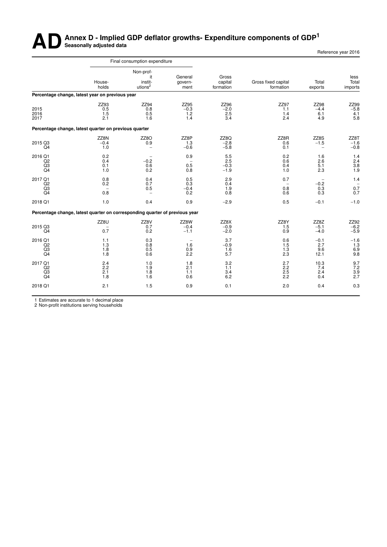# **AD** Annex D - Implied GDP deflator growths- Expenditure components of GDP<sup>1</sup>

| Reference year 2016 |  |
|---------------------|--|
|                     |  |

|                                                             |                              |                                  |                                |                                  | Final consumption expenditure                     |                                                                             |                                       |
|-------------------------------------------------------------|------------------------------|----------------------------------|--------------------------------|----------------------------------|---------------------------------------------------|-----------------------------------------------------------------------------|---------------------------------------|
| less<br>Total<br>imports                                    | Total<br>exports             | Gross fixed capital<br>formation | Gross<br>capital<br>formation  | General<br>govern-<br>ment       | Non-prof-<br>it<br>instit-<br>utions <sup>2</sup> | House-<br>holds                                                             |                                       |
|                                                             |                              |                                  |                                |                                  |                                                   | Percentage change, latest year on previous year                             |                                       |
| ZZ99<br>$-5.8$<br>$\frac{4.1}{5.8}$<br>6.1<br>4.9           | ZZ98<br>$-4.4$               | ZZ97<br>1.1<br>1.4<br>2.4        | ZZ96<br>$-2.0$<br>2.5<br>3.4   | ZZ95<br>$-0.3$<br>$^{1.2}_{1.4}$ | ZZ94<br>0.8<br>0.5<br>1.6                         | ZZ93<br>0.5<br>1.5<br>2.1                                                   | 2015<br>2016<br>2017                  |
|                                                             |                              |                                  |                                |                                  |                                                   | Percentage change, latest quarter on previous quarter                       |                                       |
| ZZ8T<br>$-1.6$<br>$-0.\dot{8}$<br>۰                         | ZZ8S<br>$-1.5$               | ZZ8R<br>0.6<br>0.1               | ZZ8Q<br>$-2.8$<br>$-5.8$       | ZZ8P<br>1.3<br>$-0.6$            | ZZ8O<br>0.9<br>$\overline{\phantom{m}}$           | ZZ8N<br>$-0.4$<br>1.0                                                       | 2015 Q3<br>Q <sub>4</sub>             |
| $\frac{1.4}{2.4}$<br>1.6<br>2.6<br>3.8<br>5.1<br>1.9<br>2.3 |                              | 0.2<br>0.6<br>0.4<br>1.0         | 5.5<br>2.5<br>$-0.3$<br>$-1.9$ | 0.9<br>0.5<br>0.8                | $-0.2$<br>0.6<br>0.2                              | 0.2<br>0.4<br>0.1<br>1.0                                                    | 2016 Q1<br>Q2<br>Q3<br>Q <sub>4</sub> |
| 1.4<br>$\overline{\phantom{a}}$<br>0.7<br>0.3<br>0.7        | $-0.2$<br>0.3                | 0.7<br>0.8<br>0.6                | 2.9<br>0.4<br>1.9<br>0.8       | 0.5<br>0.3<br>$-0.4$<br>0.2      | 0.4<br>0.7<br>0.5<br>$\qquad \qquad -$            | 0.8<br>0.2<br>0.8                                                           | 2017 Q1<br>Q2<br>Q3<br>Q <sub>4</sub> |
| $-1.0$                                                      | $-0.1$                       | 0.5                              | $-2.9$                         | 0.9                              | 0.4                                               | 1.0                                                                         | 2018 Q1                               |
|                                                             |                              |                                  |                                |                                  |                                                   | Percentage change, latest quarter on corresponding quarter of previous year |                                       |
| ZZ92<br>$-6.2$<br>$-5.9$                                    | ZZ8Z<br>$-5.1$<br>$-4.0$     | ZZ8Y<br>1.5<br>0.9               | ZZ8X<br>$-0.9$<br>$-2.0$       | ZZ8W<br>$-0.4$<br>$-1.1$         | ZZ8V<br>0.7<br>0.2                                | ZZ8U<br>0.7                                                                 | 2015 Q3<br>Q4                         |
| $^{-1.6}_{1.3}$<br>6.9<br>9.8                               | $-0.1$<br>2.7<br>9.6<br>12.1 | 0.6<br>1.5<br>1.3<br>2.3         | 3.7<br>$-0.9$<br>1.6<br>5.7    | 1.6<br>0.9<br>2.2                | 0.3<br>0.8<br>0.5<br>0.6                          | 1.1<br>1.3<br>1.8<br>1.8                                                    | 2016 Q1<br>Q2<br>Q3<br>Q4             |
| 9.7<br>7.2<br>3.9<br>2.7<br>7.4<br>2.4<br>0.4               | 10.3                         | 2.7<br>2.2<br>2.5<br>2.2         | 3.2<br>1.1<br>3.4<br>6.2       | 1.8<br>2.1<br>1.1<br>0.6         | 1.0<br>1.9<br>1.8<br>1.6                          | 2.4<br>2.2<br>2.1<br>1.8                                                    | 2017 Q1<br>Q2<br>Q3<br>Q <sub>4</sub> |
| 0.4<br>0.3                                                  |                              | 2.0                              | 0.1                            | 0.9                              | 1.5                                               | 2.1                                                                         | 2018 Q1                               |
|                                                             |                              |                                  |                                |                                  |                                                   |                                                                             |                                       |

1 Estimates are accurate to 1 decimal place

2 Non-profit institutions serving households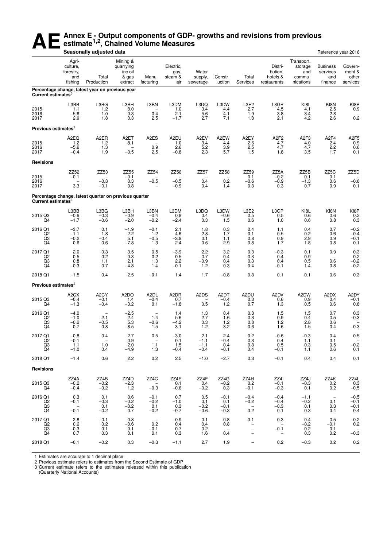## **AE** Annex E - Output components of GDP- growths and revisions from previous estimate<sup>1,2</sup>, Chained Volume Measures **estimate1,2, Chained Volume Measures**

|                                       |                                                     | Seasonally adjusted data                              |                                                      |                                                  |                                     |                                                |                                                |                                                                                  |                                                                |                                                     | Reference year 2016                           |                                         |
|---------------------------------------|-----------------------------------------------------|-------------------------------------------------------|------------------------------------------------------|--------------------------------------------------|-------------------------------------|------------------------------------------------|------------------------------------------------|----------------------------------------------------------------------------------|----------------------------------------------------------------|-----------------------------------------------------|-----------------------------------------------|-----------------------------------------|
|                                       | Agri-<br>culture,<br>forestry,<br>and<br>fishing    | Total<br>Production                                   | Mining &<br>quarrying<br>inc oil<br>& gas<br>extract | Manu-<br>facturing                               | Electric,<br>gas,<br>steam &<br>air | Water<br>supply,<br>sewerage                   | Constr-<br>uction                              | Total<br>Services                                                                | Distri-<br>bution,<br>hotels &<br>restaurants                  | Transport,<br>storage<br>and<br>commu-<br>nications | <b>Business</b><br>services<br>and<br>finance | Govern-<br>ment &<br>other<br>services  |
| Current estimates <sup>3</sup>        |                                                     | Percentage change, latest year on previous year       |                                                      |                                                  |                                     |                                                |                                                |                                                                                  |                                                                |                                                     |                                               |                                         |
| 2015<br>2016<br>2017                  | L3BB<br>1.1<br>$-5.6$<br>2.9                        | L3BG<br>1.2<br>1.0<br>1.8                             | L3BH<br>8.0<br>0.3<br>0.3                            | L3BN<br>0.4<br>2.5                               | L3DM<br>1.0<br>2.1<br>$-1.7$        | L3DQ<br>3.4<br>5.6<br>2.7                      | L3DW<br>4.4<br>4.1<br>7.1                      | L3E2<br>2.7<br>1.9<br>1.8                                                        | L3GP<br>4.5<br>3.8<br>2.1                                      | KI8L<br>4.1<br>3.4<br>4.2                           | KI8N<br>2.5<br>2.8<br>2.6                     | KI8P<br>0.9<br>0.2                      |
| Previous estimates <sup>2</sup>       |                                                     |                                                       |                                                      |                                                  |                                     |                                                |                                                |                                                                                  |                                                                |                                                     |                                               |                                         |
| 2015<br>2016<br>2017                  | A2EQ<br>1.2<br>$-5.6$<br>$-0.4$                     | A <sub>2</sub> ER<br>1.2<br>1.3<br>1.9                | A <sub>2</sub> ET<br>8.1<br>$-0.5$                   | A <sub>2</sub> ES<br>0.9<br>2.5                  | A2EU<br>1.0<br>2.6<br>$-0.8$        | A2EV<br>3.4<br>5.2<br>2.3                      | A2EW<br>4.4<br>3.9<br>5.7                      | A2EY<br>2.6<br>2.5<br>1.5                                                        | A <sub>2</sub> F <sub>2</sub><br>$4.7$<br>$4.7$<br>1.8         | A <sub>2F3</sub><br>4.0<br>4.7<br>3.5               | A <sub>2F4</sub><br>2.4<br>2.2<br>1.7         | A <sub>2F5</sub><br>$0.9 \\ 0.6$<br>0.1 |
| <b>Revisions</b>                      |                                                     |                                                       |                                                      |                                                  |                                     |                                                |                                                |                                                                                  |                                                                |                                                     |                                               |                                         |
| 2015<br>2016<br>2017                  | ZZ52<br>$-0.1$<br>3.3                               | ZZ53<br>$\overline{\phantom{m}}$<br>$-0.3$<br>$-0.1$  | ZZ55<br>$-0.1$<br>0.3<br>0.8                         | ZZ54<br>-<br>$-0.5$                              | ZZ56<br>$-0.5$<br>$-0.9$            | ZZ57<br>$\overline{\phantom{0}}$<br>0.4<br>0.4 | ZZ58<br>$\overline{\phantom{m}}$<br>0.2<br>1.4 | ZZ59<br>0.1<br>$-0.6$<br>0.3                                                     | ZZ5A<br>$-0.2$<br>$-0.9$<br>0.3                                | ZZ5B<br>0.1<br>$-1.3$<br>0.7                        | ZZ <sub>5</sub> C<br>0.1<br>0.6<br>0.9        | ZZ5D<br>$-0.6$<br>0.1                   |
| Current estimates <sup>3</sup>        |                                                     | Percentage change, latest quarter on previous quarter |                                                      |                                                  |                                     |                                                |                                                |                                                                                  |                                                                |                                                     |                                               |                                         |
| 2015 Q3<br>Q4                         | L3BB<br>$-0.6$<br>$-1.7$                            | L3BG<br>$-0.3$<br>$-0.6$                              | L3BH<br>$-0.9$<br>$-2.0$                             | L3BN<br>$-0.4$<br>$-0.2$                         | L3DM<br>0.8<br>$-2.4$               | L3DQ<br>0.4<br>0.3                             | L3DW<br>$-0.6$<br>1.5                          | L3E2<br>0.5<br>0.6                                                               | L3GP<br>0.5<br>1.0                                             | KI8L<br>0.6<br>0.6                                  | KI8N<br>0.6<br>0.8                            | KI8P<br>0.2<br>0.3                      |
| 2016 Q1<br>Q2<br>Q3<br>Q <sub>4</sub> | $-3.7$<br>$-1.1$<br>$-0.2$<br>0.6                   | 0.1<br>1.8<br>$-0.4$<br>0.6                           | $-1.9$<br>2.2<br>5.1<br>$-7.8$                       | $-0.1$<br>1.2<br>$-0.5$<br>1.3                   | 2.1<br>4.6<br>$-3.9$<br>2.4         | 1.8<br>2.8<br>0.1<br>0.6                       | 0.3<br>1.7<br>1.1<br>2.9                       | 0.4<br>0.1<br>0.8<br>0.8                                                         | 1.1<br>0.5<br>$0.9$<br>1.7                                     | 0.4<br>0.2<br>2.9<br>1.8                            | 0.7<br>0.6<br>0.9<br>0.8                      | $-0.2$<br>$-0.4$<br>$-0.1$<br>0.1       |
| 2017 Q1<br>Q2<br>Q3<br>Q4             | 2.0<br>0.5<br>0.8<br>$-0.3$                         | $\substack{0.3 \\ 0.2}$<br>1.1<br>0.7                 | 3.5<br>0.3<br>2.1<br>$-4.8$                          | 0.5<br>0.2<br>1.0<br>1.4                         | $-3.9$<br>0.5<br>2.2<br>$-0.1$      | 2.2<br>$-0.7$<br>$-0.9$<br>1.2                 | 3.2<br>0.4<br>0.4<br>0.3                       | $\substack{0.3 \\ 0.3}$<br>0.3<br>0.4                                            | $-0.3$<br>0.4<br>0.4<br>$-0.1$                                 | 0.1<br>0.9<br>0.5<br>1.4                            | 0.9<br>0.6<br>0.8                             | 0.3<br>0.2<br>$-0.2$<br>$-0.2$          |
| 2018 Q1                               | $-1.5$                                              | 0.4                                                   | 2.5                                                  | $-0.1$                                           | 1.4                                 | 1.7                                            | $-0.8$                                         | 0.3                                                                              | 0.1                                                            | 0.1                                                 | 0.6                                           | 0.3                                     |
| Previous estimates <sup>2</sup>       |                                                     |                                                       |                                                      |                                                  |                                     |                                                |                                                |                                                                                  |                                                                |                                                     |                                               |                                         |
| 2015 Q3<br>Q4                         | A <sub>2</sub> CX<br>$-0.4$<br>$-1.3$               | A <sub>2</sub> CY<br>$-0.1$<br>$-0.4$                 | A <sub>2</sub> DO<br>1.4<br>$-3.2$                   | A <sub>2</sub> DL<br>$-0.4$<br>0.1               | A2DR<br>0.7<br>$-1.8$               | A2DS<br>0.5                                    | A2DT<br>$-0.4$<br>1.2                          | A2DU<br>0.3<br>0.7                                                               | A2DV<br>0.6<br>1.3                                             | A2DW<br>0.9<br>0.5                                  | A2DX<br>0.4<br>0.6                            | A2DY<br>$-0.1$<br>0.8                   |
| 2016 Q1<br>Q2<br>Q3<br>Q4             | $-4.0$<br>$-1.0$<br>$-0.2$<br>0.7                   | $\qquad \qquad -$<br>2.1<br>$-0.5$<br>0.8             | $-2.5$<br>2.4<br>5.3<br>$-8.5$                       | $\overline{\phantom{a}}$<br>1.4<br>$-0.6$<br>1.5 | 1.4<br>5.6<br>$-4.2$<br>3.1         | 1.3<br>2.7<br>0.3<br>$1.2$                     | 0.4<br>1.6<br>$1.2$<br>3.2                     | 0.8<br>0.3<br>0.8<br>0.6                                                         | 1.5<br>0.9<br>1.2<br>1.6                                       | 1.5<br>0.4<br>2.8<br>1.5                            | 0.7<br>0.5<br>0.6<br>0.4                      | 0.3<br>$-0.3$<br>$-0.3$                 |
| 2017 Q1<br>Q2<br>Q3<br>Q4             | $-0.8$<br>$-0.1$<br>1.1<br>$-1.0$                   | 0.4<br>-<br>1.0<br>0.4                                | 2.7<br>0.9<br>2.0<br>$-4.9$                          | 0.5<br>-<br>1.1<br>1.3                           | $-3.0$<br>0.1<br>1.5<br>$-0.4$      | 2.1<br>$-1.1$<br>$-1.1$<br>$-0.4$              | 2.4<br>$-0.4$<br>0.4<br>$-0.1$                 | 0.2<br>0.3<br>0.3<br>0.4                                                         | $-0.6$<br>0.4<br>0.5<br>$-0.1$                                 | $-0.3$<br>1.1<br>0.3<br>1.1                         | 0.4<br>0.1<br>0.5<br>0.6                      | 0.5<br>$-0.2$<br>0.1                    |
| 2018 Q1                               | $-1.4$                                              | 0.6                                                   | 2.2                                                  | 0.2                                              | 2.5                                 | $-1.0$                                         | $-2.7$                                         | 0.3                                                                              | $-0.1$                                                         | 0.4                                                 | 0.4                                           | 0.1                                     |
| <b>Revisions</b>                      |                                                     |                                                       |                                                      |                                                  |                                     |                                                |                                                |                                                                                  |                                                                |                                                     |                                               |                                         |
| 2015 Q3<br>Q4                         | ZZ4A<br>$-0.2$<br>$-0.4$                            | ZZ4B<br>$-0.2$<br>$-0.2$                              | ZZ4D<br>$-2.3$<br>1.2                                | ZZ4C<br>$-0.3$                                   | ZZ4E<br>0.1<br>$-0.6$               | ZZ4F<br>0.4<br>$-0.2$                          | ZZ4G<br>$-0.2$<br>0.3                          | ZZ4H<br>0.2<br>$-0.1$                                                            | ZZ4I<br>$-0.1$<br>$-0.3$                                       | ZZ4J<br>$-0.3$<br>0.1                               | ZZ4K<br>0.2<br>0.2                            | ZZ4L<br>0.3<br>$-0.5$                   |
| 2016 Q1<br>Q2<br>Q3<br>Q4             | 0.3<br>$-0.1$<br>$\overline{\phantom{a}}$<br>$-0.1$ | 0.1<br>$-0.3$<br>0.1<br>$-0.2$                        | 0.6<br>$-0.2$<br>$-0.2$<br>0.7                       | $-0.1$<br>$-0.2$<br>0.1<br>$-0.2$                | 0.7<br>$-1.0$<br>0.3<br>$-0.7$      | 0.5<br>0.1<br>$-0.2$<br>$-0.6$                 | $-0.1$<br>0.1<br>$-0.1$<br>$-0.3$              | $-0.4$<br>$-0.2$<br>$\overline{\phantom{m}}$<br>0.2                              | $-0.4$<br>$-0.4$<br>$-0.3$<br>0.1                              | $-1.1$<br>$-0.2$<br>0.1<br>0.3                      | $\overline{\phantom{0}}$<br>0.1<br>0.3<br>0.4 | $-0.5$<br>$-0.1$<br>$-0.1$<br>0.4       |
| 2017 Q1<br>Q2<br>Q3<br>Q4             | 2.8<br>0.6<br>$-0.3$<br>0.7                         | $-0.1$<br>0.2<br>0.1<br>0.3                           | 0.8<br>$-0.6$<br>0.1<br>0.1                          | 0.2<br>$-0.1$<br>0.1                             | $-0.9$<br>0.4<br>0.7<br>0.3         | 0.1<br>0.4<br>0.2<br>1.6                       | 0.8<br>0.8<br>0.4                              | 0.1<br>$\overline{\phantom{0}}$<br>$\overline{\phantom{0}}$<br>$\qquad \qquad -$ | 0.3<br>$\overline{\phantom{a}}$<br>$-0.1$<br>$\qquad \qquad -$ | 0.4<br>$-0.2$<br>0.2<br>0.3                         | 0.5<br>$-0.1$<br>0.1<br>0.2                   | $-0.2$<br>0.2<br>$-0.3$                 |
| 2018 Q1                               | $-0.1$                                              | $-0.2$                                                | 0.3                                                  | $-0.3$                                           | $-1.1$                              | 2.7                                            | 1.9                                            | $\qquad \qquad -$                                                                | 0.2                                                            | $-0.3$                                              | 0.2                                           | 0.2                                     |

1 Estimates are accurate to 1 decimal place 2 Previous estimate refers to estimates from the Second Estimate of GDP 3 Current estimate refers to the estimates released within this publication

(Quarterly National Accounts)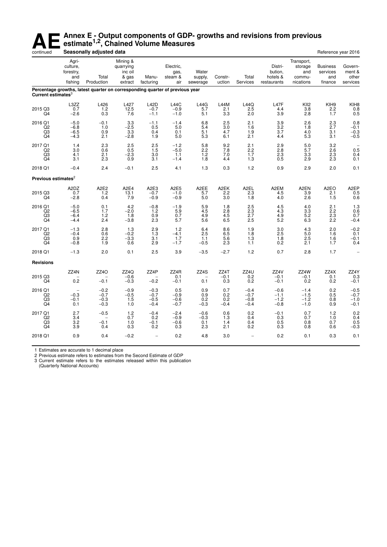## **AE** Annex E - Output components of GDP- growths and revisions from previous estimate<sup>1,2</sup>, Chained Volume Measures<br>Seasonally adjusted data **estimate1,2, Chained Volume Measures**

| continued                                    |                                                     | Seasonally adjusted data                                                     |                                                      |                                      |                                                   |                                |                                      |                                      |                                               |                                                     | Reference year 2016                           |                                        |
|----------------------------------------------|-----------------------------------------------------|------------------------------------------------------------------------------|------------------------------------------------------|--------------------------------------|---------------------------------------------------|--------------------------------|--------------------------------------|--------------------------------------|-----------------------------------------------|-----------------------------------------------------|-----------------------------------------------|----------------------------------------|
|                                              | Agri-<br>culture,<br>forestry.<br>and<br>fishing    | Total<br>Production                                                          | Mining &<br>quarrying<br>inc oil<br>& gas<br>extract | Manu-<br>facturing                   | Electric,<br>gas,<br>steam &<br>air               | Water<br>supply,<br>sewerage   | Constr-<br>uction                    | Total<br>Services                    | Distri-<br>bution,<br>hotels &<br>restaurants | Transport,<br>storage<br>and<br>commu-<br>nications | <b>Business</b><br>services<br>and<br>finance | Govern-<br>ment &<br>other<br>services |
| Current estimates $3$                        |                                                     | Percentage growths, latest quarter on corresponding quarter of previous year |                                                      |                                      |                                                   |                                |                                      |                                      |                                               |                                                     |                                               |                                        |
| 2015 Q3<br>Q4                                | L3ZZ<br>0.7<br>$-2.6$                               | L426<br>1.2<br>0.3                                                           | L427<br>12.5<br>7.6                                  | <b>L42D</b><br>$-0.7$<br>$-1.1$      | L44C<br>$-0.9$<br>$-1.0$                          | L44G<br>5.7<br>5.1             | L44M<br>2.1<br>3.3                   | L44Q<br>2.5<br>2.0                   | L47F<br>4.4<br>3.9                            | KII <sub>2</sub><br>3.8<br>2.8                      | KIH <sub>9</sub><br>2.2<br>1.7                | KIH <sub>8</sub><br>0.8<br>0.5         |
| 2016 Q1<br>$^{Q2}_{Q3}$<br>Q4                | $-5.0$<br>$-6.8$<br>$-6.5$<br>$-4.3$                | $-0.1$<br>1.0<br>0.9<br>2.1                                                  | 3.3<br>$-2.5$<br>3.3<br>$-2.8$                       | $-1.1$<br>0.5<br>0.4<br>1.9          | $-1.4$<br>5.0<br>0.1<br>5.0                       | 6.8<br>5.4<br>5.1<br>5.3       | 2.5<br>3.0<br>4.7<br>6.1             | 2.1<br>1.6<br>1.9<br>2.1             | 3.9<br>$\frac{3.2}{3.7}$<br>4.4               | 2.6<br>1.8<br>4.0<br>5.3                            | 2.3<br>2.7<br>3.1<br>3.1                      | 0.8<br>$-0.1$<br>$-0.3$<br>$-0.5$      |
| 2017 Q1<br>Q2<br>$\frac{Q3}{Q4}$             | 1.4<br>3.0<br>4.1<br>3.1                            | 2.3<br>0.6<br>2.1<br>2.3                                                     | 2.5<br>0.5<br>$-2.3$<br>0.9                          | 2.5<br>1.5<br>3.0<br>3.1             | $-1.2$<br>$-5.0$<br>1.1<br>$-1.4$                 | 5.8<br>2.2<br>1.2<br>1.8       | 9.2<br>7.8<br>7.0<br>4.4             | 2.1<br>2.2<br>1.7<br>1.3             | 2.9<br>2.8<br>$^{2.3}_{0.5}$                  | 5.0<br>5.7<br>3.3<br>2.9                            | 3.2<br>2.6<br>2.3<br>2.3                      | 0.5<br>0.4<br>0.1                      |
| 2018 Q1                                      | $-0.4$                                              | 2.4                                                                          | $-0.1$                                               | 2.5                                  | 4.1                                               | 1.3                            | 0.3                                  | 1.2                                  | 0.9                                           | 2.9                                                 | 2.0                                           | 0.1                                    |
| Previous estimates <sup>2</sup>              |                                                     |                                                                              |                                                      |                                      |                                                   |                                |                                      |                                      |                                               |                                                     |                                               |                                        |
| 2015 Q3<br>Q4                                | A2DZ<br>0.7<br>$-2.8$                               | A <sub>2</sub> E <sub>2</sub><br>1.2<br>0.4                                  | A <sub>2E4</sub><br>13.1<br>7.9                      | A2E3<br>$-0.7$<br>$-0.9$             | A <sub>2</sub> E <sub>5</sub><br>$-1.0$<br>$-0.9$ | A2EE<br>5.7<br>5.0             | A2EK<br>2.2<br>3.0                   | A <sub>2</sub> EL<br>2.3<br>1.8      | A2EM<br>4.5<br>4.0                            | A2EN<br>3.9<br>2.6                                  | A <sub>2</sub> EO<br>2.1<br>1.5               | A <sub>2</sub> EP<br>0.5<br>0.6        |
| 2016 Q1<br>$^{Q2}_{Q3}$<br>Q4                | $-5.0$<br>$-6.5$<br>$-6.4$<br>$-4.4$                | 0.1<br>1.7<br>1.2<br>2.4                                                     | 4.2<br>$-2.0$<br>1.8<br>$-3.8$                       | $-0.8$<br>1.2<br>0.9<br>2.3          | $-1.9$<br>5.9<br>0.7<br>5.7                       | 5.9<br>4.5<br>4.9<br>5.6       | 1.8<br>2.8<br>$\frac{1}{4.5}$<br>6.5 | 2.5<br>$^{2.3}_{2.7}$<br>2.5         | 4.5<br>4.3<br>4.9<br>5.2                      | 4.0<br>$\frac{3.3}{5.2}$<br>6.3                     | 2.1<br>2.2<br>2.3<br>2.2                      | 1.3<br>0.6<br>0.7<br>$-0.4$            |
| 2017 Q1<br>Q <sub>2</sub><br>$\frac{Q3}{Q4}$ | $-1.3$<br>$-0.4$<br>0.9<br>$-0.8$                   | 2.8<br>0.6<br>2.2<br>1.9                                                     | 1.3<br>$-0.2$<br>$-3.3$<br>0.6                       | 2.9<br>1.3<br>3.1<br>2.9             | 1.2<br>$-4.1$<br>1.7<br>$-1.7$                    | 6.4<br>2.5<br>1.1<br>$-0.5$    | 8.6<br>6.5<br>5.6<br>2.3             | 1.9<br>1.8<br>1.3<br>1.1             | 3.0<br>2.5<br>1.8<br>0.2                      | 4.3<br>5.0<br>2.5<br>2.1                            | 2.0<br>1.6<br>1.6<br>1.7                      | $-0.2$<br>0.1<br>$-0.1$<br>0.4         |
| 2018 Q1                                      | $-1.3$                                              | 2.0                                                                          | 0.1                                                  | 2.5                                  | 3.9                                               | $-3.5$                         | $-2.7$                               | 1.2                                  | 0.7                                           | 2.8                                                 | 1.7                                           |                                        |
| <b>Revisions</b>                             |                                                     |                                                                              |                                                      |                                      |                                                   |                                |                                      |                                      |                                               |                                                     |                                               |                                        |
| 2015 Q3<br>Q4                                | ZZ4N<br>0.2                                         | ZZ4O<br>$-0.1$                                                               | ZZ4Q<br>$-0.6$<br>$-0.3$                             | ZZ4P<br>$-0.2$                       | ZZ4R<br>0.1<br>$-0.1$                             | ZZ4S<br>0.1                    | ZZ4T<br>$-0.1$<br>0.3                | ZZ4U<br>0.2<br>0.2                   | ZZ4V<br>$-0.1$<br>$-0.1$                      | ZZ4W<br>-0.1<br>0.2                                 | ZZ4X<br>0.1<br>0.2                            | ZZ4Y<br>0.3<br>$-0.1$                  |
| 2016 Q1<br>Q2<br>$^{Q3}_{Q4}$                | $\overline{\phantom{a}}$<br>$-0.3$<br>$-0.1$<br>0.1 | $-0.2$<br>$-0.7$<br>$-0.3$<br>$-0.3$                                         | $-0.9$<br>$-0.5$<br>1.5<br>1.0                       | $-0.3$<br>$-0.7$<br>$-0.5$<br>$-0.4$ | 0.5<br>$-0.9$<br>$-0.6$<br>$-0.7$                 | 0.9<br>0.9<br>0.2<br>$-0.3$    | 0.7<br>0.2<br>0.2<br>$-0.4$          | $-0.4$<br>$-0.7$<br>$-0.8$<br>$-0.4$ | $-0.6$<br>$-1.1$<br>$-1.2$<br>$-0.8$          | $-1.4$<br>$-1.5$<br>$-1.2$<br>$-1.0$                | 0.2<br>0.5<br>0.8<br>0.9                      | $-0.5$<br>$-0.7$<br>$-1.0$<br>$-0.1$   |
| 2017 Q1<br>Q2<br>Q3<br>Q4                    | 2.7<br>3.4<br>3.2<br>3.9                            | $-0.5$<br>$-0.1$<br>0.4                                                      | $1.2$<br>0.7<br>1.0<br>0.3                           | $-0.4$<br>0.2<br>$-0.1$<br>0.2       | $-2.4$<br>$-0.9$<br>$-0.6$<br>0.3                 | $-0.6$<br>$-0.3$<br>0.1<br>2.3 | 0.6<br>1.3<br>1.4<br>2.1             | 0.2<br>0.4<br>0.4<br>0.2             | $-0.1$<br>0.3<br>0.5<br>0.3                   | 0.7<br>0.7<br>0.8<br>0.8                            | $1.2$<br>1.0<br>0.7<br>0.6                    | 0.2<br>0.4<br>0.5<br>$-0.3$            |
| 2018 Q1                                      | 0.9                                                 | 0.4                                                                          | $-0.2$                                               | $\qquad \qquad -$                    | 0.2                                               | 4.8                            | 3.0                                  | $\qquad \qquad -$                    | 0.2                                           | 0.1                                                 | 0.3                                           | 0.1                                    |
|                                              |                                                     |                                                                              |                                                      |                                      |                                                   |                                |                                      |                                      |                                               |                                                     |                                               |                                        |

1 Estimates are accurate to 1 decimal place

2 Previous estimate refers to estimates from the Second Estimate of GDP

3 Current estimate refers to the estimates released within this publication

(Quar terly National Accounts)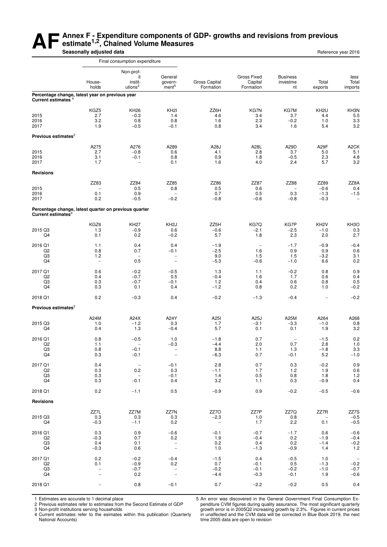#### **AF** Annex F - Expenditure components of GDP- growths and revisions from previous<br>
Seasonally adjusted data **estimate1,2, Chained Volume Measures Seasonally adjusted data Reference year 2016 Reference year 2016**

|                                       |                                                                    | Final consumption expenditure                                             |                                                                       |                                            |                                                  |                                                   |                                         |                                                               |
|---------------------------------------|--------------------------------------------------------------------|---------------------------------------------------------------------------|-----------------------------------------------------------------------|--------------------------------------------|--------------------------------------------------|---------------------------------------------------|-----------------------------------------|---------------------------------------------------------------|
|                                       | House-                                                             | Non-prof-<br>it<br>instit-                                                | General<br>govern-                                                    | <b>Gross Capital</b>                       | <b>Gross Fixed</b><br>Capital                    | <b>Business</b><br>investme                       | Total                                   | less<br>Total                                                 |
|                                       | holds                                                              | utions $3$                                                                | ment <sup>5</sup>                                                     | Formation                                  | Formation                                        | nt                                                | exports                                 | imports                                                       |
| Current estimates <sup>4</sup>        | Percentage change, latest year on previous year                    |                                                                           |                                                                       |                                            |                                                  |                                                   |                                         |                                                               |
| 2015<br>2016<br>2017                  | KGZ5<br>2.7<br>3.2<br>1.9                                          | <b>KH26</b><br>$-0.3$<br>0.8<br>$-0.5$                                    | KH <sub>2</sub><br>1.4<br>0.8<br>$-0.1$                               | ZZ6H<br>4.6<br>1.6<br>0.8                  | KG7N<br>3.4<br>2.3<br>3.4                        | KG7M<br>3.7<br>$-0.2$<br>1.6                      | KH <sub>2U</sub><br>4.4<br>1.0<br>5.4   | KH3N<br>5.5<br>3.3<br>3.2                                     |
| Previous estimates $2$                |                                                                    |                                                                           |                                                                       |                                            |                                                  |                                                   |                                         |                                                               |
| 2015<br>2016<br>2017                  | A275<br>2.7<br>3.1<br>1.7                                          | A276<br>$-0.8$<br>$-0.1$<br>$\overline{\phantom{0}}$                      | A289<br>0.6<br>0.8<br>0.1                                             | A28J<br>4.1<br>0.9<br>1.6                  | A28L<br>2.8<br>1.8<br>4.0                        | A29D<br>3.7<br>$-0.5$<br>2.4                      | A29F<br>5.0<br>2.3<br>5.7               | A <sub>2</sub> CK<br>5.1<br>4.8<br>3.2                        |
| <b>Revisions</b>                      |                                                                    |                                                                           |                                                                       |                                            |                                                  |                                                   |                                         |                                                               |
| 2015<br>2016<br>2017                  | ZZ83<br>$\overline{\phantom{a}}$<br>0.1<br>0.2                     | ZZ84<br>0.5<br>0.9<br>$-0.5$                                              | ZZ85<br>0.8<br>$\overline{\phantom{0}}$<br>$-0.2$                     | ZZ86<br>0.5<br>0.7<br>$-0.8$               | ZZ87<br>0.6<br>0.5<br>$-0.6$                     | ZZ88<br>$\overline{\phantom{0}}$<br>0.3<br>$-0.8$ | ZZ89<br>$-0.6$<br>$-1.3$<br>$-0.3$      | ZZ8A<br>0.4<br>$-1.5$<br>$\overline{\phantom{a}}$             |
| Current estimates <sup>4</sup>        | Percentage change, latest quarter on previous quarter              |                                                                           |                                                                       |                                            |                                                  |                                                   |                                         |                                                               |
| 2015 Q3<br>Q4                         | KGZ6<br>1.3<br>0.1                                                 | <b>KH27</b><br>$-0.9$<br>0.2                                              | KH <sub>2</sub> J<br>0.6<br>$-0.2$                                    | ZZ5H<br>$-0.6$<br>5.7                      | KG7Q<br>$-2.1$<br>1.8                            | KG7P<br>$-2.5$<br>2.3                             | KH <sub>2</sub> V<br>$-1.0$<br>2.0      | KH <sub>3</sub> O<br>0.3<br>2.7                               |
| 2016 Q1<br>Q <sub>2</sub><br>Q3<br>Q4 | 1.1<br>0.8<br>1.2<br>$\overline{\phantom{a}}$                      | 0.4<br>0.7<br>$\overline{\phantom{a}}$<br>0.5                             | 0.4<br>$-0.1$<br>-<br>$\overline{\phantom{0}}$                        | $-1.9$<br>$-2.5$<br>9.0<br>$-5.3$          | $\overline{\phantom{a}}$<br>1.6<br>1.5<br>$-0.6$ | $-1.7$<br>0.9<br>1.5<br>$-1.0$                    | $-0.9$<br>0.9<br>$-3.2$<br>6.6          | $-0.4$<br>0.6<br>3.1<br>0.2                                   |
| 2017 Q1<br>Q2<br>Q3<br>Q4             | 0.6<br>0.4<br>0.3<br>0.3                                           | $-0.2$<br>$-0.7$<br>$-0.7$<br>0.1                                         | $-0.5$<br>0.5<br>$-0.1$<br>0.4                                        | 1.3<br>$-0.4$<br>1.2<br>$-1.2$             | 1.1<br>1.6<br>0.4<br>0.8                         | $-0.2$<br>1.7<br>0.6<br>0.2                       | 0.8<br>0.6<br>0.8<br>1.0                | 0.9<br>0.4<br>0.5<br>$-0.2$                                   |
| 2018 Q1                               | 0.2                                                                | $-0.3$                                                                    | 0.4                                                                   | $-0.2$                                     | $-1.3$                                           | $-0.4$                                            | $\overline{\phantom{0}}$                | $-0.2$                                                        |
| Previous estimates <sup>2</sup>       |                                                                    |                                                                           |                                                                       |                                            |                                                  |                                                   |                                         |                                                               |
| 2015 Q3<br>Q4                         | A24M<br>1.0<br>0.4                                                 | A24X<br>$-1.2$<br>1.3                                                     | A24Y<br>0.3<br>$-0.4$                                                 | A251<br>1.7<br>5.7                         | A25J<br>$-3.1$<br>0.1                            | A25M<br>$-3.3$<br>0.1                             | A264<br>$-1.0$<br>1.9                   | A268<br>0.8<br>3.2                                            |
| 2016 Q1<br>Q2<br>Q3<br>Q4             | 0.8<br>1.1<br>0.8<br>0.3                                           | $-0.5$<br>$\overline{\phantom{0}}$<br>$-0.1$<br>$-0.1$                    | 1.0<br>$-0.3$<br>$\overline{\phantom{a}}$<br>$\overline{\phantom{a}}$ | $-1.8$<br>$-4.4$<br>8.8<br>$-6.3$          | 0.7<br>2.0<br>1.1<br>0.7                         | $\overline{\phantom{a}}$<br>0.7<br>-1.3<br>$-0.1$ | $-1.5$<br>2.8<br>$-1.8$<br>5.2          | 0.2<br>1.0<br>3.3<br>$-1.0$                                   |
| 2017 Q1<br>Q <sub>2</sub><br>Q3<br>Q4 | 0.4<br>0.3<br>0.3<br>0.3                                           | $\overline{\phantom{a}}$<br>$0.2\,$<br>$\overline{\phantom{a}}$<br>$-0.1$ | $-0.1$<br>0.3<br>$-0.1$<br>0.4                                        | 2.8<br>$-1.1$<br>$1.4$<br>3.2              | $0.7\,$<br>1.7<br>0.5<br>1.1                     | 0.3<br>1.2<br>0.8<br>0.3                          | $-0.2$<br>1.9<br>1.8<br>$-0.9$          | 0.9<br>0.6<br>$1.2$<br>0.4                                    |
| 2018 Q1                               | 0.2                                                                | $-1.1$                                                                    | 0.5                                                                   | $-0.9$                                     | 0.9                                              | $-0.2$                                            | $-0.5$                                  | $-0.6$                                                        |
| <b>Revisions</b>                      |                                                                    |                                                                           |                                                                       |                                            |                                                  |                                                   |                                         |                                                               |
| 2015 Q3<br>Q4                         | ZZ7L<br>0.3<br>$-0.3$                                              | ZZ7M<br>0.3<br>$-1.1$                                                     | ZZ7N<br>0.3<br>0.2                                                    | ZZ7O<br>$-2.3$<br>$\overline{\phantom{a}}$ | ZZ7P<br>1.0<br>1.7                               | ZZ7Q<br>0.8<br>2.2                                | ZZ7R<br>$\overline{\phantom{a}}$<br>0.1 | ZZ7S<br>$-0.5$<br>$-0.5$                                      |
| 2016 Q1<br>Q2<br>Q3<br>Q4             | 0.3<br>$-0.3$<br>0.4<br>$-0.3$                                     | 0.9<br>0.7<br>0.1<br>0.6                                                  | $-0.6$<br>0.2<br>$\overline{\phantom{a}}$<br>$\qquad \qquad -$        | $-0.1$<br>1.9<br>0.2<br>1.0                | $-0.7$<br>$-0.4$<br>0.4<br>$-1.3$                | $-1.7$<br>0.2<br>0.2<br>$-0.9$                    | 0.6<br>$-1.9$<br>$-1.4$<br>1.4          | $-0.6$<br>$-0.4$<br>$-0.2$<br>1.2                             |
| 2017 Q1<br>Q <sub>2</sub><br>Q3<br>Q4 | 0.2<br>0.1<br>$\overline{\phantom{0}}$<br>$\overline{\phantom{0}}$ | $-0.2$<br>$-0.9$<br>$-0.7$<br>0.2                                         | $-0.4$<br>0.2<br>$\overline{\phantom{0}}$<br>$\overline{\phantom{a}}$ | $-1.5$<br>0.7<br>$-0.2$<br>$-4.4$          | 0.4<br>$-0.1$<br>$-0.1$<br>$-0.3$                | $-0.5$<br>0.5<br>$-0.2$<br>$-0.1$                 | 1.0<br>$-1.3$<br>$-1.0$<br>1.9          | $\hspace{0.1mm}-\hspace{0.1mm}$<br>$-0.2$<br>$-0.7$<br>$-0.6$ |
| 2018 Q1                               |                                                                    | 0.8                                                                       | $-0.1$                                                                | 0.7                                        | $-2.2$                                           | $-0.2$                                            | 0.5                                     | 0.4                                                           |

1 Estimates are accurate to 1 decimal place

2 Previous estimates refer to estimates from the Second Estimate of GDP

3 Non-profit institutions serving households

4 Current esitmates refer to the esimates within this publication (Quarterly National Accounts)

5 An error was discovered in the General Government Final Consumption Expenditure CVM figures during quality assurance. The most significant quarterly growth error is in 2005Q2 increasing growth by 2.3%. Figures in current prices in unaffected and the CVM data will be corrected in Blue Book 2019, the next time 2005 data are open to revision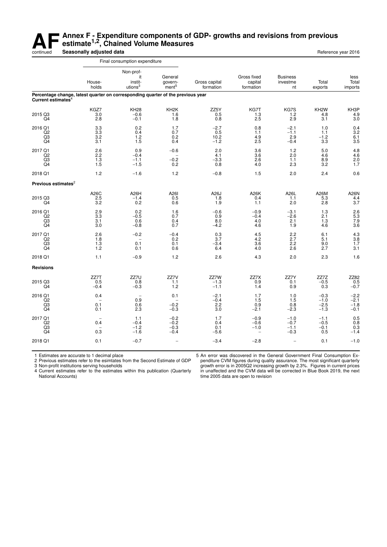#### **AF** Annex F - Expenditure components of GDP- growths and revisions from previous<br>estimate<sup>1,2</sup>, Chained Volume Measures<br>Seasonally adjusted data **estimate1,2, Chained Volume Measures** continued **Seasonally adjusted data Reference year 2016 Reference year 2016**

|                                       | Final consumption expenditure                                                   |                                                   |                                                     |                                  |                                                        |                                      |                                      |                                           |
|---------------------------------------|---------------------------------------------------------------------------------|---------------------------------------------------|-----------------------------------------------------|----------------------------------|--------------------------------------------------------|--------------------------------------|--------------------------------------|-------------------------------------------|
|                                       | House-<br>holds                                                                 | Non-prof-<br>it<br>instit-<br>utions <sup>3</sup> | General<br>govern-<br>ment <sup>5</sup>             | Gross capital<br>formation       | Gross fixed<br>capital<br>formation                    | <b>Business</b><br>investme<br>nt    | Total<br>exports                     | less<br>Total<br>imports                  |
| Current estimates <sup>4</sup>        | Percentage change, latest quarter on corresponding quarter of the previous year |                                                   |                                                     |                                  |                                                        |                                      |                                      |                                           |
| 2015 Q3<br>Q4                         | KGZ7<br>3.0<br>2.8                                                              | <b>KH28</b><br>$-0.6$<br>$-0.1$                   | KH <sub>2</sub> K<br>1.6<br>1.8                     | ZZ5Y<br>0.5<br>0.8               | KG7T<br>1.3<br>2.5                                     | KG7S<br>1.2<br>2.9                   | KH <sub>2</sub> W<br>4.8<br>3.1      | KH3P<br>4.9<br>3.0                        |
| 2016 Q1<br>Q <sub>2</sub><br>Q3<br>Q4 | 3.3<br>3.3<br>3.2<br>3.1                                                        | 0.2<br>0.4<br>1.2<br>1.5                          | 1.7<br>0.7<br>0.2<br>0.4                            | $-2.7$<br>0.5<br>10.2<br>$-1.2$  | 0.8<br>1.1<br>4.9<br>$2.\overline{5}$                  | $-2.1$<br>$-1.1$<br>2.9<br>$-0.4$    | 1.0<br>1.1<br>$-1.2$<br>3.3          | 0.4<br>3.2<br>6.1<br>3.5                  |
| 2017 Q1<br>Q2<br>Q <sub>3</sub><br>Q4 | 2.6<br>2.2<br>1.3<br>1.5                                                        | 0.9<br>$-0.4$<br>$-1.1$<br>$-1.5$                 | $-0.6$<br>$\overline{\phantom{0}}$<br>$-0.2$<br>0.2 | 2.0<br>4.1<br>$-3.3$<br>0.8      | 3.6<br>3.6<br>2.6<br>4.0                               | 1.2<br>2.0<br>1.1<br>2.3             | 5.0<br>4.6<br>8.9<br>3.2             | $^{4.8}_{4.6}$<br>2.0<br>1.7              |
| 2018 Q1                               | 1.2                                                                             | $-1.6$                                            | 1.2                                                 | $-0.8$                           | 1.5                                                    | 2.0                                  | 2.4                                  | 0.6                                       |
| Previous estimates <sup>2</sup>       |                                                                                 |                                                   |                                                     |                                  |                                                        |                                      |                                      |                                           |
| 2015 Q3<br>Q4                         | A26C<br>2.5<br>3.2                                                              | A26H<br>$-1.4$<br>0.2                             | A261<br>0.5<br>0.6                                  | A26J<br>1.8<br>1.9               | A26K<br>0.4<br>1.1                                     | A26L<br>1.1<br>2.0                   | A26M<br>5.3<br>2.8                   | A26N<br>4.4<br>3.7                        |
| 2016 Q1<br>Q2<br>Q3<br>Q4             | 2.9<br>3.3<br>3.1<br>3.0                                                        | 0.2<br>$-0.5$<br>0.6<br>$-0.8$                    | 1.6<br>0.7<br>0.4<br>0.7                            | $-0.6$<br>0.9<br>8.0<br>$-4.2$   | $-0.9$<br>$-0.4$<br>4.0<br>4.6                         | $-3.1$<br>$-2.6$<br>2.1<br>1.9       | 1.3<br>2.1<br>1.3<br>4.6             | 2.6<br>$\overline{5.3}$<br>$7.9$<br>$3.6$ |
| 2017 Q1<br>Q <sub>2</sub><br>Q3<br>Q4 | 2.6<br>1.8<br>1.3<br>1.2                                                        | $-0.2$<br>0.1<br>0.1                              | $-0.4$<br>0.2<br>0.1<br>0.6                         | $\frac{0.3}{3.7}$<br>-3.4<br>6.4 | $\frac{4.5}{4.2}$<br>3.6<br>4.0                        | $2.2$<br>2.7<br>2.2<br>2.6           | 6.1<br>5.1<br>9.0<br>2.7             | $\frac{4.3}{3.8}$<br>1.7<br>3.1           |
| 2018 Q1                               | 1.1                                                                             | $-0.9$                                            | 1.2                                                 | 2.6                              | 4.3                                                    | 2.0                                  | 2.3                                  | 1.6                                       |
| <b>Revisions</b>                      |                                                                                 |                                                   |                                                     |                                  |                                                        |                                      |                                      |                                           |
| 2015 Q3<br>Q4                         | ZZ7T<br>0.5<br>$-0.4$                                                           | ZZ7U<br>0.8<br>$-0.3$                             | ZZ7V<br>1.1<br>1.2                                  | ZZ7W<br>$-1.3$<br>$-1.1$         | ZZ7X<br>0.9<br>1.4                                     | ZZ7Y<br>0.1<br>0.9                   | ZZ7Z<br>$-0.5$<br>0.3                | ZZ82<br>0.5<br>$-0.7$                     |
| 2016 Q1<br>Q2<br>Q3<br>Q4             | 0.4<br>0.1<br>0.1                                                               | $\overline{\phantom{a}}$<br>0.9<br>0.6<br>2.3     | 0.1<br>$-0.2$<br>$-0.3$                             | $-2.1$<br>$-0.4$<br>2.2<br>3.0   | 1.7<br>1.5<br>0.9<br>$-2.1$                            | 1.0<br>1.5<br>0.8<br>$-2.3$          | $-0.3$<br>$-1.0$<br>$-2.5$<br>$-1.3$ | $-2.2$<br>$-2.1$<br>$-1.8$<br>$-0.1$      |
| 2017 Q1<br>Q2<br>Q3<br>Q4             | 0.4<br>0.3                                                                      | 1.1<br>$-0.4$<br>$-1.2$<br>$-1.6$                 | $-0.2$<br>$-0.2$<br>$-0.3$<br>$-0.4$                | 1.7<br>0.4<br>0.1<br>$-5.6$      | $-0.9$<br>$-0.6$<br>$-1.0$<br>$\overline{\phantom{a}}$ | $-1.0$<br>$-0.7$<br>$-1.1$<br>$-0.3$ | $-1.1$<br>$-0.5$<br>$-0.1$<br>0.5    | 0.5<br>0.8<br>0.3<br>$-1.4$               |
| 2018 Q1                               | 0.1                                                                             | $-0.7$                                            |                                                     | $-3.4$                           | $-2.8$                                                 |                                      | 0.1                                  | $-1.0$                                    |

1 Estimates are accurate to 1 decimal place

2 Previous estimates refer to the esimtates from the Second Estimate of GDP

3 Non-profit institutions serving households

4 Current estimates refer to the estimates within this publication (Quarterly National Accounts)

5 An error was discovered in the General Government Final Consumption Expenditure CVM figures during quality assurance. The most significant quarterly growth error is in 2005Q2 increasing growth by 2.3%. Figures in current prices in unaffected and the CVM data will be corrected in Blue Book 2019, the next time 2005 data are open to revision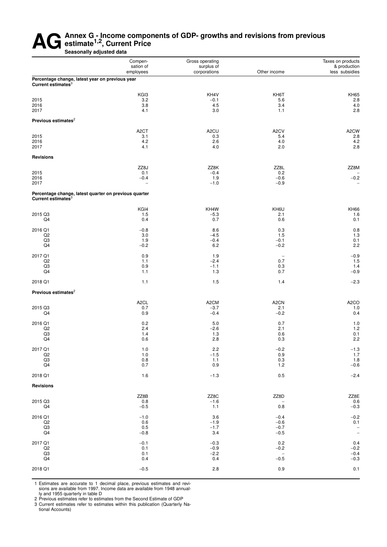## AG Annex G - Income components of GDP- growths and revisions from previous<br>Seasonally adjusted data **estimate1,2, Current Price**

**Seasonally adjusted data**

|                                                                                   | Compen-                     | Gross operating            |                                    | Taxes on products              |  |
|-----------------------------------------------------------------------------------|-----------------------------|----------------------------|------------------------------------|--------------------------------|--|
|                                                                                   | sation of<br>employees      | surplus of<br>corporations | Other income                       | & production<br>less subsidies |  |
| Percentage change, latest year on previous year<br>Current estimates <sup>3</sup> |                             |                            |                                    |                                |  |
|                                                                                   | KGI3                        | KH4V                       | KH6T                               | <b>KH65</b>                    |  |
| 2015                                                                              | 3.2                         | $-0.1$                     | 5.6                                | 2.8                            |  |
| 2016                                                                              | 3.8                         | 4.5                        | 3.4                                | $4.0\,$                        |  |
| 2017                                                                              | 4.1                         | 3.0                        | 1.1                                | $2.8\,$                        |  |
| Previous estimates <sup>2</sup>                                                   |                             |                            |                                    |                                |  |
|                                                                                   | A <sub>2</sub> CT           | A <sub>2</sub> CU          | A <sub>2</sub> CV                  | A <sub>2</sub> CW              |  |
| 2015<br>2016                                                                      | 3.1<br>4.2                  | 0.3<br>2.6                 | 5.4<br>4.0                         | 2.8<br>4.2                     |  |
| 2017                                                                              | 4.1                         | 4.0                        | 2.0                                | 2.8                            |  |
| <b>Revisions</b>                                                                  |                             |                            |                                    |                                |  |
|                                                                                   |                             |                            |                                    |                                |  |
|                                                                                   | ZZ8J                        | ZZ8K                       | ZZ8L                               | ZZ8M                           |  |
| 2015                                                                              | 0.1                         | $-0.4$                     | 0.2                                |                                |  |
| 2016<br>2017                                                                      | $-0.4$<br>$\qquad \qquad -$ | 1.9<br>$-1.0$              | $-0.6$<br>$-0.9$                   | $-0.2$<br>$\qquad \qquad -$    |  |
| Percentage change, latest quarter on previous quarter                             |                             |                            |                                    |                                |  |
| Current estimates $3$                                                             |                             |                            |                                    |                                |  |
|                                                                                   | KGI4                        | KH4W                       | KH6U                               | <b>KH66</b>                    |  |
| 2015 Q3<br>Q4                                                                     | 1.5<br>0.4                  | $-5.3$<br>0.7              | 2.1<br>0.6                         | 1.6<br>0.1                     |  |
|                                                                                   |                             |                            |                                    |                                |  |
| 2016 Q1                                                                           | $-0.8$                      | 8.6                        | 0.3                                | 0.8                            |  |
| Q <sub>2</sub>                                                                    | 3.0                         | $-4.5$                     | 1.5                                | 1.3                            |  |
| Q3<br>Q4                                                                          | 1.9<br>$-0.2$               | $-0.4$<br>6.2              | $-0.1$<br>$-0.2$                   | 0.1<br>2.2                     |  |
|                                                                                   |                             |                            |                                    |                                |  |
| 2017 Q1<br>Q2                                                                     | 0.9<br>1.1                  | 1.9<br>$-2.4$              | $\overline{\phantom{a}}$<br>0.7    | $-0.9$<br>1.5                  |  |
| Q3                                                                                | 0.9                         | $-1.1$                     | 0.3                                | 1.4                            |  |
| Q4                                                                                | 1.1                         | 1.3                        | 0.7                                | $-0.9$                         |  |
| 2018 Q1                                                                           | 1.1                         | 1.5                        | 1.4                                | $-2.3$                         |  |
| Previous estimates <sup>2</sup>                                                   |                             |                            |                                    |                                |  |
|                                                                                   | A <sub>2</sub> CL           | A <sub>2</sub> CM          | A <sub>2</sub> CN                  | A <sub>2</sub> CO              |  |
| 2015 Q3                                                                           | 0.7                         | $-3.7$                     | 2.1                                | 1.0                            |  |
| Q4                                                                                | 0.9                         | $-0.4$                     | $-0.2$                             | 0.4                            |  |
| 2016 Q1                                                                           | 0.2                         | 5.0                        | 0.7                                | 1.0                            |  |
| Q <sub>2</sub>                                                                    | 2.4                         | $-2.6$                     | 2.1                                | 1.2                            |  |
| Q3                                                                                | 1.4                         | 1.3                        | 0.6                                | 0.1                            |  |
| Q4                                                                                | 0.6                         | 2.8                        | 0.3                                | 2.2                            |  |
| 2017 Q1                                                                           | 1.0                         | 2.2                        | $-0.2$                             | $-1.3$<br>1.7                  |  |
| Q2                                                                                | 1.0                         | $-1.5$                     | 0.9                                |                                |  |
| Q3<br>Q4                                                                          | 0.8<br>0.7                  | 1.1<br>$0.9\,$             | $0.3\,$<br>$1.2$                   | $1.8 - 0.6$                    |  |
| 2018 Q1                                                                           | 1.6                         | $-1.3$                     | 0.5                                | $-2.4$                         |  |
|                                                                                   |                             |                            |                                    |                                |  |
| <b>Revisions</b>                                                                  |                             |                            |                                    |                                |  |
|                                                                                   | ZZ8B                        | ZZ8C                       | ZZ8D                               | ZZ8E                           |  |
| 2015 Q3                                                                           | 0.8                         | $-1.6$                     | $\overline{\phantom{a}}$           | $0.6\,$                        |  |
| Q4                                                                                | $-0.5$                      | 1.1                        | 0.8                                | $-0.3$                         |  |
| 2016 Q1                                                                           | $-1.0$                      | 3.6                        | $-0.4$                             | $-0.2$                         |  |
| Q2                                                                                | 0.6                         | $-1.9$                     | $-0.6$                             | 0.1                            |  |
| Q3<br>Q4                                                                          | 0.5<br>$-0.8$               | $-1.7$<br>3.4              | $-0.7$<br>$-0.5$                   | $\bar{a}$                      |  |
|                                                                                   |                             |                            |                                    |                                |  |
| 2017 Q1                                                                           | $-0.1$                      | $-0.3$                     | 0.2                                | 0.4                            |  |
| Q2<br>Q3                                                                          | 0.1<br>0.1                  | $-0.9$<br>$-2.2$           | $-0.2$<br>$\overline{\phantom{a}}$ | $-0.2$<br>$-0.4$               |  |
| Q4                                                                                | 0.4                         | $0.4\,$                    | $-0.5$                             | $-0.3$                         |  |
|                                                                                   | $-0.5$                      |                            | 0.9                                | 0.1                            |  |
| 2018 Q1                                                                           |                             | 2.8                        |                                    |                                |  |

1 Estimates are accurate to 1 decimal place, previous estimates and revisions are available from 1997. Income data are available from 1948 annually and 1955 quarterly in table D

2 Previous estimates refer to estimates from the Second Estimate of GDP

3 Current estimates refer to estimates within this publication (Quarterly National Accounts)